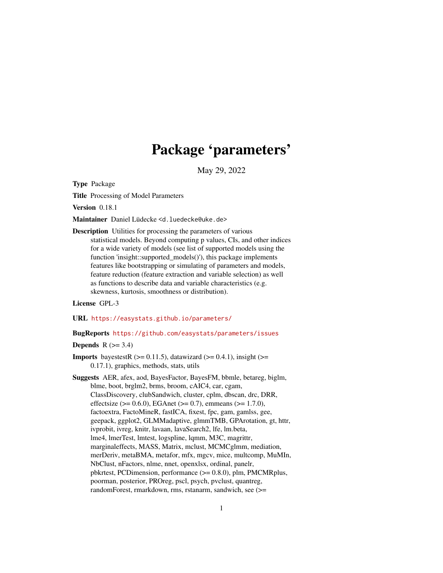# Package 'parameters'

May 29, 2022

<span id="page-0-0"></span>Type Package

Title Processing of Model Parameters

Version 0.18.1

Maintainer Daniel Lüdecke <d. luedecke@uke.de>

Description Utilities for processing the parameters of various statistical models. Beyond computing p values, CIs, and other indices for a wide variety of models (see list of supported models using the function 'insight::supported\_models()'), this package implements features like bootstrapping or simulating of parameters and models, feature reduction (feature extraction and variable selection) as well as functions to describe data and variable characteristics (e.g. skewness, kurtosis, smoothness or distribution).

License GPL-3

URL <https://easystats.github.io/parameters/>

# BugReports <https://github.com/easystats/parameters/issues>

# Depends  $R$  ( $> = 3.4$ )

**Imports** bayestestR  $(>= 0.11.5)$ , datawizard  $(>= 0.4.1)$ , insight  $(>= 0.4.1)$ 0.17.1), graphics, methods, stats, utils

Suggests AER, afex, aod, BayesFactor, BayesFM, bbmle, betareg, biglm, blme, boot, brglm2, brms, broom, cAIC4, car, cgam, ClassDiscovery, clubSandwich, cluster, cplm, dbscan, drc, DRR, effectsize ( $> = 0.6.0$ ), EGAnet ( $> = 0.7$ ), emmeans ( $> = 1.7.0$ ), factoextra, FactoMineR, fastICA, fixest, fpc, gam, gamlss, gee, geepack, ggplot2, GLMMadaptive, glmmTMB, GPArotation, gt, httr, ivprobit, ivreg, knitr, lavaan, lavaSearch2, lfe, lm.beta, lme4, lmerTest, lmtest, logspline, lqmm, M3C, magrittr, marginaleffects, MASS, Matrix, mclust, MCMCglmm, mediation, merDeriv, metaBMA, metafor, mfx, mgcv, mice, multcomp, MuMIn, NbClust, nFactors, nlme, nnet, openxlsx, ordinal, panelr, pbkrtest, PCDimension, performance (>= 0.8.0), plm, PMCMRplus, poorman, posterior, PROreg, pscl, psych, pvclust, quantreg, randomForest, rmarkdown, rms, rstanarm, sandwich, see (>=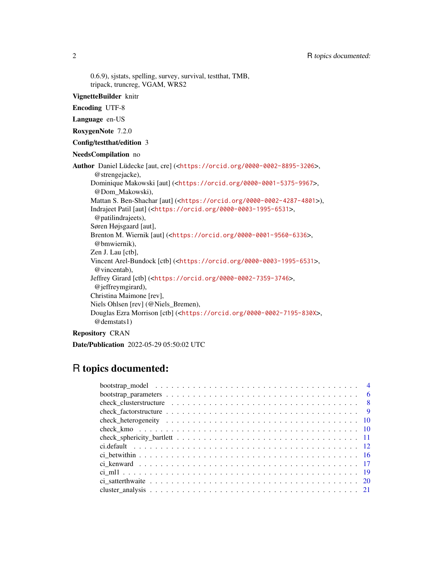0.6.9), sjstats, spelling, survey, survival, testthat, TMB, tripack, truncreg, VGAM, WRS2

# VignetteBuilder knitr

Encoding UTF-8

Language en-US

RoxygenNote 7.2.0

Config/testthat/edition 3

NeedsCompilation no

Author Daniel Lüdecke [aut, cre] (<<https://orcid.org/0000-0002-8895-3206>>, @strengejacke), Dominique Makowski [aut] (<<https://orcid.org/0000-0001-5375-9967>>, @Dom\_Makowski), Mattan S. Ben-Shachar [aut] (<<https://orcid.org/0000-0002-4287-4801>>), Indrajeet Patil [aut] (<<https://orcid.org/0000-0003-1995-6531>>, @patilindrajeets), Søren Højsgaard [aut], Brenton M. Wiernik [aut] (<<https://orcid.org/0000-0001-9560-6336>>, @bmwiernik), Zen J. Lau [ctb], Vincent Arel-Bundock [ctb] (<<https://orcid.org/0000-0003-1995-6531>>, @vincentab), Jeffrey Girard [ctb] (<<https://orcid.org/0000-0002-7359-3746>>, @jeffreymgirard), Christina Maimone [rev], Niels Ohlsen [rev] (@Niels\_Bremen), Douglas Ezra Morrison [ctb] (<<https://orcid.org/0000-0002-7195-830X>>, @demstats1)

Repository CRAN

Date/Publication 2022-05-29 05:50:02 UTC

# R topics documented: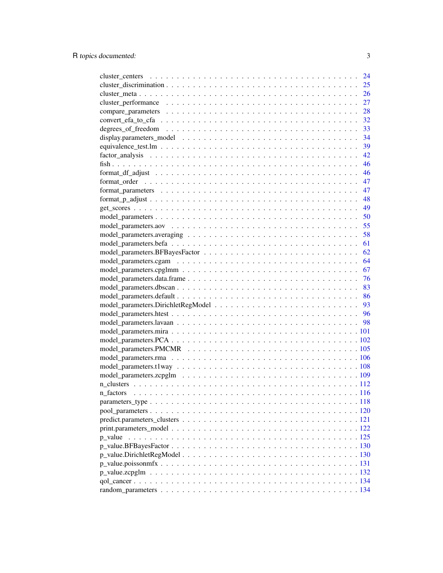|                                                                                                          | 24 |
|----------------------------------------------------------------------------------------------------------|----|
|                                                                                                          | 25 |
|                                                                                                          | 26 |
|                                                                                                          | 27 |
|                                                                                                          | 28 |
|                                                                                                          | 32 |
|                                                                                                          | 33 |
|                                                                                                          | 34 |
|                                                                                                          | 39 |
|                                                                                                          | 42 |
|                                                                                                          | 46 |
| $format\_df\_adjust \dots \dots \dots \dots \dots \dots \dots \dots \dots \dots \dots \dots \dots \dots$ | 46 |
|                                                                                                          | 47 |
|                                                                                                          | 47 |
|                                                                                                          | 48 |
|                                                                                                          | 49 |
|                                                                                                          | 50 |
|                                                                                                          | 55 |
|                                                                                                          | 58 |
|                                                                                                          | 61 |
|                                                                                                          | 62 |
|                                                                                                          | 64 |
|                                                                                                          | 67 |
|                                                                                                          | 76 |
|                                                                                                          | 83 |
|                                                                                                          | 86 |
|                                                                                                          | 93 |
|                                                                                                          |    |
|                                                                                                          |    |
|                                                                                                          |    |
|                                                                                                          |    |
|                                                                                                          |    |
|                                                                                                          |    |
|                                                                                                          |    |
|                                                                                                          |    |
|                                                                                                          |    |
|                                                                                                          |    |
|                                                                                                          |    |
|                                                                                                          |    |
|                                                                                                          |    |
|                                                                                                          |    |
|                                                                                                          |    |
|                                                                                                          |    |
|                                                                                                          |    |
|                                                                                                          |    |
|                                                                                                          |    |
|                                                                                                          |    |
|                                                                                                          |    |
|                                                                                                          |    |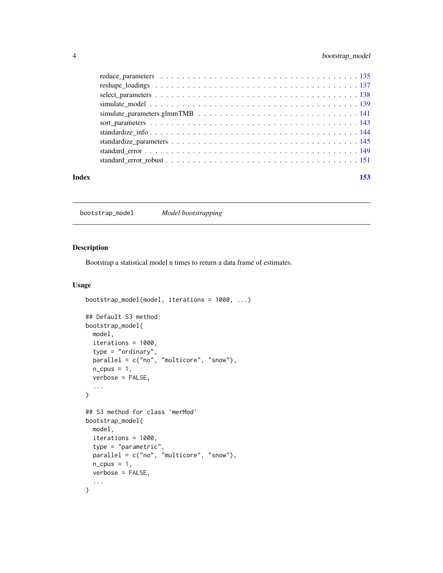# <span id="page-3-0"></span>4 bootstrap\_model

| Index | 153 |
|-------|-----|
|       |     |

<span id="page-3-1"></span>bootstrap\_model *Model bootstrapping*

# Description

Bootstrap a statistical model n times to return a data frame of estimates.

```
bootstrap_model(model, iterations = 1000, ...)
## Default S3 method:
bootstrap_model(
 model,
 iterations = 1000,
  type = "ordinary",
 parallel = c("no", "multicore", "snow"),
 n_cpus = 1,
  verbose = FALSE,
  ...
\mathcal{L}## S3 method for class 'merMod'
bootstrap_model(
 model,
  iterations = 1000,
  type = "parametric",
 parallel = c("no", "multicore", "snow"),
 n_cpus = 1,
 verbose = FALSE,
  ...
\mathcal{L}
```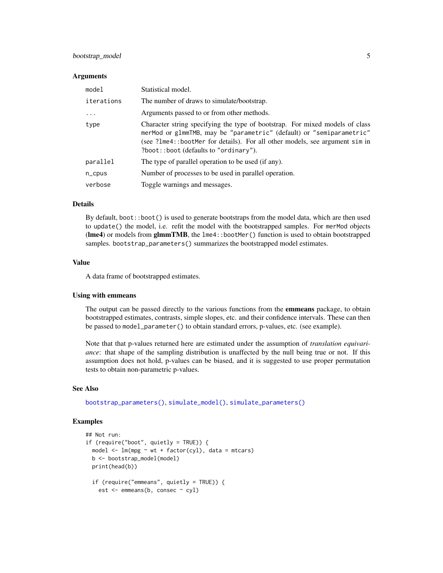# bootstrap\_model 5

#### **Arguments**

| model      | Statistical model.                                                                                                                                                                                                                                                           |
|------------|------------------------------------------------------------------------------------------------------------------------------------------------------------------------------------------------------------------------------------------------------------------------------|
| iterations | The number of draws to simulate/bootstrap.                                                                                                                                                                                                                                   |
| $\ddotsc$  | Arguments passed to or from other methods.                                                                                                                                                                                                                                   |
| type       | Character string specifying the type of bootstrap. For mixed models of class<br>merMod or glmmTMB, may be "parametric" (default) or "semiparametric"<br>(see ?lme4::bootMer for details). For all other models, see argument sim in<br>?boot::boot (defaults to "ordinary"). |
| parallel   | The type of parallel operation to be used (if any).                                                                                                                                                                                                                          |
| $n$ _cpus  | Number of processes to be used in parallel operation.                                                                                                                                                                                                                        |
| verbose    | Toggle warnings and messages.                                                                                                                                                                                                                                                |

#### Details

By default, boot::boot() is used to generate bootstraps from the model data, which are then used to update() the model, i.e. refit the model with the bootstrapped samples. For merMod objects (lme4) or models from glmmTMB, the lme4::bootMer() function is used to obtain bootstrapped samples. bootstrap\_parameters() summarizes the bootstrapped model estimates.

# Value

A data frame of bootstrapped estimates.

#### Using with emmeans

The output can be passed directly to the various functions from the **emmeans** package, to obtain bootstrapped estimates, contrasts, simple slopes, etc. and their confidence intervals. These can then be passed to model\_parameter() to obtain standard errors, p-values, etc. (see example).

Note that that p-values returned here are estimated under the assumption of *translation equivariance*: that shape of the sampling distribution is unaffected by the null being true or not. If this assumption does not hold, p-values can be biased, and it is suggested to use proper permutation tests to obtain non-parametric p-values.

#### See Also

[bootstrap\\_parameters\(\)](#page-5-1), [simulate\\_model\(\)](#page-138-1), [simulate\\_parameters\(\)](#page-140-1)

```
## Not run:
if (require("boot", quietly = TRUE)) {
 model \leq lm(mpg \sim wt + factor(cyl), data = mtcars)
 b <- bootstrap_model(model)
 print(head(b))
 if (require("emmeans", quietly = TRUE)) {
   est <- emmeans(b, consec ~ cyl)
```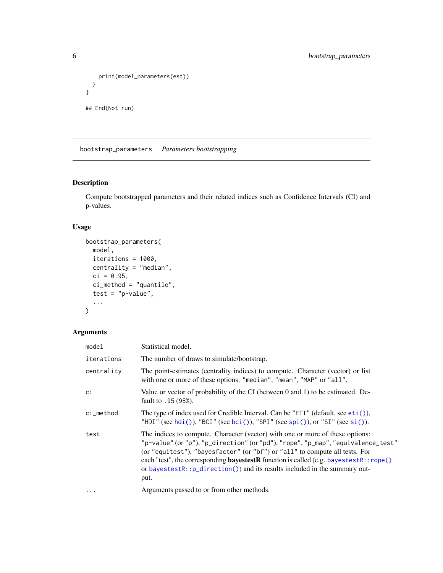```
print(model_parameters(est))
 }
}
## End(Not run)
```
<span id="page-5-1"></span>bootstrap\_parameters *Parameters bootstrapping*

# Description

Compute bootstrapped parameters and their related indices such as Confidence Intervals (CI) and p-values.

# Usage

```
bootstrap_parameters(
  model,
  iterations = 1000,
  centrality = "median",
  ci = 0.95,ci_method = "quantile",
  test = "p-value",...
\mathcal{L}
```
# Arguments

| model       | Statistical model.                                                                                                                                                                                                                                                                                                                                                                                                                      |
|-------------|-----------------------------------------------------------------------------------------------------------------------------------------------------------------------------------------------------------------------------------------------------------------------------------------------------------------------------------------------------------------------------------------------------------------------------------------|
| iterations  | The number of draws to simulate/bootstrap.                                                                                                                                                                                                                                                                                                                                                                                              |
| centrality  | The point-estimates (centrality indices) to compute. Character (vector) or list<br>with one or more of these options: "median", "mean", "MAP" or "all".                                                                                                                                                                                                                                                                                 |
| ci          | Value or vector of probability of the CI (between 0 and 1) to be estimated. De-<br>fault to .95 (95%).                                                                                                                                                                                                                                                                                                                                  |
| $ci$ method | The type of index used for Credible Interval. Can be "ETI" (default, see $eti$ ),<br>"HDI" (see hdi()), "BCI" (see bci()), "SPI" (see spi()), or "SI" (see si()).                                                                                                                                                                                                                                                                       |
| test        | The indices to compute. Character (vector) with one or more of these options:<br>"p-value" (or "p"), "p_direction" (or "pd"), "rope", "p_map", "equivalence_test"<br>(or "equitest"), "bayesfactor" (or "bf") or "all" to compute all tests. For<br>each "test", the corresponding <b>bayestestR</b> function is called (e.g. bayestestR::rope()<br>or bayestestR:: p_direction()) and its results included in the summary out-<br>put. |
| $\ddotsc$   | Arguments passed to or from other methods.                                                                                                                                                                                                                                                                                                                                                                                              |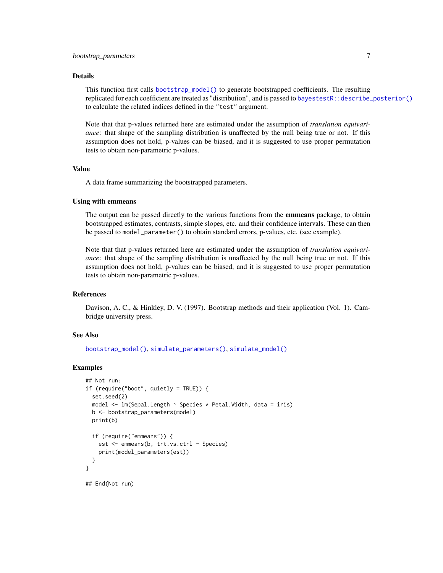#### Details

This function first calls [bootstrap\\_model\(\)](#page-3-1) to generate bootstrapped coefficients. The resulting replicated for each coefficient are treated as "distribution", and is passed to [bayestestR::describe\\_posterior\(\)](#page-0-0) to calculate the related indices defined in the "test" argument.

Note that that p-values returned here are estimated under the assumption of *translation equivariance*: that shape of the sampling distribution is unaffected by the null being true or not. If this assumption does not hold, p-values can be biased, and it is suggested to use proper permutation tests to obtain non-parametric p-values.

#### Value

A data frame summarizing the bootstrapped parameters.

#### Using with emmeans

The output can be passed directly to the various functions from the **emmeans** package, to obtain bootstrapped estimates, contrasts, simple slopes, etc. and their confidence intervals. These can then be passed to model\_parameter() to obtain standard errors, p-values, etc. (see example).

Note that that p-values returned here are estimated under the assumption of *translation equivariance*: that shape of the sampling distribution is unaffected by the null being true or not. If this assumption does not hold, p-values can be biased, and it is suggested to use proper permutation tests to obtain non-parametric p-values.

# References

Davison, A. C., & Hinkley, D. V. (1997). Bootstrap methods and their application (Vol. 1). Cambridge university press.

# See Also

[bootstrap\\_model\(\)](#page-3-1), [simulate\\_parameters\(\)](#page-140-1), [simulate\\_model\(\)](#page-138-1)

```
## Not run:
if (require("boot", quietly = TRUE)) {
 set.seed(2)
 model <- lm(Sepal.Length ~ Species * Petal.Width, data = iris)
 b <- bootstrap_parameters(model)
 print(b)
 if (require("emmeans")) {
   est <- emmeans(b, trt.vs.ctrl ~ Species)
    print(model_parameters(est))
 }
}
## End(Not run)
```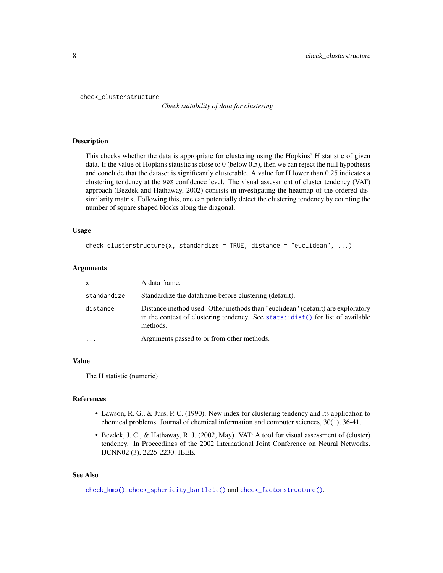```
check_clusterstructure
```
*Check suitability of data for clustering*

#### Description

This checks whether the data is appropriate for clustering using the Hopkins' H statistic of given data. If the value of Hopkins statistic is close to 0 (below 0.5), then we can reject the null hypothesis and conclude that the dataset is significantly clusterable. A value for H lower than 0.25 indicates a clustering tendency at the 90% confidence level. The visual assessment of cluster tendency (VAT) approach (Bezdek and Hathaway, 2002) consists in investigating the heatmap of the ordered dissimilarity matrix. Following this, one can potentially detect the clustering tendency by counting the number of square shaped blocks along the diagonal.

#### Usage

```
check_{\text{clustering}}(x, \text{standardize = TRUE}, \text{distance = "euclidean", ...})
```
#### **Arguments**

| X           | A data frame.                                                                                                                                                                  |
|-------------|--------------------------------------------------------------------------------------------------------------------------------------------------------------------------------|
| standardize | Standardize the dataframe before clustering (default).                                                                                                                         |
| distance    | Distance method used. Other methods than "euclidean" (default) are exploratory<br>in the context of clustering tendency. See stats: $dist()$ for list of available<br>methods. |
|             | Arguments passed to or from other methods.                                                                                                                                     |

#### Value

The H statistic (numeric)

#### References

- Lawson, R. G., & Jurs, P. C. (1990). New index for clustering tendency and its application to chemical problems. Journal of chemical information and computer sciences, 30(1), 36-41.
- Bezdek, J. C., & Hathaway, R. J. (2002, May). VAT: A tool for visual assessment of (cluster) tendency. In Proceedings of the 2002 International Joint Conference on Neural Networks. IJCNN02 (3), 2225-2230. IEEE.

# See Also

[check\\_kmo\(\)](#page-9-1), [check\\_sphericity\\_bartlett\(\)](#page-10-1) and [check\\_factorstructure\(\)](#page-8-1).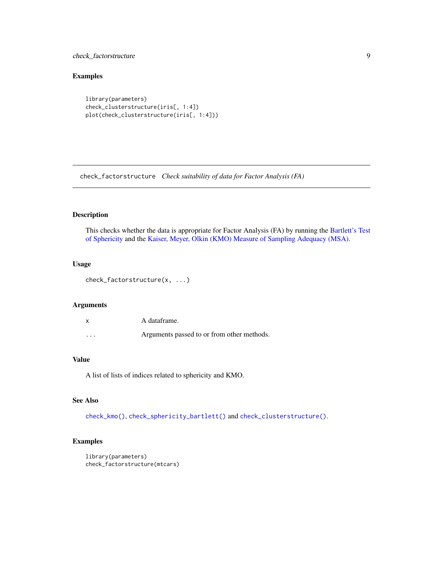# <span id="page-8-0"></span>check\_factorstructure 9

# Examples

```
library(parameters)
check_clusterstructure(iris[, 1:4])
plot(check_clusterstructure(iris[, 1:4]))
```
<span id="page-8-1"></span>check\_factorstructure *Check suitability of data for Factor Analysis (FA)*

# Description

This checks whether the data is appropriate for Factor Analysis (FA) by running the [Bartlett's Test](#page-10-1) [of Sphericity](#page-10-1) and the [Kaiser, Meyer, Olkin \(KMO\) Measure of Sampling Adequacy \(MSA\).](#page-9-1)

# Usage

```
check_factorstructure(x, ...)
```
#### Arguments

|          | A dataframe.                               |
|----------|--------------------------------------------|
| $\cdots$ | Arguments passed to or from other methods. |

# Value

A list of lists of indices related to sphericity and KMO.

# See Also

[check\\_kmo\(\)](#page-9-1), [check\\_sphericity\\_bartlett\(\)](#page-10-1) and [check\\_clusterstructure\(\)](#page-7-1).

```
library(parameters)
check_factorstructure(mtcars)
```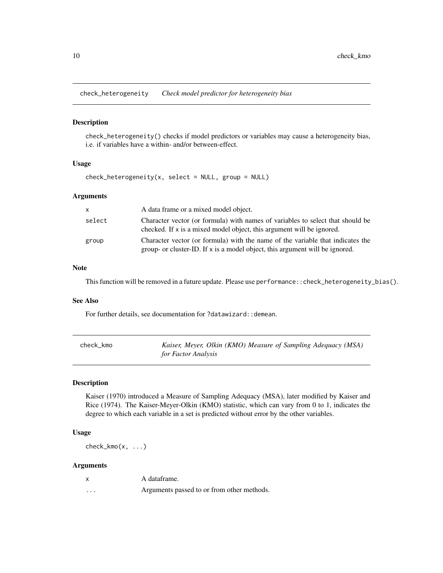<span id="page-9-0"></span>check\_heterogeneity *Check model predictor for heterogeneity bias*

#### Description

check\_heterogeneity() checks if model predictors or variables may cause a heterogeneity bias, i.e. if variables have a within- and/or between-effect.

# Usage

 $check_{h}$ eterogeneity(x, select = NULL, group = NULL)

#### Arguments

| X.     | A data frame or a mixed model object.                                                                                                                          |
|--------|----------------------------------------------------------------------------------------------------------------------------------------------------------------|
| select | Character vector (or formula) with names of variables to select that should be<br>checked. If x is a mixed model object, this argument will be ignored.        |
| group  | Character vector (or formula) with the name of the variable that indicates the<br>group- or cluster-ID. If x is a model object, this argument will be ignored. |

# Note

This function will be removed in a future update. Please use performance::check\_heterogeneity\_bias().

#### See Also

For further details, see documentation for ?datawizard:: demean.

<span id="page-9-1"></span>

| check kmo | Kaiser, Meyer, Olkin (KMO) Measure of Sampling Adequacy (MSA) |
|-----------|---------------------------------------------------------------|
|           | for Factor Analysis                                           |

# Description

Kaiser (1970) introduced a Measure of Sampling Adequacy (MSA), later modified by Kaiser and Rice (1974). The Kaiser-Meyer-Olkin (KMO) statistic, which can vary from 0 to 1, indicates the degree to which each variable in a set is predicted without error by the other variables.

#### Usage

 $check_kmo(x, \ldots)$ 

# Arguments

|                   | A dataframe.                               |
|-------------------|--------------------------------------------|
| $\cdot\cdot\cdot$ | Arguments passed to or from other methods. |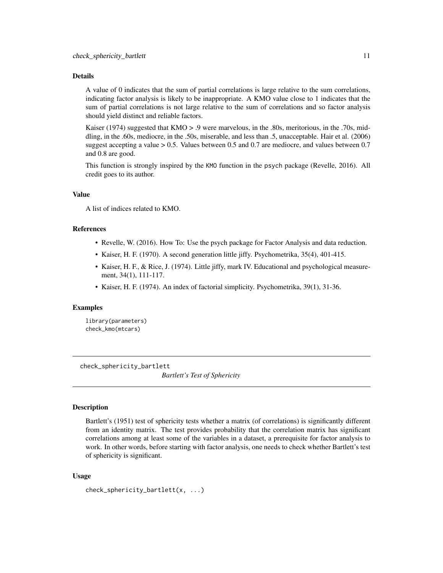#### <span id="page-10-0"></span>Details

A value of 0 indicates that the sum of partial correlations is large relative to the sum correlations, indicating factor analysis is likely to be inappropriate. A KMO value close to 1 indicates that the sum of partial correlations is not large relative to the sum of correlations and so factor analysis should yield distinct and reliable factors.

Kaiser (1974) suggested that KMO > .9 were marvelous, in the .80s, meritorious, in the .70s, middling, in the .60s, mediocre, in the .50s, miserable, and less than .5, unacceptable. Hair et al. (2006) suggest accepting a value > 0.5. Values between 0.5 and 0.7 are mediocre, and values between 0.7 and 0.8 are good.

This function is strongly inspired by the KMO function in the psych package (Revelle, 2016). All credit goes to its author.

#### Value

A list of indices related to KMO.

#### References

- Revelle, W. (2016). How To: Use the psych package for Factor Analysis and data reduction.
- Kaiser, H. F. (1970). A second generation little jiffy. Psychometrika, 35(4), 401-415.
- Kaiser, H. F., & Rice, J. (1974). Little jiffy, mark IV. Educational and psychological measurement, 34(1), 111-117.
- Kaiser, H. F. (1974). An index of factorial simplicity. Psychometrika, 39(1), 31-36.

#### Examples

library(parameters) check\_kmo(mtcars)

<span id="page-10-1"></span>check\_sphericity\_bartlett

*Bartlett's Test of Sphericity*

#### Description

Bartlett's (1951) test of sphericity tests whether a matrix (of correlations) is significantly different from an identity matrix. The test provides probability that the correlation matrix has significant correlations among at least some of the variables in a dataset, a prerequisite for factor analysis to work. In other words, before starting with factor analysis, one needs to check whether Bartlett's test of sphericity is significant.

```
check_sphericity_bartlett(x, ...)
```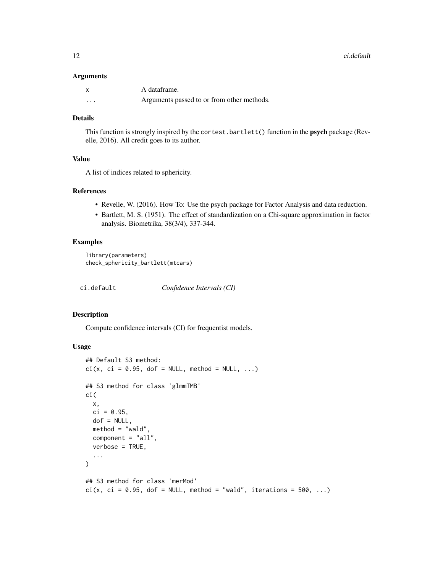12 ci.default

#### **Arguments**

|          | A dataframe.                               |
|----------|--------------------------------------------|
| $\cdots$ | Arguments passed to or from other methods. |

#### Details

This function is strongly inspired by the cortest.bartlett() function in the **psych** package (Revelle, 2016). All credit goes to its author.

# Value

A list of indices related to sphericity.

# References

- Revelle, W. (2016). How To: Use the psych package for Factor Analysis and data reduction.
- Bartlett, M. S. (1951). The effect of standardization on a Chi-square approximation in factor analysis. Biometrika, 38(3/4), 337-344.

#### Examples

library(parameters) check\_sphericity\_bartlett(mtcars)

ci.default *Confidence Intervals (CI)*

#### Description

Compute confidence intervals (CI) for frequentist models.

```
## Default S3 method:
ci(x, ci = 0.95, dof = NULL, method = NULL, ...)## S3 method for class 'glmmTMB'
ci(
  x,
 ci = 0.95,dof = NULL,method = "wald",component = "all",
  verbose = TRUE,
  ...
\lambda## S3 method for class 'merMod'
ci(x, ci = 0.95, dof = NULL, method = "wald", iterations = 500, ...)
```
<span id="page-11-0"></span>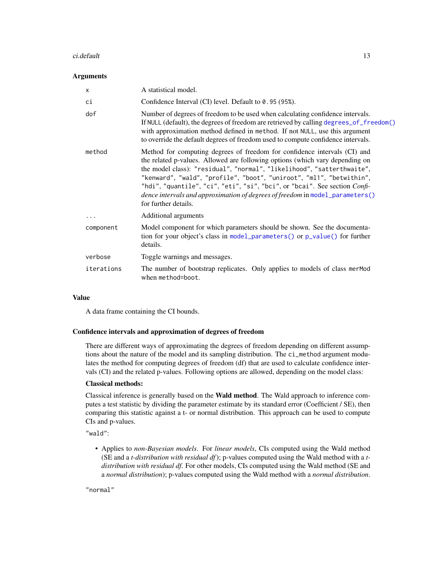#### ci.default 13

#### **Arguments**

| X          | A statistical model.                                                                                                                                                                                                                                                                                                                                                                                                                                                                               |
|------------|----------------------------------------------------------------------------------------------------------------------------------------------------------------------------------------------------------------------------------------------------------------------------------------------------------------------------------------------------------------------------------------------------------------------------------------------------------------------------------------------------|
| ci         | Confidence Interval (CI) level. Default to 0.95 (95%).                                                                                                                                                                                                                                                                                                                                                                                                                                             |
| dof        | Number of degrees of freedom to be used when calculating confidence intervals.<br>If NULL (default), the degrees of freedom are retrieved by calling degrees_of_freedom()<br>with approximation method defined in method. If not NULL, use this argument<br>to override the default degrees of freedom used to compute confidence intervals.                                                                                                                                                       |
| method     | Method for computing degrees of freedom for confidence intervals (CI) and<br>the related p-values. Allowed are following options (which vary depending on<br>the model class): "residual", "normal", "likelihood", "satterthwaite",<br>"kenward", "wald", "profile", "boot", "uniroot", "ml1", "betwithin",<br>"hdi", "quantile", "ci", "eti", "si", "bci", or "bcai". See section Confi-<br>dence intervals and approximation of degrees of freedom in model_parameters()<br>for further details. |
| $\cdots$   | Additional arguments                                                                                                                                                                                                                                                                                                                                                                                                                                                                               |
| component  | Model component for which parameters should be shown. See the documenta-<br>tion for your object's class in model_parameters() or p_value() for further<br>details.                                                                                                                                                                                                                                                                                                                                |
| verbose    | Toggle warnings and messages.                                                                                                                                                                                                                                                                                                                                                                                                                                                                      |
| iterations | The number of bootstrap replicates. Only applies to models of class merMod<br>when method=boot.                                                                                                                                                                                                                                                                                                                                                                                                    |

#### Value

A data frame containing the CI bounds.

#### Confidence intervals and approximation of degrees of freedom

There are different ways of approximating the degrees of freedom depending on different assumptions about the nature of the model and its sampling distribution. The ci\_method argument modulates the method for computing degrees of freedom (df) that are used to calculate confidence intervals (CI) and the related p-values. Following options are allowed, depending on the model class:

#### Classical methods:

Classical inference is generally based on the Wald method. The Wald approach to inference computes a test statistic by dividing the parameter estimate by its standard error (Coefficient / SE), then comparing this statistic against a t- or normal distribution. This approach can be used to compute CIs and p-values.

"wald":

• Applies to *non-Bayesian models*. For *linear models*, CIs computed using the Wald method (SE and a *t-distribution with residual df*); p-values computed using the Wald method with a *tdistribution with residual df*. For other models, CIs computed using the Wald method (SE and a *normal distribution*); p-values computed using the Wald method with a *normal distribution*.

"normal"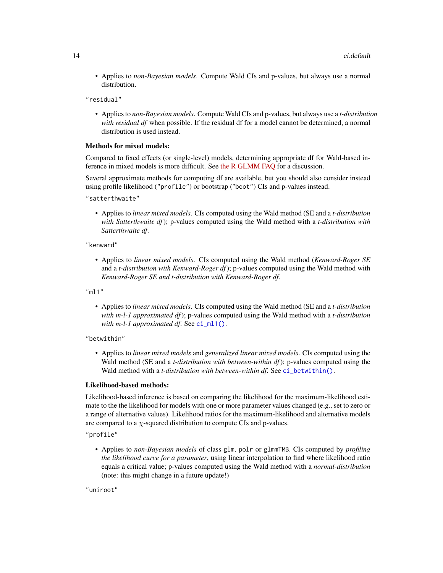• Applies to *non-Bayesian models*. Compute Wald CIs and p-values, but always use a normal distribution.

"residual"

• Applies to *non-Bayesian models*. Compute Wald CIs and p-values, but always use a *t-distribution with residual df* when possible. If the residual df for a model cannot be determined, a normal distribution is used instead.

#### Methods for mixed models:

Compared to fixed effects (or single-level) models, determining appropriate df for Wald-based inference in mixed models is more difficult. See [the R GLMM FAQ](https://bbolker.github.io/mixedmodels-misc/glmmFAQ.html#what-are-the-p-values-listed-by-summaryglmerfit-etc.-are-they-reliable) for a discussion.

Several approximate methods for computing df are available, but you should also consider instead using profile likelihood ("profile") or bootstrap ("boot") CIs and p-values instead.

"satterthwaite"

• Applies to *linear mixed models*. CIs computed using the Wald method (SE and a *t-distribution with Satterthwaite df*); p-values computed using the Wald method with a *t-distribution with Satterthwaite df*.

#### "kenward"

• Applies to *linear mixed models*. CIs computed using the Wald method (*Kenward-Roger SE* and a *t-distribution with Kenward-Roger df*); p-values computed using the Wald method with *Kenward-Roger SE and t-distribution with Kenward-Roger df*.

"ml1"

• Applies to *linear mixed models*. CIs computed using the Wald method (SE and a *t-distribution with m-l-1 approximated df*); p-values computed using the Wald method with a *t-distribution with m-l-1 approximated df.* See [ci\\_ml1\(\)](#page-18-1).

"betwithin"

• Applies to *linear mixed models* and *generalized linear mixed models*. CIs computed using the Wald method (SE and a *t-distribution with between-within df*); p-values computed using the Wald method with a *t-distribution with between-within df*. See [ci\\_betwithin\(\)](#page-15-1).

#### Likelihood-based methods:

Likelihood-based inference is based on comparing the likelihood for the maximum-likelihood estimate to the the likelihood for models with one or more parameter values changed (e.g., set to zero or a range of alternative values). Likelihood ratios for the maximum-likelihood and alternative models are compared to a  $\chi$ -squared distribution to compute CIs and p-values.

"profile"

• Applies to *non-Bayesian models* of class glm, polr or glmmTMB. CIs computed by *profiling the likelihood curve for a parameter*, using linear interpolation to find where likelihood ratio equals a critical value; p-values computed using the Wald method with a *normal-distribution* (note: this might change in a future update!)

"uniroot"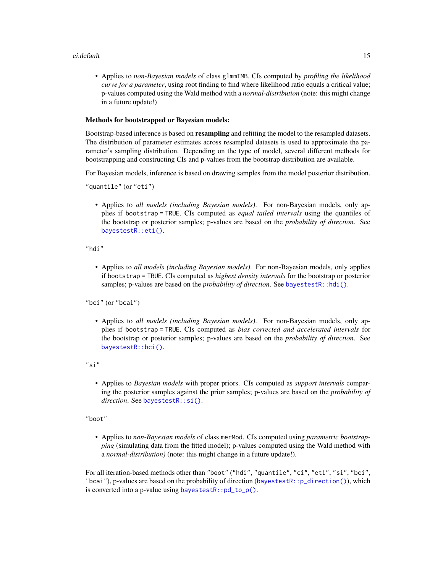#### ci.default 15

• Applies to *non-Bayesian models* of class glmmTMB. CIs computed by *profiling the likelihood curve for a parameter*, using root finding to find where likelihood ratio equals a critical value; p-values computed using the Wald method with a *normal-distribution* (note: this might change in a future update!)

#### Methods for bootstrapped or Bayesian models:

Bootstrap-based inference is based on **resampling** and refitting the model to the resampled datasets. The distribution of parameter estimates across resampled datasets is used to approximate the parameter's sampling distribution. Depending on the type of model, several different methods for bootstrapping and constructing CIs and p-values from the bootstrap distribution are available.

For Bayesian models, inference is based on drawing samples from the model posterior distribution.

"quantile" (or "eti")

• Applies to *all models (including Bayesian models)*. For non-Bayesian models, only applies if bootstrap = TRUE. CIs computed as *equal tailed intervals* using the quantiles of the bootstrap or posterior samples; p-values are based on the *probability of direction*. See [bayestestR::eti\(\)](#page-0-0).

"hdi"

• Applies to *all models (including Bayesian models)*. For non-Bayesian models, only applies if bootstrap = TRUE. CIs computed as *highest density intervals* for the bootstrap or posterior samples; p-values are based on the *probability of direction*. See [bayestestR::hdi\(\)](#page-0-0).

"bci" (or "bcai")

• Applies to *all models (including Bayesian models)*. For non-Bayesian models, only applies if bootstrap = TRUE. CIs computed as *bias corrected and accelerated intervals* for the bootstrap or posterior samples; p-values are based on the *probability of direction*. See [bayestestR::bci\(\)](#page-0-0).

"si"

• Applies to *Bayesian models* with proper priors. CIs computed as *support intervals* comparing the posterior samples against the prior samples; p-values are based on the *probability of direction*. See [bayestestR::si\(\)](#page-0-0).

"boot"

• Applies to *non-Bayesian models* of class merMod. CIs computed using *parametric bootstrapping* (simulating data from the fitted model); p-values computed using the Wald method with a *normal-distribution)* (note: this might change in a future update!).

For all iteration-based methods other than "boot" ("hdi", "quantile", "ci", "eti", "si", "bci", "bcai"), p-values are based on the probability of direction (bayestestR:: $p_d$ direction()), which is converted into a p-value using [bayestestR::pd\\_to\\_p\(\)](#page-0-0).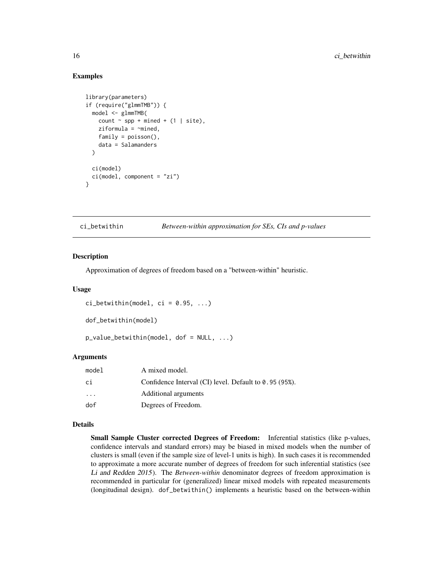### Examples

```
library(parameters)
if (require("glmmTMB")) {
 model <- glmmTMB(
    count \sim spp + mined + (1 | site),
   ziformula = ~~mined,
   family = poisson(),
    data = Salamanders
 )
 ci(model)
 ci(model, component = "zi")
}
```
<span id="page-15-1"></span>ci\_betwithin *Between-within approximation for SEs, CIs and p-values*

#### <span id="page-15-2"></span>Description

Approximation of degrees of freedom based on a "between-within" heuristic.

#### Usage

```
ci_betwithin(model, ci = 0.95, ...)
```
dof\_betwithin(model)

```
p_value_betwithin(model, dof = NULL, ...)
```
#### Arguments

| model   | A mixed model.                                           |
|---------|----------------------------------------------------------|
| сi      | Confidence Interval (CI) level. Default to $0.95$ (95%). |
| $\cdot$ | Additional arguments                                     |
| dof     | Degrees of Freedom.                                      |

#### Details

Small Sample Cluster corrected Degrees of Freedom: Inferential statistics (like p-values, confidence intervals and standard errors) may be biased in mixed models when the number of clusters is small (even if the sample size of level-1 units is high). In such cases it is recommended to approximate a more accurate number of degrees of freedom for such inferential statistics (see Li and Redden 2015). The *Between-within* denominator degrees of freedom approximation is recommended in particular for (generalized) linear mixed models with repeated measurements (longitudinal design). dof\_betwithin() implements a heuristic based on the between-within

<span id="page-15-0"></span>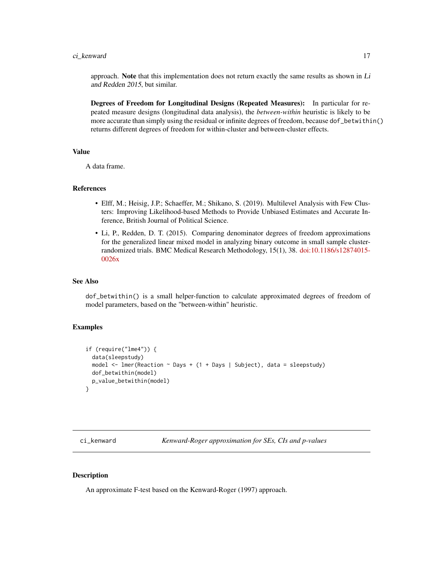# <span id="page-16-0"></span>ci\_kenward 17

approach. Note that this implementation does not return exactly the same results as shown in  $Li$ and Redden 2015, but similar.

Degrees of Freedom for Longitudinal Designs (Repeated Measures): In particular for repeated measure designs (longitudinal data analysis), the *between-within* heuristic is likely to be more accurate than simply using the residual or infinite degrees of freedom, because dof\_betwithin() returns different degrees of freedom for within-cluster and between-cluster effects.

# Value

A data frame.

#### References

- Elff, M.; Heisig, J.P.; Schaeffer, M.; Shikano, S. (2019). Multilevel Analysis with Few Clusters: Improving Likelihood-based Methods to Provide Unbiased Estimates and Accurate Inference, British Journal of Political Science.
- Li, P., Redden, D. T. (2015). Comparing denominator degrees of freedom approximations for the generalized linear mixed model in analyzing binary outcome in small sample clusterrandomized trials. BMC Medical Research Methodology, 15(1), 38. [doi:10.1186/s12874015-](https://doi.org/10.1186/s12874-015-0026-x) [0026x](https://doi.org/10.1186/s12874-015-0026-x)

# See Also

dof\_betwithin() is a small helper-function to calculate approximated degrees of freedom of model parameters, based on the "between-within" heuristic.

# Examples

```
if (require("lme4")) {
 data(sleepstudy)
 model \le - lmer(Reaction \sim Days + (1 + Days | Subject), data = sleepstudy)
 dof_betwithin(model)
 p_value_betwithin(model)
}
```
ci\_kenward *Kenward-Roger approximation for SEs, CIs and p-values*

# <span id="page-16-1"></span>**Description**

An approximate F-test based on the Kenward-Roger (1997) approach.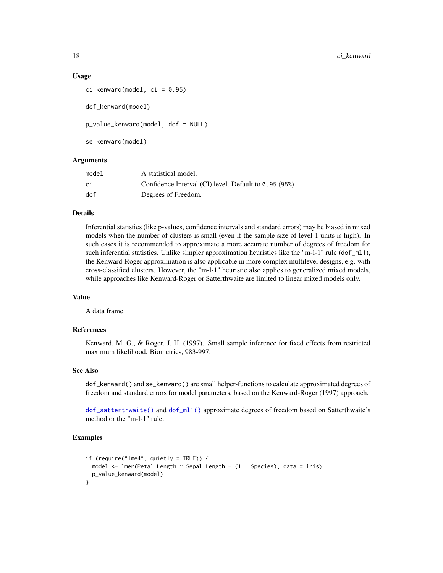#### Usage

```
ci_{\text{kenward}(\text{model}, ci = 0.95)
```
dof\_kenward(model)

p\_value\_kenward(model, dof = NULL)

se\_kenward(model)

#### Arguments

| model | A statistical model.                                   |
|-------|--------------------------------------------------------|
| сi    | Confidence Interval (CI) level. Default to 0.95 (95%). |
| dof   | Degrees of Freedom.                                    |

#### Details

Inferential statistics (like p-values, confidence intervals and standard errors) may be biased in mixed models when the number of clusters is small (even if the sample size of level-1 units is high). In such cases it is recommended to approximate a more accurate number of degrees of freedom for such inferential statistics. Unlike simpler approximation heuristics like the "m-l-1" rule (dof\_ml1), the Kenward-Roger approximation is also applicable in more complex multilevel designs, e.g. with cross-classified clusters. However, the "m-l-1" heuristic also applies to generalized mixed models, while approaches like Kenward-Roger or Satterthwaite are limited to linear mixed models only.

#### Value

A data frame.

#### References

Kenward, M. G., & Roger, J. H. (1997). Small sample inference for fixed effects from restricted maximum likelihood. Biometrics, 983-997.

#### See Also

dof\_kenward() and se\_kenward() are small helper-functions to calculate approximated degrees of freedom and standard errors for model parameters, based on the Kenward-Roger (1997) approach.

[dof\\_satterthwaite\(\)](#page-19-1) and [dof\\_ml1\(\)](#page-18-2) approximate degrees of freedom based on Satterthwaite's method or the "m-l-1" rule.

```
if (require("lme4", quietly = TRUE)) {
 model <- lmer(Petal.Length ~ Sepal.Length + (1 | Species), data = iris)
 p_value_kenward(model)
}
```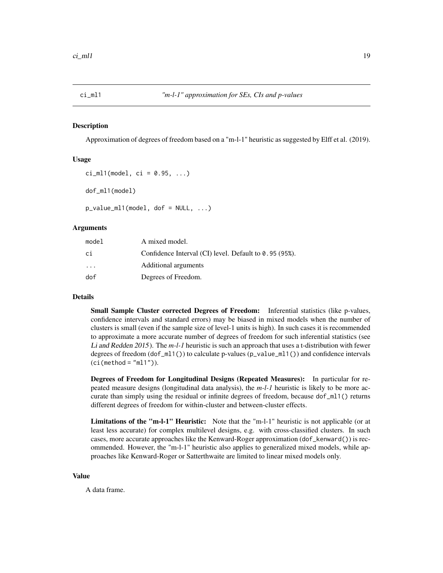<span id="page-18-1"></span><span id="page-18-0"></span>

#### <span id="page-18-2"></span>Description

Approximation of degrees of freedom based on a "m-l-1" heuristic as suggested by Elff et al. (2019).

# Usage

```
ci_m11(model, ci = 0.95, ...)dof_ml1(model)
```
 $p_value_m11(model, dof = NULL, ...)$ 

# **Arguments**

| model                   | A mixed model.                                           |
|-------------------------|----------------------------------------------------------|
| сi                      | Confidence Interval (CI) level. Default to $0.95$ (95%). |
| $\cdot$ $\cdot$ $\cdot$ | Additional arguments                                     |
| dof                     | Degrees of Freedom.                                      |

#### Details

Small Sample Cluster corrected Degrees of Freedom: Inferential statistics (like p-values, confidence intervals and standard errors) may be biased in mixed models when the number of clusters is small (even if the sample size of level-1 units is high). In such cases it is recommended to approximate a more accurate number of degrees of freedom for such inferential statistics (see Li and Redden 2015). The *m-l-1* heuristic is such an approach that uses a t-distribution with fewer degrees of freedom (dof\_ml1()) to calculate p-values (p\_value\_ml1()) and confidence intervals  $(ci(method = "m11"))$ .

Degrees of Freedom for Longitudinal Designs (Repeated Measures): In particular for repeated measure designs (longitudinal data analysis), the *m-l-1* heuristic is likely to be more accurate than simply using the residual or infinite degrees of freedom, because  $dof_m11()$  returns different degrees of freedom for within-cluster and between-cluster effects.

Limitations of the "m-l-1" Heuristic: Note that the "m-l-1" heuristic is not applicable (or at least less accurate) for complex multilevel designs, e.g. with cross-classified clusters. In such cases, more accurate approaches like the Kenward-Roger approximation (dof\_kenward()) is recommended. However, the "m-l-1" heuristic also applies to generalized mixed models, while approaches like Kenward-Roger or Satterthwaite are limited to linear mixed models only.

#### Value

A data frame.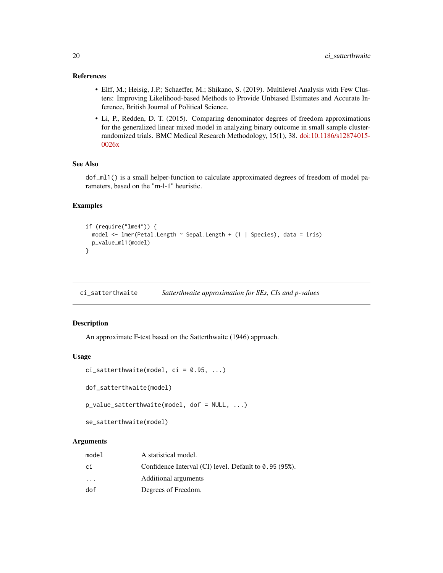# <span id="page-19-0"></span>References

- Elff, M.; Heisig, J.P.; Schaeffer, M.; Shikano, S. (2019). Multilevel Analysis with Few Clusters: Improving Likelihood-based Methods to Provide Unbiased Estimates and Accurate Inference, British Journal of Political Science.
- Li, P., Redden, D. T. (2015). Comparing denominator degrees of freedom approximations for the generalized linear mixed model in analyzing binary outcome in small sample clusterrandomized trials. BMC Medical Research Methodology, 15(1), 38. [doi:10.1186/s12874015-](https://doi.org/10.1186/s12874-015-0026-x) [0026x](https://doi.org/10.1186/s12874-015-0026-x)

# See Also

dof\_ml1() is a small helper-function to calculate approximated degrees of freedom of model parameters, based on the "m-l-1" heuristic.

#### Examples

```
if (require("lme4")) {
 model <- lmer(Petal.Length ~ Sepal.Length + (1 | Species), data = iris)
 p_value_ml1(model)
}
```
ci\_satterthwaite *Satterthwaite approximation for SEs, CIs and p-values*

# <span id="page-19-1"></span>Description

An approximate F-test based on the Satterthwaite (1946) approach.

#### Usage

```
ci_satterthwaite(model, ci = 0.95, ...)
```
dof\_satterthwaite(model)

p\_value\_satterthwaite(model, dof = NULL, ...)

se\_satterthwaite(model)

# Arguments

| model                   | A statistical model.                                     |
|-------------------------|----------------------------------------------------------|
| сi                      | Confidence Interval (CI) level. Default to $0.95$ (95%). |
| $\cdot$ $\cdot$ $\cdot$ | Additional arguments                                     |
| dof                     | Degrees of Freedom.                                      |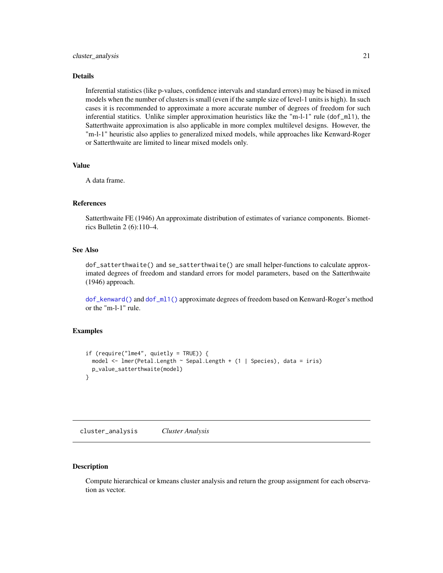#### <span id="page-20-0"></span>Details

Inferential statistics (like p-values, confidence intervals and standard errors) may be biased in mixed models when the number of clusters is small (even if the sample size of level-1 units is high). In such cases it is recommended to approximate a more accurate number of degrees of freedom for such inferential statitics. Unlike simpler approximation heuristics like the "m-l-1" rule (dof\_ml1), the Satterthwaite approximation is also applicable in more complex multilevel designs. However, the "m-l-1" heuristic also applies to generalized mixed models, while approaches like Kenward-Roger or Satterthwaite are limited to linear mixed models only.

#### Value

A data frame.

# References

Satterthwaite FE (1946) An approximate distribution of estimates of variance components. Biometrics Bulletin 2 (6):110–4.

# See Also

dof\_satterthwaite() and se\_satterthwaite() are small helper-functions to calculate approximated degrees of freedom and standard errors for model parameters, based on the Satterthwaite (1946) approach.

[dof\\_kenward\(\)](#page-16-1) and [dof\\_ml1\(\)](#page-18-2) approximate degrees of freedom based on Kenward-Roger's method or the "m-l-1" rule.

# Examples

```
if (require("lme4", quietly = TRUE)) {
 model <- lmer(Petal.Length ~ Sepal.Length + (1 | Species), data = iris)
 p_value_satterthwaite(model)
}
```
<span id="page-20-1"></span>cluster\_analysis *Cluster Analysis*

# **Description**

Compute hierarchical or kmeans cluster analysis and return the group assignment for each observation as vector.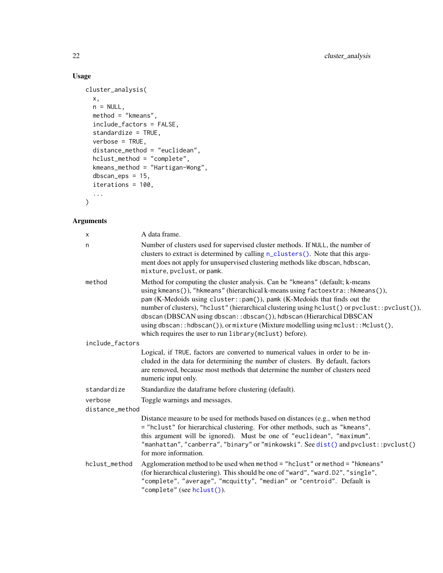# Usage

```
cluster_analysis(
  x,
  n = NULL,method = "kmeans",
  include_factors = FALSE,
  standardize = TRUE,
  verbose = TRUE,
  distance_method = "euclidean",
  hclust_method = "complete",
  kmeans_method = "Hartigan-Wong",
  dbscan_eps = 15,
  iterations = 100,
  ...
\mathcal{L}
```
# Arguments

| X               | A data frame.                                                                                                                                                                                                                                                                                                                                                                                                                                                                                                                                                            |
|-----------------|--------------------------------------------------------------------------------------------------------------------------------------------------------------------------------------------------------------------------------------------------------------------------------------------------------------------------------------------------------------------------------------------------------------------------------------------------------------------------------------------------------------------------------------------------------------------------|
| n               | Number of clusters used for supervised cluster methods. If NULL, the number of<br>clusters to extract is determined by calling n_clusters(). Note that this argu-<br>ment does not apply for unsupervised clustering methods like dbscan, hdbscan,<br>mixture, pvclust, or pamk.                                                                                                                                                                                                                                                                                         |
| method          | Method for computing the cluster analysis. Can be "kmeans" (default; k-means<br>using kmeans()), "hkmeans" (hierarchical k-means using factoextra::hkmeans()),<br>pam (K-Medoids using cluster:: pam()), pamk (K-Medoids that finds out the<br>number of clusters), "hclust" (hierarchical clustering using hclust () or pvclust::pvclust()),<br>dbscan (DBSCAN using dbscan::dbscan()), hdbscan (Hierarchical DBSCAN<br>using dbscan::hdbscan()), or mixture (Mixture modelling using mclust:: $Mclust()$ ,<br>which requires the user to run library (mclust) before). |
| include_factors |                                                                                                                                                                                                                                                                                                                                                                                                                                                                                                                                                                          |
|                 | Logical, if TRUE, factors are converted to numerical values in order to be in-<br>cluded in the data for determining the number of clusters. By default, factors<br>are removed, because most methods that determine the number of clusters need<br>numeric input only.                                                                                                                                                                                                                                                                                                  |
| standardize     | Standardize the dataframe before clustering (default).                                                                                                                                                                                                                                                                                                                                                                                                                                                                                                                   |
| verbose         | Toggle warnings and messages.                                                                                                                                                                                                                                                                                                                                                                                                                                                                                                                                            |
| distance_method |                                                                                                                                                                                                                                                                                                                                                                                                                                                                                                                                                                          |
|                 | Distance measure to be used for methods based on distances (e.g., when method<br>= "hclust" for hierarchical clustering. For other methods, such as "kmeans",<br>this argument will be ignored). Must be one of "euclidean", "maximum",<br>"manhattan", "canberra", "binary" or "minkowski". See dist() and pvclust::pvclust()<br>for more information.                                                                                                                                                                                                                  |
| hclust_method   | Agglomeration method to be used when method = "hclust" or method = "hkmeans"<br>(for hierarchical clustering). This should be one of "ward", "ward.D2", "single",<br>"complete", "average", "mcquitty", "median" or "centroid". Default is<br>"complete" (see hclust()).                                                                                                                                                                                                                                                                                                 |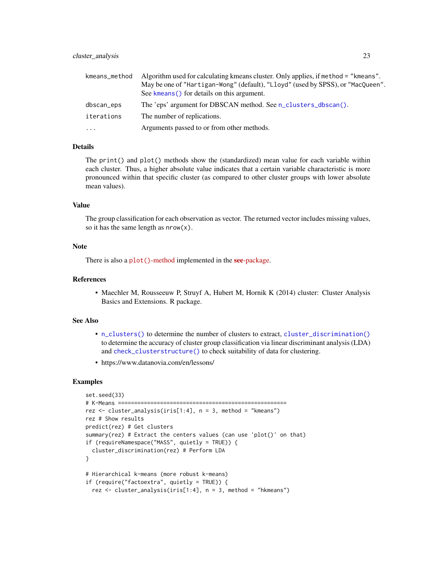| kmeans_method | Algorithm used for calculating kmeans cluster. Only applies, if method = "kmeans". |
|---------------|------------------------------------------------------------------------------------|
|               | May be one of "Hartigan-Wong" (default), "Lloyd" (used by SPSS), or "MacQueen".    |
|               | See kmeans () for details on this argument.                                        |
| dbscan_eps    | The 'eps' argument for DBSCAN method. See n_clusters_dbscan().                     |
| iterations    | The number of replications.                                                        |
| $\cdots$      | Arguments passed to or from other methods.                                         |

#### Details

The print() and plot() methods show the (standardized) mean value for each variable within each cluster. Thus, a higher absolute value indicates that a certain variable characteristic is more pronounced within that specific cluster (as compared to other cluster groups with lower absolute mean values).

# Value

The group classification for each observation as vector. The returned vector includes missing values, so it has the same length as  $nrow(x)$ .

## Note

There is also a plot ()[-method](https://easystats.github.io/see/articles/parameters.html) implemented in the see[-package.](https://easystats.github.io/see/)

# References

• Maechler M, Rousseeuw P, Struyf A, Hubert M, Hornik K (2014) cluster: Cluster Analysis Basics and Extensions. R package.

#### See Also

- [n\\_clusters\(\)](#page-111-1) to determine the number of clusters to extract, [cluster\\_discrimination\(\)](#page-24-1) to determine the accuracy of cluster group classification via linear discriminant analysis (LDA) and [check\\_clusterstructure\(\)](#page-7-1) to check suitability of data for clustering.
- https://www.datanovia.com/en/lessons/

```
set.seed(33)
# K-Means ====================================================
rez <- cluster_analysis(iris[1:4], n = 3, method = "kmeans")
rez # Show results
predict(rez) # Get clusters
summary(rez) # Extract the centers values (can use 'plot()' on that)
if (requireNamespace("MASS", quietly = TRUE)) {
  cluster_discrimination(rez) # Perform LDA
}
# Hierarchical k-means (more robust k-means)
if (require("factoextra", quietly = TRUE)) {
  rez <- cluster_analysis(iris[1:4], n = 3, method = "hkmeans")
```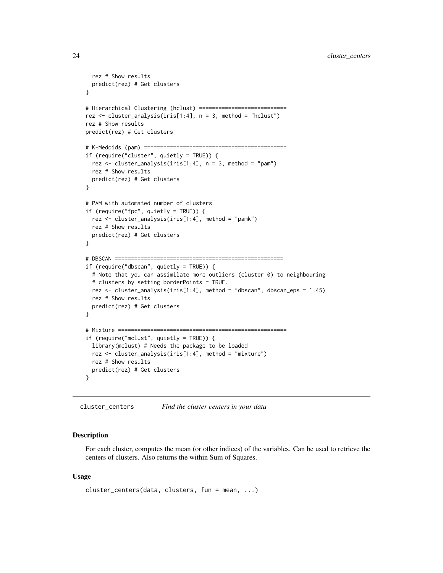```
rez # Show results
  predict(rez) # Get clusters
}
# Hierarchical Clustering (hclust) ===========================
rez <- cluster_analysis(iris[1:4], n = 3, method = "hclust")
rez # Show results
predict(rez) # Get clusters
# K-Medoids (pam) ============================================
if (require("cluster", quietly = TRUE)) {
  rez <- cluster_analysis(iris[1:4], n = 3, method = "pam")
  rez # Show results
  predict(rez) # Get clusters
}
# PAM with automated number of clusters
if (require("fpc", quietly = TRUE)) {
  rez <- cluster_analysis(iris[1:4], method = "pamk")
  rez # Show results
  predict(rez) # Get clusters
}
# DBSCAN ====================================================
if (require("dbscan", quietly = TRUE)) {
  # Note that you can assimilate more outliers (cluster 0) to neighbouring
  # clusters by setting borderPoints = TRUE.
  rez <- cluster_analysis(iris[1:4], method = "dbscan", dbscan_eps = 1.45)
  rez # Show results
  predict(rez) # Get clusters
}
# Mixture ====================================================
if (require("mclust", quietly = TRUE)) {
  library(mclust) # Needs the package to be loaded
  rez <- cluster_analysis(iris[1:4], method = "mixture")
  rez # Show results
  predict(rez) # Get clusters
}
```
cluster\_centers *Find the cluster centers in your data*

#### Description

For each cluster, computes the mean (or other indices) of the variables. Can be used to retrieve the centers of clusters. Also returns the within Sum of Squares.

```
cluster_centers(data, clusters, fun = mean, ...)
```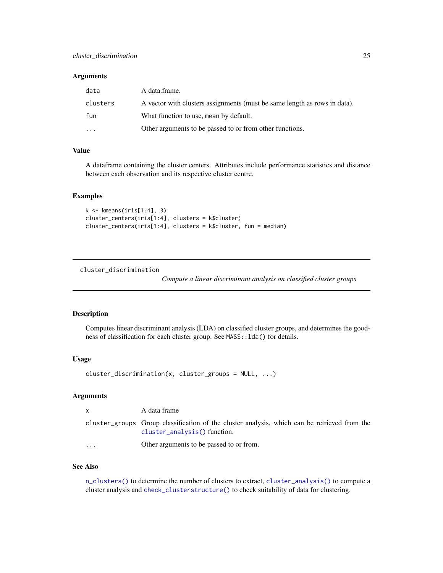#### <span id="page-24-0"></span>**Arguments**

| data     | A data.frame.                                                             |
|----------|---------------------------------------------------------------------------|
| clusters | A vector with clusters assignments (must be same length as rows in data). |
| fun      | What function to use, mean by default.                                    |
| $\cdots$ | Other arguments to be passed to or from other functions.                  |

# Value

A dataframe containing the cluster centers. Attributes include performance statistics and distance between each observation and its respective cluster centre.

# Examples

```
k \leq kmeans(iris[1:4], 3)
cluster_centers(iris[1:4], clusters = k$cluster)
cluster_centers(iris[1:4], clusters = k$cluster, fun = median)
```
<span id="page-24-1"></span>cluster\_discrimination

*Compute a linear discriminant analysis on classified cluster groups*

#### Description

Computes linear discriminant analysis (LDA) on classified cluster groups, and determines the goodness of classification for each cluster group. See MASS::lda() for details.

#### Usage

```
cluster_discrimination(x, cluster_groups = NULL, ...)
```
# Arguments

| $\mathsf{x}$ | A data frame                                                                                                                   |
|--------------|--------------------------------------------------------------------------------------------------------------------------------|
|              | cluster_groups Group classification of the cluster analysis, which can be retrieved from the<br>$cluster_analysis()$ function. |
| $\cdots$     | Other arguments to be passed to or from.                                                                                       |

# See Also

[n\\_clusters\(\)](#page-111-1) to determine the number of clusters to extract, [cluster\\_analysis\(\)](#page-20-1) to compute a cluster analysis and [check\\_clusterstructure\(\)](#page-7-1) to check suitability of data for clustering.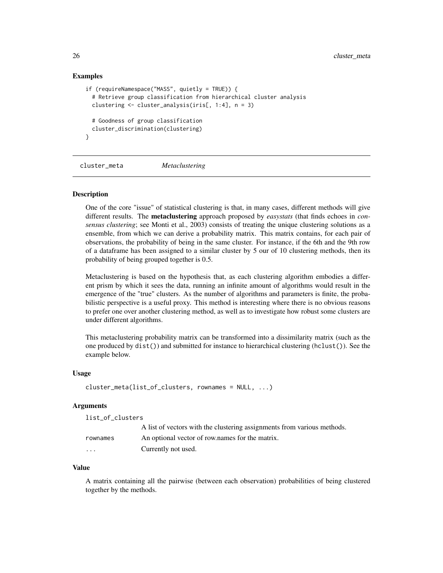#### Examples

```
if (requireNamespace("MASS", quietly = TRUE)) {
 # Retrieve group classification from hierarchical cluster analysis
 clustering <- cluster_analysis(iris[, 1:4], n = 3)
 # Goodness of group classification
 cluster_discrimination(clustering)
}
```
cluster\_meta *Metaclustering*

#### Description

One of the core "issue" of statistical clustering is that, in many cases, different methods will give different results. The metaclustering approach proposed by *easystats* (that finds echoes in *consensus clustering*; see Monti et al., 2003) consists of treating the unique clustering solutions as a ensemble, from which we can derive a probability matrix. This matrix contains, for each pair of observations, the probability of being in the same cluster. For instance, if the 6th and the 9th row of a dataframe has been assigned to a similar cluster by 5 our of 10 clustering methods, then its probability of being grouped together is 0.5.

Metaclustering is based on the hypothesis that, as each clustering algorithm embodies a different prism by which it sees the data, running an infinite amount of algorithms would result in the emergence of the "true" clusters. As the number of algorithms and parameters is finite, the probabilistic perspective is a useful proxy. This method is interesting where there is no obvious reasons to prefer one over another clustering method, as well as to investigate how robust some clusters are under different algorithms.

This metaclustering probability matrix can be transformed into a dissimilarity matrix (such as the one produced by dist()) and submitted for instance to hierarchical clustering (hclust()). See the example below.

#### Usage

```
cluster_meta(list_of_clusters, rownames = NULL, ...)
```
#### **Arguments**

| list_of_clusters |  |
|------------------|--|
|------------------|--|

|          | A list of vectors with the clustering assignments from various methods. |
|----------|-------------------------------------------------------------------------|
| rownames | An optional vector of row names for the matrix.                         |
| .        | Currently not used.                                                     |

#### Value

A matrix containing all the pairwise (between each observation) probabilities of being clustered together by the methods.

<span id="page-25-0"></span>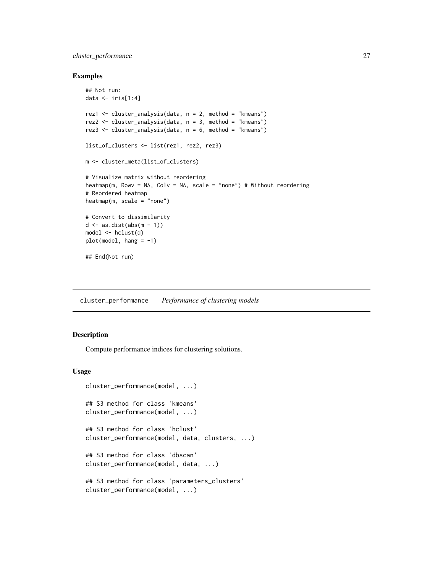# <span id="page-26-0"></span>cluster\_performance 27

#### Examples

```
## Not run:
data <- iris[1:4]
rez1 <- cluster_analysis(data, n = 2, method = "kmeans")
rez2 \le cluster_analysis(data, n = 3, method = "kmeans")
rez3 <- cluster_analysis(data, n = 6, method = "kmeans")
list_of_clusters <- list(rez1, rez2, rez3)
m <- cluster_meta(list_of_clusters)
# Visualize matrix without reordering
heatmap(m, Rowy = NA, Colv = NA, scale = "none") # Without reordering
# Reordered heatmap
heatmap(m, scale = "none")
# Convert to dissimilarity
d \leq -as.dist(abs(m - 1))model <- hclust(d)
plot(model, hang = -1)
## End(Not run)
```
cluster\_performance *Performance of clustering models*

# Description

Compute performance indices for clustering solutions.

```
cluster_performance(model, ...)
## S3 method for class 'kmeans'
cluster_performance(model, ...)
## S3 method for class 'hclust'
cluster_performance(model, data, clusters, ...)
## S3 method for class 'dbscan'
cluster_performance(model, data, ...)
## S3 method for class 'parameters_clusters'
cluster_performance(model, ...)
```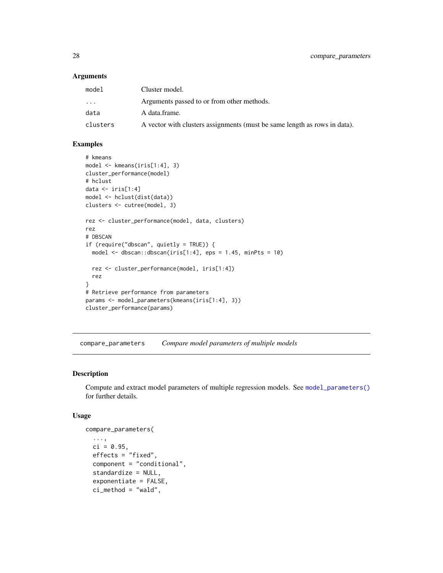#### **Arguments**

| model     | Cluster model.                                                            |
|-----------|---------------------------------------------------------------------------|
| $\ddotsc$ | Arguments passed to or from other methods.                                |
| data      | A data frame.                                                             |
| clusters  | A vector with clusters assignments (must be same length as rows in data). |

# Examples

```
# kmeans
model <- kmeans(iris[1:4], 3)
cluster_performance(model)
# hclust
data \le iris[1:4]
model <- hclust(dist(data))
clusters <- cutree(model, 3)
rez <- cluster_performance(model, data, clusters)
rez
# DBSCAN
if (require("dbscan", quietly = TRUE)) {
 model \leq dbscan::dbscan(iris[1:4], eps = 1.45, minPts = 10)
  rez <- cluster_performance(model, iris[1:4])
  rez
}
# Retrieve performance from parameters
params <- model_parameters(kmeans(iris[1:4], 3))
cluster_performance(params)
```
compare\_parameters *Compare model parameters of multiple models*

# Description

Compute and extract model parameters of multiple regression models. See [model\\_parameters\(\)](#page-49-1) for further details.

```
compare_parameters(
  ...,
  ci = 0.95,
  effects = "fixed",
  component = "conditional",
  standardize = NULL,
  exponentiate = FALSE,
  ci_method = "wald",
```
<span id="page-27-0"></span>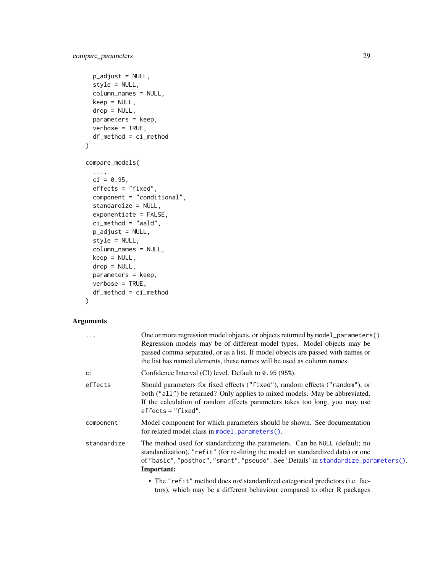```
p\_adjust = NULL,style = NULL,
 column_names = NULL,
 keep = NULL,
  drop = NULL,
 parameters = keep,
 verbose = TRUE,
 df_method = ci_method
\mathcal{L}compare_models(
  ...,
 ci = 0.95,effects = "fixed",
 component = "conditional",
  standardize = NULL,
  exponentiate = FALSE,
 ci<sup>-</sup>method = "wald",
 p\_adjust = NULL,style = NULL,
  column_names = NULL,
 keep = NULL,drop = NULL,
 parameters = keep,
 verbose = TRUE,
  df_method = ci_method
\mathcal{L}
```
# Arguments

| $\ddots$    | One or more regression model objects, or objects returned by model_parameters().<br>Regression models may be of different model types. Model objects may be<br>passed comma separated, or as a list. If model objects are passed with names or<br>the list has named elements, these names will be used as column names. |
|-------------|--------------------------------------------------------------------------------------------------------------------------------------------------------------------------------------------------------------------------------------------------------------------------------------------------------------------------|
| сi          | Confidence Interval (CI) level. Default to 0.95 (95%).                                                                                                                                                                                                                                                                   |
| effects     | Should parameters for fixed effects ("fixed"), random effects ("random"), or<br>both ("all") be returned? Only applies to mixed models. May be abbreviated.<br>If the calculation of random effects parameters takes too long, you may use<br>$effects = "fixed".$                                                       |
| component   | Model component for which parameters should be shown. See documentation<br>for related model class in model_parameters().                                                                                                                                                                                                |
| standardize | The method used for standardizing the parameters. Can be NULL (default; no<br>standardization), "refit" (for re-fitting the model on standardized data) or one<br>of "basic", "posthoc", "smart", "pseudo". See 'Details' in standardize_parameters().<br><b>Important:</b>                                              |
|             | • The "refit" method does not standardized categorical predictors (i.e. fac-<br>tors), which may be a different behaviour compared to other R packages                                                                                                                                                                   |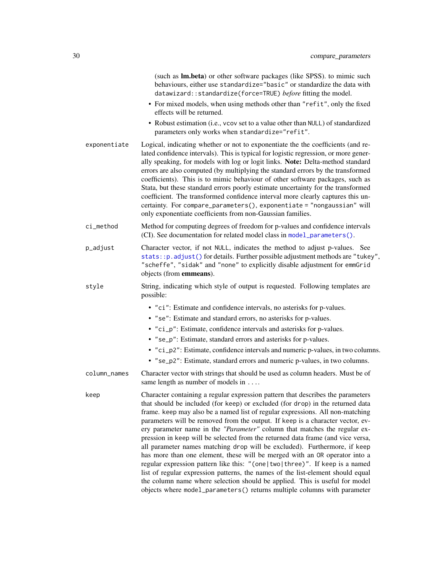|              | (such as Im.beta) or other software packages (like SPSS). to mimic such<br>behaviours, either use standardize="basic" or standardize the data with<br>datawizard::standardize(force=TRUE) before fitting the model.<br>• For mixed models, when using methods other than "refit", only the fixed<br>effects will be returned.                                                                                                                                                                                                                                                                                                                                                                                                                                                                                                                                                                                                                                                                |
|--------------|----------------------------------------------------------------------------------------------------------------------------------------------------------------------------------------------------------------------------------------------------------------------------------------------------------------------------------------------------------------------------------------------------------------------------------------------------------------------------------------------------------------------------------------------------------------------------------------------------------------------------------------------------------------------------------------------------------------------------------------------------------------------------------------------------------------------------------------------------------------------------------------------------------------------------------------------------------------------------------------------|
|              | • Robust estimation (i.e., vcov set to a value other than NULL) of standardized<br>parameters only works when standardize="refit".                                                                                                                                                                                                                                                                                                                                                                                                                                                                                                                                                                                                                                                                                                                                                                                                                                                           |
| exponentiate | Logical, indicating whether or not to exponentiate the the coefficients (and re-<br>lated confidence intervals). This is typical for logistic regression, or more gener-<br>ally speaking, for models with log or logit links. Note: Delta-method standard<br>errors are also computed (by multiplying the standard errors by the transformed<br>coefficients). This is to mimic behaviour of other software packages, such as<br>Stata, but these standard errors poorly estimate uncertainty for the transformed<br>coefficient. The transformed confidence interval more clearly captures this un-<br>certainty. For compare_parameters(), exponentiate = "nongaussian" will<br>only exponentiate coefficients from non-Gaussian families.                                                                                                                                                                                                                                                |
| ci_method    | Method for computing degrees of freedom for p-values and confidence intervals<br>(CI). See documentation for related model class in model_parameters().                                                                                                                                                                                                                                                                                                                                                                                                                                                                                                                                                                                                                                                                                                                                                                                                                                      |
| p_adjust     | Character vector, if not NULL, indicates the method to adjust p-values. See<br>stats:: p. adjust() for details. Further possible adjustment methods are "tukey",<br>"scheffe", "sidak" and "none" to explicitly disable adjustment for emmGrid<br>objects (from emmeans).                                                                                                                                                                                                                                                                                                                                                                                                                                                                                                                                                                                                                                                                                                                    |
| style        | String, indicating which style of output is requested. Following templates are<br>possible:                                                                                                                                                                                                                                                                                                                                                                                                                                                                                                                                                                                                                                                                                                                                                                                                                                                                                                  |
|              | • "ci": Estimate and confidence intervals, no asterisks for p-values.                                                                                                                                                                                                                                                                                                                                                                                                                                                                                                                                                                                                                                                                                                                                                                                                                                                                                                                        |
|              | • "se": Estimate and standard errors, no asterisks for p-values.                                                                                                                                                                                                                                                                                                                                                                                                                                                                                                                                                                                                                                                                                                                                                                                                                                                                                                                             |
|              | • "ci_p": Estimate, confidence intervals and asterisks for p-values.                                                                                                                                                                                                                                                                                                                                                                                                                                                                                                                                                                                                                                                                                                                                                                                                                                                                                                                         |
|              | • "se_p": Estimate, standard errors and asterisks for p-values.                                                                                                                                                                                                                                                                                                                                                                                                                                                                                                                                                                                                                                                                                                                                                                                                                                                                                                                              |
|              | • "ci_p2": Estimate, confidence intervals and numeric p-values, in two columns.<br>• "se_p2": Estimate, standard errors and numeric p-values, in two columns.                                                                                                                                                                                                                                                                                                                                                                                                                                                                                                                                                                                                                                                                                                                                                                                                                                |
| column_names | Character vector with strings that should be used as column headers. Must be of<br>same length as number of models in                                                                                                                                                                                                                                                                                                                                                                                                                                                                                                                                                                                                                                                                                                                                                                                                                                                                        |
| keep         | Character containing a regular expression pattern that describes the parameters<br>that should be included (for keep) or excluded (for drop) in the returned data<br>frame. keep may also be a named list of regular expressions. All non-matching<br>parameters will be removed from the output. If keep is a character vector, ev-<br>ery parameter name in the "Parameter" column that matches the regular ex-<br>pression in keep will be selected from the returned data frame (and vice versa,<br>all parameter names matching drop will be excluded). Furthermore, if keep<br>has more than one element, these will be merged with an OR operator into a<br>regular expression pattern like this: "(one two three)". If keep is a named<br>list of regular expression patterns, the names of the list-element should equal<br>the column name where selection should be applied. This is useful for model<br>objects where model_parameters() returns multiple columns with parameter |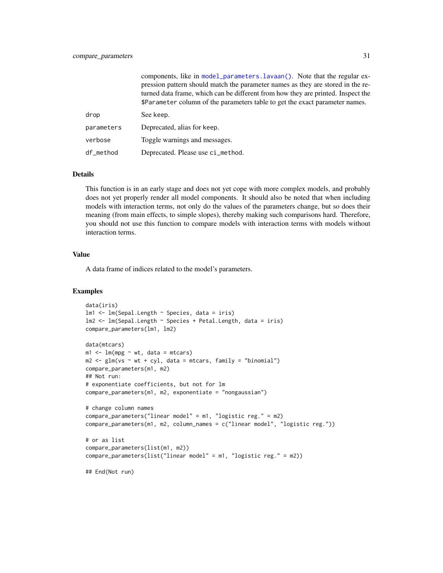|            | components, like in model_parameters.lavaan(). Note that the regular ex-<br>pression pattern should match the parameter names as they are stored in the re-<br>turned data frame, which can be different from how they are printed. Inspect the<br>\$Parameter column of the parameters table to get the exact parameter names. |
|------------|---------------------------------------------------------------------------------------------------------------------------------------------------------------------------------------------------------------------------------------------------------------------------------------------------------------------------------|
| drop       | See keep.                                                                                                                                                                                                                                                                                                                       |
| parameters | Deprecated, alias for keep.                                                                                                                                                                                                                                                                                                     |
| verbose    | Toggle warnings and messages.                                                                                                                                                                                                                                                                                                   |
| df_method  | Deprecated. Please use ci_method.                                                                                                                                                                                                                                                                                               |

#### Details

This function is in an early stage and does not yet cope with more complex models, and probably does not yet properly render all model components. It should also be noted that when including models with interaction terms, not only do the values of the parameters change, but so does their meaning (from main effects, to simple slopes), thereby making such comparisons hard. Therefore, you should not use this function to compare models with interaction terms with models without interaction terms.

#### Value

A data frame of indices related to the model's parameters.

```
data(iris)
lm1 <- lm(Sepal.Length ~ Species, data = iris)
lm2 <- lm(Sepal.Length ~ Species + Petal.Length, data = iris)
compare_parameters(lm1, lm2)
data(mtcars)
m1 \leq -\ln(mpg \sim wt, data = mtcars)m2 \leq glm(vs \sim wt + cyl, data = mtcars, family = "binomial")compare_parameters(m1, m2)
## Not run:
# exponentiate coefficients, but not for lm
compare_parameters(m1, m2, exponentiate = "nongaussian")
# change column names
compare_parameters("linear model" = m1, "logistic reg." = m2)
compare_parameters(m1, m2, column_names = c("linear model", "logistic reg."))
# or as list
compare_parameters(list(m1, m2))
compare_parameters(list("linear model" = m1, "logistic reg." = m2))
## End(Not run)
```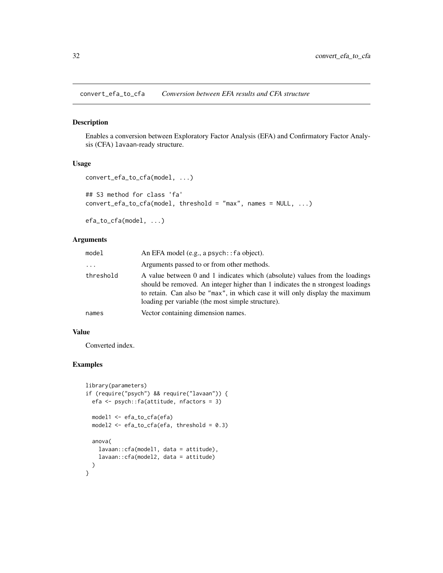<span id="page-31-0"></span>convert\_efa\_to\_cfa *Conversion between EFA results and CFA structure*

#### Description

Enables a conversion between Exploratory Factor Analysis (EFA) and Confirmatory Factor Analysis (CFA) lavaan-ready structure.

#### Usage

```
convert_efa_to_cfa(model, ...)
## S3 method for class 'fa'
convert_efa_to_cfa(model, threshold = "max", names = NULL, ...)
efa_to_cfa(model, ...)
```
# Arguments

| model               | An EFA model $(e.g., a psych:: fa object)$ .                                                                                                                                                                                                                                                       |
|---------------------|----------------------------------------------------------------------------------------------------------------------------------------------------------------------------------------------------------------------------------------------------------------------------------------------------|
| $\cdot \cdot \cdot$ | Arguments passed to or from other methods.                                                                                                                                                                                                                                                         |
| threshold           | A value between 0 and 1 indicates which (absolute) values from the loadings<br>should be removed. An integer higher than 1 indicates the n strongest loadings<br>to retain. Can also be "max", in which case it will only display the maximum<br>loading per variable (the most simple structure). |
| names               | Vector containing dimension names.                                                                                                                                                                                                                                                                 |

#### Value

Converted index.

```
library(parameters)
if (require("psych") && require("lavaan")) {
 efa <- psych::fa(attitude, nfactors = 3)
 model1 <- efa_to_cfa(efa)
 model2 <- efa_to_cfa(efa, threshold = 0.3)
 anova(
   lavaan::cfa(model1, data = attitude),
   lavaan::cfa(model2, data = attitude)
 )
}
```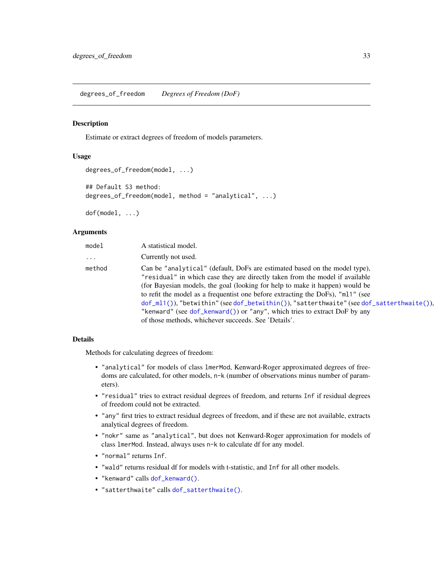#### <span id="page-32-1"></span><span id="page-32-0"></span>Description

Estimate or extract degrees of freedom of models parameters.

# Usage

```
degrees_of_freedom(model, ...)
## Default S3 method:
degrees_of_freedom(model, method = "analytical", ...)
```
dof(model, ...)

#### Arguments

| model    | A statistical model.                                                                                                                                                                                                                                                                                                                                                                                                                                                                                                                                                   |
|----------|------------------------------------------------------------------------------------------------------------------------------------------------------------------------------------------------------------------------------------------------------------------------------------------------------------------------------------------------------------------------------------------------------------------------------------------------------------------------------------------------------------------------------------------------------------------------|
| $\cdots$ | Currently not used.                                                                                                                                                                                                                                                                                                                                                                                                                                                                                                                                                    |
| method   | Can be "analytical" (default, DoFs are estimated based on the model type),<br>"residual" in which case they are directly taken from the model if available<br>(for Bayesian models, the goal (looking for help to make it happen) would be<br>to refit the model as a frequentist one before extracting the DoFs), "m11" (see<br>$dof_m1()),$ "betwithin" (see $dof_b$ etwithin()), "satterthwaite" (see $dof_s$ atterthwaite()),<br>"kenward" (see dof_kenward()) or "any", which tries to extract DoF by any<br>of those methods, whichever succeeds. See 'Details'. |

# Details

Methods for calculating degrees of freedom:

- "analytical" for models of class lmerMod, Kenward-Roger approximated degrees of freedoms are calculated, for other models, n-k (number of observations minus number of parameters).
- "residual" tries to extract residual degrees of freedom, and returns Inf if residual degrees of freedom could not be extracted.
- "any" first tries to extract residual degrees of freedom, and if these are not available, extracts analytical degrees of freedom.
- "nokr" same as "analytical", but does not Kenward-Roger approximation for models of class lmerMod. Instead, always uses n-k to calculate df for any model.
- "normal" returns Inf.
- "wald" returns residual df for models with t-statistic, and Inf for all other models.
- "kenward" calls [dof\\_kenward\(\)](#page-16-1).
- "satterthwaite" calls [dof\\_satterthwaite\(\)](#page-19-1).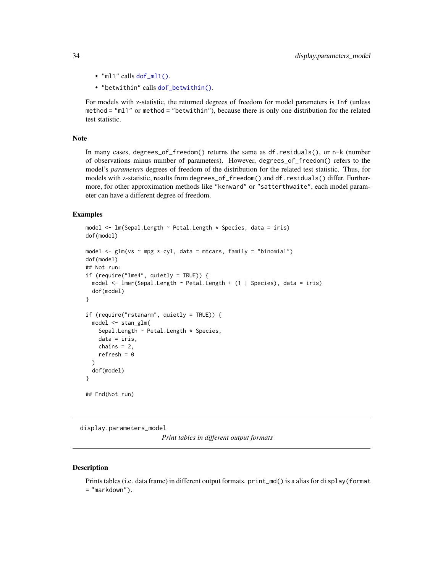- "ml1" calls [dof\\_ml1\(\)](#page-18-2).
- "betwithin" calls [dof\\_betwithin\(\)](#page-15-2).

For models with z-statistic, the returned degrees of freedom for model parameters is Inf (unless method = "ml1" or method = "betwithin"), because there is only one distribution for the related test statistic.

#### Note

In many cases, degrees\_of\_freedom() returns the same as df.residuals(), or n-k (number of observations minus number of parameters). However, degrees\_of\_freedom() refers to the model's *parameters* degrees of freedom of the distribution for the related test statistic. Thus, for models with z-statistic, results from degrees\_of\_freedom() and df.residuals() differ. Furthermore, for other approximation methods like "kenward" or "satterthwaite", each model parameter can have a different degree of freedom.

#### Examples

```
model <- lm(Sepal.Length ~ Petal.Length * Species, data = iris)
dof(model)
model \leq glm(vs \sim mpg \star cyl, data = mtcars, family = "binomial")
dof(model)
## Not run:
if (require("lme4", quietly = TRUE)) {
 model <- lmer(Sepal.Length ~ Petal.Length + (1 | Species), data = iris)
 dof(model)
}
if (require("rstanarm", quietly = TRUE)) {
 model <- stan_glm(
    Sepal.Length ~ Petal.Length * Species,
    data = iris,
    chains = 2,
    refresh = 0)
 dof(model)
}
## End(Not run)
```
display.parameters\_model

*Print tables in different output formats*

#### **Description**

Prints tables (i.e. data frame) in different output formats. print\_md() is a alias for display(format = "markdown").

<span id="page-33-0"></span>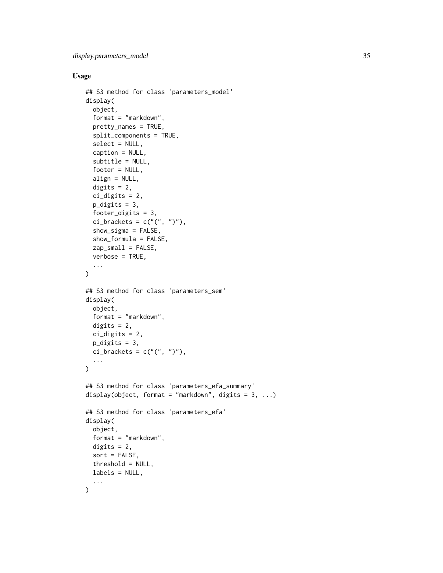```
## S3 method for class 'parameters_model'
display(
  object,
  format = "markdown",
  pretty_names = TRUE,
  split_components = TRUE,
  select = NULL,
  caption = NULL,
  subtitle = NULL,
  footer = NULL,
  align = NULL,
  digits = 2,
  ci_digits = 2,
  p\_digits = 3,
  footer_digits = 3,
  ci\_brackets = c("("", ")"),show_sigma = FALSE,
  show_formula = FALSE,
  zap\_small = FALSE,verbose = TRUE,
  ...
)
## S3 method for class 'parameters_sem'
display(
 object,
  format = "markdown",
 digits = 2,
 ci_digits = 2,
 p_digits = 3,
  ci\_brackets = c("("", ")"),...
\lambda## S3 method for class 'parameters_efa_summary'
display(object, format = "markdown", digits = 3, ...)
## S3 method for class 'parameters_efa'
display(
  object,
  format = "markdown",
  digits = 2,
  sort = FALSE,
  threshold = NULL,
 labels = NULL,
  ...
\mathcal{E}
```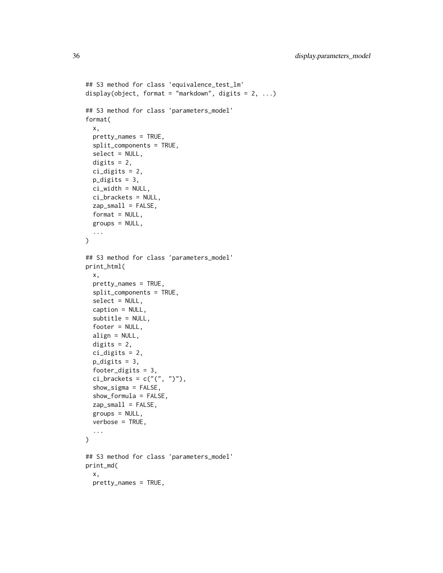```
## S3 method for class 'equivalence_test_lm'
display(object, format = "markdown", digits = 2, ...)
## S3 method for class 'parameters_model'
format(
 x,
 pretty_names = TRUE,
  split_components = TRUE,
 select = NULL,
 digits = 2,
 ci_digits = 2,
 p_digits = 3,
 ci_width = NULL,ci_brackets = NULL,
  zap_small = FALSE,
 format = NULL,groups = NULL,
  ...
\lambda## S3 method for class 'parameters_model'
print_html(
 x,
 pretty_names = TRUE,
  split_components = TRUE,
  select = NULL,caption = NULL,
  subtitle = NULL,
 footer = NULL,
 align = NULL,
 digits = 2,
 ci_digits = 2,
 p_digits = 3,
  footer_digits = 3,
 ci_brackets = c("("", ")"),
  show_sigma = FALSE,
  show_formula = FALSE,
  zap\_small = FALSE,groups = NULL,
 verbose = TRUE,
  ...
\lambda## S3 method for class 'parameters_model'
print_md(
 x,
 pretty_names = TRUE,
```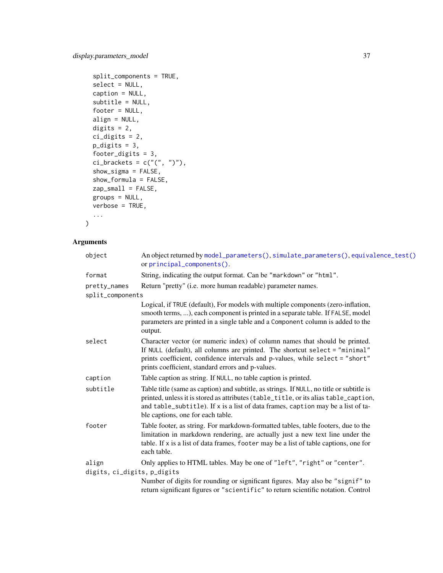```
split_components = TRUE,
  select = NULL,
 caption = NULL,
  subtitle = NULL,
  footer = NULL,
 align = NULL,
 digits = 2,
 ci_digits = 2,
 p\_digits = 3,footer_digits = 3,
 ci_brackets = c("("", ")"),show_sigma = FALSE,
 show_formula = FALSE,
 zap\_small = FALSE,groups = NULL,
 verbose = TRUE,
  ...
\mathcal{L}
```

| object                               | An object returned by model_parameters(), simulate_parameters(), equivalence_test()<br>or principal_components().                                                                                                                                                                                         |  |  |
|--------------------------------------|-----------------------------------------------------------------------------------------------------------------------------------------------------------------------------------------------------------------------------------------------------------------------------------------------------------|--|--|
| format                               | String, indicating the output format. Can be "markdown" or "html".                                                                                                                                                                                                                                        |  |  |
| pretty_names                         | Return "pretty" (i.e. more human readable) parameter names.                                                                                                                                                                                                                                               |  |  |
| split_components                     |                                                                                                                                                                                                                                                                                                           |  |  |
|                                      | Logical, if TRUE (default), For models with multiple components (zero-inflation,<br>smooth terms, ), each component is printed in a separate table. If FALSE, model<br>parameters are printed in a single table and a Component column is added to the<br>output.                                         |  |  |
| select                               | Character vector (or numeric index) of column names that should be printed.<br>If NULL (default), all columns are printed. The shortcut select = "minimal"<br>prints coefficient, confidence intervals and p-values, while select = "short"<br>prints coefficient, standard errors and p-values.          |  |  |
| caption                              | Table caption as string. If NULL, no table caption is printed.                                                                                                                                                                                                                                            |  |  |
| subtitle                             | Table title (same as caption) and subtitle, as strings. If NULL, no title or subtitle is<br>printed, unless it is stored as attributes (table_title, or its alias table_caption,<br>and table_subtitle). If x is a list of data frames, caption may be a list of ta-<br>ble captions, one for each table. |  |  |
| footer                               | Table footer, as string. For markdown-formatted tables, table footers, due to the<br>limitation in markdown rendering, are actually just a new text line under the<br>table. If x is a list of data frames, footer may be a list of table captions, one for<br>each table.                                |  |  |
| align<br>digits, ci_digits, p_digits | Only applies to HTML tables. May be one of "left", "right" or "center".                                                                                                                                                                                                                                   |  |  |
|                                      | Number of digits for rounding or significant figures. May also be "signif" to                                                                                                                                                                                                                             |  |  |
|                                      | return significant figures or "scientific" to return scientific notation. Control                                                                                                                                                                                                                         |  |  |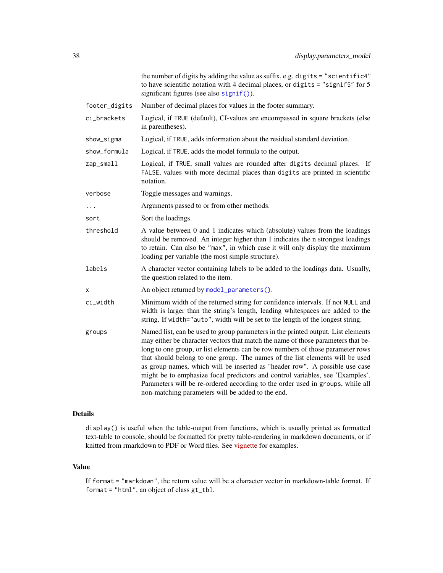| the number of digits by adding the value as suffix, e.g. digits = "scientific4"<br>to have scientific notation with 4 decimal places, or digits = "signif5" for 5<br>significant figures (see also signif()).                                                                                                                                                                                                                                                                                                                                                                                                                                 |
|-----------------------------------------------------------------------------------------------------------------------------------------------------------------------------------------------------------------------------------------------------------------------------------------------------------------------------------------------------------------------------------------------------------------------------------------------------------------------------------------------------------------------------------------------------------------------------------------------------------------------------------------------|
| Number of decimal places for values in the footer summary.                                                                                                                                                                                                                                                                                                                                                                                                                                                                                                                                                                                    |
| Logical, if TRUE (default), CI-values are encompassed in square brackets (else<br>in parentheses).                                                                                                                                                                                                                                                                                                                                                                                                                                                                                                                                            |
| Logical, if TRUE, adds information about the residual standard deviation.                                                                                                                                                                                                                                                                                                                                                                                                                                                                                                                                                                     |
| Logical, if TRUE, adds the model formula to the output.                                                                                                                                                                                                                                                                                                                                                                                                                                                                                                                                                                                       |
| Logical, if TRUE, small values are rounded after digits decimal places. If<br>FALSE, values with more decimal places than digits are printed in scientific<br>notation.                                                                                                                                                                                                                                                                                                                                                                                                                                                                       |
| Toggle messages and warnings.                                                                                                                                                                                                                                                                                                                                                                                                                                                                                                                                                                                                                 |
| Arguments passed to or from other methods.                                                                                                                                                                                                                                                                                                                                                                                                                                                                                                                                                                                                    |
| Sort the loadings.                                                                                                                                                                                                                                                                                                                                                                                                                                                                                                                                                                                                                            |
| A value between 0 and 1 indicates which (absolute) values from the loadings<br>should be removed. An integer higher than 1 indicates the n strongest loadings<br>to retain. Can also be "max", in which case it will only display the maximum<br>loading per variable (the most simple structure).                                                                                                                                                                                                                                                                                                                                            |
| A character vector containing labels to be added to the loadings data. Usually,<br>the question related to the item.                                                                                                                                                                                                                                                                                                                                                                                                                                                                                                                          |
| An object returned by model_parameters().                                                                                                                                                                                                                                                                                                                                                                                                                                                                                                                                                                                                     |
| Minimum width of the returned string for confidence intervals. If not NULL and<br>width is larger than the string's length, leading whitespaces are added to the<br>string. If width="auto", width will be set to the length of the longest string.                                                                                                                                                                                                                                                                                                                                                                                           |
| Named list, can be used to group parameters in the printed output. List elements<br>may either be character vectors that match the name of those parameters that be-<br>long to one group, or list elements can be row numbers of those parameter rows<br>that should belong to one group. The names of the list elements will be used<br>as group names, which will be inserted as "header row". A possible use case<br>might be to emphasize focal predictors and control variables, see 'Examples'.<br>Parameters will be re-ordered according to the order used in groups, while all<br>non-matching parameters will be added to the end. |
|                                                                                                                                                                                                                                                                                                                                                                                                                                                                                                                                                                                                                                               |

# Details

display() is useful when the table-output from functions, which is usually printed as formatted text-table to console, should be formatted for pretty table-rendering in markdown documents, or if knitted from rmarkdown to PDF or Word files. See [vignette](https://easystats.github.io/parameters/articles/model_parameters_formatting.html) for examples.

### Value

If format = "markdown", the return value will be a character vector in markdown-table format. If format = "html", an object of class gt\_tbl.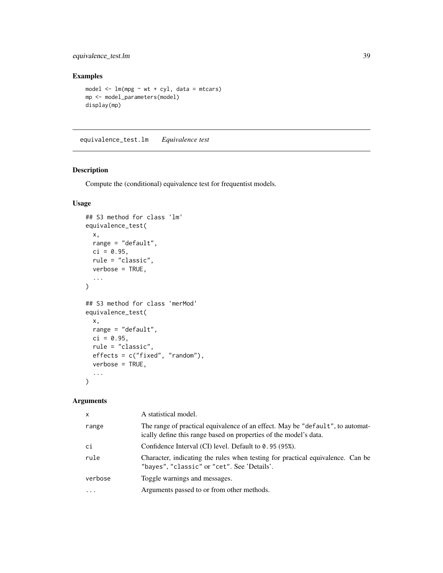# equivalence\_test.lm 39

# Examples

```
model \leq - lm(mpg \sim wt + cyl, data = mtcars)mp <- model_parameters(model)
display(mp)
```
<span id="page-38-0"></span>equivalence\_test.lm *Equivalence test*

### Description

Compute the (conditional) equivalence test for frequentist models.

# Usage

```
## S3 method for class 'lm'
equivalence_test(
 x,
 range = "default",
 ci = 0.95,
 rule = "classic",
 verbose = TRUE,
  ...
)
## S3 method for class 'merMod'
equivalence_test(
 x,
 range = "default",
 ci = 0.95,rule = "classic",
 effects = c("fixed", "random"),
 verbose = TRUE,
  ...
)
```

| $\mathsf{x}$ | A statistical model.                                                                                                                                |
|--------------|-----------------------------------------------------------------------------------------------------------------------------------------------------|
| range        | The range of practical equivalence of an effect. May be "default", to automat-<br>ically define this range based on properties of the model's data. |
| ci           | Confidence Interval (CI) level. Default to 0.95 (95%).                                                                                              |
| rule         | Character, indicating the rules when testing for practical equivalence. Can be<br>"bayes", "classic" or "cet". See 'Details'.                       |
| verbose      | Toggle warnings and messages.                                                                                                                       |
| $\cdot$      | Arguments passed to or from other methods.                                                                                                          |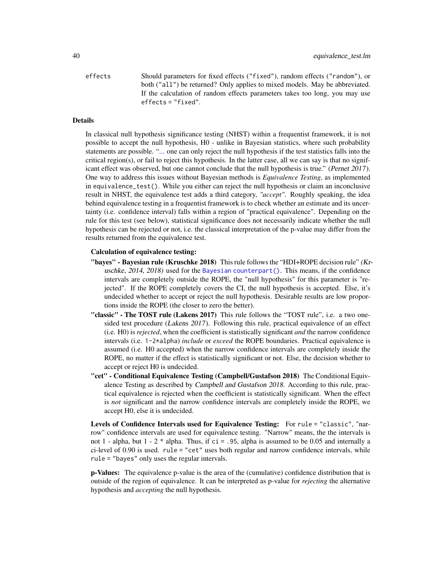effects Should parameters for fixed effects ("fixed"), random effects ("random"), or both ("all") be returned? Only applies to mixed models. May be abbreviated. If the calculation of random effects parameters takes too long, you may use effects = "fixed".

#### Details

In classical null hypothesis significance testing (NHST) within a frequentist framework, it is not possible to accept the null hypothesis, H0 - unlike in Bayesian statistics, where such probability statements are possible. ["...](#page-0-0) one can only reject the null hypothesis if the test statistics falls into the critical region(s), or fail to reject this hypothesis. In the latter case, all we can say is that no significant effect was observed, but one cannot conclude that the null hypothesis is true." (Pernet 2017). One way to address this issues without Bayesian methods is *Equivalence Testing*, as implemented in equivalence\_test(). While you either can reject the null hypothesis or claim an inconclusive result in NHST, the equivalence test adds a third category, *"accept"*. Roughly speaking, the idea behind equivalence testing in a frequentist framework is to check whether an estimate and its uncertainty (i.e. confidence interval) falls within a region of "practical equivalence". Depending on the rule for this test (see below), statistical significance does not necessarily indicate whether the null hypothesis can be rejected or not, i.e. the classical interpretation of the p-value may differ from the results returned from the equivalence test.

### Calculation of equivalence testing:

- "bayes" Bayesian rule (Kruschke 2018) This rule follows the "HDI+ROPE decision rule" (Kruschke, 2014, 2018) used for the [Bayesian counterpart\(\)](#page-0-0). This means, if the confidence intervals are completely outside the ROPE, the "null hypothesis" for this parameter is "rejected". If the ROPE completely covers the CI, the null hypothesis is accepted. Else, it's undecided whether to accept or reject the null hypothesis. Desirable results are low proportions inside the ROPE (the closer to zero the better).
- "classic" The TOST rule (Lakens 2017) This rule follows the "TOST rule", i.e. a two onesided test procedure (Lakens 2017). Following this rule, practical equivalence of an effect (i.e. H0) is *rejected*, when the coefficient is statistically significant *and* the narrow confidence intervals (i.e. 1-2\*alpha) *include* or *exceed* the ROPE boundaries. Practical equivalence is assumed (i.e. H0 accepted) when the narrow confidence intervals are completely inside the ROPE, no matter if the effect is statistically significant or not. Else, the decision whether to accept or reject H0 is undecided.
- "cet" Conditional Equivalence Testing (Campbell/Gustafson 2018) The Conditional Equivalence Testing as described by Campbell and Gustafson 2018. According to this rule, practical equivalence is rejected when the coefficient is statistically significant. When the effect is *not* significant and the narrow confidence intervals are completely inside the ROPE, we accept H0, else it is undecided.

Levels of Confidence Intervals used for Equivalence Testing: For rule = "classic", "narrow" confidence intervals are used for equivalence testing. "Narrow" means, the the intervals is not 1 - alpha, but 1 - 2 \* alpha. Thus, if ci = .95, alpha is assumed to be 0.05 and internally a ci-level of 0.90 is used. rule = "cet" uses both regular and narrow confidence intervals, while rule = "bayes" only uses the regular intervals.

p-Values: The equivalence p-value is the area of the (cumulative) confidence distribution that is outside of the region of equivalence. It can be interpreted as p-value for *rejecting* the alternative hypothesis and *accepting* the null hypothesis.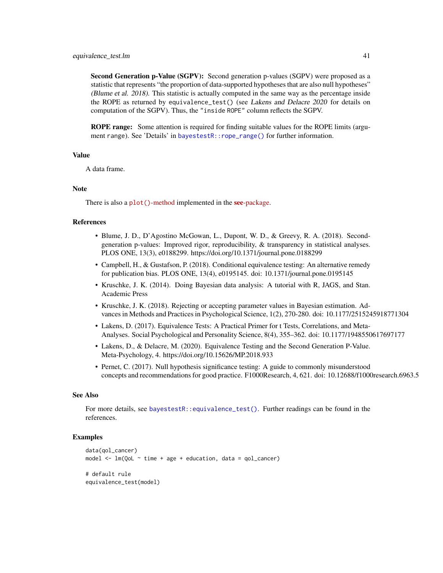Second Generation p-Value (SGPV): Second generation p-values (SGPV) were proposed as a statistic that represents "the proportion of data-supported hypotheses that are also null hypotheses" (Blume et al. 2018). This statistic is actually computed in the same way as the percentage inside the ROPE as returned by equivalence\_test() (see Lakens and Delacre 2020 for details on computation of the SGPV). Thus, the "inside ROPE" column reflects the SGPV.

ROPE range: Some attention is required for finding suitable values for the ROPE limits (argument range). See 'Details' in [bayestestR::rope\\_range\(\)](#page-0-0) for further information.

### Value

A data frame.

#### Note

There is also a plot()[-method](https://easystats.github.io/see/articles/parameters.html) implemented in the see[-package.](https://easystats.github.io/see/)

### References

- Blume, J. D., D'Agostino McGowan, L., Dupont, W. D., & Greevy, R. A. (2018). Secondgeneration p-values: Improved rigor, reproducibility, & transparency in statistical analyses. PLOS ONE, 13(3), e0188299. https://doi.org/10.1371/journal.pone.0188299
- Campbell, H., & Gustafson, P. (2018). Conditional equivalence testing: An alternative remedy for publication bias. PLOS ONE, 13(4), e0195145. doi: 10.1371/journal.pone.0195145
- Kruschke, J. K. (2014). Doing Bayesian data analysis: A tutorial with R, JAGS, and Stan. Academic Press
- Kruschke, J. K. (2018). Rejecting or accepting parameter values in Bayesian estimation. Advances in Methods and Practices in Psychological Science, 1(2), 270-280. doi: 10.1177/2515245918771304
- Lakens, D. (2017). Equivalence Tests: A Practical Primer for t Tests, Correlations, and Meta-Analyses. Social Psychological and Personality Science, 8(4), 355–362. doi: 10.1177/1948550617697177
- Lakens, D., & Delacre, M. (2020). Equivalence Testing and the Second Generation P-Value. Meta-Psychology, 4. https://doi.org/10.15626/MP.2018.933
- Pernet, C. (2017). Null hypothesis significance testing: A guide to commonly misunderstood concepts and recommendations for good practice. F1000Research, 4, 621. doi: 10.12688/f1000research.6963.5

#### See Also

For more details, see [bayestestR::equivalence\\_test\(\)](#page-0-0). Further readings can be found in the references.

#### Examples

```
data(qol_cancer)
model \leq lm(QoL \sim time + age + education, data = qol_cancer)
# default rule
equivalence_test(model)
```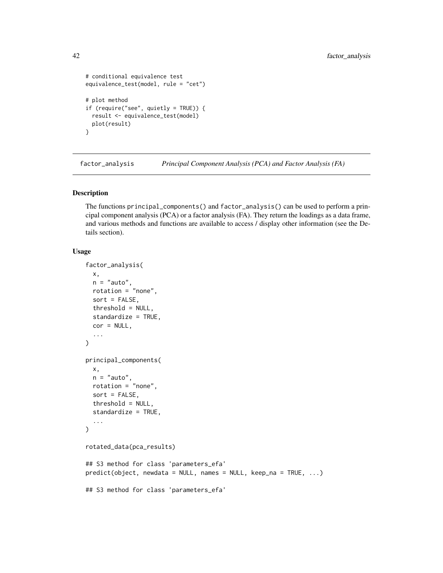```
# conditional equivalence test
equivalence_test(model, rule = "cet")
# plot method
if (require("see", quietly = TRUE)) {
 result <- equivalence_test(model)
 plot(result)
}
```
factor\_analysis *Principal Component Analysis (PCA) and Factor Analysis (FA)*

### <span id="page-41-0"></span>Description

The functions principal\_components() and factor\_analysis() can be used to perform a principal component analysis (PCA) or a factor analysis (FA). They return the loadings as a data frame, and various methods and functions are available to access / display other information (see the Details section).

# Usage

```
factor_analysis(
 x,
 n = "auto",rotation = "none",
  sort = FALSE,
  threshold = NULL,
  standardize = TRUE,
  cor = NULL,...
\mathcal{L}principal_components(
 x,
 n = "auto",rotation = "none",
  sort = FALSE,threshold = NULL,
  standardize = TRUE,
  ...
)
rotated_data(pca_results)
## S3 method for class 'parameters_efa'
predict(object, newdata = NULL, names = NULL, keep_na = TRUE, ...)
## S3 method for class 'parameters_efa'
```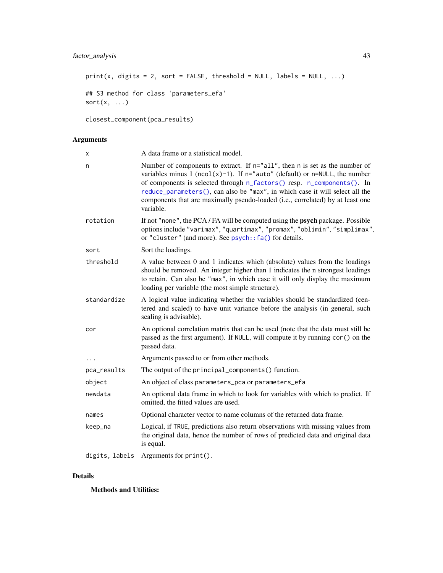# factor\_analysis 43

```
print(x, digits = 2, sort = FALSE, threshold = NULL, labels = NULL, ...)
```

```
## S3 method for class 'parameters_efa'
sort(x, ...)
```
closest\_component(pca\_results)

# Arguments

| X              | A data frame or a statistical model.                                                                                                                                                                                                                                                                                                                                                                                     |
|----------------|--------------------------------------------------------------------------------------------------------------------------------------------------------------------------------------------------------------------------------------------------------------------------------------------------------------------------------------------------------------------------------------------------------------------------|
| n              | Number of components to extract. If n="all", then n is set as the number of<br>variables minus 1 (ncol(x)-1). If $n=$ "auto" (default) or $n=$ NULL, the number<br>of components is selected through n_factors() resp. n_components(). In<br>reduce_parameters(), can also be "max", in which case it will select all the<br>components that are maximally pseudo-loaded (i.e., correlated) by at least one<br>variable. |
| rotation       | If not "none", the PCA/FA will be computed using the <b>psych</b> package. Possible<br>options include "varimax", "quartimax", "promax", "oblimin", "simplimax",<br>or "cluster" (and more). See psych::fa() for details.                                                                                                                                                                                                |
| sort           | Sort the loadings.                                                                                                                                                                                                                                                                                                                                                                                                       |
| threshold      | A value between 0 and 1 indicates which (absolute) values from the loadings<br>should be removed. An integer higher than 1 indicates the n strongest loadings<br>to retain. Can also be "max", in which case it will only display the maximum<br>loading per variable (the most simple structure).                                                                                                                       |
| standardize    | A logical value indicating whether the variables should be standardized (cen-<br>tered and scaled) to have unit variance before the analysis (in general, such<br>scaling is advisable).                                                                                                                                                                                                                                 |
| cor            | An optional correlation matrix that can be used (note that the data must still be<br>passed as the first argument). If NULL, will compute it by running cor () on the<br>passed data.                                                                                                                                                                                                                                    |
| $\cdots$       | Arguments passed to or from other methods.                                                                                                                                                                                                                                                                                                                                                                               |
| pca_results    | The output of the principal_components() function.                                                                                                                                                                                                                                                                                                                                                                       |
| object         | An object of class parameters_pca or parameters_efa                                                                                                                                                                                                                                                                                                                                                                      |
| newdata        | An optional data frame in which to look for variables with which to predict. If<br>omitted, the fitted values are used.                                                                                                                                                                                                                                                                                                  |
| names          | Optional character vector to name columns of the returned data frame.                                                                                                                                                                                                                                                                                                                                                    |
| keep_na        | Logical, if TRUE, predictions also return observations with missing values from<br>the original data, hence the number of rows of predicted data and original data<br>is equal.                                                                                                                                                                                                                                          |
| digits, labels | Arguments for print().                                                                                                                                                                                                                                                                                                                                                                                                   |

### Details

Methods and Utilities: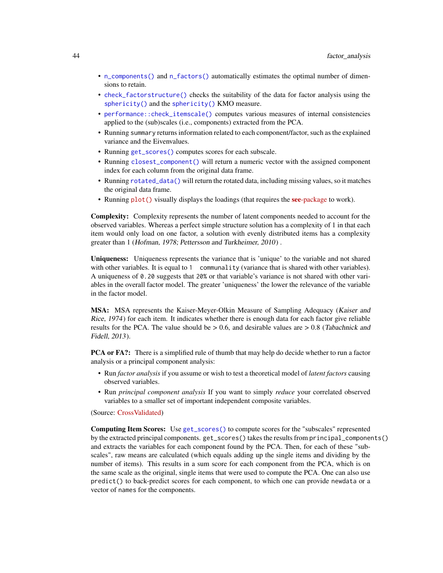- [n\\_components\(\)](#page-115-1) and [n\\_factors\(\)](#page-115-0) automatically estimates the optimal number of dimensions to retain.
- [check\\_factorstructure\(\)](#page-8-0) checks the suitability of the data for factor analysis using the [sphericity\(\)](#page-10-0) and the [sphericity\(\)](#page-9-0) KMO measure.
- [performance::check\\_itemscale\(\)](#page-0-0) computes various measures of internal consistencies applied to the (sub)scales (i.e., components) extracted from the PCA.
- Running summary returns information related to each component/factor, such as the explained variance and the Eivenvalues.
- Running [get\\_scores\(\)](#page-48-0) computes scores for each subscale.
- Running [closest\\_component\(\)](#page-41-0) will return a numeric vector with the assigned component index for each column from the original data frame.
- Running [rotated\\_data\(\)](#page-41-0) will return the rotated data, including missing values, so it matches the original data frame.
- Running [plot\(\)](https://easystats.github.io/see/articles/parameters.html#principal-component-analysis) visually displays the loadings (that requires the **see**[-package](https://easystats.github.io/see/) to work).

Complexity: Complexity represents the number of latent components needed to account for the observed variables. Whereas a perfect simple structure solution has a complexity of 1 in that each item would only load on one factor, a solution with evenly distributed items has a complexity greater than 1 (Hofman, 1978; Pettersson and Turkheimer, 2010) .

Uniqueness: Uniqueness represents the variance that is 'unique' to the variable and not shared with other variables. It is equal to 1 communality (variance that is shared with other variables). A uniqueness of 0.20 suggests that 20% or that variable's variance is not shared with other variables in the overall factor model. The greater 'uniqueness' the lower the relevance of the variable in the factor model.

MSA: MSA represents the Kaiser-Meyer-Olkin Measure of Sampling Adequacy (Kaiser and Rice, 1974) for each item. It indicates whether there is enough data for each factor give reliable results for the PCA. The value should be  $> 0.6$ , and desirable values are  $> 0.8$  (Tabachnick and Fidell, 2013).

PCA or FA?: There is a simplified rule of thumb that may help do decide whether to run a factor analysis or a principal component analysis:

- Run *factor analysis* if you assume or wish to test a theoretical model of *latent factors* causing observed variables.
- Run *principal component analysis* If you want to simply *reduce* your correlated observed variables to a smaller set of important independent composite variables.

(Source: [CrossValidated\)](https://stats.stackexchange.com/q/1576/54740)

Computing Item Scores: Use [get\\_scores\(\)](#page-48-0) to compute scores for the "subscales" represented by the extracted principal components. get\_scores() takes the results from principal\_components() and extracts the variables for each component found by the PCA. Then, for each of these "subscales", raw means are calculated (which equals adding up the single items and dividing by the number of items). This results in a sum score for each component from the PCA, which is on the same scale as the original, single items that were used to compute the PCA. One can also use predict() to back-predict scores for each component, to which one can provide newdata or a vector of names for the components.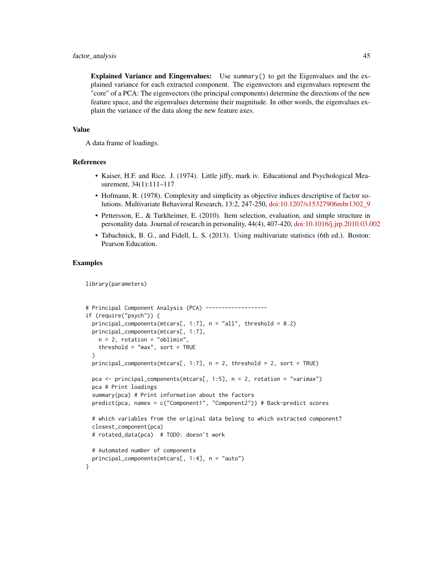Explained Variance and Eingenvalues: Use summary() to get the Eigenvalues and the explained variance for each extracted component. The eigenvectors and eigenvalues represent the "core" of a PCA: The eigenvectors (the principal components) determine the directions of the new feature space, and the eigenvalues determine their magnitude. In other words, the eigenvalues explain the variance of the data along the new feature axes.

#### Value

A data frame of loadings.

#### References

- Kaiser, H.F. and Rice. J. (1974). Little jiffy, mark iv. Educational and Psychological Measurement, 34(1):111-117
- Hofmann, R. (1978). Complexity and simplicity as objective indices descriptive of factor solutions. Multivariate Behavioral Research, 13:2, 247-250, [doi:10.1207/s15327906mbr1302\\_9](https://doi.org/10.1207/s15327906mbr1302_9)
- Pettersson, E., & Turkheimer, E. (2010). Item selection, evaluation, and simple structure in personality data. Journal of research in personality, 44(4), 407-420, [doi:10.1016/j.jrp.2010.03.002](https://doi.org/10.1016/j.jrp.2010.03.002)
- Tabachnick, B. G., and Fidell, L. S. (2013). Using multivariate statistics (6th ed.). Boston: Pearson Education.

#### Examples

```
library(parameters)
```

```
# Principal Component Analysis (PCA) -------------------
if (require("psych")) {
 principal_components(mtcars[, 1:7], n = "all", threshold = 0.2)
 principal_components(mtcars[, 1:7],
   n = 2, rotation = "oblimin"
   threshold = "max", sort = TRUE
 )
 principal_components(mtcars[, 1:7], n = 2, threshold = 2, sort = TRUE)
 pca <- principal_components(mtcars[, 1:5], n = 2, rotation = "varimax")
 pca # Print loadings
 summary(pca) # Print information about the factors
 predict(pca, names = c("Component1", "Component2")) # Back-predict scores
 # which variables from the original data belong to which extracted component?
 closest_component(pca)
 # rotated_data(pca) # TODO: doesn't work
 # Automated number of components
 principal_components(mtcars[, 1:4], n = "auto")
}
```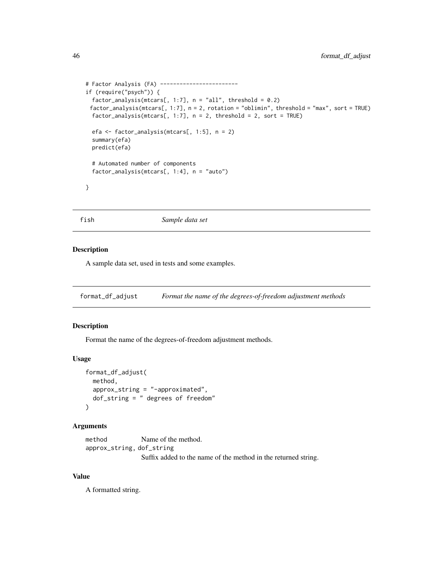```
# Factor Analysis (FA) ------------------------
if (require("psych")) {
 factor_analysis(mtcars[, 1:7], n = "all", threshold = 0.2)
 factor_analysis(mtcars[, 1:7], n = 2, rotation = "oblimin", threshold = "max", sort = TRUE)
 factor_analysis(mtcars[, 1:7], n = 2, threshold = 2, sort = TRUE)
 efa <- factor_analysis(mtcars[, 1:5], n = 2)
 summary(efa)
 predict(efa)
 # Automated number of components
 factor_analysis(mtcars[, 1:4], n = "auto")
}
```
fish *Sample data set*

### Description

A sample data set, used in tests and some examples.

format\_df\_adjust *Format the name of the degrees-of-freedom adjustment methods*

# Description

Format the name of the degrees-of-freedom adjustment methods.

### Usage

```
format_df_adjust(
 method,
  approx_string = "-approximated",
  dof_string = " degrees of freedom"
\lambda
```
### Arguments

method Name of the method. approx\_string, dof\_string Suffix added to the name of the method in the returned string.

# Value

A formatted string.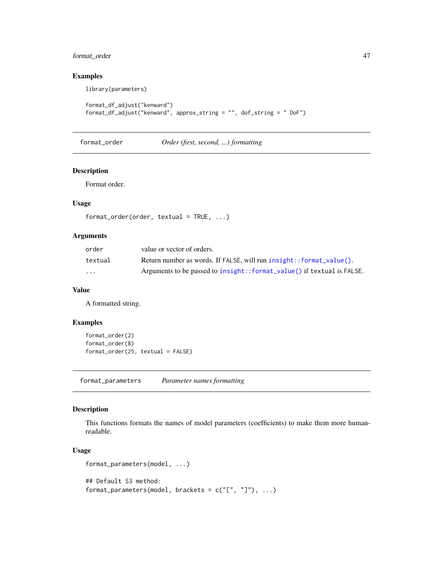# format\_order 47

# Examples

library(parameters)

```
format_df_adjust("kenward")
format_df_adjust("kenward", approx_string = "", dof_string = " DoF")
```
# format\_order *Order (first, second, ...) formatting*

# Description

Format order.

# Usage

```
format_order(order, textual = TRUE, ...)
```
### Arguments

| order                   | value or vector of orders.                                             |
|-------------------------|------------------------------------------------------------------------|
| textual                 | Return number as words. If FALSE, will run insight: : format_value().  |
| $\cdot$ $\cdot$ $\cdot$ | Arguments to be passed to insight::format_value() if textual is FALSE. |

### Value

A formatted string.

# Examples

```
format_order(2)
format_order(8)
format_order(25, textual = FALSE)
```
format\_parameters *Parameter names formatting*

# Description

This functions formats the names of model parameters (coefficients) to make them more humanreadable.

# Usage

```
format_parameters(model, ...)
## Default S3 method:
format_parameters(model, brackets = c("["", "]"), ...)
```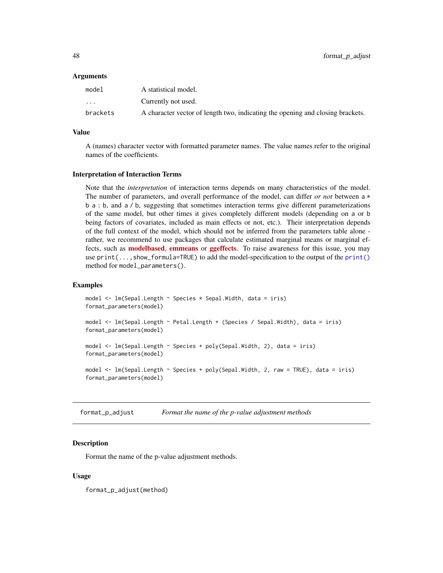| model             | A statistical model.                                                           |
|-------------------|--------------------------------------------------------------------------------|
| $\cdot\cdot\cdot$ | Currently not used.                                                            |
| brackets          | A character vector of length two, indicating the opening and closing brackets. |

# Value

A (names) character vector with formatted parameter names. The value names refer to the original names of the coefficients.

#### Interpretation of Interaction Terms

Note that the *interpretation* of interaction terms depends on many characteristics of the model. The number of parameters, and overall performance of the model, can differ *or not* between a \* b a : b, and a / b, suggesting that sometimes interaction terms give different parameterizations of the same model, but other times it gives completely different models (depending on a or b being factors of covariates, included as main effects or not, etc.). Their interpretation depends of the full context of the model, which should not be inferred from the parameters table alone rather, we recommend to use packages that calculate estimated marginal means or marginal effects, such as **[modelbased](https://CRAN.R-project.org/package=modelbased), [emmeans](https://CRAN.R-project.org/package=emmeans)** or **[ggeffects](https://CRAN.R-project.org/package=ggeffects)**. To raise awareness for this issue, you may use print(...,show\_formula=TRUE) to add the model-specification to the output of the [print\(\)](#page-121-0) method for model\_parameters().

#### Examples

```
model <- lm(Sepal.Length ~ Species * Sepal.Width, data = iris)
format_parameters(model)
model <- lm(Sepal.Length ~ Petal.Length + (Species / Sepal.Width), data = iris)
format_parameters(model)
model <- lm(Sepal.Length ~ Species + poly(Sepal.Width, 2), data = iris)
format_parameters(model)
model <- lm(Sepal.Length ~ Species + poly(Sepal.Width, 2, raw = TRUE), data = iris)
format_parameters(model)
```
format\_p\_adjust *Format the name of the p-value adjustment methods*

### **Description**

Format the name of the p-value adjustment methods.

### Usage

format\_p\_adjust(method)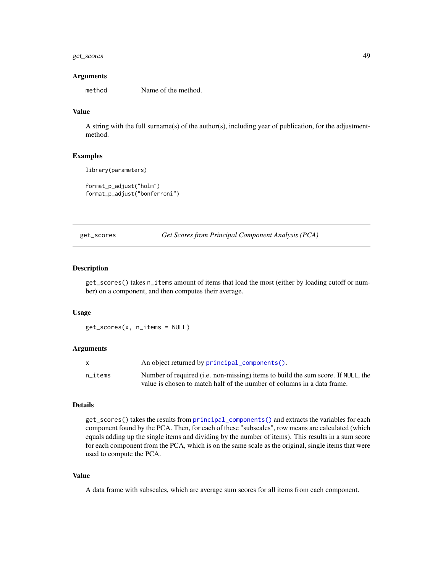# get\_scores 49

#### Arguments

method Name of the method.

# Value

A string with the full surname(s) of the author(s), including year of publication, for the adjustmentmethod.

#### Examples

```
library(parameters)
```

```
format_p_adjust("holm")
format_p_adjust("bonferroni")
```
<span id="page-48-0"></span>get\_scores *Get Scores from Principal Component Analysis (PCA)*

#### Description

get\_scores() takes n\_items amount of items that load the most (either by loading cutoff or number) on a component, and then computes their average.

#### Usage

get\_scores(x, n\_items = NULL)

#### **Arguments**

|         | An object returned by principal_components().                                            |
|---------|------------------------------------------------------------------------------------------|
| n items | Number of required ( <i>i.e.</i> non-missing) items to build the sum score. If NULL, the |
|         | value is chosen to match half of the number of columns in a data frame.                  |

### Details

get\_scores() takes the results from [principal\\_components\(\)](#page-41-0) and extracts the variables for each component found by the PCA. Then, for each of these "subscales", row means are calculated (which equals adding up the single items and dividing by the number of items). This results in a sum score for each component from the PCA, which is on the same scale as the original, single items that were used to compute the PCA.

#### Value

A data frame with subscales, which are average sum scores for all items from each component.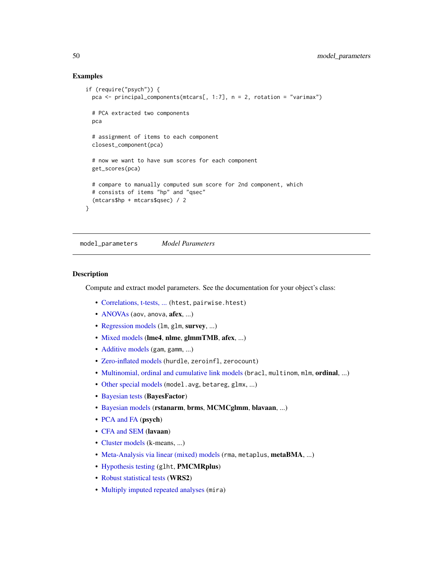# Examples

```
if (require("psych")) {
 pca \le principal_components(mtcars[, 1:7], n = 2, rotation = "varimax")
 # PCA extracted two components
 pca
 # assignment of items to each component
 closest_component(pca)
 # now we want to have sum scores for each component
 get_scores(pca)
 # compare to manually computed sum score for 2nd component, which
 # consists of items "hp" and "qsec"
  (mtcars$hp + mtcars$qsec) / 2
}
```
<span id="page-49-0"></span>model\_parameters *Model Parameters*

### **Description**

Compute and extract model parameters. See the documentation for your object's class:

- [Correlations, t-tests, ...](#page-95-0) (htest, pairwise.htest)
- [ANOVAs](#page-54-0) (aov, anova, afex, ...)
- [Regression models](#page-85-0) (1m, g1m, survey, ...)
- [Mixed models](#page-66-0) (lme4, nlme, glmmTMB, afex, ...)
- [Additive models](#page-63-0) (gam, gamm, ...)
- [Zero-inflated models](#page-108-0) (hurdle, zeroinfl, zerocount)
- [Multinomial, ordinal and cumulative link models](#page-92-0) (bracl, multinom, mlm, ordinal, ...)
- [Other special models](#page-57-0) (model.avg, betareg, glmx, ...)
- [Bayesian tests](#page-61-0) (BayesFactor)
- [Bayesian models](#page-75-0) (rstanarm, brms, MCMCglmm, blavaan, ...)
- [PCA and FA](#page-101-0) (psych)
- [CFA and SEM](#page-97-0) (lavaan)
- [Cluster models](#page-82-0) (k-means, ...)
- [Meta-Analysis via linear \(mixed\) models](#page-105-0) (rma, metaplus, metaBMA, ...)
- [Hypothesis testing](#page-104-0) (glht, PMCMRplus)
- [Robust statistical tests](#page-107-0) (WRS2)
- [Multiply imputed repeated analyses](#page-100-0) (mira)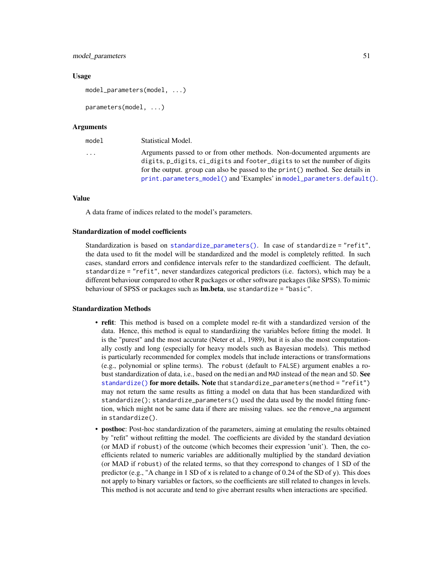#### model\_parameters 51

#### Usage

model\_parameters(model, ...)

```
parameters(model, ...)
```
#### Arguments

| model                   | Statistical Model.                                                              |
|-------------------------|---------------------------------------------------------------------------------|
| $\cdot$ $\cdot$ $\cdot$ | Arguments passed to or from other methods. Non-documented arguments are         |
|                         | digits, p_digits, ci_digits and footer_digits to set the number of digits       |
|                         | for the output. group can also be passed to the print () method. See details in |
|                         | print.parameters_model() and 'Examples' in model_parameters.default().          |

#### Value

A data frame of indices related to the model's parameters.

#### Standardization of model coefficients

Standardization is based on [standardize\\_parameters\(\)](#page-144-0). In case of standardize = "refit", the data used to fit the model will be standardized and the model is completely refitted. In such cases, standard errors and confidence intervals refer to the standardized coefficient. The default, standardize = "refit", never standardizes categorical predictors (i.e. factors), which may be a different behaviour compared to other R packages or other software packages (like SPSS). To mimic behaviour of SPSS or packages such as Im. beta, use standardize = "basic".

#### Standardization Methods

- refit: This method is based on a complete model re-fit with a standardized version of the data. Hence, this method is equal to standardizing the variables before fitting the model. It is the "purest" and the most accurate (Neter et al., 1989), but it is also the most computationally costly and long (especially for heavy models such as Bayesian models). This method is particularly recommended for complex models that include interactions or transformations (e.g., polynomial or spline terms). The robust (default to FALSE) argument enables a robust standardization of data, i.e., based on the median and MAD instead of the mean and SD. See [standardize\(\)](#page-0-0) for more details. Note that standardize\_parameters(method = "refit") may not return the same results as fitting a model on data that has been standardized with standardize(); standardize\_parameters() used the data used by the model fitting function, which might not be same data if there are missing values. see the remove\_na argument in standardize().
- posthoc: Post-hoc standardization of the parameters, aiming at emulating the results obtained by "refit" without refitting the model. The coefficients are divided by the standard deviation (or MAD if robust) of the outcome (which becomes their expression 'unit'). Then, the coefficients related to numeric variables are additionally multiplied by the standard deviation (or MAD if robust) of the related terms, so that they correspond to changes of 1 SD of the predictor (e.g., "A change in 1 SD of x is related to a change of 0.24 of the SD of y). This does not apply to binary variables or factors, so the coefficients are still related to changes in levels. This method is not accurate and tend to give aberrant results when interactions are specified.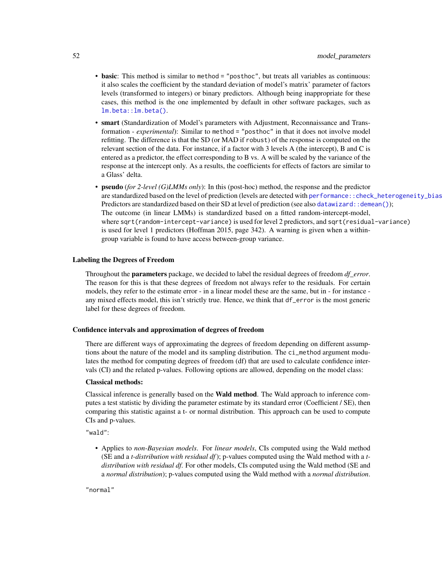- basic: This method is similar to method = "posthoc", but treats all variables as continuous: it also scales the coefficient by the standard deviation of model's matrix' parameter of factors levels (transformed to integers) or binary predictors. Although being inappropriate for these cases, this method is the one implemented by default in other software packages, such as [lm.beta::lm.beta\(\)](#page-0-0).
- smart (Standardization of Model's parameters with Adjustment, Reconnaissance and Transformation - *experimental*): Similar to method = "posthoc" in that it does not involve model refitting. The difference is that the SD (or MAD if robust) of the response is computed on the relevant section of the data. For instance, if a factor with 3 levels A (the intercept), B and C is entered as a predictor, the effect corresponding to B vs. A will be scaled by the variance of the response at the intercept only. As a results, the coefficients for effects of factors are similar to a Glass' delta.
- pseudo (*for 2-level (G)LMMs only*): In this (post-hoc) method, the response and the predictor are standardized based on the level of prediction (levels are detected with performance::check\_heterogeneity\_bias Predictors are standardized based on their SD at level of prediction (see also [datawizard::demean\(\)](#page-0-0)); The outcome (in linear LMMs) is standardized based on a fitted random-intercept-model, where sqrt(random-intercept-variance) is used for level 2 predictors, and sqrt(residual-variance) is used for level 1 predictors (Hoffman 2015, page 342). A warning is given when a withingroup variable is found to have access between-group variance.

#### Labeling the Degrees of Freedom

Throughout the parameters package, we decided to label the residual degrees of freedom *df\_error*. The reason for this is that these degrees of freedom not always refer to the residuals. For certain models, they refer to the estimate error - in a linear model these are the same, but in - for instance any mixed effects model, this isn't strictly true. Hence, we think that df\_error is the most generic label for these degrees of freedom.

#### Confidence intervals and approximation of degrees of freedom

There are different ways of approximating the degrees of freedom depending on different assumptions about the nature of the model and its sampling distribution. The ci\_method argument modulates the method for computing degrees of freedom (df) that are used to calculate confidence intervals (CI) and the related p-values. Following options are allowed, depending on the model class:

#### Classical methods:

Classical inference is generally based on the Wald method. The Wald approach to inference computes a test statistic by dividing the parameter estimate by its standard error (Coefficient / SE), then comparing this statistic against a t- or normal distribution. This approach can be used to compute CIs and p-values.

"wald":

• Applies to *non-Bayesian models*. For *linear models*, CIs computed using the Wald method (SE and a *t-distribution with residual df*); p-values computed using the Wald method with a *tdistribution with residual df*. For other models, CIs computed using the Wald method (SE and a *normal distribution*); p-values computed using the Wald method with a *normal distribution*.

"normal"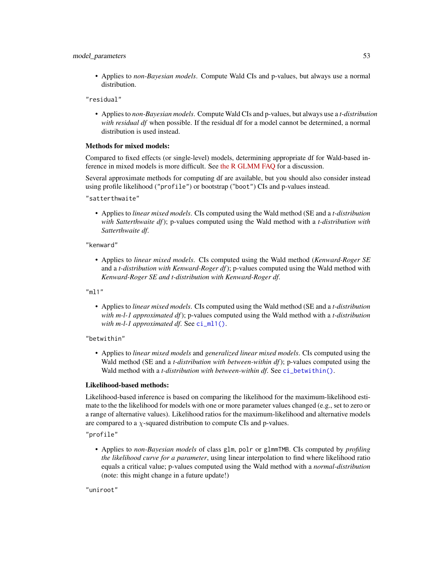#### model\_parameters 53

• Applies to *non-Bayesian models*. Compute Wald CIs and p-values, but always use a normal distribution.

"residual"

• Applies to *non-Bayesian models*. Compute Wald CIs and p-values, but always use a *t-distribution with residual df* when possible. If the residual df for a model cannot be determined, a normal distribution is used instead.

#### Methods for mixed models:

Compared to fixed effects (or single-level) models, determining appropriate df for Wald-based inference in mixed models is more difficult. See [the R GLMM FAQ](https://bbolker.github.io/mixedmodels-misc/glmmFAQ.html#what-are-the-p-values-listed-by-summaryglmerfit-etc.-are-they-reliable) for a discussion.

Several approximate methods for computing df are available, but you should also consider instead using profile likelihood ("profile") or bootstrap ("boot") CIs and p-values instead.

"satterthwaite"

• Applies to *linear mixed models*. CIs computed using the Wald method (SE and a *t-distribution with Satterthwaite df*); p-values computed using the Wald method with a *t-distribution with Satterthwaite df*.

#### "kenward"

• Applies to *linear mixed models*. CIs computed using the Wald method (*Kenward-Roger SE* and a *t-distribution with Kenward-Roger df*); p-values computed using the Wald method with *Kenward-Roger SE and t-distribution with Kenward-Roger df*.

"ml1"

• Applies to *linear mixed models*. CIs computed using the Wald method (SE and a *t-distribution with m-l-1 approximated df*); p-values computed using the Wald method with a *t-distribution with m-l-1 approximated df.* See [ci\\_ml1\(\)](#page-18-0).

"betwithin"

• Applies to *linear mixed models* and *generalized linear mixed models*. CIs computed using the Wald method (SE and a *t-distribution with between-within df*); p-values computed using the Wald method with a *t-distribution with between-within df*. See [ci\\_betwithin\(\)](#page-15-0).

#### Likelihood-based methods:

Likelihood-based inference is based on comparing the likelihood for the maximum-likelihood estimate to the the likelihood for models with one or more parameter values changed (e.g., set to zero or a range of alternative values). Likelihood ratios for the maximum-likelihood and alternative models are compared to a  $\chi$ -squared distribution to compute CIs and p-values.

"profile"

• Applies to *non-Bayesian models* of class glm, polr or glmmTMB. CIs computed by *profiling the likelihood curve for a parameter*, using linear interpolation to find where likelihood ratio equals a critical value; p-values computed using the Wald method with a *normal-distribution* (note: this might change in a future update!)

"uniroot"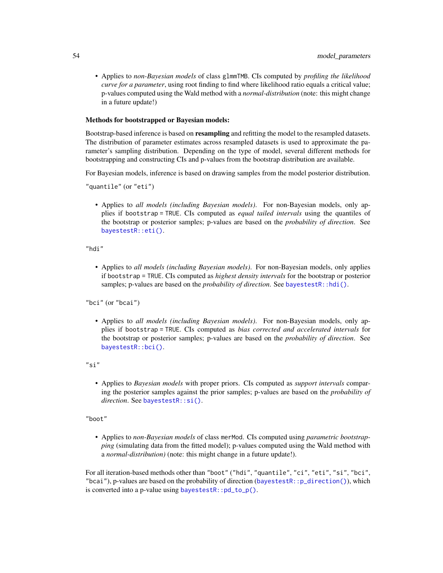• Applies to *non-Bayesian models* of class glmmTMB. CIs computed by *profiling the likelihood curve for a parameter*, using root finding to find where likelihood ratio equals a critical value; p-values computed using the Wald method with a *normal-distribution* (note: this might change in a future update!)

#### Methods for bootstrapped or Bayesian models:

Bootstrap-based inference is based on **resampling** and refitting the model to the resampled datasets. The distribution of parameter estimates across resampled datasets is used to approximate the parameter's sampling distribution. Depending on the type of model, several different methods for bootstrapping and constructing CIs and p-values from the bootstrap distribution are available.

For Bayesian models, inference is based on drawing samples from the model posterior distribution.

"quantile" (or "eti")

• Applies to *all models (including Bayesian models)*. For non-Bayesian models, only applies if bootstrap = TRUE. CIs computed as *equal tailed intervals* using the quantiles of the bootstrap or posterior samples; p-values are based on the *probability of direction*. See [bayestestR::eti\(\)](#page-0-0).

"hdi"

• Applies to *all models (including Bayesian models)*. For non-Bayesian models, only applies if bootstrap = TRUE. CIs computed as *highest density intervals* for the bootstrap or posterior samples; p-values are based on the *probability of direction*. See [bayestestR::hdi\(\)](#page-0-0).

"bci" (or "bcai")

• Applies to *all models (including Bayesian models)*. For non-Bayesian models, only applies if bootstrap = TRUE. CIs computed as *bias corrected and accelerated intervals* for the bootstrap or posterior samples; p-values are based on the *probability of direction*. See [bayestestR::bci\(\)](#page-0-0).

"si"

• Applies to *Bayesian models* with proper priors. CIs computed as *support intervals* comparing the posterior samples against the prior samples; p-values are based on the *probability of direction*. See [bayestestR::si\(\)](#page-0-0).

"boot"

• Applies to *non-Bayesian models* of class merMod. CIs computed using *parametric bootstrapping* (simulating data from the fitted model); p-values computed using the Wald method with a *normal-distribution)* (note: this might change in a future update!).

For all iteration-based methods other than "boot" ("hdi", "quantile", "ci", "eti", "si", "bci", "bcai"), p-values are based on the probability of direction (bayestestR:: $p_d$ direction()), which is converted into a p-value using [bayestestR::pd\\_to\\_p\(\)](#page-0-0).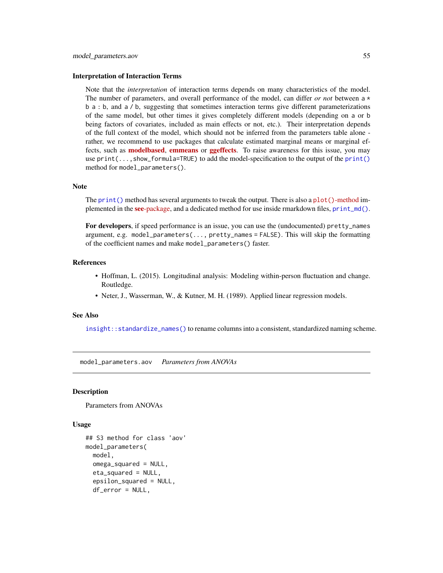#### Interpretation of Interaction Terms

Note that the *interpretation* of interaction terms depends on many characteristics of the model. The number of parameters, and overall performance of the model, can differ *or not* between a \* b a : b, and a / b, suggesting that sometimes interaction terms give different parameterizations of the same model, but other times it gives completely different models (depending on a or b being factors of covariates, included as main effects or not, etc.). Their interpretation depends of the full context of the model, which should not be inferred from the parameters table alone rather, we recommend to use packages that calculate estimated marginal means or marginal effects, such as **[modelbased](https://CRAN.R-project.org/package=modelbased), [emmeans](https://CRAN.R-project.org/package=emmeans)** or **[ggeffects](https://CRAN.R-project.org/package=ggeffects)**. To raise awareness for this issue, you may use print(...,show\_formula=TRUE) to add the model-specification to the output of the [print\(\)](#page-121-0) method for model\_parameters().

#### Note

The print () method has several arguments to tweak the output. There is also a  $plot()$ [-method](https://easystats.github.io/see/articles/parameters.html) im-plemented in the see[-package,](https://easystats.github.io/see/) and a dedicated method for use inside rmarkdown files, [print\\_md\(\)](#page-33-0).

For developers, if speed performance is an issue, you can use the (undocumented) pretty\_names argument, e.g. model\_parameters(..., pretty\_names = FALSE). This will skip the formatting of the coefficient names and make model\_parameters() faster.

# References

- Hoffman, L. (2015). Longitudinal analysis: Modeling within-person fluctuation and change. Routledge.
- Neter, J., Wasserman, W., & Kutner, M. H. (1989). Applied linear regression models.

#### See Also

[insight::standardize\\_names\(\)](#page-0-0) to rename columns into a consistent, standardized naming scheme.

<span id="page-54-0"></span>model\_parameters.aov *Parameters from ANOVAs*

#### **Description**

Parameters from ANOVAs

### Usage

```
## S3 method for class 'aov'
model_parameters(
 model,
  omega_squared = NULL,
  eta_squared = NULL,
  epsilon_squared = NULL,
  df_error = NULL,
```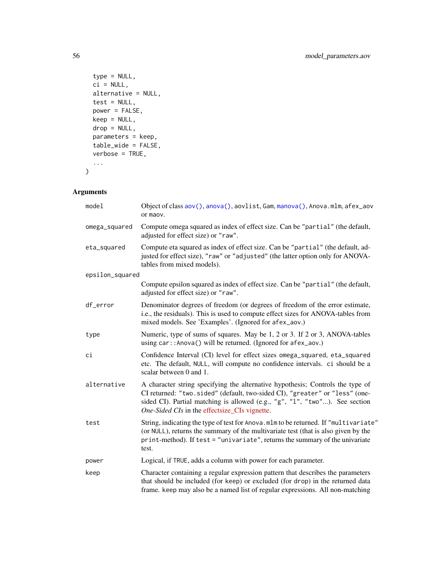```
type = NULL,
 ci = NULL,alternative = NULL,
 test = NULL,
 power = FALSE,keep = NULL,
 drop = NULL,
 parameters = keep,
  table_wide = FALSE,
 verbose = TRUE,
  ...
\mathcal{L}
```

| model           | Object of class aov(), anova(), aovlist, Gam, manova(), Anova.mlm, afex_aov<br>or maov.                                                                                                                                                                                                       |
|-----------------|-----------------------------------------------------------------------------------------------------------------------------------------------------------------------------------------------------------------------------------------------------------------------------------------------|
| omega_squared   | Compute omega squared as index of effect size. Can be "partial" (the default,<br>adjusted for effect size) or "raw".                                                                                                                                                                          |
| eta_squared     | Compute eta squared as index of effect size. Can be "partial" (the default, ad-<br>justed for effect size), "raw" or "adjusted" (the latter option only for ANOVA-<br>tables from mixed models).                                                                                              |
| epsilon_squared |                                                                                                                                                                                                                                                                                               |
|                 | Compute epsilon squared as index of effect size. Can be "partial" (the default,<br>adjusted for effect size) or "raw".                                                                                                                                                                        |
| df_error        | Denominator degrees of freedom (or degrees of freedom of the error estimate,<br>i.e., the residuals). This is used to compute effect sizes for ANOVA-tables from<br>mixed models. See 'Examples'. (Ignored for afex_aov.)                                                                     |
| type            | Numeric, type of sums of squares. May be 1, 2 or 3. If 2 or 3, ANOVA-tables<br>using car:: Anova() will be returned. (Ignored for afex_aov.)                                                                                                                                                  |
| сi              | Confidence Interval (CI) level for effect sizes omega_squared, eta_squared<br>etc. The default, NULL, will compute no confidence intervals. ci should be a<br>scalar between 0 and 1.                                                                                                         |
| alternative     | A character string specifying the alternative hypothesis; Controls the type of<br>CI returned: "two.sided" (default, two-sided CI), "greater" or "less" (one-<br>sided CI). Partial matching is allowed (e.g., "g", "1", "two"). See section<br>One-Sided CIs in the effectsize_CIs vignette. |
| test            | String, indicating the type of test for Anova.mlm to be returned. If "multivariate"<br>(or NULL), returns the summary of the multivariate test (that is also given by the<br>print-method). If test = "univariate", returns the summary of the univariate<br>test.                            |
| power           | Logical, if TRUE, adds a column with power for each parameter.                                                                                                                                                                                                                                |
| keep            | Character containing a regular expression pattern that describes the parameters<br>that should be included (for keep) or excluded (for drop) in the returned data<br>frame. keep may also be a named list of regular expressions. All non-matching                                            |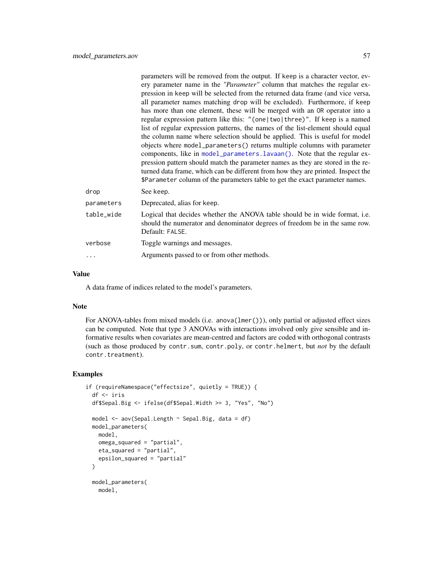|            | parameters will be removed from the output. If keep is a character vector, ev-<br>ery parameter name in the "Parameter" column that matches the regular ex-<br>pression in keep will be selected from the returned data frame (and vice versa,<br>all parameter names matching drop will be excluded). Furthermore, if keep<br>has more than one element, these will be merged with an OR operator into a<br>regular expression pattern like this: "(one   two   three)". If keep is a named<br>list of regular expression patterns, the names of the list-element should equal<br>the column name where selection should be applied. This is useful for model |
|------------|----------------------------------------------------------------------------------------------------------------------------------------------------------------------------------------------------------------------------------------------------------------------------------------------------------------------------------------------------------------------------------------------------------------------------------------------------------------------------------------------------------------------------------------------------------------------------------------------------------------------------------------------------------------|
|            | objects where model_parameters() returns multiple columns with parameter<br>components, like in model_parameters.lavaan(). Note that the regular ex-<br>pression pattern should match the parameter names as they are stored in the re-<br>turned data frame, which can be different from how they are printed. Inspect the<br>\$Parameter column of the parameters table to get the exact parameter names.                                                                                                                                                                                                                                                    |
| drop       | See keep.                                                                                                                                                                                                                                                                                                                                                                                                                                                                                                                                                                                                                                                      |
| parameters | Deprecated, alias for keep.                                                                                                                                                                                                                                                                                                                                                                                                                                                                                                                                                                                                                                    |
| table_wide | Logical that decides whether the ANOVA table should be in wide format, i.e.<br>should the numerator and denominator degrees of freedom be in the same row.<br>Default: FALSE.                                                                                                                                                                                                                                                                                                                                                                                                                                                                                  |
| verbose    | Toggle warnings and messages.                                                                                                                                                                                                                                                                                                                                                                                                                                                                                                                                                                                                                                  |
|            | Arguments passed to or from other methods.                                                                                                                                                                                                                                                                                                                                                                                                                                                                                                                                                                                                                     |
|            |                                                                                                                                                                                                                                                                                                                                                                                                                                                                                                                                                                                                                                                                |

### Value

A data frame of indices related to the model's parameters.

### Note

For ANOVA-tables from mixed models (i.e. anova(lmer())), only partial or adjusted effect sizes can be computed. Note that type 3 ANOVAs with interactions involved only give sensible and informative results when covariates are mean-centred and factors are coded with orthogonal contrasts (such as those produced by contr.sum, contr.poly, or contr.helmert, but *not* by the default contr.treatment).

### Examples

```
if (requireNamespace("effectsize", quietly = TRUE)) {
 df <- iris
 df$Sepal.Big <- ifelse(df$Sepal.Width >= 3, "Yes", "No")
 model <- aov(Sepal.Length ~ Sepal.Big, data = df)
 model_parameters(
   model,
   omega_squared = "partial",
   eta_squared = "partial",
   epsilon_squared = "partial"
 \lambdamodel_parameters(
   model,
```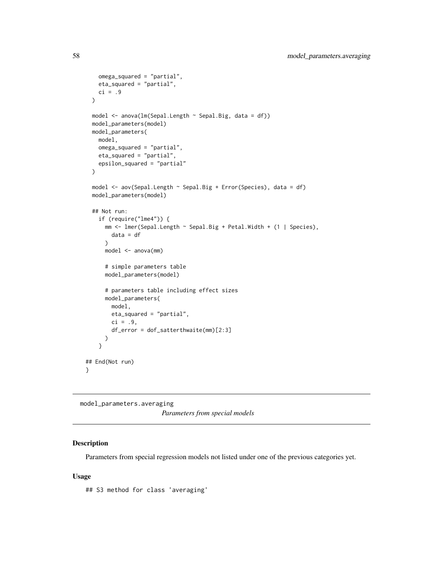```
omega_squared = "partial",
   eta_squared = "partial",
   ci = .9\lambdamodel <- anova(lm(Sepal.Length ~ Sepal.Big, data = df))
 model_parameters(model)
 model_parameters(
   model,
   omega_squared = "partial",
   eta_squared = "partial",
   epsilon_squared = "partial"
 )
 model <- aov(Sepal.Length ~ Sepal.Big + Error(Species), data = df)
 model_parameters(model)
 ## Not run:
   if (require("lme4")) {
     mm <- lmer(Sepal.Length ~ Sepal.Big + Petal.Width + (1 | Species),
       data = df
      \lambdamodel <- anova(mm)
      # simple parameters table
      model_parameters(model)
      # parameters table including effect sizes
      model_parameters(
       model,
       eta_squared = "partial",
       ci = .9,
       df_error = dof_satterthwaite(mm)[2:3]
     )
   }
## End(Not run)
}
```
<span id="page-57-0"></span>model\_parameters.averaging *Parameters from special models*

# Description

Parameters from special regression models not listed under one of the previous categories yet.

#### Usage

## S3 method for class 'averaging'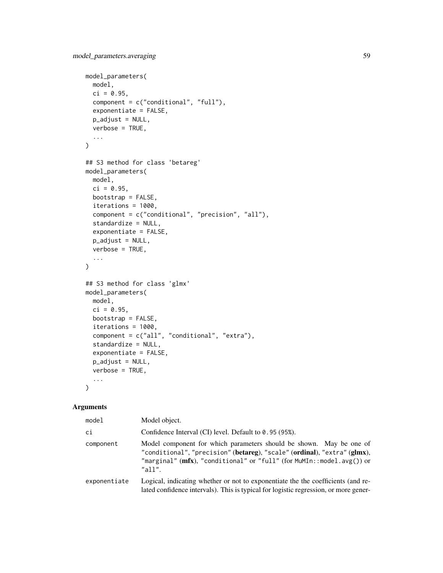```
model_parameters(
 model,
 ci = 0.95,
 component = c("conditional", "full"),
  exponentiate = FALSE,
 p_adjust = NULL,
 verbose = TRUE,
  ...
\mathcal{L}## S3 method for class 'betareg'
model_parameters(
 model,
 ci = 0.95,bootstrap = FALSE,
  iterations = 1000,
  component = c("conditional", "precision", "all"),
  standardize = NULL,
 exponentiate = FALSE,
 p_adjust = NULL,
 verbose = TRUE,
  ...
\mathcal{L}## S3 method for class 'glmx'
model_parameters(
 model,
 ci = 0.95,bootstrap = FALSE,
  iterations = 1000,
  component = c("all", "conditional", "extra"),
  standardize = NULL,
  exponentiate = FALSE,
 p_adjust = NULL,
 verbose = TRUE,
  ...
\lambda
```

| model        | Model object.                                                                                                                                                                                                                          |
|--------------|----------------------------------------------------------------------------------------------------------------------------------------------------------------------------------------------------------------------------------------|
| ci           | Confidence Interval (CI) level. Default to 0.95 (95%).                                                                                                                                                                                 |
| component    | Model component for which parameters should be shown. May be one of<br>"conditional", "precision" (betareg), "scale" (ordinal), "extra" (glmx),<br>"marginal" ( $mfx$ ), "conditional" or "full" (for MuMIn::model.avg()) or<br>"all". |
| exponentiate | Logical, indicating whether or not to exponentiate the the coefficients (and re-<br>lated confidence intervals). This is typical for logistic regression, or more gener-                                                               |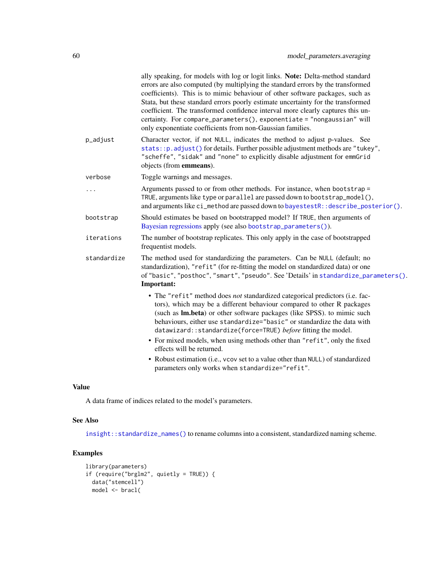| ally speaking, for models with log or logit links. Note: Delta-method standard<br>errors are also computed (by multiplying the standard errors by the transformed<br>coefficients). This is to mimic behaviour of other software packages, such as<br>Stata, but these standard errors poorly estimate uncertainty for the transformed<br>coefficient. The transformed confidence interval more clearly captures this un-<br>certainty. For compare_parameters(), exponentiate = "nongaussian" will<br>only exponentiate coefficients from non-Gaussian families.                                                             |
|-------------------------------------------------------------------------------------------------------------------------------------------------------------------------------------------------------------------------------------------------------------------------------------------------------------------------------------------------------------------------------------------------------------------------------------------------------------------------------------------------------------------------------------------------------------------------------------------------------------------------------|
| Character vector, if not NULL, indicates the method to adjust p-values. See<br>stats:: p. adjust() for details. Further possible adjustment methods are "tukey",<br>"scheffe", "sidak" and "none" to explicitly disable adjustment for emmGrid<br>objects (from emmeans).                                                                                                                                                                                                                                                                                                                                                     |
| Toggle warnings and messages.                                                                                                                                                                                                                                                                                                                                                                                                                                                                                                                                                                                                 |
| Arguments passed to or from other methods. For instance, when bootstrap =<br>TRUE, arguments like type or parallel are passed down to bootstrap_model(),<br>and arguments like ci_method are passed down to bayestestR:: describe_posterior().                                                                                                                                                                                                                                                                                                                                                                                |
| Should estimates be based on bootstrapped model? If TRUE, then arguments of<br>Bayesian regressions apply (see also bootstrap_parameters()).                                                                                                                                                                                                                                                                                                                                                                                                                                                                                  |
| The number of bootstrap replicates. This only apply in the case of bootstrapped<br>frequentist models.                                                                                                                                                                                                                                                                                                                                                                                                                                                                                                                        |
| The method used for standardizing the parameters. Can be NULL (default; no<br>standardization), "refit" (for re-fitting the model on standardized data) or one<br>of "basic", "posthoc", "smart", "pseudo". See 'Details' in standardize_parameters().<br>Important:                                                                                                                                                                                                                                                                                                                                                          |
| • The "refit" method does not standardized categorical predictors (i.e. fac-<br>tors), which may be a different behaviour compared to other R packages<br>(such as Im.beta) or other software packages (like SPSS). to mimic such<br>behaviours, either use standardize="basic" or standardize the data with<br>datawizard::standardize(force=TRUE) before fitting the model.<br>• For mixed models, when using methods other than "refit", only the fixed<br>effects will be returned.<br>• Robust estimation (i.e., vcov set to a value other than NULL) of standardized<br>parameters only works when standardize="refit". |
|                                                                                                                                                                                                                                                                                                                                                                                                                                                                                                                                                                                                                               |

# Value

A data frame of indices related to the model's parameters.

# See Also

[insight::standardize\\_names\(\)](#page-0-0) to rename columns into a consistent, standardized naming scheme.

# Examples

```
library(parameters)
if (require("brglm2", quietly = TRUE)) {
 data("stemcell")
 model <- bracl(
```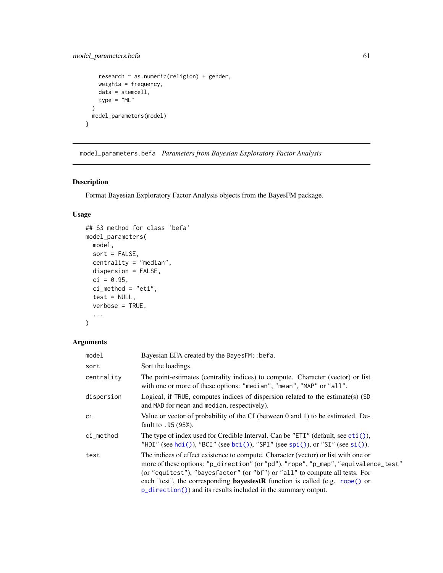```
research \sim as.numeric(religion) + gender,
   weights = frequency,
   data = stemcell,
   type = "ML")
 model_parameters(model)
}
```
model\_parameters.befa *Parameters from Bayesian Exploratory Factor Analysis*

# Description

Format Bayesian Exploratory Factor Analysis objects from the BayesFM package.

# Usage

```
## S3 method for class 'befa'
model_parameters(
 model,
 sort = FALSE,centrality = "median",
 dispersion = FALSE,
 ci = 0.95,ci_method = "eti",
  test = NULL,verbose = TRUE,
  ...
)
```

| model       | Bayesian EFA created by the BayesFM: : befa.                                                                                                                                                                                                                                                                                                                                                                        |
|-------------|---------------------------------------------------------------------------------------------------------------------------------------------------------------------------------------------------------------------------------------------------------------------------------------------------------------------------------------------------------------------------------------------------------------------|
| sort        | Sort the loadings.                                                                                                                                                                                                                                                                                                                                                                                                  |
| centrality  | The point-estimates (centrality indices) to compute. Character (vector) or list<br>with one or more of these options: "median", "mean", "MAP" or "all".                                                                                                                                                                                                                                                             |
| dispersion  | Logical, if TRUE, computes indices of dispersion related to the estimate(s) (SD<br>and MAD for mean and median, respectively).                                                                                                                                                                                                                                                                                      |
| сi          | Value or vector of probability of the CI (between 0 and 1) to be estimated. De-<br>fault to .95 (95%).                                                                                                                                                                                                                                                                                                              |
| $ci$ method | The type of index used for Credible Interval. Can be "ETI" (default, see $eti$ ),<br>"HDI" (see hdi()), "BCI" (see bci()), "SPI" (see spi()), or "SI" (see si()).                                                                                                                                                                                                                                                   |
| test        | The indices of effect existence to compute. Character (vector) or list with one or<br>more of these options: "p_direction" (or "pd"), "rope", "p_map", "equivalence_test"<br>(or "equitest"), "bayesfactor" (or "bf") or "all" to compute all tests. For<br>each "test", the corresponding <b>bayestestR</b> function is called (e.g. rope() or<br>$p\_direction()$ and its results included in the summary output. |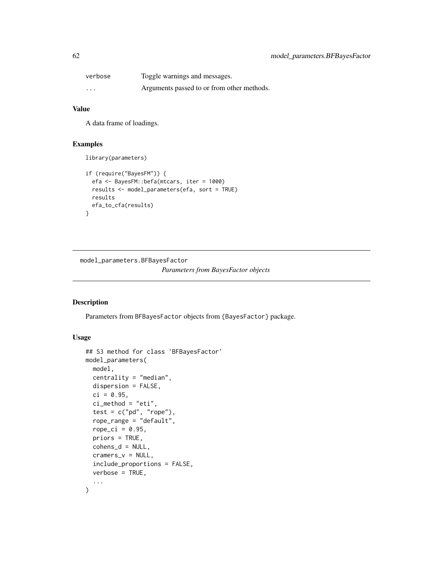| verbose  | Toggle warnings and messages.              |
|----------|--------------------------------------------|
| $\cdots$ | Arguments passed to or from other methods. |

### Value

A data frame of loadings.

# Examples

```
library(parameters)
```

```
if (require("BayesFM")) {
 efa <- BayesFM::befa(mtcars, iter = 1000)
 results <- model_parameters(efa, sort = TRUE)
 results
 efa_to_cfa(results)
}
```
<span id="page-61-0"></span>model\_parameters.BFBayesFactor

*Parameters from BayesFactor objects*

# Description

Parameters from BFBayesFactor objects from {BayesFactor} package.

### Usage

```
## S3 method for class 'BFBayesFactor'
model_parameters(
 model,
  centrality = "median",
  dispersion = FALSE,
  ci = 0.95,
  ci method = "eti",
  test = c("pd", "rope"),rope_range = "default",
  rope\_ci = 0.95,
 priors = TRUE,
  cohens_d = NULL,
  cramers_v = NULL,
  include_proportions = FALSE,
  verbose = TRUE,
  ...
\mathcal{L}
```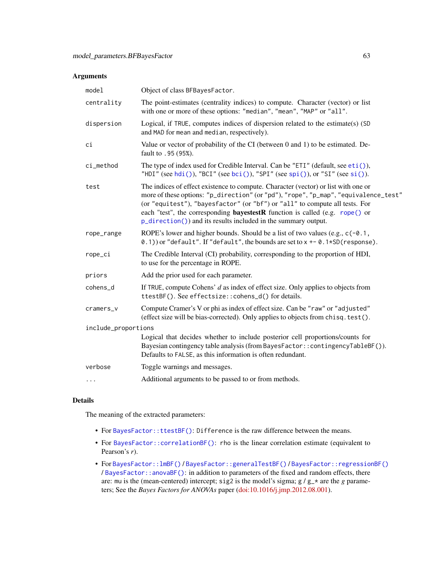| model               | Object of class BFBayesFactor.                                                                                                                                                                                                                                                                                                                                                                                    |  |
|---------------------|-------------------------------------------------------------------------------------------------------------------------------------------------------------------------------------------------------------------------------------------------------------------------------------------------------------------------------------------------------------------------------------------------------------------|--|
| centrality          | The point-estimates (centrality indices) to compute. Character (vector) or list<br>with one or more of these options: "median", "mean", "MAP" or "all".                                                                                                                                                                                                                                                           |  |
| dispersion          | Logical, if TRUE, computes indices of dispersion related to the estimate(s) (SD<br>and MAD for mean and median, respectively).                                                                                                                                                                                                                                                                                    |  |
| сi                  | Value or vector of probability of the CI (between 0 and 1) to be estimated. De-<br>fault to .95 (95%).                                                                                                                                                                                                                                                                                                            |  |
| ci_method           | The type of index used for Credible Interval. Can be "ETI" (default, see eti()),<br>"HDI" (see hdi()), "BCI" (see bci()), "SPI" (see spi()), or "SI" (see si()).                                                                                                                                                                                                                                                  |  |
| test                | The indices of effect existence to compute. Character (vector) or list with one or<br>more of these options: "p_direction" (or "pd"), "rope", "p_map", "equivalence_test"<br>(or "equitest"), "bayesfactor" (or "bf") or "all" to compute all tests. For<br>each "test", the corresponding <b>bayestestR</b> function is called (e.g. rope() or<br>p_direction()) and its results included in the summary output. |  |
| rope_range          | ROPE's lower and higher bounds. Should be a list of two values (e.g., $c(-0.1,$<br>0.1) or "default". If "default", the bounds are set to $x \leftarrow 0.1*SD(resparse)$ .                                                                                                                                                                                                                                       |  |
| rope_ci             | The Credible Interval (CI) probability, corresponding to the proportion of HDI,<br>to use for the percentage in ROPE.                                                                                                                                                                                                                                                                                             |  |
| priors              | Add the prior used for each parameter.                                                                                                                                                                                                                                                                                                                                                                            |  |
| cohens_d            | If TRUE, compute Cohens' $d$ as index of effect size. Only applies to objects from<br>ttestBF(). See effectsize::cohens_d() for details.                                                                                                                                                                                                                                                                          |  |
| cramers_v           | Compute Cramer's V or phi as index of effect size. Can be "raw" or "adjusted"<br>(effect size will be bias-corrected). Only applies to objects from chisq. test().                                                                                                                                                                                                                                                |  |
| include_proportions |                                                                                                                                                                                                                                                                                                                                                                                                                   |  |
|                     | Logical that decides whether to include posterior cell proportions/counts for<br>Bayesian contingency table analysis (from BayesFactor:: contingencyTableBF()).<br>Defaults to FALSE, as this information is often redundant.                                                                                                                                                                                     |  |
| verbose             | Toggle warnings and messages.                                                                                                                                                                                                                                                                                                                                                                                     |  |
| $\cdots$            | Additional arguments to be passed to or from methods.                                                                                                                                                                                                                                                                                                                                                             |  |
|                     |                                                                                                                                                                                                                                                                                                                                                                                                                   |  |

# Details

The meaning of the extracted parameters:

- For [BayesFactor::ttestBF\(\)](#page-0-0): Difference is the raw difference between the means.
- For [BayesFactor::correlationBF\(\)](#page-0-0): rho is the linear correlation estimate (equivalent to Pearson's *r*).
- For [BayesFactor::lmBF\(\)](#page-0-0) / [BayesFactor::generalTestBF\(\)](#page-0-0) / [BayesFactor::regressionBF\(\)](#page-0-0) / [BayesFactor::anovaBF\(\)](#page-0-0): in addition to parameters of the fixed and random effects, there are: mu is the (mean-centered) intercept; sig2 is the model's sigma; g /  $g$ <sub>-</sub> $\star$  are the *g* parameters; See the *Bayes Factors for ANOVAs* paper [\(doi:10.1016/j.jmp.2012.08.001\)](https://doi.org/10.1016/j.jmp.2012.08.001).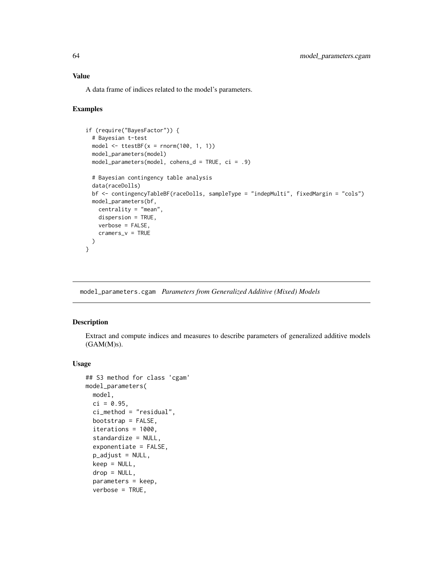### Value

A data frame of indices related to the model's parameters.

### Examples

```
if (require("BayesFactor")) {
 # Bayesian t-test
 model \leq ttestBF(x = \text{norm}(100, 1, 1))
 model_parameters(model)
 model_parameters(model, cohens_d = TRUE, ci = .9)
 # Bayesian contingency table analysis
 data(raceDolls)
 bf <- contingencyTableBF(raceDolls, sampleType = "indepMulti", fixedMargin = "cols")
 model_parameters(bf,
   centrality = "mean",
   dispersion = TRUE,
   verbose = FALSE,
   cramers_v = TRUE
 )
}
```
<span id="page-63-0"></span>model\_parameters.cgam *Parameters from Generalized Additive (Mixed) Models*

# Description

Extract and compute indices and measures to describe parameters of generalized additive models (GAM(M)s).

#### Usage

```
## S3 method for class 'cgam'
model_parameters(
 model,
 ci = 0.95,ci_method = "residual",
 bootstrap = FALSE,
  iterations = 1000,
  standardize = NULL,
  exponentiate = FALSE,p_adjust = NULL,
  keep = NULL,drop = NULL,
  parameters = keep,
  verbose = TRUE,
```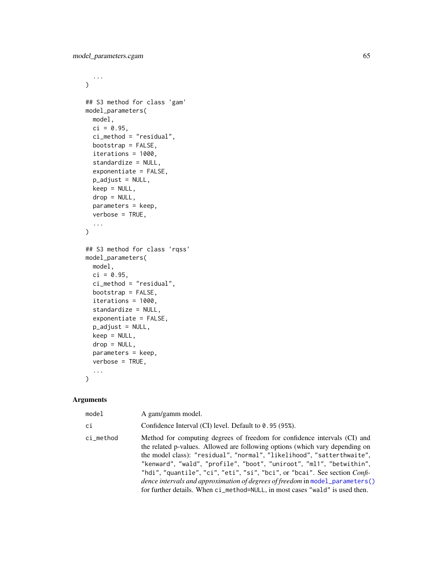```
...
\mathcal{L}## S3 method for class 'gam'
model_parameters(
 model,
 ci = 0.95,ci_method = "residual",
 bootstrap = FALSE,
  iterations = 1000,
  standardize = NULL,
  exponentiate = FALSE,
 p_adjust = NULL,
 keep = NULL,
  drop = NULL,
  parameters = keep,
  verbose = TRUE,
  ...
\mathcal{L}## S3 method for class 'rqss'
model_parameters(
 model,
 ci = 0.95,ci_method = "residual",
 bootstrap = FALSE,
  iterations = 1000,
  standardize = NULL,
  exponentiate = FALSE,
  p_adjust = NULL,
 keep = NULL,
 drop = NULL,
 parameters = keep,
  verbose = TRUE,
  ...
\mathcal{L}
```

| model     | A gam/gamm model.                                                                                                                                                                                                                                                                                                                                                                                                                                                                                                                                                         |
|-----------|---------------------------------------------------------------------------------------------------------------------------------------------------------------------------------------------------------------------------------------------------------------------------------------------------------------------------------------------------------------------------------------------------------------------------------------------------------------------------------------------------------------------------------------------------------------------------|
| ci        | Confidence Interval (CI) level. Default to 0.95 (95%).                                                                                                                                                                                                                                                                                                                                                                                                                                                                                                                    |
| ci_method | Method for computing degrees of freedom for confidence intervals (CI) and<br>the related p-values. Allowed are following options (which vary depending on<br>the model class): "residual", "normal", "likelihood", "satterthwaite",<br>"kenward", "wald", "profile", "boot", "uniroot", "ml1", "betwithin",<br>"hdi", "quantile", "ci", "eti", "si", "bci", or "bcai". See section <i>Confi</i> -<br><i>dence intervals and approximation of degrees of freedom</i> in model_parameters()<br>for further details. When ci_method=NULL, in most cases "wald" is used then. |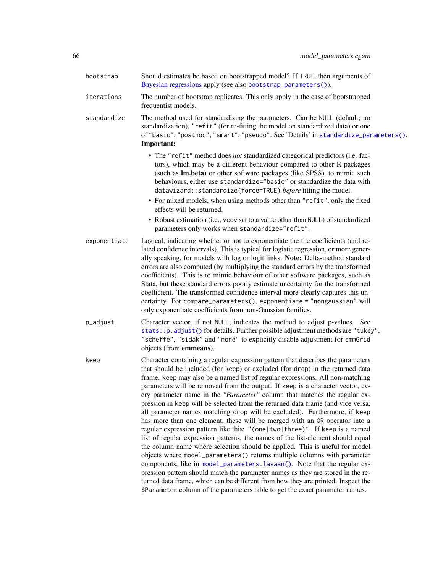| bootstrap    | Should estimates be based on bootstrapped model? If TRUE, then arguments of<br>Bayesian regressions apply (see also bootstrap_parameters()).                                                                                                                                                                                                                                                                                                                                                                                                                                                                                                                                                                                                                                                                                                                                                                                                                                                                                                                                                                                                                                                                                                                                                                                    |
|--------------|---------------------------------------------------------------------------------------------------------------------------------------------------------------------------------------------------------------------------------------------------------------------------------------------------------------------------------------------------------------------------------------------------------------------------------------------------------------------------------------------------------------------------------------------------------------------------------------------------------------------------------------------------------------------------------------------------------------------------------------------------------------------------------------------------------------------------------------------------------------------------------------------------------------------------------------------------------------------------------------------------------------------------------------------------------------------------------------------------------------------------------------------------------------------------------------------------------------------------------------------------------------------------------------------------------------------------------|
| iterations   | The number of bootstrap replicates. This only apply in the case of bootstrapped<br>frequentist models.                                                                                                                                                                                                                                                                                                                                                                                                                                                                                                                                                                                                                                                                                                                                                                                                                                                                                                                                                                                                                                                                                                                                                                                                                          |
| standardize  | The method used for standardizing the parameters. Can be NULL (default; no<br>standardization), "refit" (for re-fitting the model on standardized data) or one<br>of "basic", "posthoc", "smart", "pseudo". See 'Details' in standardize_parameters().<br>Important:                                                                                                                                                                                                                                                                                                                                                                                                                                                                                                                                                                                                                                                                                                                                                                                                                                                                                                                                                                                                                                                            |
|              | • The "refit" method does not standardized categorical predictors (i.e. fac-<br>tors), which may be a different behaviour compared to other R packages<br>(such as <b>lm.beta</b> ) or other software packages (like SPSS). to mimic such<br>behaviours, either use standardize="basic" or standardize the data with<br>datawizard:: standardize(force=TRUE) before fitting the model.                                                                                                                                                                                                                                                                                                                                                                                                                                                                                                                                                                                                                                                                                                                                                                                                                                                                                                                                          |
|              | • For mixed models, when using methods other than "refit", only the fixed<br>effects will be returned.                                                                                                                                                                                                                                                                                                                                                                                                                                                                                                                                                                                                                                                                                                                                                                                                                                                                                                                                                                                                                                                                                                                                                                                                                          |
|              | • Robust estimation (i.e., vcov set to a value other than NULL) of standardized<br>parameters only works when standardize="refit".                                                                                                                                                                                                                                                                                                                                                                                                                                                                                                                                                                                                                                                                                                                                                                                                                                                                                                                                                                                                                                                                                                                                                                                              |
| exponentiate | Logical, indicating whether or not to exponentiate the the coefficients (and re-<br>lated confidence intervals). This is typical for logistic regression, or more gener-<br>ally speaking, for models with log or logit links. Note: Delta-method standard<br>errors are also computed (by multiplying the standard errors by the transformed<br>coefficients). This is to mimic behaviour of other software packages, such as<br>Stata, but these standard errors poorly estimate uncertainty for the transformed<br>coefficient. The transformed confidence interval more clearly captures this un-<br>certainty. For compare_parameters(), exponentiate = "nongaussian" will<br>only exponentiate coefficients from non-Gaussian families.                                                                                                                                                                                                                                                                                                                                                                                                                                                                                                                                                                                   |
| p_adjust     | Character vector, if not NULL, indicates the method to adjust p-values. See<br>stats:: p. adjust() for details. Further possible adjustment methods are "tukey",<br>"scheffe", "sidak" and "none" to explicitly disable adjustment for emmGrid<br>objects (from emmeans).                                                                                                                                                                                                                                                                                                                                                                                                                                                                                                                                                                                                                                                                                                                                                                                                                                                                                                                                                                                                                                                       |
| keep         | Character containing a regular expression pattern that describes the parameters<br>that should be included (for keep) or excluded (for drop) in the returned data<br>frame. keep may also be a named list of regular expressions. All non-matching<br>parameters will be removed from the output. If keep is a character vector, ev-<br>ery parameter name in the "Parameter" column that matches the regular ex-<br>pression in keep will be selected from the returned data frame (and vice versa,<br>all parameter names matching drop will be excluded). Furthermore, if keep<br>has more than one element, these will be merged with an OR operator into a<br>regular expression pattern like this: "(one two three)". If keep is a named<br>list of regular expression patterns, the names of the list-element should equal<br>the column name where selection should be applied. This is useful for model<br>objects where model_parameters() returns multiple columns with parameter<br>components, like in model_parameters.lavaan(). Note that the regular ex-<br>pression pattern should match the parameter names as they are stored in the re-<br>turned data frame, which can be different from how they are printed. Inspect the<br>\$Parameter column of the parameters table to get the exact parameter names. |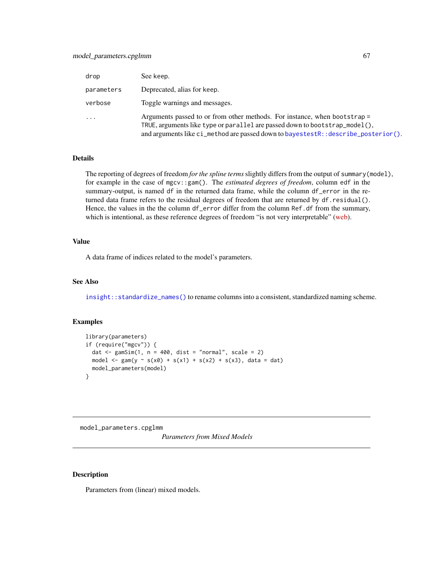# model\_parameters.cpglmm 67

| drop                | See keep.                                                                                                                                                                                                                                     |
|---------------------|-----------------------------------------------------------------------------------------------------------------------------------------------------------------------------------------------------------------------------------------------|
| parameters          | Deprecated, alias for keep.                                                                                                                                                                                                                   |
| verbose             | Toggle warnings and messages.                                                                                                                                                                                                                 |
| $\cdot \cdot \cdot$ | Arguments passed to or from other methods. For instance, when bootstrap =<br>TRUE, arguments like type or parallel are passed down to bootstrap_model(),<br>and arguments like ci_method are passed down to bayestestR::describe_posterior(). |

#### Details

The reporting of degrees of freedom *for the spline terms*slightly differs from the output of summary(model), for example in the case of mgcv::gam(). The *estimated degrees of freedom*, column edf in the summary-output, is named df in the returned data frame, while the column df\_error in the returned data frame refers to the residual degrees of freedom that are returned by df.residual(). Hence, the values in the the column df\_error differ from the column Ref.df from the summary, which is intentional, as these reference degrees of freedom "is not very interpretable" [\(web\)](https://stat.ethz.ch/pipermail/r-help/2019-March/462135.html).

#### Value

A data frame of indices related to the model's parameters.

### See Also

[insight::standardize\\_names\(\)](#page-0-0) to rename columns into a consistent, standardized naming scheme.

### Examples

```
library(parameters)
if (require("mgcv")) {
  dat \leq gamSim(1, n = 400, dist = "normal", scale = 2)
  model <- gam(y \sim s(x0) + s(x1) + s(x2) + s(x3), data = dat)
  model_parameters(model)
}
```
model\_parameters.cpglmm *Parameters from Mixed Models*

### <span id="page-66-0"></span>Description

Parameters from (linear) mixed models.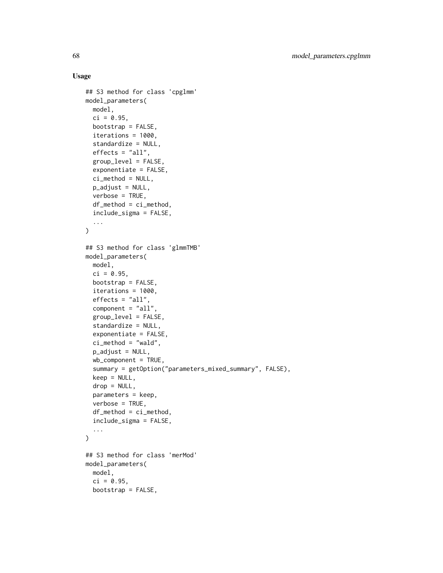### Usage

```
## S3 method for class 'cpglmm'
model_parameters(
 model,
 ci = 0.95,bootstrap = FALSE,
  iterations = 1000,
  standardize = NULL,
  effects = "all",group_level = FALSE,
  exponentiate = FALSE,ci_method = NULL,
  p_adjust = NULL,
  verbose = TRUE,
  df_method = ci_method,
  include_sigma = FALSE,
  ...
\mathcal{L}## S3 method for class 'glmmTMB'
model_parameters(
 model,
 ci = 0.95,bootstrap = FALSE,
  iterations = 1000,
  effects = "all".component = "all",group_level = FALSE,
  standardize = NULL,
  exponentiate = FALSE,
  ci_method = "wald",
  p_adjust = NULL,
  wb_{\text{component}} = TRUE,summary = getOption("parameters_mixed_summary", FALSE),
  keep = NULL,
  drop = NULL,
  parameters = keep,
  verbose = TRUE,
  df_method = ci_method,include_sigma = FALSE,
  ...
\mathcal{L}## S3 method for class 'merMod'
model_parameters(
 model,
  ci = 0.95,
 bootstrap = FALSE,
```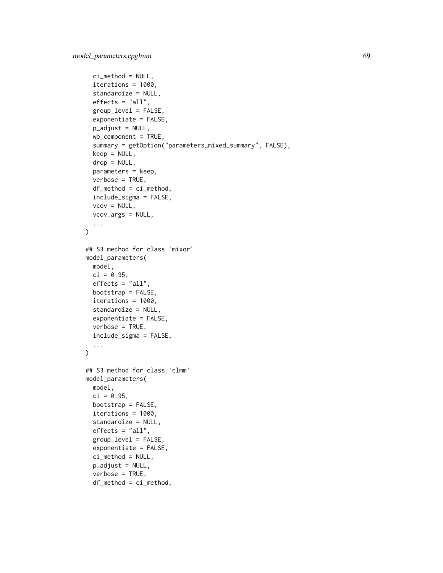```
ci_method = NULL,
  iterations = 1000,
  standardize = NULL,
  effects = "all",group_level = FALSE,
  exponentiate = FALSE,
  p_adjust = NULL,
  wb_{\text{component}} = TRUE,summary = getOption("parameters_mixed_summary", FALSE),
  keep = NULL,drop = NULL,
  parameters = keep,
  verbose = TRUE,
  df_method = ci_method,include_sigma = FALSE,
  vcov = NULL,vcov_args = NULL,
  ...
\lambda## S3 method for class 'mixor'
model_parameters(
 model,
 ci = 0.95,
 effects = "all",bootstrap = FALSE,
  iterations = 1000,
  standardize = NULL,
  exponentiate = FALSE,
  verbose = TRUE,
  include_sigma = FALSE,
  ...
\lambda## S3 method for class 'clmm'
model_parameters(
 model,
  ci = 0.95,bootstrap = FALSE,
  iterations = 1000,
  standardize = NULL,
  effects = "all",group_level = FALSE,
  exponentiate = FALSE,
  ci_method = NULL,
  p_adjust = NULL,
  verbose = TRUE,
  df_method = ci_method,
```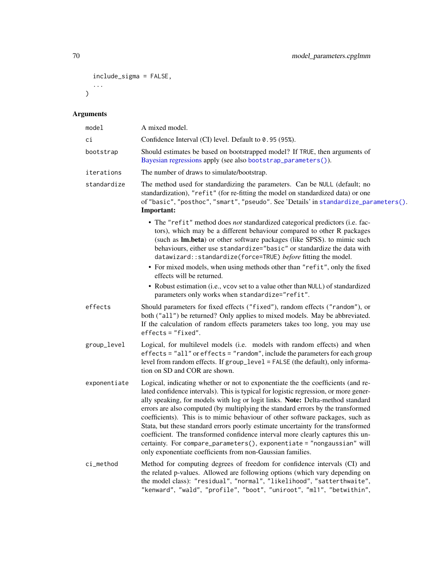```
include_sigma = FALSE,
   ...
\overline{)}
```

| model        | A mixed model.                                                                                                                                                                                                                                                                                                                                                                                                                                                                                                                                                                                                                                                                                                                                |
|--------------|-----------------------------------------------------------------------------------------------------------------------------------------------------------------------------------------------------------------------------------------------------------------------------------------------------------------------------------------------------------------------------------------------------------------------------------------------------------------------------------------------------------------------------------------------------------------------------------------------------------------------------------------------------------------------------------------------------------------------------------------------|
| сi           | Confidence Interval (CI) level. Default to 0.95 (95%).                                                                                                                                                                                                                                                                                                                                                                                                                                                                                                                                                                                                                                                                                        |
| bootstrap    | Should estimates be based on bootstrapped model? If TRUE, then arguments of<br>Bayesian regressions apply (see also bootstrap_parameters()).                                                                                                                                                                                                                                                                                                                                                                                                                                                                                                                                                                                                  |
| iterations   | The number of draws to simulate/bootstrap.                                                                                                                                                                                                                                                                                                                                                                                                                                                                                                                                                                                                                                                                                                    |
| standardize  | The method used for standardizing the parameters. Can be NULL (default; no<br>standardization), "refit" (for re-fitting the model on standardized data) or one<br>of "basic", "posthoc", "smart", "pseudo". See 'Details' in standardize_parameters().<br>Important:                                                                                                                                                                                                                                                                                                                                                                                                                                                                          |
|              | • The "refit" method does not standardized categorical predictors (i.e. fac-<br>tors), which may be a different behaviour compared to other R packages<br>(such as Im.beta) or other software packages (like SPSS). to mimic such<br>behaviours, either use standardize="basic" or standardize the data with<br>datawizard::standardize(force=TRUE) before fitting the model.<br>• For mixed models, when using methods other than "refit", only the fixed                                                                                                                                                                                                                                                                                    |
|              | effects will be returned.                                                                                                                                                                                                                                                                                                                                                                                                                                                                                                                                                                                                                                                                                                                     |
|              | • Robust estimation (i.e., vcov set to a value other than NULL) of standardized<br>parameters only works when standardize="refit".                                                                                                                                                                                                                                                                                                                                                                                                                                                                                                                                                                                                            |
| effects      | Should parameters for fixed effects ("fixed"), random effects ("random"), or<br>both ("all") be returned? Only applies to mixed models. May be abbreviated.<br>If the calculation of random effects parameters takes too long, you may use<br>$effects = "fixed".$                                                                                                                                                                                                                                                                                                                                                                                                                                                                            |
| group_level  | Logical, for multilevel models (i.e. models with random effects) and when<br>effects = "all" or effects = "random", include the parameters for each group<br>level from random effects. If group_level = FALSE (the default), only informa-<br>tion on SD and COR are shown.                                                                                                                                                                                                                                                                                                                                                                                                                                                                  |
| exponentiate | Logical, indicating whether or not to exponentiate the the coefficients (and re-<br>lated confidence intervals). This is typical for logistic regression, or more gener-<br>ally speaking, for models with log or logit links. Note: Delta-method standard<br>errors are also computed (by multiplying the standard errors by the transformed<br>coefficients). This is to mimic behaviour of other software packages, such as<br>Stata, but these standard errors poorly estimate uncertainty for the transformed<br>coefficient. The transformed confidence interval more clearly captures this un-<br>certainty. For compare_parameters(), exponentiate = "nongaussian" will<br>only exponentiate coefficients from non-Gaussian families. |
| ci_method    | Method for computing degrees of freedom for confidence intervals (CI) and<br>the related p-values. Allowed are following options (which vary depending on<br>the model class): "residual", "normal", "likelihood", "satterthwaite",<br>"kenward", "wald", "profile", "boot", "uniroot", "ml1", "betwithin",                                                                                                                                                                                                                                                                                                                                                                                                                                   |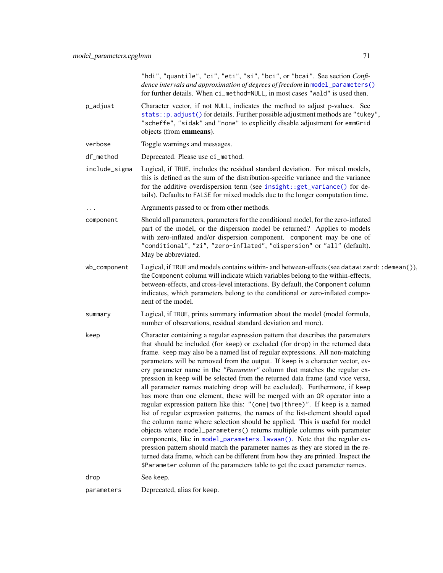|               | "hdi", "quantile", "ci", "eti", "si", "bci", or "bcai". See section Confi-<br>dence intervals and approximation of degrees of freedom in model_parameters()<br>for further details. When ci_method=NULL, in most cases "wald" is used then.                                                                                                                                                                                                                                                                                                                                                                                                                                                                                                                                                                                                                                                                                                                                                                                                                                                                                                                                                                                                                                                                                     |
|---------------|---------------------------------------------------------------------------------------------------------------------------------------------------------------------------------------------------------------------------------------------------------------------------------------------------------------------------------------------------------------------------------------------------------------------------------------------------------------------------------------------------------------------------------------------------------------------------------------------------------------------------------------------------------------------------------------------------------------------------------------------------------------------------------------------------------------------------------------------------------------------------------------------------------------------------------------------------------------------------------------------------------------------------------------------------------------------------------------------------------------------------------------------------------------------------------------------------------------------------------------------------------------------------------------------------------------------------------|
| p_adjust      | Character vector, if not NULL, indicates the method to adjust p-values. See<br>stats:: p. adjust() for details. Further possible adjustment methods are "tukey",<br>"scheffe", "sidak" and "none" to explicitly disable adjustment for emmGrid<br>objects (from <b>emmeans</b> ).                                                                                                                                                                                                                                                                                                                                                                                                                                                                                                                                                                                                                                                                                                                                                                                                                                                                                                                                                                                                                                               |
| verbose       | Toggle warnings and messages.                                                                                                                                                                                                                                                                                                                                                                                                                                                                                                                                                                                                                                                                                                                                                                                                                                                                                                                                                                                                                                                                                                                                                                                                                                                                                                   |
| df_method     | Deprecated. Please use ci_method.                                                                                                                                                                                                                                                                                                                                                                                                                                                                                                                                                                                                                                                                                                                                                                                                                                                                                                                                                                                                                                                                                                                                                                                                                                                                                               |
| include_sigma | Logical, if TRUE, includes the residual standard deviation. For mixed models,<br>this is defined as the sum of the distribution-specific variance and the variance<br>for the additive overdispersion term (see insight::get_variance() for de-<br>tails). Defaults to FALSE for mixed models due to the longer computation time.                                                                                                                                                                                                                                                                                                                                                                                                                                                                                                                                                                                                                                                                                                                                                                                                                                                                                                                                                                                               |
|               | Arguments passed to or from other methods.                                                                                                                                                                                                                                                                                                                                                                                                                                                                                                                                                                                                                                                                                                                                                                                                                                                                                                                                                                                                                                                                                                                                                                                                                                                                                      |
| component     | Should all parameters, parameters for the conditional model, for the zero-inflated<br>part of the model, or the dispersion model be returned? Applies to models<br>with zero-inflated and/or dispersion component. component may be one of<br>"conditional", "zi", "zero-inflated", "dispersion" or "all" (default).<br>May be abbreviated.                                                                                                                                                                                                                                                                                                                                                                                                                                                                                                                                                                                                                                                                                                                                                                                                                                                                                                                                                                                     |
| wb_component  | Logical, if TRUE and models contains within- and between-effects (see datawizard: : demean()),<br>the Component column will indicate which variables belong to the within-effects,<br>between-effects, and cross-level interactions. By default, the Component column<br>indicates, which parameters belong to the conditional or zero-inflated compo-<br>nent of the model.                                                                                                                                                                                                                                                                                                                                                                                                                                                                                                                                                                                                                                                                                                                                                                                                                                                                                                                                                    |
| summary       | Logical, if TRUE, prints summary information about the model (model formula,<br>number of observations, residual standard deviation and more).                                                                                                                                                                                                                                                                                                                                                                                                                                                                                                                                                                                                                                                                                                                                                                                                                                                                                                                                                                                                                                                                                                                                                                                  |
| keep          | Character containing a regular expression pattern that describes the parameters<br>that should be included (for keep) or excluded (for drop) in the returned data<br>frame. keep may also be a named list of regular expressions. All non-matching<br>parameters will be removed from the output. If keep is a character vector, ev-<br>ery parameter name in the "Parameter" column that matches the regular ex-<br>pression in keep will be selected from the returned data frame (and vice versa,<br>all parameter names matching drop will be excluded). Furthermore, if keep<br>has more than one element, these will be merged with an OR operator into a<br>regular expression pattern like this: "(one two three)". If keep is a named<br>list of regular expression patterns, the names of the list-element should equal<br>the column name where selection should be applied. This is useful for model<br>objects where model_parameters() returns multiple columns with parameter<br>components, like in model_parameters.lavaan(). Note that the regular ex-<br>pression pattern should match the parameter names as they are stored in the re-<br>turned data frame, which can be different from how they are printed. Inspect the<br>\$Parameter column of the parameters table to get the exact parameter names. |
| drop          | See keep.                                                                                                                                                                                                                                                                                                                                                                                                                                                                                                                                                                                                                                                                                                                                                                                                                                                                                                                                                                                                                                                                                                                                                                                                                                                                                                                       |
| parameters    | Deprecated, alias for keep.                                                                                                                                                                                                                                                                                                                                                                                                                                                                                                                                                                                                                                                                                                                                                                                                                                                                                                                                                                                                                                                                                                                                                                                                                                                                                                     |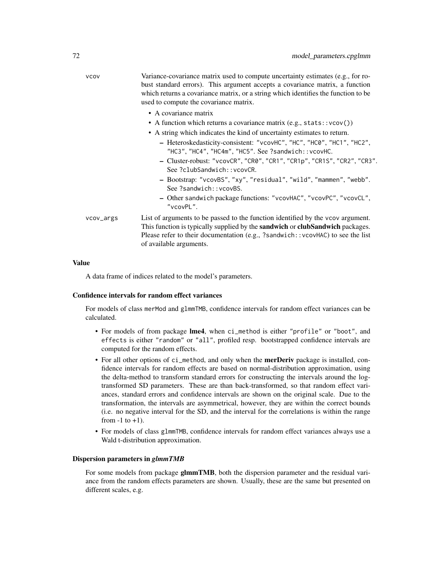| <b>VCOV</b> | Variance-covariance matrix used to compute uncertainty estimates (e.g., for ro-<br>bust standard errors). This argument accepts a covariance matrix, a function<br>which returns a covariance matrix, or a string which identifies the function to be<br>used to compute the covariance matrix. |
|-------------|-------------------------------------------------------------------------------------------------------------------------------------------------------------------------------------------------------------------------------------------------------------------------------------------------|
|             | • A covariance matrix                                                                                                                                                                                                                                                                           |
|             | • A function which returns a covariance matrix $(e.g., stats::vcov())$                                                                                                                                                                                                                          |
|             | • A string which indicates the kind of uncertainty estimates to return.                                                                                                                                                                                                                         |
|             | - Heteroskedasticity-consistent: "vcovHC", "HC", "HC0", "HC1", "HC2",<br>"HC3", "HC4", "HC4m", "HC5". See ?sandwich::vcovHC.                                                                                                                                                                    |
|             | - Cluster-robust: "vcovCR", "CR0", "CR1", "CR1p", "CR1S", "CR2", "CR3".<br>See ?clubSandwich::vcovCR.                                                                                                                                                                                           |
|             | - Bootstrap: "vcovBS", "xy", "residual", "wild", "mammen", "webb".<br>See ?sandwich:: vcovBS.                                                                                                                                                                                                   |
|             | - Other sandwich package functions: "vcovHAC", "vcovPC", "vcovCL",<br>"vcovPL".                                                                                                                                                                                                                 |
| vcov_args   | List of arguments to be passed to the function identified by the vcov argument.<br>This function is typically supplied by the <b>sandwich</b> or <b>clubSandwich</b> packages.<br>Please refer to their documentation (e.g., ?sandwich:: vcovHAC) to see the list<br>of available arguments.    |
|             |                                                                                                                                                                                                                                                                                                 |

### Value

A data frame of indices related to the model's parameters.

#### Confidence intervals for random effect variances

For models of class merMod and glmmTMB, confidence intervals for random effect variances can be calculated.

- For models of from package lme4, when ci\_method is either "profile" or "boot", and effects is either "random" or "all", profiled resp. bootstrapped confidence intervals are computed for the random effects.
- For all other options of ci\_method, and only when the **merDeriv** package is installed, confidence intervals for random effects are based on normal-distribution approximation, using the delta-method to transform standard errors for constructing the intervals around the logtransformed SD parameters. These are than back-transformed, so that random effect variances, standard errors and confidence intervals are shown on the original scale. Due to the transformation, the intervals are asymmetrical, however, they are within the correct bounds (i.e. no negative interval for the SD, and the interval for the correlations is within the range from  $-1$  to  $+1$ ).
- For models of class glmmTMB, confidence intervals for random effect variances always use a Wald t-distribution approximation.

#### Dispersion parameters in *glmmTMB*

For some models from package **glmmTMB**, both the dispersion parameter and the residual variance from the random effects parameters are shown. Usually, these are the same but presented on different scales, e.g.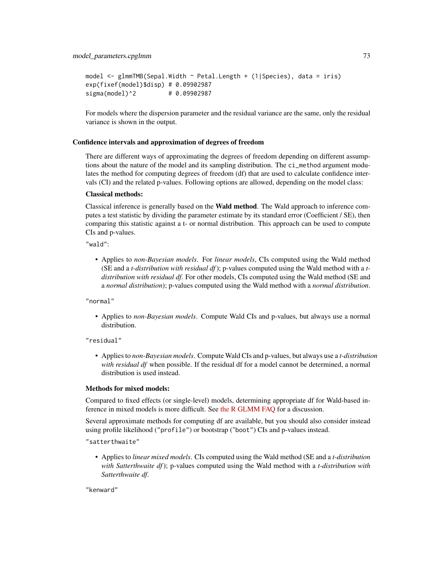```
model <- glmmTMB(Sepal.Width ~ Petal.Length + (1|Species), data = iris)
exp(fixef(model)$disp) # 0.09902987
sigma(model)^2 # 0.09902987
```
For models where the dispersion parameter and the residual variance are the same, only the residual variance is shown in the output.

### Confidence intervals and approximation of degrees of freedom

There are different ways of approximating the degrees of freedom depending on different assumptions about the nature of the model and its sampling distribution. The ci\_method argument modulates the method for computing degrees of freedom (df) that are used to calculate confidence intervals (CI) and the related p-values. Following options are allowed, depending on the model class:

### Classical methods:

Classical inference is generally based on the Wald method. The Wald approach to inference computes a test statistic by dividing the parameter estimate by its standard error (Coefficient / SE), then comparing this statistic against a t- or normal distribution. This approach can be used to compute CIs and p-values.

"wald":

• Applies to *non-Bayesian models*. For *linear models*, CIs computed using the Wald method (SE and a *t-distribution with residual df*); p-values computed using the Wald method with a *tdistribution with residual df*. For other models, CIs computed using the Wald method (SE and a *normal distribution*); p-values computed using the Wald method with a *normal distribution*.

"normal"

• Applies to *non-Bayesian models*. Compute Wald CIs and p-values, but always use a normal distribution.

### "residual"

• Applies to *non-Bayesian models*. Compute Wald CIs and p-values, but always use a *t-distribution with residual df* when possible. If the residual df for a model cannot be determined, a normal distribution is used instead.

### Methods for mixed models:

Compared to fixed effects (or single-level) models, determining appropriate df for Wald-based inference in mixed models is more difficult. See [the R GLMM FAQ](https://bbolker.github.io/mixedmodels-misc/glmmFAQ.html#what-are-the-p-values-listed-by-summaryglmerfit-etc.-are-they-reliable) for a discussion.

Several approximate methods for computing df are available, but you should also consider instead using profile likelihood ("profile") or bootstrap ("boot") CIs and p-values instead.

"satterthwaite"

• Applies to *linear mixed models*. CIs computed using the Wald method (SE and a *t-distribution with Satterthwaite df*); p-values computed using the Wald method with a *t-distribution with Satterthwaite df*.

"kenward"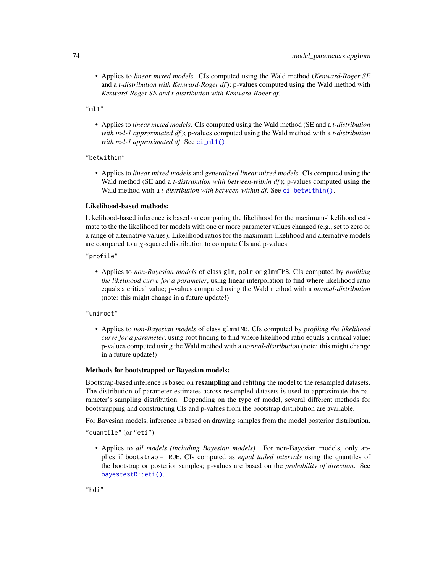• Applies to *linear mixed models*. CIs computed using the Wald method (*Kenward-Roger SE* and a *t-distribution with Kenward-Roger df*); p-values computed using the Wald method with *Kenward-Roger SE and t-distribution with Kenward-Roger df*.

"ml1"

• Applies to *linear mixed models*. CIs computed using the Wald method (SE and a *t-distribution with m-l-1 approximated df*); p-values computed using the Wald method with a *t-distribution with m-l-1 approximated df*. See [ci\\_ml1\(\)](#page-18-0).

"betwithin"

• Applies to *linear mixed models* and *generalized linear mixed models*. CIs computed using the Wald method (SE and a *t-distribution with between-within df*); p-values computed using the Wald method with a *t-distribution with between-within df*. See [ci\\_betwithin\(\)](#page-15-0).

#### Likelihood-based methods:

Likelihood-based inference is based on comparing the likelihood for the maximum-likelihood estimate to the the likelihood for models with one or more parameter values changed (e.g., set to zero or a range of alternative values). Likelihood ratios for the maximum-likelihood and alternative models are compared to a  $\chi$ -squared distribution to compute CIs and p-values.

"profile"

• Applies to *non-Bayesian models* of class glm, polr or glmmTMB. CIs computed by *profiling the likelihood curve for a parameter*, using linear interpolation to find where likelihood ratio equals a critical value; p-values computed using the Wald method with a *normal-distribution* (note: this might change in a future update!)

"uniroot"

• Applies to *non-Bayesian models* of class glmmTMB. CIs computed by *profiling the likelihood curve for a parameter*, using root finding to find where likelihood ratio equals a critical value; p-values computed using the Wald method with a *normal-distribution* (note: this might change in a future update!)

#### Methods for bootstrapped or Bayesian models:

Bootstrap-based inference is based on **resampling** and refitting the model to the resampled datasets. The distribution of parameter estimates across resampled datasets is used to approximate the parameter's sampling distribution. Depending on the type of model, several different methods for bootstrapping and constructing CIs and p-values from the bootstrap distribution are available.

For Bayesian models, inference is based on drawing samples from the model posterior distribution.

"quantile" (or "eti")

• Applies to *all models (including Bayesian models)*. For non-Bayesian models, only applies if bootstrap = TRUE. CIs computed as *equal tailed intervals* using the quantiles of the bootstrap or posterior samples; p-values are based on the *probability of direction*. See [bayestestR::eti\(\)](#page-0-0).

"hdi"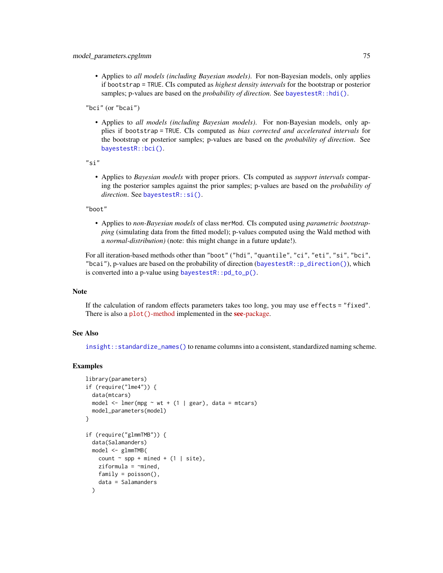• Applies to *all models (including Bayesian models)*. For non-Bayesian models, only applies if bootstrap = TRUE. CIs computed as *highest density intervals* for the bootstrap or posterior samples; p-values are based on the *probability of direction*. See [bayestestR::hdi\(\)](#page-0-0).

"bci" (or "bcai")

• Applies to *all models (including Bayesian models)*. For non-Bayesian models, only applies if bootstrap = TRUE. CIs computed as *bias corrected and accelerated intervals* for the bootstrap or posterior samples; p-values are based on the *probability of direction*. See [bayestestR::bci\(\)](#page-0-0).

"si"

• Applies to *Bayesian models* with proper priors. CIs computed as *support intervals* comparing the posterior samples against the prior samples; p-values are based on the *probability of direction*. See [bayestestR::si\(\)](#page-0-0).

#### "boot"

• Applies to *non-Bayesian models* of class merMod. CIs computed using *parametric bootstrapping* (simulating data from the fitted model); p-values computed using the Wald method with a *normal-distribution)* (note: this might change in a future update!).

For all iteration-based methods other than "boot" ("hdi", "quantile", "ci", "eti", "si", "bci", "bcai"), p-values are based on the probability of direction ([bayestestR::p\\_direction\(\)](#page-0-0)), which is converted into a p-value using [bayestestR::pd\\_to\\_p\(\)](#page-0-0).

### **Note**

If the calculation of random effects parameters takes too long, you may use effects = "fixed". There is also a plot()[-method](https://easystats.github.io/see/articles/parameters.html) implemented in the see[-package.](https://easystats.github.io/see/)

### See Also

[insight::standardize\\_names\(\)](#page-0-0) to rename columns into a consistent, standardized naming scheme.

```
library(parameters)
if (require("lme4")) {
 data(mtcars)
 model \leq lmer(mpg \sim wt + (1 | gear), data = mtcars)
 model_parameters(model)
}
if (require("glmmTMB")) {
 data(Salamanders)
 model <- glmmTMB(
   count \sim spp + mined + (1 | site),
    ziformula = \gamma mined,
    family = poisson(),
    data = Salamanders
 )
```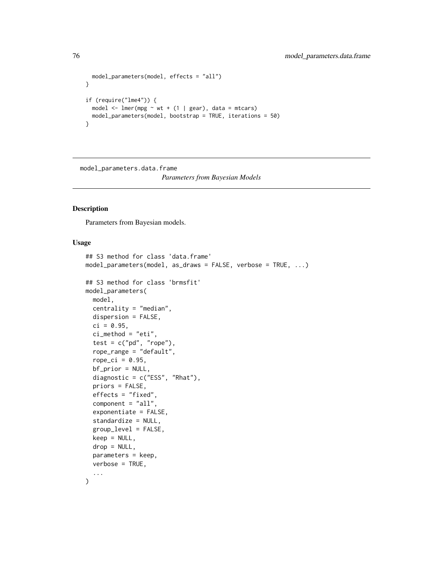```
model_parameters(model, effects = "all")
}
if (require("lme4")) {
  model \le lmer(mpg \sim wt + (1 | gear), data = mtcars)
  model_parameters(model, bootstrap = TRUE, iterations = 50)
}
```
model\_parameters.data.frame *Parameters from Bayesian Models*

## <span id="page-75-0"></span>Description

Parameters from Bayesian models.

### Usage

```
## S3 method for class 'data.frame'
model_parameters(model, as_draws = FALSE, verbose = TRUE, ...)
## S3 method for class 'brmsfit'
model_parameters(
 model,
 centrality = "median",
 dispersion = FALSE,
  ci = 0.95,ci_method = "eti",
  test = c("pd", "rope"),rope_range = "default",
  rope_ci = 0.95,
 bf_prior = NULL,
  diagnostic = c("ESS", "Rhat"),
  priors = FALSE,
  effects = "fixed",
  component = "all",exponentiate = FALSE,
  standardize = NULL,
  group_level = FALSE,
  keep = NULL,
  drop = NULL,
 parameters = keep,
  verbose = TRUE,
  ...
)
```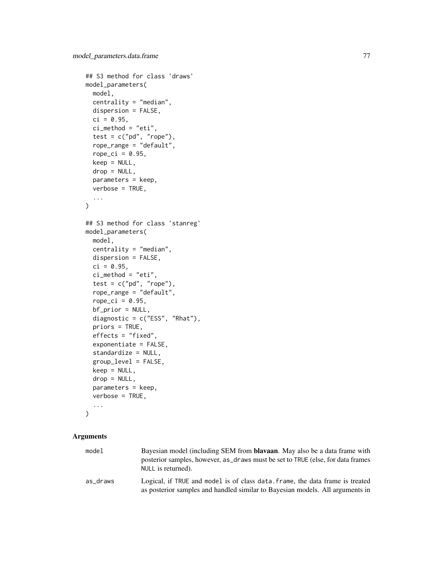```
## S3 method for class 'draws'
model_parameters(
 model,
 centrality = "median",
  dispersion = FALSE,
  ci = 0.95,ci method = "eti",
  test = c("pd", "rope"),rope_range = "default",
  rope_ci = 0.95,
  keep = NULL,
  drop = NULL,
  parameters = keep,
  verbose = TRUE,
  ...
)
## S3 method for class 'stanreg'
model_parameters(
  model,
  centrality = "median",
  dispersion = FALSE,
  ci = 0.95,ci method = "eti",
  test = c("pd", "rope"),rope_range = "default",
  rope_ci = 0.95,
  bf_prior = NULL,
  diagnostic = c("ESS", "Rhat"),
  priors = TRUE,
  effects = "fixed",
  exponentiate = FALSE,
  standardize = NULL,
  group_level = FALSE,
  keep = NULL,
  drop = NULL,
  parameters = keep,
  verbose = TRUE,
  ...
\mathcal{E}
```

| model    | Bayesian model (including SEM from <b>blayaan</b> . May also be a data frame with<br>posterior samples, however, as draws must be set to TRUE (else, for data frames<br>NULL is returned). |
|----------|--------------------------------------------------------------------------------------------------------------------------------------------------------------------------------------------|
| as draws | Logical, if TRUE and model is of class data. frame, the data frame is treated<br>as posterior samples and handled similar to Bayesian models. All arguments in                             |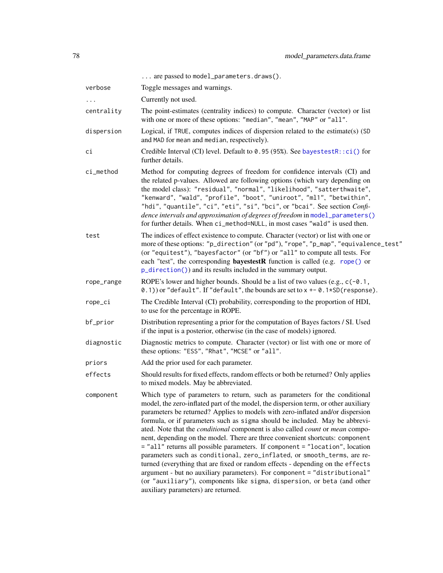|            | are passed to model_parameters.draws().                                                                                                                                                                                                                                                                                                                                                                                                                                                                                                                                                                                                                                                                                                                                                                                                                                                                                                                               |
|------------|-----------------------------------------------------------------------------------------------------------------------------------------------------------------------------------------------------------------------------------------------------------------------------------------------------------------------------------------------------------------------------------------------------------------------------------------------------------------------------------------------------------------------------------------------------------------------------------------------------------------------------------------------------------------------------------------------------------------------------------------------------------------------------------------------------------------------------------------------------------------------------------------------------------------------------------------------------------------------|
| verbose    | Toggle messages and warnings.                                                                                                                                                                                                                                                                                                                                                                                                                                                                                                                                                                                                                                                                                                                                                                                                                                                                                                                                         |
|            | Currently not used.                                                                                                                                                                                                                                                                                                                                                                                                                                                                                                                                                                                                                                                                                                                                                                                                                                                                                                                                                   |
| centrality | The point-estimates (centrality indices) to compute. Character (vector) or list<br>with one or more of these options: "median", "mean", "MAP" or "all".                                                                                                                                                                                                                                                                                                                                                                                                                                                                                                                                                                                                                                                                                                                                                                                                               |
| dispersion | Logical, if TRUE, computes indices of dispersion related to the estimate(s) (SD<br>and MAD for mean and median, respectively).                                                                                                                                                                                                                                                                                                                                                                                                                                                                                                                                                                                                                                                                                                                                                                                                                                        |
| сi         | Credible Interval (CI) level. Default to 0.95 (95%). See bayestestR::ci() for<br>further details.                                                                                                                                                                                                                                                                                                                                                                                                                                                                                                                                                                                                                                                                                                                                                                                                                                                                     |
| ci_method  | Method for computing degrees of freedom for confidence intervals (CI) and<br>the related p-values. Allowed are following options (which vary depending on<br>the model class): "residual", "normal", "likelihood", "satterthwaite",<br>"kenward", "wald", "profile", "boot", "uniroot", "ml1", "betwithin",<br>"hdi", "quantile", "ci", "eti", "si", "bci", or "bcai". See section Confi-<br>dence intervals and approximation of degrees of freedom in model_parameters()<br>for further details. When ci_method=NULL, in most cases "wald" is used then.                                                                                                                                                                                                                                                                                                                                                                                                            |
| test       | The indices of effect existence to compute. Character (vector) or list with one or<br>more of these options: "p_direction" (or "pd"), "rope", "p_map", "equivalence_test"<br>(or "equitest"), "bayesfactor" (or "bf") or "all" to compute all tests. For<br>each "test", the corresponding <b>bayestestR</b> function is called (e.g. rope() or<br>p_direction()) and its results included in the summary output.                                                                                                                                                                                                                                                                                                                                                                                                                                                                                                                                                     |
| rope_range | ROPE's lower and higher bounds. Should be a list of two values (e.g., $c(-0.1,$<br>0.1) or "default". If "default", the bounds are set to $x$ +- 0.1*SD(response).                                                                                                                                                                                                                                                                                                                                                                                                                                                                                                                                                                                                                                                                                                                                                                                                    |
| rope_ci    | The Credible Interval (CI) probability, corresponding to the proportion of HDI,<br>to use for the percentage in ROPE.                                                                                                                                                                                                                                                                                                                                                                                                                                                                                                                                                                                                                                                                                                                                                                                                                                                 |
| bf_prior   | Distribution representing a prior for the computation of Bayes factors / SI. Used<br>if the input is a posterior, otherwise (in the case of models) ignored.                                                                                                                                                                                                                                                                                                                                                                                                                                                                                                                                                                                                                                                                                                                                                                                                          |
| diagnostic | Diagnostic metrics to compute. Character (vector) or list with one or more of<br>these options: "ESS", "Rhat", "MCSE" or "all".                                                                                                                                                                                                                                                                                                                                                                                                                                                                                                                                                                                                                                                                                                                                                                                                                                       |
| priors     | Add the prior used for each parameter.                                                                                                                                                                                                                                                                                                                                                                                                                                                                                                                                                                                                                                                                                                                                                                                                                                                                                                                                |
| effects    | Should results for fixed effects, random effects or both be returned? Only applies<br>to mixed models. May be abbreviated.                                                                                                                                                                                                                                                                                                                                                                                                                                                                                                                                                                                                                                                                                                                                                                                                                                            |
| component  | Which type of parameters to return, such as parameters for the conditional<br>model, the zero-inflated part of the model, the dispersion term, or other auxiliary<br>parameters be returned? Applies to models with zero-inflated and/or dispersion<br>formula, or if parameters such as sigma should be included. May be abbrevi-<br>ated. Note that the <i>conditional</i> component is also called <i>count</i> or <i>mean</i> compo-<br>nent, depending on the model. There are three convenient shortcuts: component<br>= "all" returns all possible parameters. If component = "location", location<br>parameters such as conditional, zero_inflated, or smooth_terms, are re-<br>turned (everything that are fixed or random effects - depending on the effects<br>argument - but no auxiliary parameters). For component = "distributional"<br>(or "auxiliary"), components like sigma, dispersion, or beta (and other<br>auxiliary parameters) are returned. |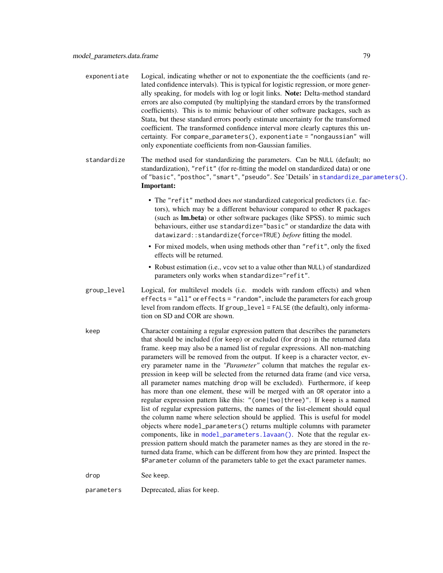| exponentiate | Logical, indicating whether or not to exponentiate the the coefficients (and re-<br>lated confidence intervals). This is typical for logistic regression, or more gener-<br>ally speaking, for models with log or logit links. Note: Delta-method standard<br>errors are also computed (by multiplying the standard errors by the transformed<br>coefficients). This is to mimic behaviour of other software packages, such as<br>Stata, but these standard errors poorly estimate uncertainty for the transformed<br>coefficient. The transformed confidence interval more clearly captures this un-<br>certainty. For compare_parameters(), exponentiate = "nongaussian" will<br>only exponentiate coefficients from non-Gaussian families.                                                                                                                                                                                                                                                                                                                                                                                                                                                                                                                                                                                   |
|--------------|---------------------------------------------------------------------------------------------------------------------------------------------------------------------------------------------------------------------------------------------------------------------------------------------------------------------------------------------------------------------------------------------------------------------------------------------------------------------------------------------------------------------------------------------------------------------------------------------------------------------------------------------------------------------------------------------------------------------------------------------------------------------------------------------------------------------------------------------------------------------------------------------------------------------------------------------------------------------------------------------------------------------------------------------------------------------------------------------------------------------------------------------------------------------------------------------------------------------------------------------------------------------------------------------------------------------------------|
| standardize  | The method used for standardizing the parameters. Can be NULL (default; no<br>standardization), "refit" (for re-fitting the model on standardized data) or one<br>of "basic", "posthoc", "smart", "pseudo". See 'Details' in standardize_parameters().<br>Important:                                                                                                                                                                                                                                                                                                                                                                                                                                                                                                                                                                                                                                                                                                                                                                                                                                                                                                                                                                                                                                                            |
|              | • The "refit" method does not standardized categorical predictors (i.e. fac-<br>tors), which may be a different behaviour compared to other R packages<br>(such as Im.beta) or other software packages (like SPSS). to mimic such<br>behaviours, either use standardize="basic" or standardize the data with<br>datawizard::standardize(force=TRUE) before fitting the model.                                                                                                                                                                                                                                                                                                                                                                                                                                                                                                                                                                                                                                                                                                                                                                                                                                                                                                                                                   |
|              | • For mixed models, when using methods other than "refit", only the fixed<br>effects will be returned.                                                                                                                                                                                                                                                                                                                                                                                                                                                                                                                                                                                                                                                                                                                                                                                                                                                                                                                                                                                                                                                                                                                                                                                                                          |
|              | • Robust estimation (i.e., vcov set to a value other than NULL) of standardized<br>parameters only works when standardize="refit".                                                                                                                                                                                                                                                                                                                                                                                                                                                                                                                                                                                                                                                                                                                                                                                                                                                                                                                                                                                                                                                                                                                                                                                              |
| group_level  | Logical, for multilevel models (i.e. models with random effects) and when<br>effects = "all" or effects = "random", include the parameters for each group<br>level from random effects. If group_level = FALSE (the default), only informa-<br>tion on SD and COR are shown.                                                                                                                                                                                                                                                                                                                                                                                                                                                                                                                                                                                                                                                                                                                                                                                                                                                                                                                                                                                                                                                    |
| keep         | Character containing a regular expression pattern that describes the parameters<br>that should be included (for keep) or excluded (for drop) in the returned data<br>frame. keep may also be a named list of regular expressions. All non-matching<br>parameters will be removed from the output. If keep is a character vector, ev-<br>ery parameter name in the "Parameter" column that matches the regular ex-<br>pression in keep will be selected from the returned data frame (and vice versa,<br>all parameter names matching drop will be excluded). Furthermore, if keep<br>has more than one element, these will be merged with an OR operator into a<br>regular expression pattern like this: "(one two three)". If keep is a named<br>list of regular expression patterns, the names of the list-element should equal<br>the column name where selection should be applied. This is useful for model<br>objects where model_parameters() returns multiple columns with parameter<br>components, like in model_parameters.lavaan(). Note that the regular ex-<br>pression pattern should match the parameter names as they are stored in the re-<br>turned data frame, which can be different from how they are printed. Inspect the<br>\$Parameter column of the parameters table to get the exact parameter names. |
| drop         | See keep.                                                                                                                                                                                                                                                                                                                                                                                                                                                                                                                                                                                                                                                                                                                                                                                                                                                                                                                                                                                                                                                                                                                                                                                                                                                                                                                       |
| parameters   | Deprecated, alias for keep.                                                                                                                                                                                                                                                                                                                                                                                                                                                                                                                                                                                                                                                                                                                                                                                                                                                                                                                                                                                                                                                                                                                                                                                                                                                                                                     |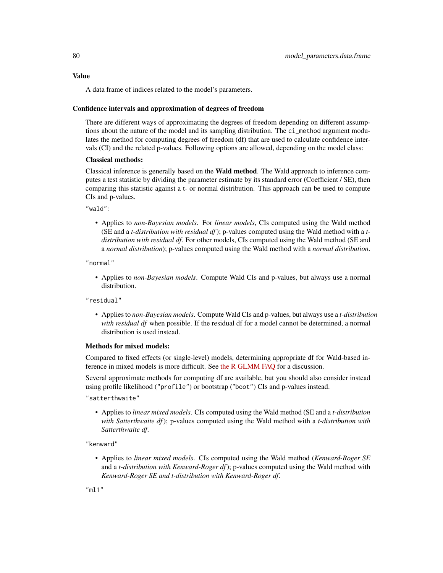### Value

A data frame of indices related to the model's parameters.

#### Confidence intervals and approximation of degrees of freedom

There are different ways of approximating the degrees of freedom depending on different assumptions about the nature of the model and its sampling distribution. The ci\_method argument modulates the method for computing degrees of freedom (df) that are used to calculate confidence intervals (CI) and the related p-values. Following options are allowed, depending on the model class:

## Classical methods:

Classical inference is generally based on the Wald method. The Wald approach to inference computes a test statistic by dividing the parameter estimate by its standard error (Coefficient / SE), then comparing this statistic against a t- or normal distribution. This approach can be used to compute CIs and p-values.

"wald":

• Applies to *non-Bayesian models*. For *linear models*, CIs computed using the Wald method (SE and a *t-distribution with residual df*); p-values computed using the Wald method with a *tdistribution with residual df*. For other models, CIs computed using the Wald method (SE and a *normal distribution*); p-values computed using the Wald method with a *normal distribution*.

"normal"

• Applies to *non-Bayesian models*. Compute Wald CIs and p-values, but always use a normal distribution.

"residual"

• Applies to *non-Bayesian models*. Compute Wald CIs and p-values, but always use a *t-distribution with residual df* when possible. If the residual df for a model cannot be determined, a normal distribution is used instead.

## Methods for mixed models:

Compared to fixed effects (or single-level) models, determining appropriate df for Wald-based inference in mixed models is more difficult. See [the R GLMM FAQ](https://bbolker.github.io/mixedmodels-misc/glmmFAQ.html#what-are-the-p-values-listed-by-summaryglmerfit-etc.-are-they-reliable) for a discussion.

Several approximate methods for computing df are available, but you should also consider instead using profile likelihood ("profile") or bootstrap ("boot") CIs and p-values instead.

"satterthwaite"

• Applies to *linear mixed models*. CIs computed using the Wald method (SE and a *t-distribution with Satterthwaite df*); p-values computed using the Wald method with a *t-distribution with Satterthwaite df*.

"kenward"

• Applies to *linear mixed models*. CIs computed using the Wald method (*Kenward-Roger SE* and a *t-distribution with Kenward-Roger df*); p-values computed using the Wald method with *Kenward-Roger SE and t-distribution with Kenward-Roger df*.

"ml1"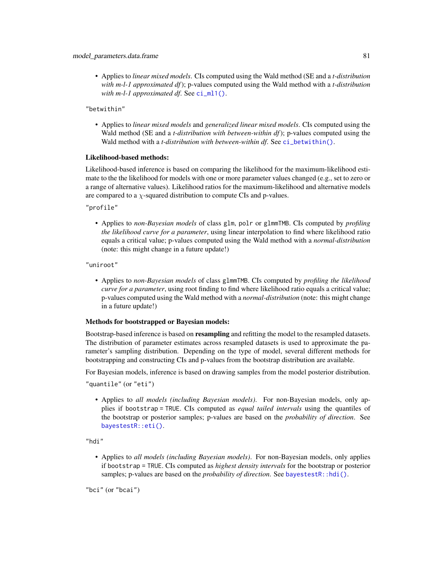• Applies to *linear mixed models*. CIs computed using the Wald method (SE and a *t-distribution with m-l-1 approximated df*); p-values computed using the Wald method with a *t-distribution with m-l-1 approximated df.* See [ci\\_ml1\(\)](#page-18-0).

"betwithin"

• Applies to *linear mixed models* and *generalized linear mixed models*. CIs computed using the Wald method (SE and a *t-distribution with between-within df*); p-values computed using the Wald method with a *t-distribution with between-within df*. See [ci\\_betwithin\(\)](#page-15-0).

#### Likelihood-based methods:

Likelihood-based inference is based on comparing the likelihood for the maximum-likelihood estimate to the the likelihood for models with one or more parameter values changed (e.g., set to zero or a range of alternative values). Likelihood ratios for the maximum-likelihood and alternative models are compared to a  $\chi$ -squared distribution to compute CIs and p-values.

"profile"

• Applies to *non-Bayesian models* of class glm, polr or glmmTMB. CIs computed by *profiling the likelihood curve for a parameter*, using linear interpolation to find where likelihood ratio equals a critical value; p-values computed using the Wald method with a *normal-distribution* (note: this might change in a future update!)

"uniroot"

• Applies to *non-Bayesian models* of class glmmTMB. CIs computed by *profiling the likelihood curve for a parameter*, using root finding to find where likelihood ratio equals a critical value; p-values computed using the Wald method with a *normal-distribution* (note: this might change in a future update!)

### Methods for bootstrapped or Bayesian models:

Bootstrap-based inference is based on **resampling** and refitting the model to the resampled datasets. The distribution of parameter estimates across resampled datasets is used to approximate the parameter's sampling distribution. Depending on the type of model, several different methods for bootstrapping and constructing CIs and p-values from the bootstrap distribution are available.

For Bayesian models, inference is based on drawing samples from the model posterior distribution.

"quantile" (or "eti")

• Applies to *all models (including Bayesian models)*. For non-Bayesian models, only applies if bootstrap = TRUE. CIs computed as *equal tailed intervals* using the quantiles of the bootstrap or posterior samples; p-values are based on the *probability of direction*. See [bayestestR::eti\(\)](#page-0-0).

"hdi"

• Applies to *all models (including Bayesian models)*. For non-Bayesian models, only applies if bootstrap = TRUE. CIs computed as *highest density intervals* for the bootstrap or posterior samples; p-values are based on the *probability of direction*. See [bayestestR::hdi\(\)](#page-0-0).

"bci" (or "bcai")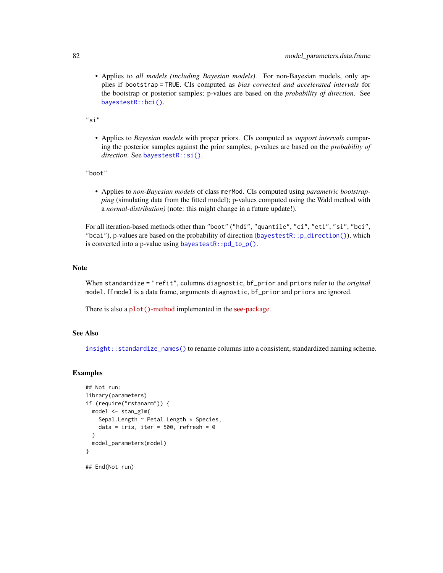• Applies to *all models (including Bayesian models)*. For non-Bayesian models, only applies if bootstrap = TRUE. CIs computed as *bias corrected and accelerated intervals* for the bootstrap or posterior samples; p-values are based on the *probability of direction*. See [bayestestR::bci\(\)](#page-0-0).

 $"$ si"

• Applies to *Bayesian models* with proper priors. CIs computed as *support intervals* comparing the posterior samples against the prior samples; p-values are based on the *probability of direction*. See [bayestestR::si\(\)](#page-0-0).

"boot"

• Applies to *non-Bayesian models* of class merMod. CIs computed using *parametric bootstrapping* (simulating data from the fitted model); p-values computed using the Wald method with a *normal-distribution)* (note: this might change in a future update!).

For all iteration-based methods other than "boot" ("hdi", "quantile", "ci", "eti", "si", "bci", "bcai"), p-values are based on the probability of direction ([bayestestR::p\\_direction\(\)](#page-0-0)), which is converted into a p-value using [bayestestR::pd\\_to\\_p\(\)](#page-0-0).

#### **Note**

When standardize = "refit", columns diagnostic, bf\_prior and priors refer to the *original* model. If model is a data frame, arguments diagnostic, bf\_prior and priors are ignored.

There is also a plot()[-method](https://easystats.github.io/see/articles/parameters.html) implemented in the see[-package.](https://easystats.github.io/see/)

## See Also

[insight::standardize\\_names\(\)](#page-0-0) to rename columns into a consistent, standardized naming scheme.

```
## Not run:
library(parameters)
if (require("rstanarm")) {
  model <- stan_glm(
    Sepal.Length ~ Petal.Length * Species,
    data = iris, iter = 500, refresh = 0)
  model_parameters(model)
}
## End(Not run)
```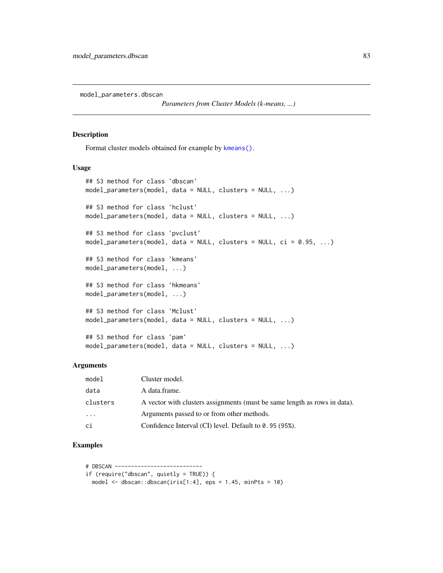model\_parameters.dbscan

*Parameters from Cluster Models (k-means, ...)*

#### Description

Format cluster models obtained for example by [kmeans\(\)](#page-0-0).

### Usage

```
## S3 method for class 'dbscan'
model_parameters(model, data = NULL, clusters = NULL, ...)
## S3 method for class 'hclust'
model_parameters(model, data = NULL, clusters = NULL, ...)
## S3 method for class 'pvclust'
model_parameters(model, data = NULL, clusters = NULL, ci = 0.95, ...)
## S3 method for class 'kmeans'
model_parameters(model, ...)
## S3 method for class 'hkmeans'
model_parameters(model, ...)
## S3 method for class 'Mclust'
model_parameters(model, data = NULL, clusters = NULL, ...)
## S3 method for class 'pam'
model_parameters(model, data = NULL, clusters = NULL, ...)
```
### **Arguments**

| model    | Cluster model.                                                            |
|----------|---------------------------------------------------------------------------|
| data     | A data.frame.                                                             |
| clusters | A vector with clusters assignments (must be same length as rows in data). |
| $\cdots$ | Arguments passed to or from other methods.                                |
| ci       | Confidence Interval (CI) level. Default to 0.95 (95%).                    |

```
# DBSCAN ---------------------------
if (require("dbscan", quietly = TRUE)) {
 model \leq dbscan:: dbscan(iris[1:4], eps = 1.45, minPts = 10)
```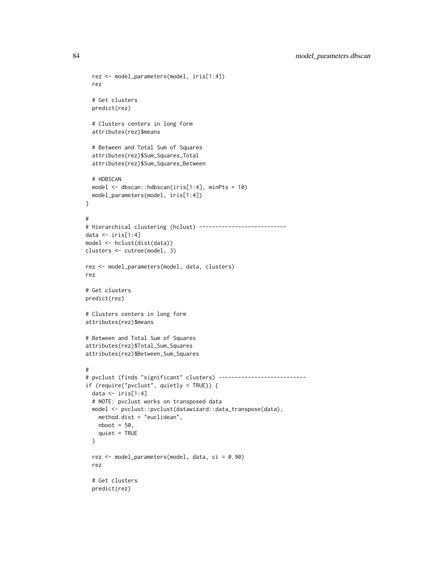84 model\_parameters.dbscan

```
rez <- model_parameters(model, iris[1:4])
  rez
  # Get clusters
  predict(rez)
  # Clusters centers in long form
  attributes(rez)$means
  # Between and Total Sum of Squares
  attributes(rez)$Sum_Squares_Total
  attributes(rez)$Sum_Squares_Between
  # HDBSCAN
  model <- dbscan::hdbscan(iris[1:4], minPts = 10)
  model_parameters(model, iris[1:4])
}
#
# Hierarchical clustering (hclust) ---------------------------
data \leftarrow iris[1:4]
model <- hclust(dist(data))
clusters <- cutree(model, 3)
rez <- model_parameters(model, data, clusters)
rez
# Get clusters
predict(rez)
# Clusters centers in long form
attributes(rez)$means
# Between and Total Sum of Squares
attributes(rez)$Total_Sum_Squares
attributes(rez)$Between_Sum_Squares
#
# pvclust (finds "significant" clusters) ---------------------------
if (require("pvclust", quietly = TRUE)) {
  data \le iris[1:4]
  # NOTE: pvclust works on transposed data
  model <- pvclust::pvclust(datawizard::data_transpose(data),
   method.dist = "euclidean",
   nboot = 50,
   quiet = TRUE
  \mathcal{L}rez <- model_parameters(model, data, ci = 0.90)
  rez
  # Get clusters
  predict(rez)
```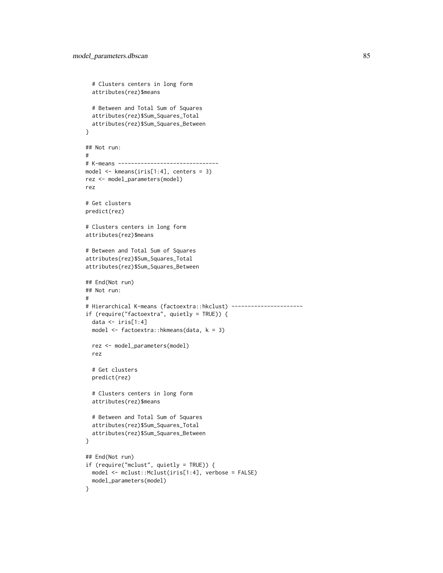```
# Clusters centers in long form
  attributes(rez)$means
  # Between and Total Sum of Squares
  attributes(rez)$Sum_Squares_Total
  attributes(rez)$Sum_Squares_Between
}
## Not run:
#
# K-means -------------------------------
model <- kmeans(iris[1:4], centers = 3)
rez <- model_parameters(model)
rez
# Get clusters
predict(rez)
# Clusters centers in long form
attributes(rez)$means
# Between and Total Sum of Squares
attributes(rez)$Sum_Squares_Total
attributes(rez)$Sum_Squares_Between
## End(Not run)
## Not run:
#
# Hierarchical K-means (factoextra::hkclust) ----------------------
if (require("factoextra", quietly = TRUE)) {
  data \leftarrow iris[1:4]
  model <- factoextra::hkmeans(data, k = 3)
  rez <- model_parameters(model)
  rez
  # Get clusters
  predict(rez)
  # Clusters centers in long form
  attributes(rez)$means
  # Between and Total Sum of Squares
  attributes(rez)$Sum_Squares_Total
  attributes(rez)$Sum_Squares_Between
}
## End(Not run)
if (require("mclust", quietly = TRUE)) {
  model <- mclust::Mclust(iris[1:4], verbose = FALSE)
  model_parameters(model)
}
```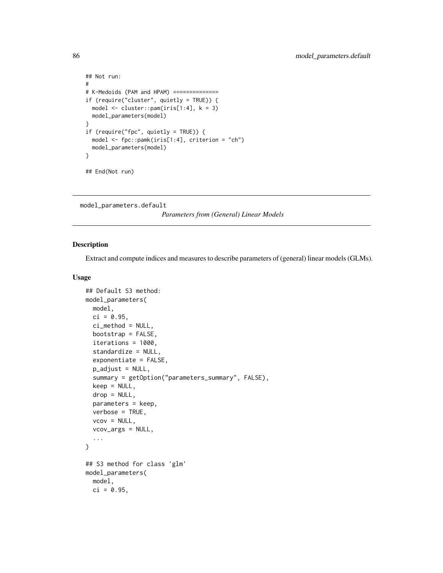```
## Not run:
#
# K-Medoids (PAM and HPAM) ==============
if (require("cluster", quietly = TRUE)) {
  model <- cluster::pam(iris[1:4], k = 3)
  model_parameters(model)
}
if (require("fpc", quietly = TRUE)) {
  model <- fpc::pamk(iris[1:4], criterion = "ch")
  model_parameters(model)
}
## End(Not run)
```
model\_parameters.default

*Parameters from (General) Linear Models*

### Description

Extract and compute indices and measures to describe parameters of (general) linear models (GLMs).

## Usage

```
## Default S3 method:
model_parameters(
 model,
  ci = 0.95,
  ci_method = NULL,
  bootstrap = FALSE,
  iterations = 1000,
  standardize = NULL,
  exponentiate = FALSE,
  p_adjust = NULL,
  summary = getOption("parameters_summary", FALSE),
  keep = NULL,
  drop = NULL,
  parameters = keep,
  verbose = TRUE,
  vcov = NULL,vcov_args = NULL,
  ...
\lambda## S3 method for class 'glm'
model_parameters(
  model,
 ci = 0.95,
```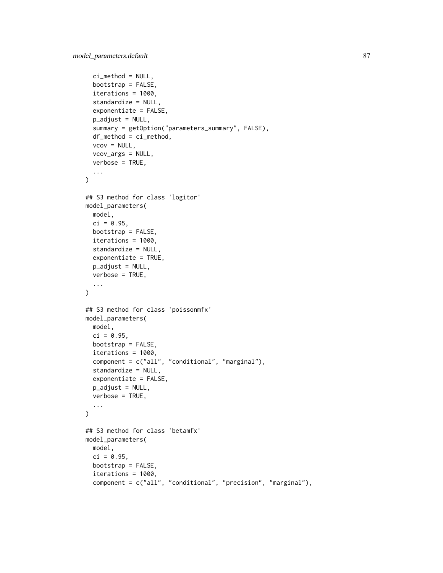```
ci_method = NULL,
  bootstrap = FALSE,
  iterations = 1000,
  standardize = NULL,
  exponentiate = FALSE,
  p_adjust = NULL,
  summary = getOption("parameters_summary", FALSE),
  df_method = ci_method,
  vcov = NULL,vcov_args = NULL,
  verbose = TRUE,
  ...
)
## S3 method for class 'logitor'
model_parameters(
 model,
 ci = 0.95,bootstrap = FALSE,
  iterations = 1000,
  standardize = NULL,
  exponentiate = TRUE,
 p_adjust = NULL,
  verbose = TRUE,
  ...
\lambda## S3 method for class 'poissonmfx'
model_parameters(
 model,
 ci = 0.95,bootstrap = FALSE,
  iterations = 1000,
  component = c("all", "conditional", "marginal"),
  standardize = NULL,
  exponentiate = FALSE,
 p_{ad}just = NULL,
 verbose = TRUE,
  ...
\mathcal{L}## S3 method for class 'betamfx'
model_parameters(
 model,
  ci = 0.95,bootstrap = FALSE,
  iterations = 1000,
  component = c("all", "conditional", "precision", "marginal"),
```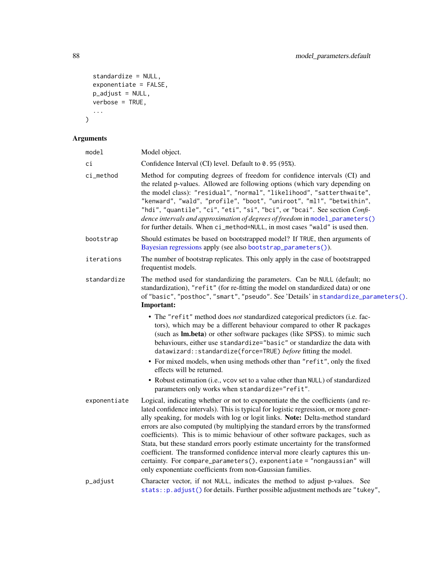```
standardize = NULL,
  exponentiate = FALSE,
 p\_adjust = NULL,verbose = TRUE,
  ...
\mathcal{L}
```

| model        | Model object.                                                                                                                                                                                                                                                                                                                                                                                                                                                                                                                                                                                                                                                                                                                                 |
|--------------|-----------------------------------------------------------------------------------------------------------------------------------------------------------------------------------------------------------------------------------------------------------------------------------------------------------------------------------------------------------------------------------------------------------------------------------------------------------------------------------------------------------------------------------------------------------------------------------------------------------------------------------------------------------------------------------------------------------------------------------------------|
| ci           | Confidence Interval (CI) level. Default to 0.95 (95%).                                                                                                                                                                                                                                                                                                                                                                                                                                                                                                                                                                                                                                                                                        |
| ci_method    | Method for computing degrees of freedom for confidence intervals (CI) and<br>the related p-values. Allowed are following options (which vary depending on<br>the model class): "residual", "normal", "likelihood", "satterthwaite",<br>"kenward", "wald", "profile", "boot", "uniroot", "ml1", "betwithin",<br>"hdi", "quantile", "ci", "eti", "si", "bci", or "bcai". See section Confi-<br>dence intervals and approximation of degrees of freedom in model_parameters()<br>for further details. When ci_method=NULL, in most cases "wald" is used then.                                                                                                                                                                                    |
| bootstrap    | Should estimates be based on bootstrapped model? If TRUE, then arguments of<br>Bayesian regressions apply (see also bootstrap_parameters()).                                                                                                                                                                                                                                                                                                                                                                                                                                                                                                                                                                                                  |
| iterations   | The number of bootstrap replicates. This only apply in the case of bootstrapped<br>frequentist models.                                                                                                                                                                                                                                                                                                                                                                                                                                                                                                                                                                                                                                        |
| standardize  | The method used for standardizing the parameters. Can be NULL (default; no<br>standardization), "refit" (for re-fitting the model on standardized data) or one<br>of "basic", "posthoc", "smart", "pseudo". See 'Details' in standardize_parameters().<br>Important:                                                                                                                                                                                                                                                                                                                                                                                                                                                                          |
|              | • The "refit" method does not standardized categorical predictors (i.e. fac-<br>tors), which may be a different behaviour compared to other R packages<br>(such as Im.beta) or other software packages (like SPSS). to mimic such<br>behaviours, either use standardize="basic" or standardize the data with<br>datawizard::standardize(force=TRUE) before fitting the model.                                                                                                                                                                                                                                                                                                                                                                 |
|              | • For mixed models, when using methods other than "refit", only the fixed<br>effects will be returned.                                                                                                                                                                                                                                                                                                                                                                                                                                                                                                                                                                                                                                        |
|              | • Robust estimation (i.e., vcov set to a value other than NULL) of standardized<br>parameters only works when standardize="refit".                                                                                                                                                                                                                                                                                                                                                                                                                                                                                                                                                                                                            |
| exponentiate | Logical, indicating whether or not to exponentiate the the coefficients (and re-<br>lated confidence intervals). This is typical for logistic regression, or more gener-<br>ally speaking, for models with log or logit links. Note: Delta-method standard<br>errors are also computed (by multiplying the standard errors by the transformed<br>coefficients). This is to mimic behaviour of other software packages, such as<br>Stata, but these standard errors poorly estimate uncertainty for the transformed<br>coefficient. The transformed confidence interval more clearly captures this un-<br>certainty. For compare_parameters(), exponentiate = "nongaussian" will<br>only exponentiate coefficients from non-Gaussian families. |
| p_adjust     | Character vector, if not NULL, indicates the method to adjust p-values. See<br>stats:: p. adjust() for details. Further possible adjustment methods are "tukey",                                                                                                                                                                                                                                                                                                                                                                                                                                                                                                                                                                              |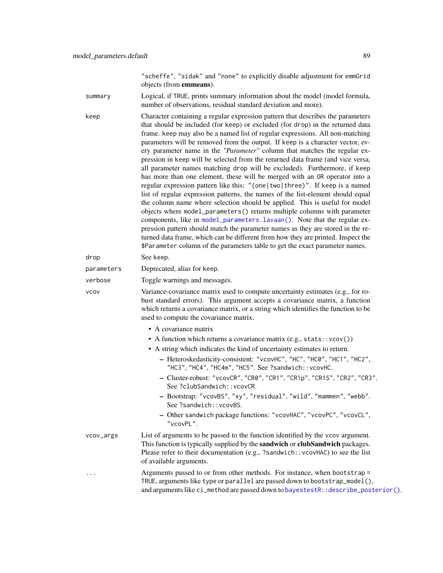"scheffe", "sidak" and "none" to explicitly disable adjustment for emmGrid objects (from emmeans).

summary Logical, if TRUE, prints summary information about the model (model formula, number of observations, residual standard deviation and more).

keep Character containing a regular expression pattern that describes the parameters that should be included (for keep) or excluded (for drop) in the returned data frame. keep may also be a named list of regular expressions. All non-matching parameters will be removed from the output. If keep is a character vector, every parameter name in the *"Parameter"* column that matches the regular expression in keep will be selected from the returned data frame (and vice versa, all parameter names matching drop will be excluded). Furthermore, if keep has more than one element, these will be merged with an OR operator into a regular expression pattern like this: "(one|two|three)". If keep is a named list of regular expression patterns, the names of the list-element should equal the column name where selection should be applied. This is useful for model objects where model\_parameters() returns multiple columns with parameter components, like in [model\\_parameters.lavaan\(\)](#page-97-0). Note that the regular expression pattern should match the parameter names as they are stored in the returned data frame, which can be different from how they are printed. Inspect the \$Parameter column of the parameters table to get the exact parameter names.

drop See keep. parameters Deprecated, alias for keep.

verbose Toggle warnings and messages.

vcov Variance-covariance matrix used to compute uncertainty estimates (e.g., for robust standard errors). This argument accepts a covariance matrix, a function which returns a covariance matrix, or a string which identifies the function to be used to compute the covariance matrix.

- A covariance matrix
- A function which returns a covariance matrix (e.g., stats::vcov())
- A string which indicates the kind of uncertainty estimates to return.
	- Heteroskedasticity-consistent: "vcovHC", "HC", "HC0", "HC1", "HC2", "HC3", "HC4", "HC4m", "HC5". See ?sandwich::vcovHC.
	- Cluster-robust: "vcovCR", "CR0", "CR1", "CR1p", "CR1S", "CR2", "CR3". See ?clubSandwich::vcovCR.
	- Bootstrap: "vcovBS", "xy", "residual", "wild", "mammen", "webb". See ?sandwich::vcovBS.
	- Other sandwich package functions: "vcovHAC", "vcovPC", "vcovCL", "vcovPL".
- vcov\_args List of arguments to be passed to the function identified by the vcov argument. This function is typically supplied by the **sandwich** or **clubSandwich** packages. Please refer to their documentation (e.g., ?sandwich::vcovHAC) to see the list of available arguments.
- Arguments passed to or from other methods. For instance, when bootstrap = TRUE, arguments like type or parallel are passed down to bootstrap\_model(), and arguments like ci\_method are passed down to [bayestestR::describe\\_posterior\(\)](#page-0-0).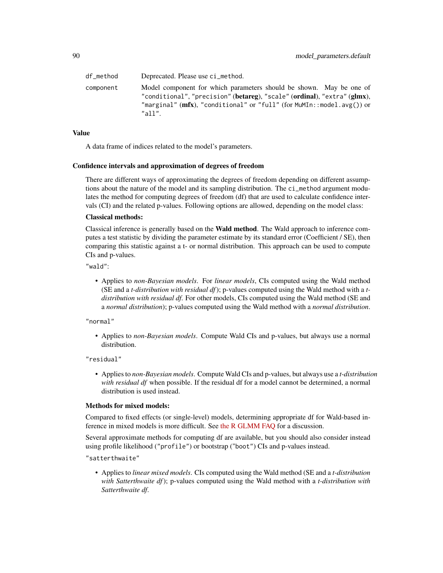| df method | Deprecated. Please use ci_method.                                                                                                                                                                                                      |
|-----------|----------------------------------------------------------------------------------------------------------------------------------------------------------------------------------------------------------------------------------------|
| component | Model component for which parameters should be shown. May be one of<br>"conditional", "precision" (betareg), "scale" (ordinal), "extra" (glmx),<br>"marginal" ( $mfx$ ), "conditional" or "full" (for MuMIn::model.avg()) or<br>"all". |

## Value

A data frame of indices related to the model's parameters.

#### Confidence intervals and approximation of degrees of freedom

There are different ways of approximating the degrees of freedom depending on different assumptions about the nature of the model and its sampling distribution. The ci\_method argument modulates the method for computing degrees of freedom (df) that are used to calculate confidence intervals (CI) and the related p-values. Following options are allowed, depending on the model class:

#### Classical methods:

Classical inference is generally based on the **Wald method**. The Wald approach to inference computes a test statistic by dividing the parameter estimate by its standard error (Coefficient / SE), then comparing this statistic against a t- or normal distribution. This approach can be used to compute CIs and p-values.

"wald":

• Applies to *non-Bayesian models*. For *linear models*, CIs computed using the Wald method (SE and a *t-distribution with residual df*); p-values computed using the Wald method with a *tdistribution with residual df*. For other models, CIs computed using the Wald method (SE and a *normal distribution*); p-values computed using the Wald method with a *normal distribution*.

"normal"

• Applies to *non-Bayesian models*. Compute Wald CIs and p-values, but always use a normal distribution.

"residual"

• Applies to *non-Bayesian models*. Compute Wald CIs and p-values, but always use a *t-distribution with residual df* when possible. If the residual df for a model cannot be determined, a normal distribution is used instead.

### Methods for mixed models:

Compared to fixed effects (or single-level) models, determining appropriate df for Wald-based inference in mixed models is more difficult. See [the R GLMM FAQ](https://bbolker.github.io/mixedmodels-misc/glmmFAQ.html#what-are-the-p-values-listed-by-summaryglmerfit-etc.-are-they-reliable) for a discussion.

Several approximate methods for computing df are available, but you should also consider instead using profile likelihood ("profile") or bootstrap ("boot") CIs and p-values instead.

"satterthwaite"

• Applies to *linear mixed models*. CIs computed using the Wald method (SE and a *t-distribution with Satterthwaite df*); p-values computed using the Wald method with a *t-distribution with Satterthwaite df*.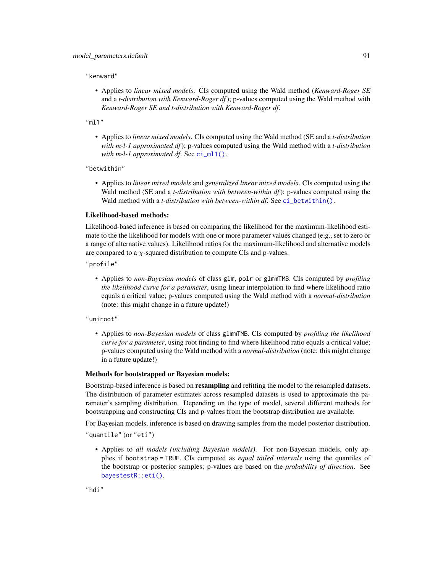"kenward"

• Applies to *linear mixed models*. CIs computed using the Wald method (*Kenward-Roger SE* and a *t-distribution with Kenward-Roger df*); p-values computed using the Wald method with *Kenward-Roger SE and t-distribution with Kenward-Roger df*.

"ml1"

• Applies to *linear mixed models*. CIs computed using the Wald method (SE and a *t-distribution with m-l-1 approximated df*); p-values computed using the Wald method with a *t-distribution with m-l-1 approximated df.* See [ci\\_ml1\(\)](#page-18-0).

"betwithin"

• Applies to *linear mixed models* and *generalized linear mixed models*. CIs computed using the Wald method (SE and a *t-distribution with between-within df*); p-values computed using the Wald method with a *t-distribution with between-within df*. See [ci\\_betwithin\(\)](#page-15-0).

#### Likelihood-based methods:

Likelihood-based inference is based on comparing the likelihood for the maximum-likelihood estimate to the the likelihood for models with one or more parameter values changed (e.g., set to zero or a range of alternative values). Likelihood ratios for the maximum-likelihood and alternative models are compared to a  $\chi$ -squared distribution to compute CIs and p-values.

"profile"

• Applies to *non-Bayesian models* of class glm, polr or glmmTMB. CIs computed by *profiling the likelihood curve for a parameter*, using linear interpolation to find where likelihood ratio equals a critical value; p-values computed using the Wald method with a *normal-distribution* (note: this might change in a future update!)

"uniroot"

• Applies to *non-Bayesian models* of class glmmTMB. CIs computed by *profiling the likelihood curve for a parameter*, using root finding to find where likelihood ratio equals a critical value; p-values computed using the Wald method with a *normal-distribution* (note: this might change in a future update!)

### Methods for bootstrapped or Bayesian models:

Bootstrap-based inference is based on **resampling** and refitting the model to the resampled datasets. The distribution of parameter estimates across resampled datasets is used to approximate the parameter's sampling distribution. Depending on the type of model, several different methods for bootstrapping and constructing CIs and p-values from the bootstrap distribution are available.

For Bayesian models, inference is based on drawing samples from the model posterior distribution.

"quantile" (or "eti")

• Applies to *all models (including Bayesian models)*. For non-Bayesian models, only applies if bootstrap = TRUE. CIs computed as *equal tailed intervals* using the quantiles of the bootstrap or posterior samples; p-values are based on the *probability of direction*. See [bayestestR::eti\(\)](#page-0-0).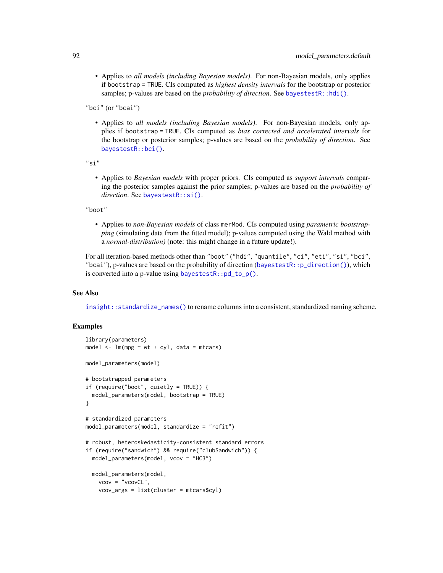• Applies to *all models (including Bayesian models)*. For non-Bayesian models, only applies if bootstrap = TRUE. CIs computed as *highest density intervals* for the bootstrap or posterior samples; p-values are based on the *probability of direction*. See [bayestestR::hdi\(\)](#page-0-0).

"bci" (or "bcai")

• Applies to *all models (including Bayesian models)*. For non-Bayesian models, only applies if bootstrap = TRUE. CIs computed as *bias corrected and accelerated intervals* for the bootstrap or posterior samples; p-values are based on the *probability of direction*. See [bayestestR::bci\(\)](#page-0-0).

"si"

• Applies to *Bayesian models* with proper priors. CIs computed as *support intervals* comparing the posterior samples against the prior samples; p-values are based on the *probability of direction*. See [bayestestR::si\(\)](#page-0-0).

"boot"

• Applies to *non-Bayesian models* of class merMod. CIs computed using *parametric bootstrapping* (simulating data from the fitted model); p-values computed using the Wald method with a *normal-distribution)* (note: this might change in a future update!).

For all iteration-based methods other than "boot" ("hdi", "quantile", "ci", "eti", "si", "bci", "bcai"), p-values are based on the probability of direction ([bayestestR::p\\_direction\(\)](#page-0-0)), which is converted into a p-value using [bayestestR::pd\\_to\\_p\(\)](#page-0-0).

### See Also

[insight::standardize\\_names\(\)](#page-0-0) to rename columns into a consistent, standardized naming scheme.

```
library(parameters)
model \leq lm(mpg \sim wt + cyl, data = mtcars)
model_parameters(model)
# bootstrapped parameters
if (require("boot", quietly = TRUE)) {
 model_parameters(model, bootstrap = TRUE)
}
# standardized parameters
model_parameters(model, standardize = "refit")
# robust, heteroskedasticity-consistent standard errors
if (require("sandwich") && require("clubSandwich")) {
 model_parameters(model, vcov = "HC3")
 model_parameters(model,
   vcov = "vcovCL",
   vcov_args = list(cluster = mtcars$cyl)
```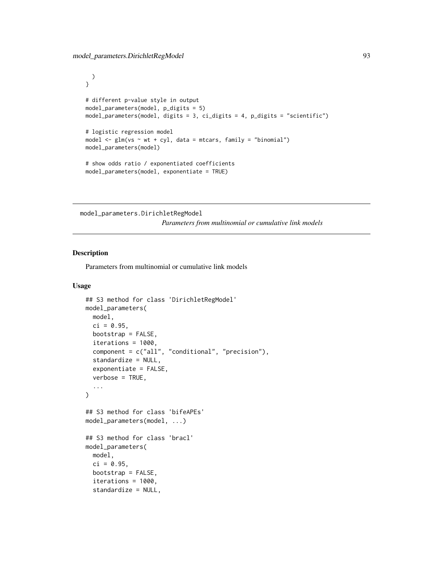```
)
}
# different p-value style in output
model_parameters(model, p_digits = 5)
model_parameters(model, digits = 3, ci_digits = 4, p_digits = "scientific")
# logistic regression model
model \leq glm(vs \sim wt + cyl, data = mtcars, family = "binomial")
model_parameters(model)
# show odds ratio / exponentiated coefficients
model_parameters(model, exponentiate = TRUE)
```
model\_parameters.DirichletRegModel *Parameters from multinomial or cumulative link models*

### Description

Parameters from multinomial or cumulative link models

### Usage

```
## S3 method for class 'DirichletRegModel'
model_parameters(
  model,
  ci = 0.95,bootstrap = FALSE,
  iterations = 1000,
  component = c("all", "conditional", "precision"),
  standardize = NULL,
  exponentiate = FALSE,
  verbose = TRUE,
  ...
\lambda## S3 method for class 'bifeAPEs'
model_parameters(model, ...)
## S3 method for class 'bracl'
model_parameters(
 model,
  ci = 0.95,
 bootstrap = FALSE,
  iterations = 1000,
  standardize = NULL,
```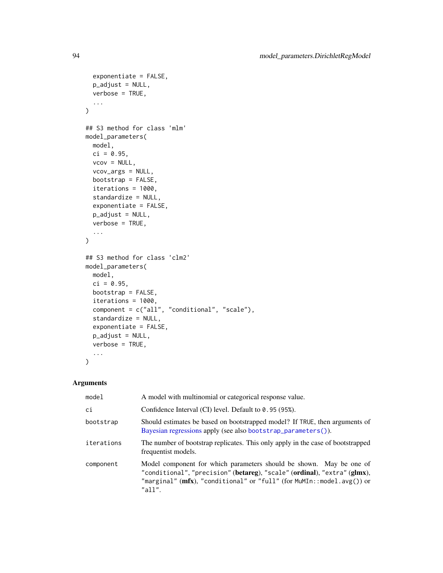```
exponentiate = FALSE,
 p_adjust = NULL,
 verbose = TRUE,
  ...
\mathcal{L}## S3 method for class 'mlm'
model_parameters(
 model,
 ci = 0.95,vcov = NULL,vcov_args = NULL,
 bootstrap = FALSE,
 iterations = 1000,
  standardize = NULL,
  exponentiate = FALSE,
 p_adjust = NULL,
 verbose = TRUE,
  ...
\mathcal{L}## S3 method for class 'clm2'
model_parameters(
 model,
 ci = 0.95,bootstrap = FALSE,
  iterations = 1000,
 component = c("all", "conditional", "scale"),
  standardize = NULL,
 exponentiate = FALSE,
 p_adjust = NULL,
 verbose = TRUE,
  ...
\mathcal{L}
```

| model      | A model with multinomial or categorical response value.                                                                                                                                                                            |
|------------|------------------------------------------------------------------------------------------------------------------------------------------------------------------------------------------------------------------------------------|
| ci         | Confidence Interval (CI) level. Default to 0.95 (95%).                                                                                                                                                                             |
| bootstrap  | Should estimates be based on bootstrapped model? If TRUE, then arguments of<br>Bayesian regressions apply (see also bootstrap_parameters()).                                                                                       |
| iterations | The number of bootstrap replicates. This only apply in the case of bootstrapped<br>frequentist models.                                                                                                                             |
| component  | Model component for which parameters should be shown. May be one of<br>"conditional", "precision" (betareg), "scale" (ordinal), "extra" (glmx),<br>"marginal" (mfx), "conditional" or "full" (for MuMIn::model.avg()) or<br>"all". |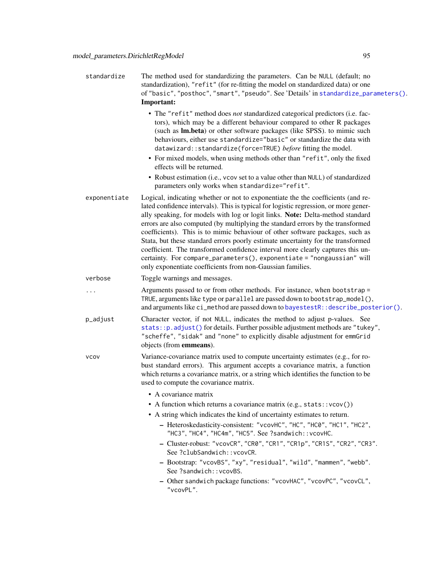| standardize  | The method used for standardizing the parameters. Can be NULL (default; no<br>standardization), "refit" (for re-fitting the model on standardized data) or one<br>of "basic", "posthoc", "smart", "pseudo". See 'Details' in standardize_parameters().<br>Important:                                                                                                                                                                                                                                                                                                                                                                                                                                                                          |
|--------------|-----------------------------------------------------------------------------------------------------------------------------------------------------------------------------------------------------------------------------------------------------------------------------------------------------------------------------------------------------------------------------------------------------------------------------------------------------------------------------------------------------------------------------------------------------------------------------------------------------------------------------------------------------------------------------------------------------------------------------------------------|
|              | • The "refit" method does not standardized categorical predictors (i.e. fac-<br>tors), which may be a different behaviour compared to other R packages<br>(such as <b>lm.beta</b> ) or other software packages (like SPSS). to mimic such<br>behaviours, either use standardize="basic" or standardize the data with<br>datawizard::standardize(force=TRUE) before fitting the model.<br>• For mixed models, when using methods other than "refit", only the fixed<br>effects will be returned.                                                                                                                                                                                                                                               |
|              | • Robust estimation (i.e., vcov set to a value other than NULL) of standardized<br>parameters only works when standardize="refit".                                                                                                                                                                                                                                                                                                                                                                                                                                                                                                                                                                                                            |
| exponentiate | Logical, indicating whether or not to exponentiate the the coefficients (and re-<br>lated confidence intervals). This is typical for logistic regression, or more gener-<br>ally speaking, for models with log or logit links. Note: Delta-method standard<br>errors are also computed (by multiplying the standard errors by the transformed<br>coefficients). This is to mimic behaviour of other software packages, such as<br>Stata, but these standard errors poorly estimate uncertainty for the transformed<br>coefficient. The transformed confidence interval more clearly captures this un-<br>certainty. For compare_parameters(), exponentiate = "nongaussian" will<br>only exponentiate coefficients from non-Gaussian families. |
| verbose      | Toggle warnings and messages.                                                                                                                                                                                                                                                                                                                                                                                                                                                                                                                                                                                                                                                                                                                 |
|              | Arguments passed to or from other methods. For instance, when bootstrap =<br>TRUE, arguments like type or parallel are passed down to bootstrap_model(),<br>and arguments like ci_method are passed down to bayestestR:: describe_posterior().                                                                                                                                                                                                                                                                                                                                                                                                                                                                                                |
| p_adjust     | Character vector, if not NULL, indicates the method to adjust p-values. See<br>stats:: p.adjust() for details. Further possible adjustment methods are "tukey",<br>"scheffe", "sidak" and "none" to explicitly disable adjustment for emmGrid<br>objects (from emmeans).                                                                                                                                                                                                                                                                                                                                                                                                                                                                      |
| <b>VCOV</b>  | Variance-covariance matrix used to compute uncertainty estimates (e.g., for ro-<br>bust standard errors). This argument accepts a covariance matrix, a function<br>which returns a covariance matrix, or a string which identifies the function to be<br>used to compute the covariance matrix.                                                                                                                                                                                                                                                                                                                                                                                                                                               |
|              | • A covariance matrix                                                                                                                                                                                                                                                                                                                                                                                                                                                                                                                                                                                                                                                                                                                         |
|              | • A function which returns a covariance matrix $(e.g., stats::vcov())$                                                                                                                                                                                                                                                                                                                                                                                                                                                                                                                                                                                                                                                                        |
|              | • A string which indicates the kind of uncertainty estimates to return.<br>- Heteroskedasticity-consistent: "vcovHC", "HC", "HC0", "HC1", "HC2",<br>"HC3", "HC4", "HC4m", "HC5". See ?sandwich:: vcovHC.                                                                                                                                                                                                                                                                                                                                                                                                                                                                                                                                      |
|              | - Cluster-robust: "vcovCR", "CR0", "CR1", "CR1p", "CR1S", "CR2", "CR3".<br>See ?clubSandwich:: vcovCR.                                                                                                                                                                                                                                                                                                                                                                                                                                                                                                                                                                                                                                        |
|              | - Bootstrap: "vcovBS", "xy", "residual", "wild", "mammen", "webb".<br>See ?sandwich:: vcovBS.                                                                                                                                                                                                                                                                                                                                                                                                                                                                                                                                                                                                                                                 |
|              | - Other sandwich package functions: "vcovHAC", "vcovPC", "vcovCL",<br>"vcovPL".                                                                                                                                                                                                                                                                                                                                                                                                                                                                                                                                                                                                                                                               |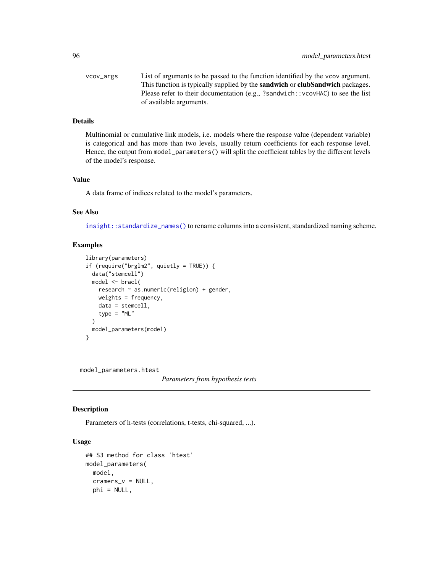| vcov_args | List of arguments to be passed to the function identified by the vcov argument.             |
|-----------|---------------------------------------------------------------------------------------------|
|           | This function is typically supplied by the <b>sandwich</b> or <b>clubSandwich</b> packages. |
|           | Please refer to their documentation (e.g., ?sandwich: : vcovHAC) to see the list            |
|           | of available arguments.                                                                     |

## Details

Multinomial or cumulative link models, i.e. models where the response value (dependent variable) is categorical and has more than two levels, usually return coefficients for each response level. Hence, the output from model\_parameters() will split the coefficient tables by the different levels of the model's response.

#### Value

A data frame of indices related to the model's parameters.

## See Also

[insight::standardize\\_names\(\)](#page-0-0) to rename columns into a consistent, standardized naming scheme.

## Examples

```
library(parameters)
if (require("brglm2", quietly = TRUE)) {
 data("stemcell")
 model <- bracl(
   research ~ as.numeric(religion) + gender,
   weights = frequency,
   data = stemcell,
   type = "ML"
 )
 model_parameters(model)
}
```
model\_parameters.htest

*Parameters from hypothesis tests*

### Description

Parameters of h-tests (correlations, t-tests, chi-squared, ...).

## Usage

```
## S3 method for class 'htest'
model_parameters(
 model,
  cramers_v = NULL,
 phi = NULL,
```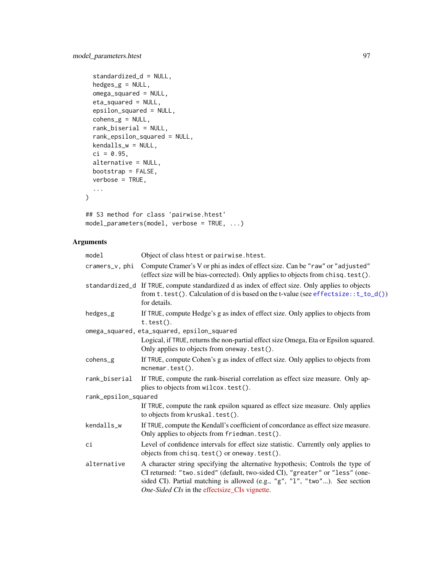```
standardized_d = NULL,
  hedges_g = NULL,
  omega_squared = NULL,
 eta_squared = NULL,
  epsilon_squared = NULL,
  cohens_g = NULL,
  rank_biserial = NULL,
  rank_epsilon_squared = NULL,
 kendalls_w = NULL,
 ci = 0.95,alternative = NULL,
 bootstrap = FALSE,
 verbose = TRUE,
  ...
\mathcal{L}
```
## S3 method for class 'pairwise.htest' model\_parameters(model, verbose = TRUE, ...)

| model                | Object of class htest or pairwise. htest.                                                                                                                                                                                                                                                     |  |
|----------------------|-----------------------------------------------------------------------------------------------------------------------------------------------------------------------------------------------------------------------------------------------------------------------------------------------|--|
| cramers_v, phi       | Compute Cramer's V or phi as index of effect size. Can be "raw" or "adjusted"<br>(effect size will be bias-corrected). Only applies to objects from chisq.test().                                                                                                                             |  |
|                      | standardized_d If TRUE, compute standardized d as index of effect size. Only applies to objects<br>from $t. \text{test}()$ . Calculation of d is based on the t-value (see effect size: : $t\_to_d()$ )<br>for details.                                                                       |  |
| hedges_g             | If TRUE, compute Hedge's g as index of effect size. Only applies to objects from<br>$t.test()$ .                                                                                                                                                                                              |  |
|                      | omega_squared, eta_squared, epsilon_squared                                                                                                                                                                                                                                                   |  |
|                      | Logical, if TRUE, returns the non-partial effect size Omega, Eta or Epsilon squared.<br>Only applies to objects from oneway. test().                                                                                                                                                          |  |
| cohens_g             | If TRUE, compute Cohen's g as index of effect size. Only applies to objects from<br>$m$ cnemar.test $()$ .                                                                                                                                                                                    |  |
| rank_biserial        | If TRUE, compute the rank-biserial correlation as effect size measure. Only ap-<br>plies to objects from wilcox.test().                                                                                                                                                                       |  |
| rank_epsilon_squared |                                                                                                                                                                                                                                                                                               |  |
|                      | If TRUE, compute the rank epsilon squared as effect size measure. Only applies<br>to objects from kruskal.test().                                                                                                                                                                             |  |
| kendalls_w           | If TRUE, compute the Kendall's coefficient of concordance as effect size measure.<br>Only applies to objects from friedman. test().                                                                                                                                                           |  |
| сi                   | Level of confidence intervals for effect size statistic. Currently only applies to<br>objects from chisq. test() or oneway. test().                                                                                                                                                           |  |
| alternative          | A character string specifying the alternative hypothesis; Controls the type of<br>CI returned: "two.sided" (default, two-sided CI), "greater" or "less" (one-<br>sided CI). Partial matching is allowed (e.g., "g", "1", "two"). See section<br>One-Sided CIs in the effectsize_CIs vignette. |  |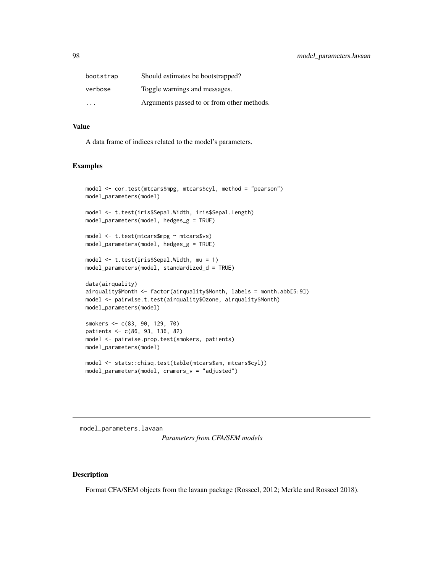| bootstrap | Should estimates be bootstrapped?          |
|-----------|--------------------------------------------|
| verbose   | Toggle warnings and messages.              |
| .         | Arguments passed to or from other methods. |

## Value

A data frame of indices related to the model's parameters.

## Examples

```
model <- cor.test(mtcars$mpg, mtcars$cyl, method = "pearson")
model_parameters(model)
model <- t.test(iris$Sepal.Width, iris$Sepal.Length)
model_parameters(model, hedges_g = TRUE)
model <- t.test(mtcars$mpg ~ mtcars$vs)
model_parameters(model, hedges_g = TRUE)
model <- t.test(iris$Sepal.Width, mu = 1)
model_parameters(model, standardized_d = TRUE)
data(airquality)
airquality$Month <- factor(airquality$Month, labels = month.abb[5:9])
model <- pairwise.t.test(airquality$Ozone, airquality$Month)
model_parameters(model)
smokers <- c(83, 90, 129, 70)
patients <- c(86, 93, 136, 82)
model <- pairwise.prop.test(smokers, patients)
model_parameters(model)
model <- stats::chisq.test(table(mtcars$am, mtcars$cyl))
model_parameters(model, cramers_v = "adjusted")
```
<span id="page-97-0"></span>model\_parameters.lavaan *Parameters from CFA/SEM models*

## Description

Format CFA/SEM objects from the lavaan package (Rosseel, 2012; Merkle and Rosseel 2018).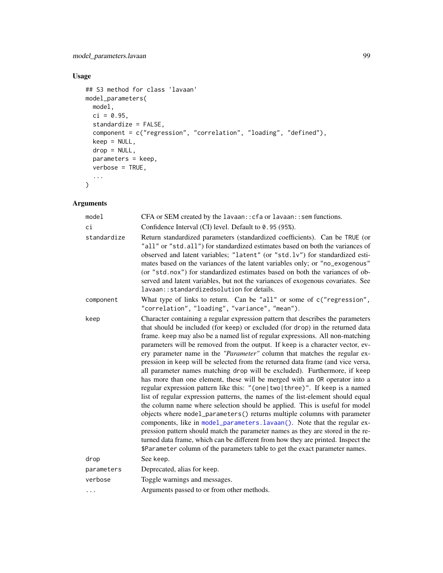# Usage

```
## S3 method for class 'lavaan'
model_parameters(
  model,
  ci = 0.95,standardize = FALSE,
  component = c("regression", "correlation", "loading", "defined"),
  keep = NULL,
  drop = NULL,
  parameters = keep,
  verbose = TRUE,
  ...
\mathcal{L}
```

| model       | CFA or SEM created by the lavaan: : cfa or lavaan: : sem functions.                                                                                                                                                                                                                                                                                                                                                                                                                                                                                                                                                                                                                                                                                                                                                                                                                                                                                                                                                                                                                                                                                                                                                                                                                                                             |
|-------------|---------------------------------------------------------------------------------------------------------------------------------------------------------------------------------------------------------------------------------------------------------------------------------------------------------------------------------------------------------------------------------------------------------------------------------------------------------------------------------------------------------------------------------------------------------------------------------------------------------------------------------------------------------------------------------------------------------------------------------------------------------------------------------------------------------------------------------------------------------------------------------------------------------------------------------------------------------------------------------------------------------------------------------------------------------------------------------------------------------------------------------------------------------------------------------------------------------------------------------------------------------------------------------------------------------------------------------|
| ci          | Confidence Interval (CI) level. Default to 0.95 (95%).                                                                                                                                                                                                                                                                                                                                                                                                                                                                                                                                                                                                                                                                                                                                                                                                                                                                                                                                                                                                                                                                                                                                                                                                                                                                          |
| standardize | Return standardized parameters (standardized coefficients). Can be TRUE (or<br>"all" or "std.all") for standardized estimates based on both the variances of<br>observed and latent variables; "latent" (or "std.lv") for standardized esti-<br>mates based on the variances of the latent variables only; or "no_exogenous"<br>(or "std.nox") for standardized estimates based on both the variances of ob-<br>served and latent variables, but not the variances of exogenous covariates. See<br>lavaan:: standardizedsolution for details.                                                                                                                                                                                                                                                                                                                                                                                                                                                                                                                                                                                                                                                                                                                                                                                   |
| component   | What type of links to return. Can be "all" or some of c("regression",<br>"correlation", "loading", "variance", "mean").                                                                                                                                                                                                                                                                                                                                                                                                                                                                                                                                                                                                                                                                                                                                                                                                                                                                                                                                                                                                                                                                                                                                                                                                         |
| keep        | Character containing a regular expression pattern that describes the parameters<br>that should be included (for keep) or excluded (for drop) in the returned data<br>frame. keep may also be a named list of regular expressions. All non-matching<br>parameters will be removed from the output. If keep is a character vector, ev-<br>ery parameter name in the "Parameter" column that matches the regular ex-<br>pression in keep will be selected from the returned data frame (and vice versa,<br>all parameter names matching drop will be excluded). Furthermore, if keep<br>has more than one element, these will be merged with an OR operator into a<br>regular expression pattern like this: "(one two three)". If keep is a named<br>list of regular expression patterns, the names of the list-element should equal<br>the column name where selection should be applied. This is useful for model<br>objects where model_parameters() returns multiple columns with parameter<br>components, like in model_parameters.lavaan(). Note that the regular ex-<br>pression pattern should match the parameter names as they are stored in the re-<br>turned data frame, which can be different from how they are printed. Inspect the<br>\$Parameter column of the parameters table to get the exact parameter names. |
| drop        | See keep.                                                                                                                                                                                                                                                                                                                                                                                                                                                                                                                                                                                                                                                                                                                                                                                                                                                                                                                                                                                                                                                                                                                                                                                                                                                                                                                       |
| parameters  | Deprecated, alias for keep.                                                                                                                                                                                                                                                                                                                                                                                                                                                                                                                                                                                                                                                                                                                                                                                                                                                                                                                                                                                                                                                                                                                                                                                                                                                                                                     |
| verbose     | Toggle warnings and messages.                                                                                                                                                                                                                                                                                                                                                                                                                                                                                                                                                                                                                                                                                                                                                                                                                                                                                                                                                                                                                                                                                                                                                                                                                                                                                                   |
| .           | Arguments passed to or from other methods.                                                                                                                                                                                                                                                                                                                                                                                                                                                                                                                                                                                                                                                                                                                                                                                                                                                                                                                                                                                                                                                                                                                                                                                                                                                                                      |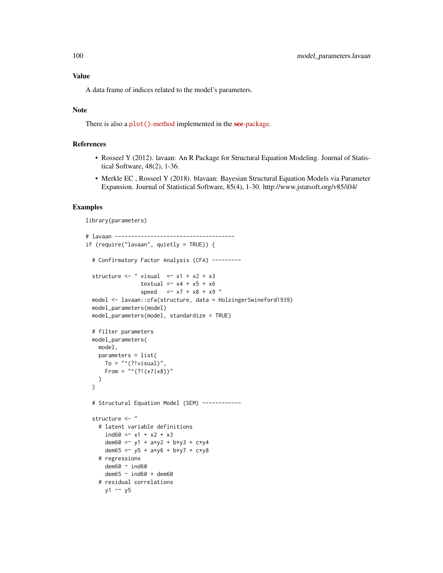## Value

A data frame of indices related to the model's parameters.

### Note

There is also a plot()[-method](https://easystats.github.io/see/articles/parameters.html) implemented in the **see**[-package.](https://easystats.github.io/see/)

## References

- Rosseel Y (2012). lavaan: An R Package for Structural Equation Modeling. Journal of Statistical Software, 48(2), 1-36.
- Merkle EC , Rosseel Y (2018). blavaan: Bayesian Structural Equation Models via Parameter Expansion. Journal of Statistical Software, 85(4), 1-30. http://www.jstatsoft.org/v85/i04/

```
library(parameters)
# lavaan -------------------------------------
if (require("lavaan", quietly = TRUE)) {
 # Confirmatory Factor Analysis (CFA) ---------
 structure <- " visual =- x1 + x2 + x3textual =~x4 + x5 + x6speed = x7 + x8 + x9 "
 model <- lavaan::cfa(structure, data = HolzingerSwineford1939)
 model_parameters(model)
 model_parameters(model, standardize = TRUE)
 # filter parameters
 model_parameters(
   model,
   parameters = list(
     To = "^(?!visual)"From = "^(?!(x7|x8))")
 \lambda# Structural Equation Model (SEM) ------------
 structure <- "
   # latent variable definitions
     ind60 = x1 + x2 + x3dem60 = \times y1 + a*y2 + b*y3 + c*y4
     dem65 = -y5 + a*y6 + b*y7 + c*y8# regressions
     dem60 ~ ind60
     dem65 ~ ind60 + dem60
    # residual correlations
     y1 \sim y5
```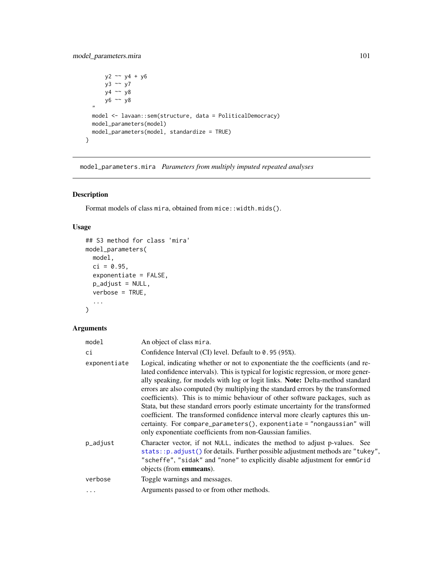## model\_parameters.mira 101

```
y2 ~~ y4 + y6
      y3 ~~ y7
      y4 ~~ y8
      y6 ~~ y8
  \overline{''}model <- lavaan::sem(structure, data = PoliticalDemocracy)
  model_parameters(model)
  model_parameters(model, standardize = TRUE)
}
```
model\_parameters.mira *Parameters from multiply imputed repeated analyses*

## Description

Format models of class mira, obtained from mice::width.mids().

## Usage

```
## S3 method for class 'mira'
model_parameters(
 model,
 ci = 0.95,exponentiate = FALSE,
 p_adjust = NULL,
 verbose = TRUE,
  ...
)
```

| model        | An object of class mira.                                                                                                                                                                                                                                                                                                                                                                                                                                                                                                                                                                                                                                                                                                                      |
|--------------|-----------------------------------------------------------------------------------------------------------------------------------------------------------------------------------------------------------------------------------------------------------------------------------------------------------------------------------------------------------------------------------------------------------------------------------------------------------------------------------------------------------------------------------------------------------------------------------------------------------------------------------------------------------------------------------------------------------------------------------------------|
| ci           | Confidence Interval (CI) level. Default to 0.95 (95%).                                                                                                                                                                                                                                                                                                                                                                                                                                                                                                                                                                                                                                                                                        |
| exponentiate | Logical, indicating whether or not to exponentiate the the coefficients (and re-<br>lated confidence intervals). This is typical for logistic regression, or more gener-<br>ally speaking, for models with log or logit links. Note: Delta-method standard<br>errors are also computed (by multiplying the standard errors by the transformed<br>coefficients). This is to mimic behaviour of other software packages, such as<br>Stata, but these standard errors poorly estimate uncertainty for the transformed<br>coefficient. The transformed confidence interval more clearly captures this un-<br>certainty. For compare_parameters(), exponentiate = "nongaussian" will<br>only exponentiate coefficients from non-Gaussian families. |
| p_adjust     | Character vector, if not NULL, indicates the method to adjust p-values. See<br>stats:: p. adjust() for details. Further possible adjustment methods are "tukey",<br>"scheffe", "sidak" and "none" to explicitly disable adjustment for emmGrid<br>objects (from <b>emmeans</b> ).                                                                                                                                                                                                                                                                                                                                                                                                                                                             |
| verbose      | Toggle warnings and messages.                                                                                                                                                                                                                                                                                                                                                                                                                                                                                                                                                                                                                                                                                                                 |
| .            | Arguments passed to or from other methods.                                                                                                                                                                                                                                                                                                                                                                                                                                                                                                                                                                                                                                                                                                    |
|              |                                                                                                                                                                                                                                                                                                                                                                                                                                                                                                                                                                                                                                                                                                                                               |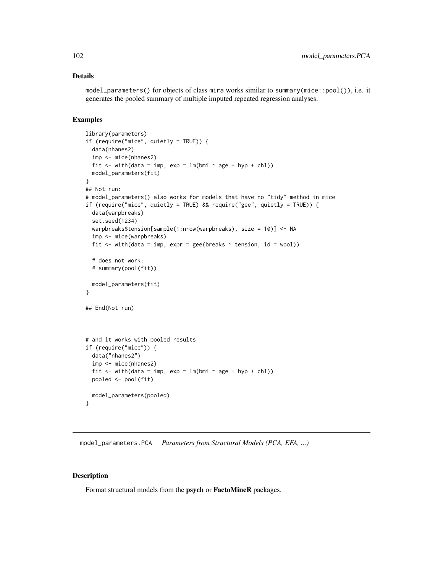## Details

model\_parameters() for objects of class mira works similar to summary(mice::pool()), i.e. it generates the pooled summary of multiple imputed repeated regression analyses.

## Examples

```
library(parameters)
if (require("mice", quietly = TRUE)) {
 data(nhanes2)
 imp <- mice(nhanes2)
 fit \le with(data = imp, exp = lm(bmi \sim age + hyp + chl))
 model_parameters(fit)
}
## Not run:
# model_parameters() also works for models that have no "tidy"-method in mice
if (require("mice", quietly = TRUE) && require("gee", quietly = TRUE)) {
 data(warpbreaks)
 set.seed(1234)
 warpbreaks$tension[sample(1:nrow(warpbreaks), size = 10)] <- NA
 imp <- mice(warpbreaks)
 fit \le with(data = imp, expr = gee(breaks \sim tension, id = wool))
 # does not work:
 # summary(pool(fit))
 model_parameters(fit)
}
## End(Not run)
# and it works with pooled results
if (require("mice")) {
 data("nhanes2")
 imp <- mice(nhanes2)
 fit \le with(data = imp, exp = lm(bmi \sim age + hyp + chl))
 pooled <- pool(fit)
 model_parameters(pooled)
}
```
model\_parameters.PCA *Parameters from Structural Models (PCA, EFA, ...)*

### Description

Format structural models from the psych or FactoMineR packages.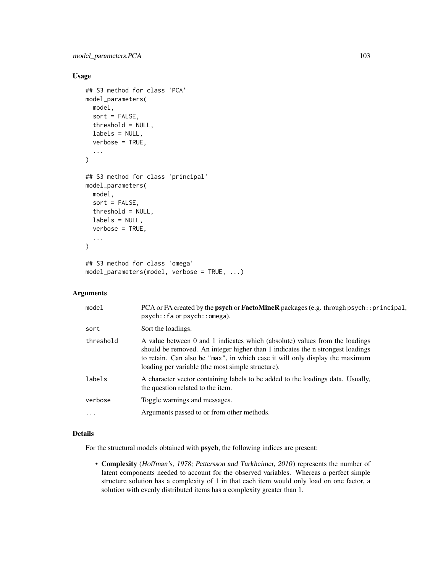## Usage

```
## S3 method for class 'PCA'
model_parameters(
 model,
  sort = FALSE,threshold = NULL,
  labels = NULL,
  verbose = TRUE,
  ...
)
## S3 method for class 'principal'
model_parameters(
  model,
  sort = FALSE,
  threshold = NULL,
  labels = NULL,
  verbose = TRUE,
  ...
)
## S3 method for class 'omega'
model_parameters(model, verbose = TRUE, ...)
```
### Arguments

| model     | PCA or FA created by the <b>psych</b> or <b>FactoMineR</b> packages (e.g. through psych: : principal,<br>psych::fa or psych::omega).                                                                                                                                                               |
|-----------|----------------------------------------------------------------------------------------------------------------------------------------------------------------------------------------------------------------------------------------------------------------------------------------------------|
| sort      | Sort the loadings.                                                                                                                                                                                                                                                                                 |
| threshold | A value between 0 and 1 indicates which (absolute) values from the loadings<br>should be removed. An integer higher than 1 indicates the n strongest loadings<br>to retain. Can also be "max", in which case it will only display the maximum<br>loading per variable (the most simple structure). |
| labels    | A character vector containing labels to be added to the loadings data. Usually,<br>the question related to the item.                                                                                                                                                                               |
| verbose   | Toggle warnings and messages.                                                                                                                                                                                                                                                                      |
| $\ddots$  | Arguments passed to or from other methods.                                                                                                                                                                                                                                                         |

## Details

For the structural models obtained with psych, the following indices are present:

• Complexity (Hoffman's, 1978; Pettersson and Turkheimer, 2010) represents the number of latent components needed to account for the observed variables. Whereas a perfect simple structure solution has a complexity of 1 in that each item would only load on one factor, a solution with evenly distributed items has a complexity greater than 1.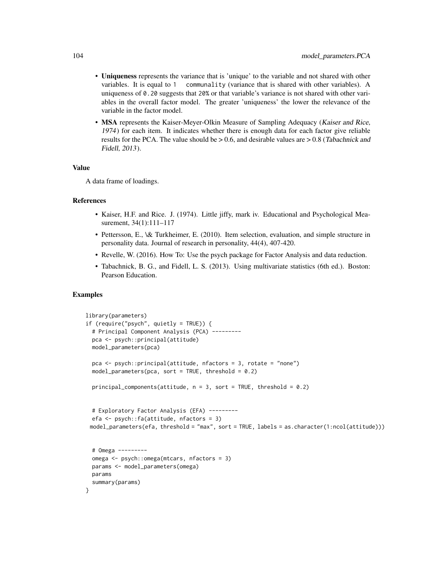- Uniqueness represents the variance that is 'unique' to the variable and not shared with other variables. It is equal to 1 communality (variance that is shared with other variables). A uniqueness of 0.20 suggests that 20% or that variable's variance is not shared with other variables in the overall factor model. The greater 'uniqueness' the lower the relevance of the variable in the factor model.
- MSA represents the Kaiser-Meyer-Olkin Measure of Sampling Adequacy (Kaiser and Rice, 1974) for each item. It indicates whether there is enough data for each factor give reliable results for the PCA. The value should be  $> 0.6$ , and desirable values are  $> 0.8$  (Tabachnick and Fidell, 2013).

### Value

A data frame of loadings.

#### References

- Kaiser, H.F. and Rice. J. (1974). Little jiffy, mark iv. Educational and Psychological Measurement, 34(1):111–117
- Pettersson, E., \& Turkheimer, E. (2010). Item selection, evaluation, and simple structure in personality data. Journal of research in personality, 44(4), 407-420.
- Revelle, W. (2016). How To: Use the psych package for Factor Analysis and data reduction.
- Tabachnick, B. G., and Fidell, L. S. (2013). Using multivariate statistics (6th ed.). Boston: Pearson Education.

```
library(parameters)
if (require("psych", quietly = TRUE)) {
 # Principal Component Analysis (PCA) ---------
 pca <- psych::principal(attitude)
 model_parameters(pca)
 pca <- psych::principal(attitude, nfactors = 3, rotate = "none")
 model_parameters(pca, sort = TRUE, threshold = 0.2)
 principal_components(attitude, n = 3, sort = TRUE, threshold = 0.2)
 # Exploratory Factor Analysis (EFA) ---------
 efa <- psych::fa(attitude, nfactors = 3)
 model_parameters(efa, threshold = "max", sort = TRUE, labels = as.character(1:ncol(attitude)))
 # Omega ---------
 omega <- psych::omega(mtcars, nfactors = 3)
 params <- model_parameters(omega)
 params
 summary(params)
}
```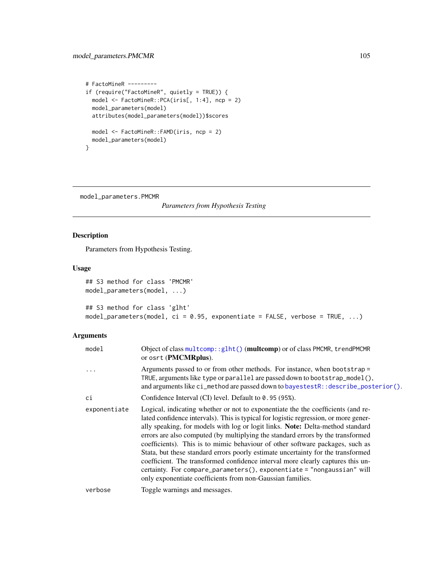## model\_parameters.PMCMR 105

```
# FactoMineR ---------
if (require("FactoMineR", quietly = TRUE)) {
 model <- FactoMineR::PCA(iris[, 1:4], ncp = 2)
  model_parameters(model)
  attributes(model_parameters(model))$scores
  model <- FactoMineR::FAMD(iris, ncp = 2)
  model_parameters(model)
}
```
model\_parameters.PMCMR

*Parameters from Hypothesis Testing*

# Description

Parameters from Hypothesis Testing.

## Usage

```
## S3 method for class 'PMCMR'
model_parameters(model, ...)
## S3 method for class 'glht'
model_parameters(model, ci = 0.95, exponentiate = FALSE, verbose = TRUE, ...)
```

| model        | Object of class multcomp:: glht() (multcomp) or of class PMCMR, trendPMCMR<br>or osrt (PMCMRplus).                                                                                                                                                                                                                                                                                                                                                                                                                                                                                                                                                                                                                                            |
|--------------|-----------------------------------------------------------------------------------------------------------------------------------------------------------------------------------------------------------------------------------------------------------------------------------------------------------------------------------------------------------------------------------------------------------------------------------------------------------------------------------------------------------------------------------------------------------------------------------------------------------------------------------------------------------------------------------------------------------------------------------------------|
|              | Arguments passed to or from other methods. For instance, when bootstrap =<br>TRUE, arguments like type or parallel are passed down to bootstrap_model(),<br>and arguments like ci_method are passed down to bayestestR::describe_posterior().                                                                                                                                                                                                                                                                                                                                                                                                                                                                                                 |
| сi           | Confidence Interval (CI) level. Default to 0.95 (95%).                                                                                                                                                                                                                                                                                                                                                                                                                                                                                                                                                                                                                                                                                        |
| exponentiate | Logical, indicating whether or not to exponentiate the the coefficients (and re-<br>lated confidence intervals). This is typical for logistic regression, or more gener-<br>ally speaking, for models with log or logit links. Note: Delta-method standard<br>errors are also computed (by multiplying the standard errors by the transformed<br>coefficients). This is to mimic behaviour of other software packages, such as<br>Stata, but these standard errors poorly estimate uncertainty for the transformed<br>coefficient. The transformed confidence interval more clearly captures this un-<br>certainty. For compare_parameters(), exponentiate = "nongaussian" will<br>only exponentiate coefficients from non-Gaussian families. |
| verbose      | Toggle warnings and messages.                                                                                                                                                                                                                                                                                                                                                                                                                                                                                                                                                                                                                                                                                                                 |
|              |                                                                                                                                                                                                                                                                                                                                                                                                                                                                                                                                                                                                                                                                                                                                               |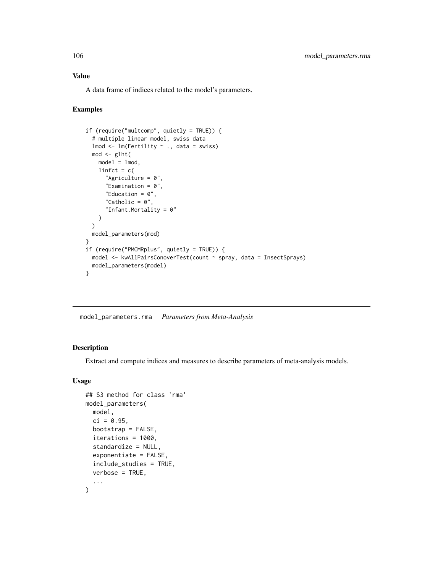## Value

A data frame of indices related to the model's parameters.

## Examples

```
if (require("multcomp", quietly = TRUE)) {
 # multiple linear model, swiss data
 lmod <- lm(Fertility ~ ., data = swiss)
 mod < -glht(
   model = lmod,linfct = c("Agriculture = 0",
     "Examination = 0",
     "Education = 0",
     "Catholic = 0",
      "Infant.Mortality = 0"
   )
 )
 model_parameters(mod)
}
if (require("PMCMRplus", quietly = TRUE)) {
 model <- kwAllPairsConoverTest(count ~ spray, data = InsectSprays)
 model_parameters(model)
}
```
model\_parameters.rma *Parameters from Meta-Analysis*

### Description

Extract and compute indices and measures to describe parameters of meta-analysis models.

## Usage

```
## S3 method for class 'rma'
model_parameters(
 model,
  ci = 0.95,bootstrap = FALSE,
  iterations = 1000,
  standardize = NULL,
  exponentiate = FALSE,
  include_studies = TRUE,
  verbose = TRUE,
  ...
)
```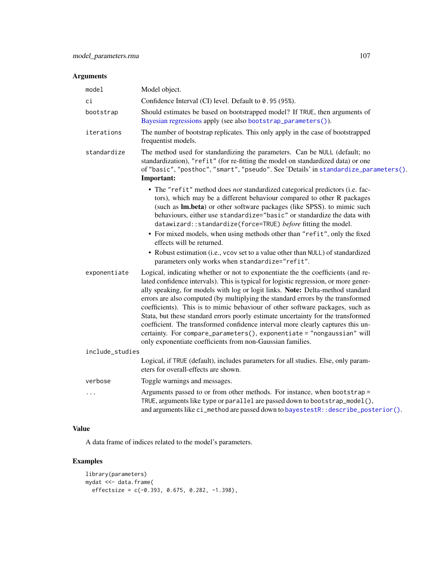## Arguments

| model           | Model object.                                                                                                                                                                                                                                                                                                                                                                                                                                                                                                                                                                                                                                                                                                                                                                                    |
|-----------------|--------------------------------------------------------------------------------------------------------------------------------------------------------------------------------------------------------------------------------------------------------------------------------------------------------------------------------------------------------------------------------------------------------------------------------------------------------------------------------------------------------------------------------------------------------------------------------------------------------------------------------------------------------------------------------------------------------------------------------------------------------------------------------------------------|
| сi              | Confidence Interval (CI) level. Default to 0.95 (95%).                                                                                                                                                                                                                                                                                                                                                                                                                                                                                                                                                                                                                                                                                                                                           |
| bootstrap       | Should estimates be based on bootstrapped model? If TRUE, then arguments of<br>Bayesian regressions apply (see also bootstrap_parameters()).                                                                                                                                                                                                                                                                                                                                                                                                                                                                                                                                                                                                                                                     |
| iterations      | The number of bootstrap replicates. This only apply in the case of bootstrapped<br>frequentist models.                                                                                                                                                                                                                                                                                                                                                                                                                                                                                                                                                                                                                                                                                           |
| standardize     | The method used for standardizing the parameters. Can be NULL (default; no<br>standardization), "refit" (for re-fitting the model on standardized data) or one<br>of "basic", "posthoc", "smart", "pseudo". See 'Details' in standardize_parameters().<br>Important:                                                                                                                                                                                                                                                                                                                                                                                                                                                                                                                             |
|                 | • The "refit" method does not standardized categorical predictors (i.e. fac-<br>tors), which may be a different behaviour compared to other R packages<br>(such as Im.beta) or other software packages (like SPSS). to mimic such<br>behaviours, either use standardize="basic" or standardize the data with<br>datawizard::standardize(force=TRUE) before fitting the model.<br>• For mixed models, when using methods other than "refit", only the fixed<br>effects will be returned.<br>• Robust estimation (i.e., vcov set to a value other than NULL) of standardized                                                                                                                                                                                                                       |
| exponentiate    | parameters only works when standardize="refit".<br>Logical, indicating whether or not to exponentiate the the coefficients (and re-<br>lated confidence intervals). This is typical for logistic regression, or more gener-<br>ally speaking, for models with log or logit links. Note: Delta-method standard<br>errors are also computed (by multiplying the standard errors by the transformed<br>coefficients). This is to mimic behaviour of other software packages, such as<br>Stata, but these standard errors poorly estimate uncertainty for the transformed<br>coefficient. The transformed confidence interval more clearly captures this un-<br>certainty. For compare_parameters(), exponentiate = "nongaussian" will<br>only exponentiate coefficients from non-Gaussian families. |
| include_studies |                                                                                                                                                                                                                                                                                                                                                                                                                                                                                                                                                                                                                                                                                                                                                                                                  |
|                 | Logical, if TRUE (default), includes parameters for all studies. Else, only param-<br>eters for overall-effects are shown.                                                                                                                                                                                                                                                                                                                                                                                                                                                                                                                                                                                                                                                                       |
| verbose         | Toggle warnings and messages.                                                                                                                                                                                                                                                                                                                                                                                                                                                                                                                                                                                                                                                                                                                                                                    |
|                 | Arguments passed to or from other methods. For instance, when bootstrap =<br>TRUE, arguments like type or parallel are passed down to bootstrap_model(),<br>and arguments like ci_method are passed down to bayestestR:: describe_posterior().                                                                                                                                                                                                                                                                                                                                                                                                                                                                                                                                                   |

# Value

A data frame of indices related to the model's parameters.

```
library(parameters)
mydat <<- data.frame(
 effectsize = c(-0.393, 0.675, 0.282, -1.398),
```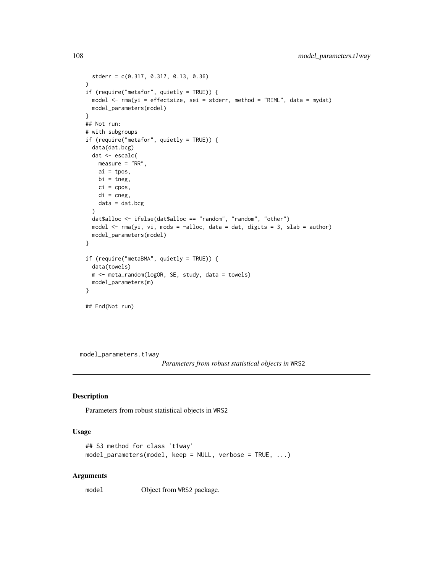```
stderr = c(0.317, 0.317, 0.13, 0.36)
)
if (require("metafor", quietly = TRUE)) {
  model <- rma(yi = effectsize, sei = stderr, method = "REML", data = mydat)
  model_parameters(model)
}
## Not run:
# with subgroups
if (require("metafor", quietly = TRUE)) {
  data(dat.bcg)
  dat <- escalc(
   measure = "RR",
   ai = tpos,
   bi = tneg,ci = cpos,
   di = cneg,
   data = dat.bcg)
  dat$alloc <- ifelse(dat$alloc == "random", "random", "other")
  model \le - rma(yi, vi, mods = \simalloc, data = dat, digits = 3, slab = author)
  model_parameters(model)
}
if (require("metaBMA", quietly = TRUE)) {
  data(towels)
  m <- meta_random(logOR, SE, study, data = towels)
  model_parameters(m)
}
## End(Not run)
```
model\_parameters.t1way

*Parameters from robust statistical objects in* WRS2

### Description

Parameters from robust statistical objects in WRS2

### Usage

```
## S3 method for class 't1way'
model_parameters(model, keep = NULL, verbose = TRUE, ...)
```
#### Arguments

model Object from WRS2 package.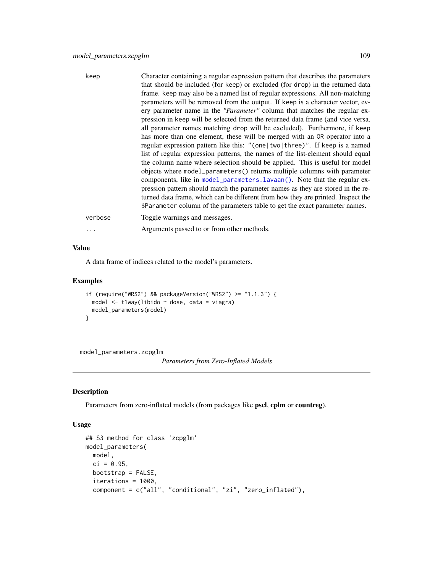| keep     | Character containing a regular expression pattern that describes the parameters<br>that should be included (for keep) or excluded (for drop) in the returned data<br>frame. keep may also be a named list of regular expressions. All non-matching<br>parameters will be removed from the output. If keep is a character vector, ev-<br>ery parameter name in the " <i>Parameter</i> " column that matches the regular ex-<br>pression in keep will be selected from the returned data frame (and vice versa,<br>all parameter names matching drop will be excluded). Furthermore, if keep<br>has more than one element, these will be merged with an OR operator into a<br>regular expression pattern like this: "(one   two   three)". If keep is a named<br>list of regular expression patterns, the names of the list-element should equal<br>the column name where selection should be applied. This is useful for model<br>objects where model_parameters() returns multiple columns with parameter<br>components, like in model_parameters.lavaan(). Note that the regular ex-<br>pression pattern should match the parameter names as they are stored in the re-<br>turned data frame, which can be different from how they are printed. Inspect the<br>\$Parameter column of the parameters table to get the exact parameter names. |
|----------|----------------------------------------------------------------------------------------------------------------------------------------------------------------------------------------------------------------------------------------------------------------------------------------------------------------------------------------------------------------------------------------------------------------------------------------------------------------------------------------------------------------------------------------------------------------------------------------------------------------------------------------------------------------------------------------------------------------------------------------------------------------------------------------------------------------------------------------------------------------------------------------------------------------------------------------------------------------------------------------------------------------------------------------------------------------------------------------------------------------------------------------------------------------------------------------------------------------------------------------------------------------------------------------------------------------------------------------------|
| verbose  | Toggle warnings and messages.                                                                                                                                                                                                                                                                                                                                                                                                                                                                                                                                                                                                                                                                                                                                                                                                                                                                                                                                                                                                                                                                                                                                                                                                                                                                                                                |
| $\cdots$ | Arguments passed to or from other methods.                                                                                                                                                                                                                                                                                                                                                                                                                                                                                                                                                                                                                                                                                                                                                                                                                                                                                                                                                                                                                                                                                                                                                                                                                                                                                                   |

#### Value

A data frame of indices related to the model's parameters.

### Examples

```
if (require("WRS2") && packageVersion("WRS2") >= "1.1.3") {
  model <- t1way(libido ~ dose, data = viagra)
  model_parameters(model)
}
```
model\_parameters.zcpglm

*Parameters from Zero-Inflated Models*

### Description

Parameters from zero-inflated models (from packages like pscl, cplm or countreg).

#### Usage

```
## S3 method for class 'zcpglm'
model_parameters(
 model,
 ci = 0.95,
 bootstrap = FALSE,
  iterations = 1000,
  component = c("all", "conditional", "zi", "zero_inflated"),
```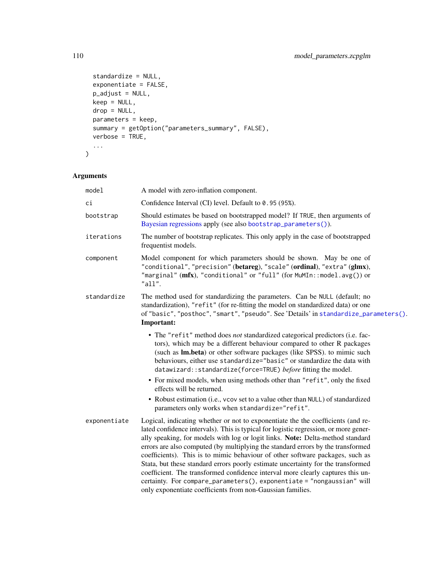```
standardize = NULL,
 exponentiate = FALSE,
 p_adjust = NULL,
 keep = NULL,
 drop = NULL,parameters = keep,
 summary = getOption("parameters_summary", FALSE),
 verbose = TRUE,
  ...
\mathcal{L}
```

| model        | A model with zero-inflation component.                                                                                                                                                                                                                                                                                                                                                                                                                                                                                                                                                                                                                                                                                                        |
|--------------|-----------------------------------------------------------------------------------------------------------------------------------------------------------------------------------------------------------------------------------------------------------------------------------------------------------------------------------------------------------------------------------------------------------------------------------------------------------------------------------------------------------------------------------------------------------------------------------------------------------------------------------------------------------------------------------------------------------------------------------------------|
| сi           | Confidence Interval (CI) level. Default to 0.95 (95%).                                                                                                                                                                                                                                                                                                                                                                                                                                                                                                                                                                                                                                                                                        |
| bootstrap    | Should estimates be based on bootstrapped model? If TRUE, then arguments of<br>Bayesian regressions apply (see also bootstrap_parameters()).                                                                                                                                                                                                                                                                                                                                                                                                                                                                                                                                                                                                  |
| iterations   | The number of bootstrap replicates. This only apply in the case of bootstrapped<br>frequentist models.                                                                                                                                                                                                                                                                                                                                                                                                                                                                                                                                                                                                                                        |
| component    | Model component for which parameters should be shown. May be one of<br>"conditional", "precision" (betareg), "scale" (ordinal), "extra" (glmx),<br>"marginal" (mfx), "conditional" or "full" (for MuMIn::model.avg()) or<br>"all".                                                                                                                                                                                                                                                                                                                                                                                                                                                                                                            |
| standardize  | The method used for standardizing the parameters. Can be NULL (default; no<br>standardization), "refit" (for re-fitting the model on standardized data) or one<br>of "basic", "posthoc", "smart", "pseudo". See 'Details' in standardize_parameters().<br>Important:                                                                                                                                                                                                                                                                                                                                                                                                                                                                          |
|              | • The "refit" method does not standardized categorical predictors (i.e. fac-<br>tors), which may be a different behaviour compared to other R packages<br>(such as Im.beta) or other software packages (like SPSS). to mimic such<br>behaviours, either use standardize="basic" or standardize the data with<br>datawizard::standardize(force=TRUE) before fitting the model.                                                                                                                                                                                                                                                                                                                                                                 |
|              | • For mixed models, when using methods other than "refit", only the fixed<br>effects will be returned.<br>• Robust estimation (i.e., vcov set to a value other than NULL) of standardized<br>parameters only works when standardize="refit".                                                                                                                                                                                                                                                                                                                                                                                                                                                                                                  |
| exponentiate | Logical, indicating whether or not to exponentiate the the coefficients (and re-<br>lated confidence intervals). This is typical for logistic regression, or more gener-<br>ally speaking, for models with log or logit links. Note: Delta-method standard<br>errors are also computed (by multiplying the standard errors by the transformed<br>coefficients). This is to mimic behaviour of other software packages, such as<br>Stata, but these standard errors poorly estimate uncertainty for the transformed<br>coefficient. The transformed confidence interval more clearly captures this un-<br>certainty. For compare_parameters(), exponentiate = "nongaussian" will<br>only exponentiate coefficients from non-Gaussian families. |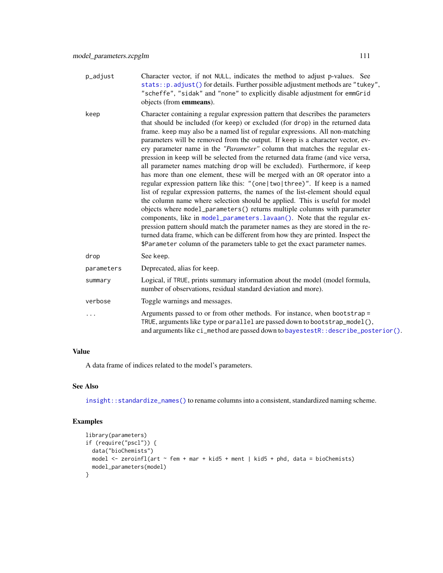- p\_adjust Character vector, if not NULL, indicates the method to adjust p-values. See  $stats::p.addjust()$  for details. Further possible adjustment methods are "tukey", "scheffe", "sidak" and "none" to explicitly disable adjustment for emmGrid objects (from emmeans).
- keep Character containing a regular expression pattern that describes the parameters that should be included (for keep) or excluded (for drop) in the returned data frame. keep may also be a named list of regular expressions. All non-matching parameters will be removed from the output. If keep is a character vector, every parameter name in the *"Parameter"* column that matches the regular expression in keep will be selected from the returned data frame (and vice versa, all parameter names matching drop will be excluded). Furthermore, if keep has more than one element, these will be merged with an OR operator into a regular expression pattern like this: "(one|two|three)". If keep is a named list of regular expression patterns, the names of the list-element should equal the column name where selection should be applied. This is useful for model objects where model\_parameters() returns multiple columns with parameter components, like in [model\\_parameters.lavaan\(\)](#page-97-0). Note that the regular expression pattern should match the parameter names as they are stored in the returned data frame, which can be different from how they are printed. Inspect the \$Parameter column of the parameters table to get the exact parameter names. drop See keep. parameters Deprecated, alias for keep. summary Logical, if TRUE, prints summary information about the model (model formula,
- number of observations, residual standard deviation and more). verbose Toggle warnings and messages. ... Arguments passed to or from other methods. For instance, when bootstrap = TRUE, arguments like type or parallel are passed down to bootstrap\_model(),

and arguments like ci\_method are passed down to bayestestR:: describe\_posterior().

#### Value

A data frame of indices related to the model's parameters.

### See Also

[insight::standardize\\_names\(\)](#page-0-0) to rename columns into a consistent, standardized naming scheme.

```
library(parameters)
if (require("pscl")) {
 data("bioChemists")
 model \le zeroinfl(art \sim fem + mar + kid5 + ment | kid5 + phd, data = bioChemists)
 model_parameters(model)
}
```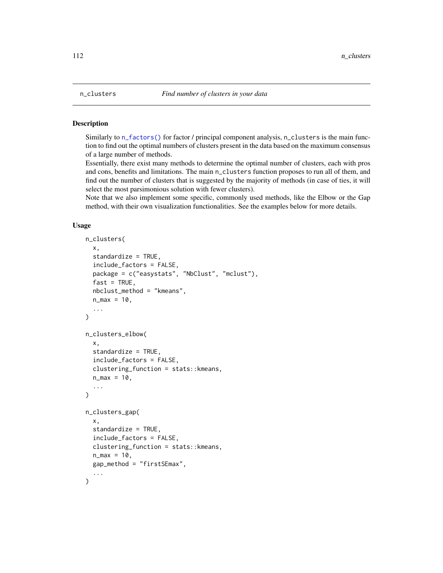### Description

Similarly to  $n_f$  actors () for factor / principal component analysis, n<sub>c</sub>clusters is the main function to find out the optimal numbers of clusters present in the data based on the maximum consensus of a large number of methods.

Essentially, there exist many methods to determine the optimal number of clusters, each with pros and cons, benefits and limitations. The main n\_clusters function proposes to run all of them, and find out the number of clusters that is suggested by the majority of methods (in case of ties, it will select the most parsimonious solution with fewer clusters).

Note that we also implement some specific, commonly used methods, like the Elbow or the Gap method, with their own visualization functionalities. See the examples below for more details.

### Usage

```
n_clusters(
  x,
  standardize = TRUE,
  include_factors = FALSE,
  package = c("easystats", "NbClust", "mclust"),
  fast = TRUE,nbclust_method = "kmeans",
  n_{max} = 10,
  ...
\lambdan_clusters_elbow(
  x,
  standardize = TRUE,
  include_factors = FALSE,
  clustering_function = stats::kmeans,
  n_{max} = 10,
  ...
\lambdan_clusters_gap(
  x,
  standardize = TRUE,
  include_factors = FALSE,
  clustering_function = stats::kmeans,
  n_{max} = 10,
  gap_method = "firstSEmax",
  ...
)
```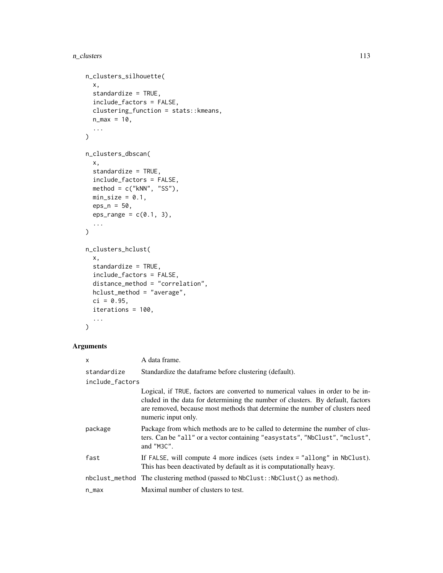```
n_clusters_silhouette(
 x,
 standardize = TRUE,
 include_factors = FALSE,
 clustering_function = stats::kmeans,
 n_{max} = 10,
  ...
\mathcal{L}n_clusters_dbscan(
 x,
 standardize = TRUE,
 include_factors = FALSE,
 method = c("kNN", "SS"),min\_size = 0.1,
 eps_n = 50,
 eps_range = c(0.1, 3),...
\mathcal{L}n_clusters_hclust(
 x,
  standardize = TRUE,
  include_factors = FALSE,
 distance_method = "correlation",
 hclust_method = "average",
 ci = 0.95,iterations = 100,
  ...
)
```

| x               | A data frame.                                                                                                                                                                                                                                                           |
|-----------------|-------------------------------------------------------------------------------------------------------------------------------------------------------------------------------------------------------------------------------------------------------------------------|
| standardize     | Standardize the dataframe before clustering (default).                                                                                                                                                                                                                  |
| include_factors |                                                                                                                                                                                                                                                                         |
|                 | Logical, if TRUE, factors are converted to numerical values in order to be in-<br>cluded in the data for determining the number of clusters. By default, factors<br>are removed, because most methods that determine the number of clusters need<br>numeric input only. |
| package         | Package from which methods are to be called to determine the number of clus-<br>ters. Can be "all" or a vector containing "easystats", "NbClust", "mclust",<br>and "M3C".                                                                                               |
| fast            | If FALSE, will compute 4 more indices (sets index = "allong" in NbClust).<br>This has been deactivated by default as it is computationally heavy.                                                                                                                       |
|                 | nbclust_method The clustering method (passed to NbClust::NbClust() as method).                                                                                                                                                                                          |
| n_max           | Maximal number of clusters to test.                                                                                                                                                                                                                                     |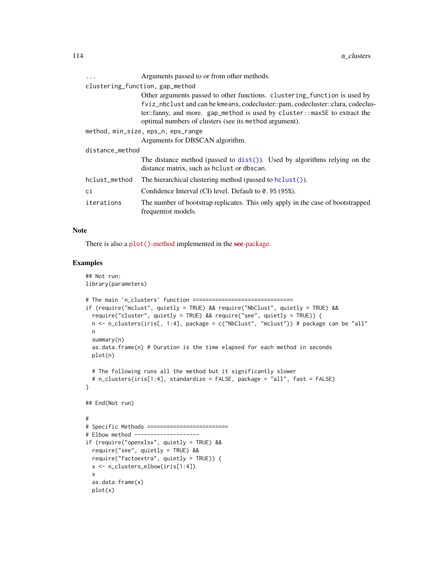| $\ddots$                           | Arguments passed to or from other methods.                                                                                                                                                                                                                                                          |
|------------------------------------|-----------------------------------------------------------------------------------------------------------------------------------------------------------------------------------------------------------------------------------------------------------------------------------------------------|
|                                    | clustering_function, gap_method                                                                                                                                                                                                                                                                     |
|                                    | Other arguments passed to other functions. clustering_function is used by<br>fviz_nbclust and can be kmeans, codecluster::pam, codecluster::clara, codeclus-<br>ter::fanny, and more. gap_method is used by cluster::maxSE to extract the<br>optimal numbers of clusters (see its method argument). |
| method, min_size, eps_n, eps_range |                                                                                                                                                                                                                                                                                                     |
|                                    | Arguments for DBSCAN algorithm.                                                                                                                                                                                                                                                                     |
| distance method                    |                                                                                                                                                                                                                                                                                                     |
|                                    | The distance method (passed to $dist()$ ). Used by algorithms relying on the<br>distance matrix, such as heligt or dbscan.                                                                                                                                                                          |
| hclust_method                      | The hierarchical clustering method (passed to $hclust()$ ).                                                                                                                                                                                                                                         |
| сi                                 | Confidence Interval (CI) level. Default to 0.95 (95%).                                                                                                                                                                                                                                              |
| iterations                         | The number of bootstrap replicates. This only apply in the case of bootstrapped<br>frequentist models.                                                                                                                                                                                              |

### Note

There is also a plot ()[-method](https://easystats.github.io/see/articles/parameters.html) implemented in the see[-package.](https://easystats.github.io/see/)

```
## Not run:
library(parameters)
# The main 'n_clusters' function ===============================
if (require("mclust", quietly = TRUE) && require("NbClust", quietly = TRUE) &&
  require("cluster", quietly = TRUE) && require("see", quietly = TRUE)) {
  n <- n_clusters(iris[, 1:4], package = c("NbClust", "mclust")) # package can be "all"
  n
  summary(n)
  as.data.frame(n) # Duration is the time elapsed for each method in seconds
  plot(n)
  # The following runs all the method but it significantly slower
  # n_clusters(iris[1:4], standardize = FALSE, package = "all", fast = FALSE)
}
## End(Not run)
#
# Specific Methods =========================
# Elbow method --------------------
if (require("openxlsx", quietly = TRUE) &&
  require("see", quietly = TRUE) &&
  require("factoextra", quietly = TRUE)) {
  x <- n_clusters_elbow(iris[1:4])
  x
  as.data.frame(x)
  plot(x)
```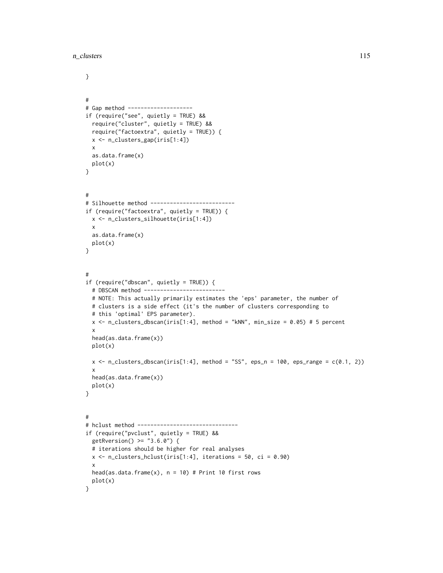```
}
#
# Gap method --------------------
if (require("see", quietly = TRUE) &&
 require("cluster", quietly = TRUE) &&
 require("factoextra", quietly = TRUE)) {
 x <- n_clusters_gap(iris[1:4])
 x
 as.data.frame(x)
 plot(x)
}
#
# Silhouette method --------------------------
if (require("factoextra", quietly = TRUE)) {
 x <- n_clusters_silhouette(iris[1:4])
 x
 as.data.frame(x)
 plot(x)
}
#
if (require("dbscan", quietly = TRUE)) {
 # DBSCAN method -------------------------
 # NOTE: This actually primarily estimates the 'eps' parameter, the number of
 # clusters is a side effect (it's the number of clusters corresponding to
 # this 'optimal' EPS parameter).
 x <- n_clusters_dbscan(iris[1:4], method = "kNN", min_size = 0.05) # 5 percent
 x
 head(as.data.frame(x))
 plot(x)
 x \le n_{\text{clusters\_dbscan}}(iris[1:4], method = "SS", eps_n = 100, eps\_range = c(0.1, 2))x
 head(as.data.frame(x))
 plot(x)
}
#
# hclust method -------------------------------
if (require("pvclust", quietly = TRUE) &&
 getRversion() >= "3.6.0") {
 # iterations should be higher for real analyses
 x \leq -n_{\text{clusters\_hclust}(iris[1:4], iterations = 50, ci = 0.90)x
 head(as.data.frame(x), n = 10) # Print 10 first rows
 plot(x)
}
```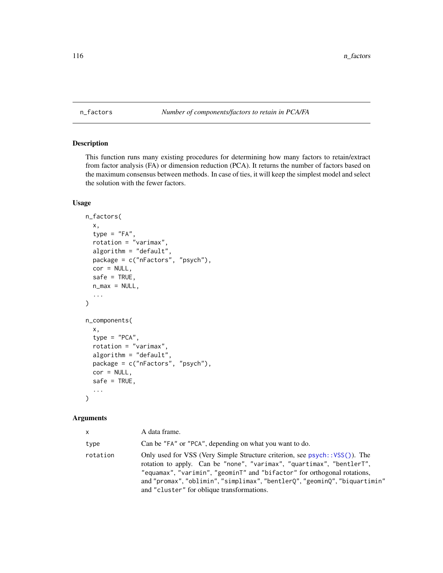#### <span id="page-115-0"></span>n\_factors *Number of components/factors to retain in PCA/FA*

# <span id="page-115-1"></span>Description

This function runs many existing procedures for determining how many factors to retain/extract from factor analysis (FA) or dimension reduction (PCA). It returns the number of factors based on the maximum consensus between methods. In case of ties, it will keep the simplest model and select the solution with the fewer factors.

# Usage

```
n_factors(
  x,
  type = "FA",rotation = "varimax",
  algorithm = "default",
  package = c("nFactors", "psych"),
  cor = NULL,safe = TRUE,n_{max} = NULL,
  ...
)
n_components(
  x,
  type = "PCA",rotation = "varimax",
  algorithm = "default",
  package = c("nFactors", "psych"),
  cor = NULL,safe = TRUE,
  ...
\mathcal{L}
```

| <b>X</b> | A data frame.                                                                                                                                                                                                                                                                                                                                                |
|----------|--------------------------------------------------------------------------------------------------------------------------------------------------------------------------------------------------------------------------------------------------------------------------------------------------------------------------------------------------------------|
| type     | Can be "FA" or "PCA", depending on what you want to do.                                                                                                                                                                                                                                                                                                      |
| rotation | Only used for VSS (Very Simple Structure criterion, see psych:: VSS()). The<br>rotation to apply. Can be "none", "varimax", "quartimax", "bentlerT",<br>"equamax", "varimin", "geomint" and "bifactor" for orthogonal rotations,<br>and "promax", "oblimin", "simplimax", "bentlerQ", "geominQ", "biquartimin"<br>and "cluster" for oblique transformations. |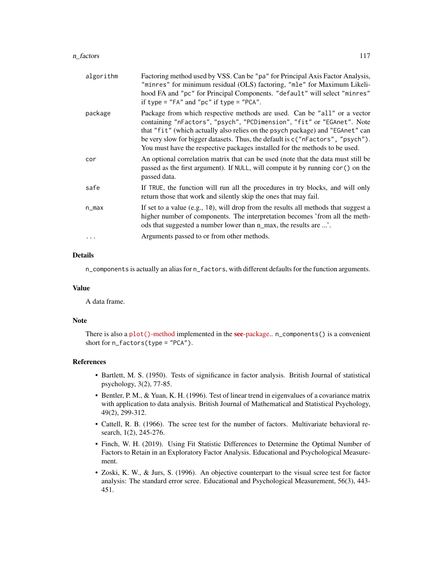#### n\_factors 117

| algorithm | Factoring method used by VSS. Can be "pa" for Principal Axis Factor Analysis,<br>"minres" for minimum residual (OLS) factoring, "mle" for Maximum Likeli-<br>hood FA and "pc" for Principal Components. "default" will select "minres"<br>if type = "FA" and "pc" if type = "PCA".                                                                                                                      |
|-----------|---------------------------------------------------------------------------------------------------------------------------------------------------------------------------------------------------------------------------------------------------------------------------------------------------------------------------------------------------------------------------------------------------------|
| package   | Package from which respective methods are used. Can be "all" or a vector<br>containing "nFactors", "psych", "PCDimension", "fit" or "EGAnet". Note<br>that "fit" (which actually also relies on the psych package) and "EGAnet" can<br>be very slow for bigger datasets. Thus, the default is $c$ ("nFactors", "psych").<br>You must have the respective packages installed for the methods to be used. |
| cor       | An optional correlation matrix that can be used (note that the data must still be<br>passed as the first argument). If NULL, will compute it by running cor() on the<br>passed data.                                                                                                                                                                                                                    |
| safe      | If TRUE, the function will run all the procedures in try blocks, and will only<br>return those that work and silently skip the ones that may fail.                                                                                                                                                                                                                                                      |
| n_max     | If set to a value (e.g., 10), will drop from the results all methods that suggest a<br>higher number of components. The interpretation becomes 'from all the meth-<br>ods that suggested a number lower than n_max, the results are '.                                                                                                                                                                  |
|           | Arguments passed to or from other methods.                                                                                                                                                                                                                                                                                                                                                              |

### Details

n\_components is actually an alias for n\_factors, with different defaults for the function arguments.

#### Value

A data frame.

#### Note

There is also a plot()[-method](https://easystats.github.io/see/articles/parameters.html) implemented in the **see**[-package.](https://easystats.github.io/see/). n\_components() is a convenient short for n\_factors(type = "PCA").

### References

- Bartlett, M. S. (1950). Tests of significance in factor analysis. British Journal of statistical psychology, 3(2), 77-85.
- Bentler, P. M., & Yuan, K. H. (1996). Test of linear trend in eigenvalues of a covariance matrix with application to data analysis. British Journal of Mathematical and Statistical Psychology, 49(2), 299-312.
- Cattell, R. B. (1966). The scree test for the number of factors. Multivariate behavioral research, 1(2), 245-276.
- Finch, W. H. (2019). Using Fit Statistic Differences to Determine the Optimal Number of Factors to Retain in an Exploratory Factor Analysis. Educational and Psychological Measurement.
- Zoski, K. W., & Jurs, S. (1996). An objective counterpart to the visual scree test for factor analysis: The standard error scree. Educational and Psychological Measurement, 56(3), 443- 451.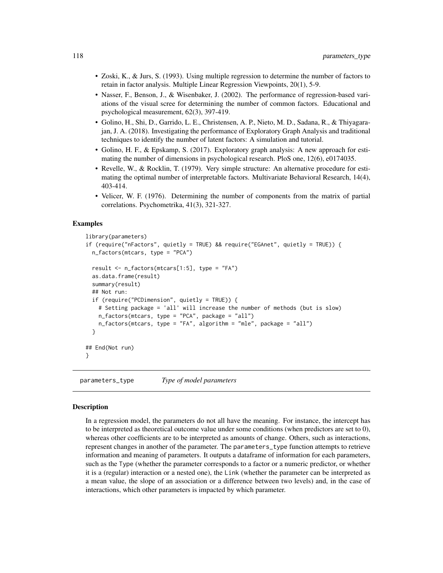- Zoski, K., & Jurs, S. (1993). Using multiple regression to determine the number of factors to retain in factor analysis. Multiple Linear Regression Viewpoints, 20(1), 5-9.
- Nasser, F., Benson, J., & Wisenbaker, J. (2002). The performance of regression-based variations of the visual scree for determining the number of common factors. Educational and psychological measurement, 62(3), 397-419.
- Golino, H., Shi, D., Garrido, L. E., Christensen, A. P., Nieto, M. D., Sadana, R., & Thiyagarajan, J. A. (2018). Investigating the performance of Exploratory Graph Analysis and traditional techniques to identify the number of latent factors: A simulation and tutorial.
- Golino, H. F., & Epskamp, S. (2017). Exploratory graph analysis: A new approach for estimating the number of dimensions in psychological research. PloS one, 12(6), e0174035.
- Revelle, W., & Rocklin, T. (1979). Very simple structure: An alternative procedure for estimating the optimal number of interpretable factors. Multivariate Behavioral Research, 14(4), 403-414.
- Velicer, W. F. (1976). Determining the number of components from the matrix of partial correlations. Psychometrika, 41(3), 321-327.

### Examples

```
library(parameters)
if (require("nFactors", quietly = TRUE) && require("EGAnet", quietly = TRUE)) {
 n_factors(mtcars, type = "PCA")
 result <- n_factors(mtcars[1:5], type = "FA")
 as.data.frame(result)
 summary(result)
 ## Not run:
 if (require("PCDimension", quietly = TRUE)) {
   # Setting package = 'all' will increase the number of methods (but is slow)
   n_factors(mtcars, type = "PCA", package = "all")
   n_factors(mtcars, type = "FA", algorithm = "mle", package = "all")
 }
## End(Not run)
}
```
<span id="page-117-0"></span>parameters\_type *Type of model parameters*

#### **Description**

In a regression model, the parameters do not all have the meaning. For instance, the intercept has to be interpreted as theoretical outcome value under some conditions (when predictors are set to 0), whereas other coefficients are to be interpreted as amounts of change. Others, such as interactions, represent changes in another of the parameter. The parameters\_type function attempts to retrieve information and meaning of parameters. It outputs a dataframe of information for each parameters, such as the Type (whether the parameter corresponds to a factor or a numeric predictor, or whether it is a (regular) interaction or a nested one), the Link (whether the parameter can be interpreted as a mean value, the slope of an association or a difference between two levels) and, in the case of interactions, which other parameters is impacted by which parameter.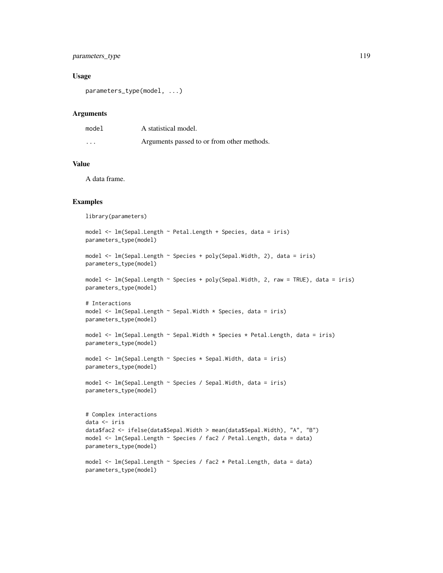# parameters\_type 119

### Usage

```
parameters_type(model, ...)
```
#### Arguments

| model | A statistical model.                       |
|-------|--------------------------------------------|
| .     | Arguments passed to or from other methods. |

### Value

A data frame.

### Examples

library(parameters) model <- lm(Sepal.Length ~ Petal.Length + Species, data = iris) parameters\_type(model) model <- lm(Sepal.Length ~ Species + poly(Sepal.Width, 2), data = iris) parameters\_type(model) model <- lm(Sepal.Length ~ Species + poly(Sepal.Width, 2, raw = TRUE), data = iris) parameters\_type(model) # Interactions model  $\leq$  lm(Sepal.Length  $\sim$  Sepal.Width  $\star$  Species, data = iris) parameters\_type(model) model <- lm(Sepal.Length ~ Sepal.Width \* Species \* Petal.Length, data = iris) parameters\_type(model) model <- lm(Sepal.Length ~ Species \* Sepal.Width, data = iris) parameters\_type(model) model <- lm(Sepal.Length ~ Species / Sepal.Width, data = iris) parameters\_type(model) # Complex interactions data <- iris data\$fac2 <- ifelse(data\$Sepal.Width > mean(data\$Sepal.Width), "A", "B") model <- lm(Sepal.Length ~ Species / fac2 / Petal.Length, data = data) parameters\_type(model) model <- lm(Sepal.Length ~ Species / fac2 \* Petal.Length, data = data) parameters\_type(model)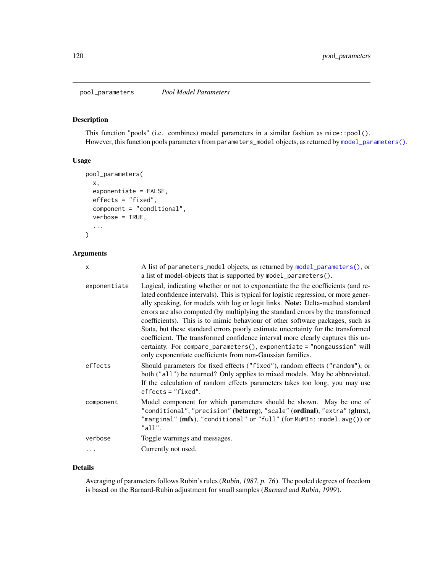pool\_parameters *Pool Model Parameters*

# Description

This function "pools" (i.e. combines) model parameters in a similar fashion as mice::pool(). However, this function pools parameters from parameters\_model objects, as returned by [model\\_parameters\(\)](#page-49-0).

### Usage

```
pool_parameters(
  x,
  exponentiate = FALSE,
  effects = "fixed",
  component = "conditional",
  verbose = TRUE,
  ...
\mathcal{L}
```
# Arguments

| X            | A list of parameters_model objects, as returned by model_parameters(), or<br>a list of model-objects that is supported by model_parameters().                                                                                                                                                                                                                                                                                                                                                                                                                                                                                                                                                                                                 |
|--------------|-----------------------------------------------------------------------------------------------------------------------------------------------------------------------------------------------------------------------------------------------------------------------------------------------------------------------------------------------------------------------------------------------------------------------------------------------------------------------------------------------------------------------------------------------------------------------------------------------------------------------------------------------------------------------------------------------------------------------------------------------|
| exponentiate | Logical, indicating whether or not to exponentiate the the coefficients (and re-<br>lated confidence intervals). This is typical for logistic regression, or more gener-<br>ally speaking, for models with log or logit links. Note: Delta-method standard<br>errors are also computed (by multiplying the standard errors by the transformed<br>coefficients). This is to mimic behaviour of other software packages, such as<br>Stata, but these standard errors poorly estimate uncertainty for the transformed<br>coefficient. The transformed confidence interval more clearly captures this un-<br>certainty. For compare_parameters(), exponentiate = "nongaussian" will<br>only exponentiate coefficients from non-Gaussian families. |
| effects      | Should parameters for fixed effects ("fixed"), random effects ("random"), or<br>both ("all") be returned? Only applies to mixed models. May be abbreviated.<br>If the calculation of random effects parameters takes too long, you may use<br>$effects = "fixed".$                                                                                                                                                                                                                                                                                                                                                                                                                                                                            |
| component    | Model component for which parameters should be shown. May be one of<br>"conditional", "precision" (betareg), "scale" (ordinal), "extra" (glmx),<br>"marginal" $(mfx)$ , "conditional" or "full" (for MuMIn::model.avg()) or<br>"all".                                                                                                                                                                                                                                                                                                                                                                                                                                                                                                         |
| verbose      | Toggle warnings and messages.                                                                                                                                                                                                                                                                                                                                                                                                                                                                                                                                                                                                                                                                                                                 |
|              | Currently not used.                                                                                                                                                                                                                                                                                                                                                                                                                                                                                                                                                                                                                                                                                                                           |
|              |                                                                                                                                                                                                                                                                                                                                                                                                                                                                                                                                                                                                                                                                                                                                               |

### Details

Averaging of parameters follows Rubin's rules (Rubin, 1987, p. 76). The pooled degrees of freedom is based on the Barnard-Rubin adjustment for small samples (Barnard and Rubin, 1999).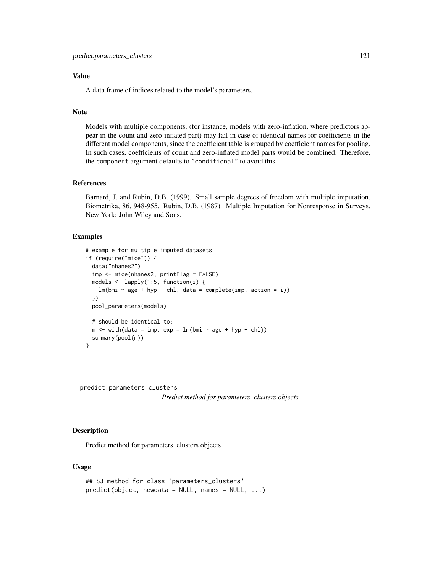### Value

A data frame of indices related to the model's parameters.

### Note

Models with multiple components, (for instance, models with zero-inflation, where predictors appear in the count and zero-inflated part) may fail in case of identical names for coefficients in the different model components, since the coefficient table is grouped by coefficient names for pooling. In such cases, coefficients of count and zero-inflated model parts would be combined. Therefore, the component argument defaults to "conditional" to avoid this.

### References

Barnard, J. and Rubin, D.B. (1999). Small sample degrees of freedom with multiple imputation. Biometrika, 86, 948-955. Rubin, D.B. (1987). Multiple Imputation for Nonresponse in Surveys. New York: John Wiley and Sons.

### Examples

```
# example for multiple imputed datasets
if (require("mice")) {
 data("nhanes2")
 imp <- mice(nhanes2, printFlag = FALSE)
 models <- lapply(1:5, function(i) {
   lm(bmi \sim age + hyp + chl, data = complete(imp, action = i))})
 pool_parameters(models)
 # should be identical to:
 m \le - with(data = imp, exp = lm(bmi \sim age + hyp + chl))
 summary(pool(m))
}
```
predict.parameters\_clusters

```
Predict method for parameters_clusters objects
```
# **Description**

Predict method for parameters\_clusters objects

### Usage

```
## S3 method for class 'parameters_clusters'
predict(object, newdata = NULL, names = NULL, ...)
```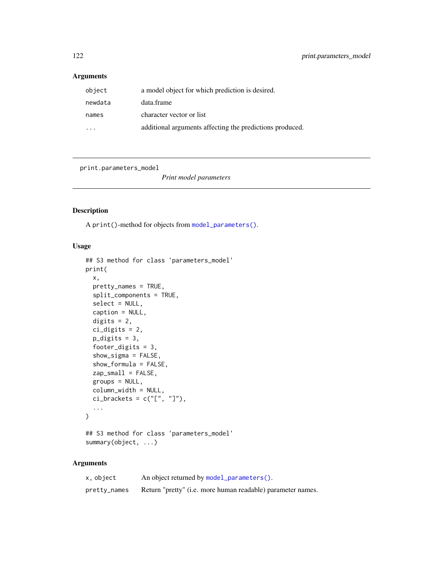## Arguments

| object  | a model object for which prediction is desired.          |
|---------|----------------------------------------------------------|
| newdata | data.frame                                               |
| names   | character vector or list                                 |
|         | additional arguments affecting the predictions produced. |

<span id="page-121-0"></span>print.parameters\_model

*Print model parameters*

# Description

A print()-method for objects from [model\\_parameters\(\)](#page-49-0).

# Usage

```
## S3 method for class 'parameters_model'
print(
  x,
 pretty_names = TRUE,
  split_components = TRUE,
  select = NULL,caption = NULL,
  digits = 2,
  ci_digits = 2,
 p_digits = 3,
  footer_digits = 3,
  show_sigma = FALSE,
  show_formula = FALSE,
  zap_small = FALSE,
  groups = NULL,
  column_width = NULL,
 ci\_brackets = c("['', '']"),...
\mathcal{L}## S3 method for class 'parameters_model'
```
# summary(object, ...)

| x, object    | An object returned by model_parameters().                           |
|--------------|---------------------------------------------------------------------|
| pretty_names | Return "pretty" ( <i>i.e.</i> more human readable) parameter names. |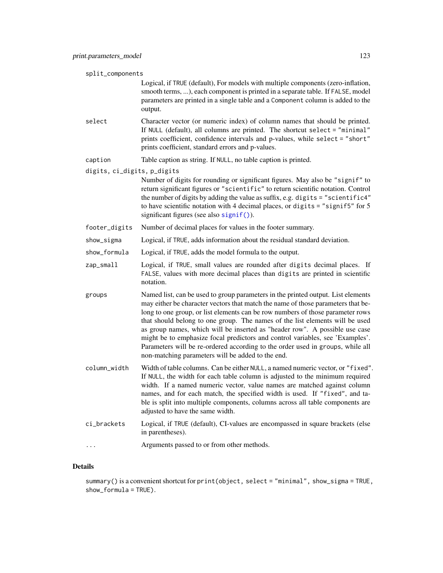#### split\_components

Logical, if TRUE (default), For models with multiple components (zero-inflation, smooth terms, ...), each component is printed in a separate table. If FALSE, model parameters are printed in a single table and a Component column is added to the output.

- select Character vector (or numeric index) of column names that should be printed. If NULL (default), all columns are printed. The shortcut select = "minimal" prints coefficient, confidence intervals and p-values, while select = "short" prints coefficient, standard errors and p-values.
- caption Table caption as string. If NULL, no table caption is printed.

digits, ci\_digits, p\_digits

- Number of digits for rounding or significant figures. May also be "signif" to return significant figures or "scientific" to return scientific notation. Control the number of digits by adding the value as suffix, e.g. digits = "scientific4" to have scientific notation with 4 decimal places, or digits = "signif5" for 5 significant figures (see also [signif\(\)](#page-0-0)).
- footer\_digits Number of decimal places for values in the footer summary.
- show\_sigma Logical, if TRUE, adds information about the residual standard deviation.
- show\_formula Logical, if TRUE, adds the model formula to the output.
- zap\_small Logical, if TRUE, small values are rounded after digits decimal places. If FALSE, values with more decimal places than digits are printed in scientific notation.
- groups Named list, can be used to group parameters in the printed output. List elements may either be character vectors that match the name of those parameters that belong to one group, or list elements can be row numbers of those parameter rows that should belong to one group. The names of the list elements will be used as group names, which will be inserted as "header row". A possible use case might be to emphasize focal predictors and control variables, see 'Examples'. Parameters will be re-ordered according to the order used in groups, while all non-matching parameters will be added to the end.
- column\_width Width of table columns. Can be either NULL, a named numeric vector, or "fixed". If NULL, the width for each table column is adjusted to the minimum required width. If a named numeric vector, value names are matched against column names, and for each match, the specified width is used. If "fixed", and table is split into multiple components, columns across all table components are adjusted to have the same width.
- ci\_brackets Logical, if TRUE (default), CI-values are encompassed in square brackets (else in parentheses).
- ... Arguments passed to or from other methods.

### Details

summary() is a convenient shortcut for print(object, select = "minimal", show\_sigma = TRUE, show\_formula = TRUE).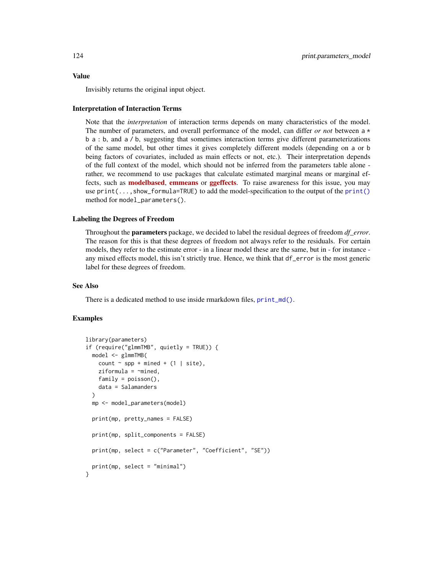#### Value

Invisibly returns the original input object.

#### Interpretation of Interaction Terms

Note that the *interpretation* of interaction terms depends on many characteristics of the model. The number of parameters, and overall performance of the model, can differ *or not* between a \* b a : b, and a / b, suggesting that sometimes interaction terms give different parameterizations of the same model, but other times it gives completely different models (depending on a or b being factors of covariates, included as main effects or not, etc.). Their interpretation depends of the full context of the model, which should not be inferred from the parameters table alone rather, we recommend to use packages that calculate estimated marginal means or marginal effects, such as **[modelbased](https://CRAN.R-project.org/package=modelbased), [emmeans](https://CRAN.R-project.org/package=emmeans)** or **[ggeffects](https://CRAN.R-project.org/package=ggeffects)**. To raise awareness for this issue, you may use print(...,show\_formula=TRUE) to add the model-specification to the output of the [print\(\)](#page-121-0) method for model\_parameters().

#### Labeling the Degrees of Freedom

Throughout the parameters package, we decided to label the residual degrees of freedom *df\_error*. The reason for this is that these degrees of freedom not always refer to the residuals. For certain models, they refer to the estimate error - in a linear model these are the same, but in - for instance any mixed effects model, this isn't strictly true. Hence, we think that df\_error is the most generic label for these degrees of freedom.

### See Also

There is a dedicated method to use inside rmarkdown files, [print\\_md\(\)](#page-33-0).

```
library(parameters)
if (require("glmmTMB", quietly = TRUE)) {
 model <- glmmTMB(
    count \sim spp + mined + (1 | site),
   ziformula = \text{~mined},family = poisson(),
    data = Salamanders
 )
 mp <- model_parameters(model)
 print(mp, pretty_names = FALSE)
 print(mp, split_components = FALSE)
 print(mp, select = c("Parameter", "Coefficient", "SE"))
 print(mp, select = "minimal")
}
```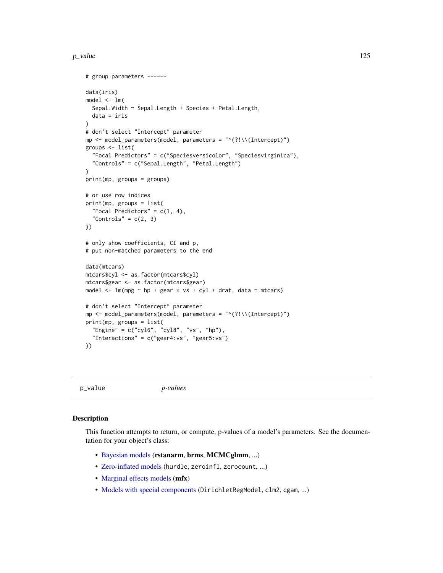#### $p$ \_value 125

```
# group parameters ------
data(iris)
model \leq Im(Sepal.Width ~ Sepal.Length + Species + Petal.Length,
  data = iris
)
# don't select "Intercept" parameter
mp \le - model_parameters(model, parameters = "^(?!\\(Intercept)")
groups <- list(
  "Focal Predictors" = c("Speciesversicolor", "Speciesvirginica"),
  "Controls" = c("Sepal.Length", "Petal.Length")
)
print(mp, groups = groups)
# or use row indices
print(mp, groups = list(
  "Focal Predictors" = c(1, 4),
  "Controls" = c(2, 3)))
# only show coefficients, CI and p,
# put non-matched parameters to the end
data(mtcars)
mtcars$cyl <- as.factor(mtcars$cyl)
mtcars$gear <- as.factor(mtcars$gear)
model \leq lm(mpg \sim hp + gear \star vs + cyl + drat, data = mtcars)
# don't select "Intercept" parameter
mp <- model_parameters(model, parameters = "^(?!\\(Intercept)")
print(mp, groups = list(
  "Engine" = c("cyl6", "cyl8", "vs", "hp"),
  "Interactions" = c("year4:vs", "gear5:vs")))
```
<span id="page-124-0"></span>p\_value *p-values*

### Description

This function attempts to return, or compute, p-values of a model's parameters. See the documentation for your object's class:

- [Bayesian models](#page-129-0) (rstanarm, brms, MCMCglmm, ...)
- [Zero-inflated models](#page-131-0) (hurdle, zeroinfl, zerocount, ...)
- [Marginal effects models](#page-130-0) (mfx)
- [Models with special components](#page-129-1) (DirichletRegModel, clm2, cgam, ...)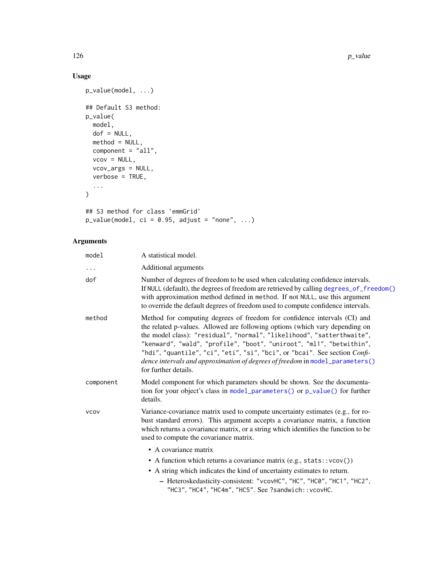# Usage

```
p_value(model, ...)
## Default S3 method:
p_value(
  model,
  dof = NULL,method = NULL,component = "all",vcov = NULL,vcov_args = NULL,
  verbose = TRUE,
  ...
\mathcal{L}## S3 method for class 'emmGrid'
p_value(model, ci = 0.95, adjust = "none", ...)
```

| model       | A statistical model.                                                                                                                                                                                                                                                                                                                                                                                                                                                                               |
|-------------|----------------------------------------------------------------------------------------------------------------------------------------------------------------------------------------------------------------------------------------------------------------------------------------------------------------------------------------------------------------------------------------------------------------------------------------------------------------------------------------------------|
| $\cdots$    | Additional arguments                                                                                                                                                                                                                                                                                                                                                                                                                                                                               |
| dof         | Number of degrees of freedom to be used when calculating confidence intervals.<br>If NULL (default), the degrees of freedom are retrieved by calling degrees_of_freedom()<br>with approximation method defined in method. If not NULL, use this argument<br>to override the default degrees of freedom used to compute confidence intervals.                                                                                                                                                       |
| method      | Method for computing degrees of freedom for confidence intervals (CI) and<br>the related p-values. Allowed are following options (which vary depending on<br>the model class): "residual", "normal", "likelihood", "satterthwaite",<br>"kenward", "wald", "profile", "boot", "uniroot", "ml1", "betwithin",<br>"hdi", "quantile", "ci", "eti", "si", "bci", or "bcai". See section Confi-<br>dence intervals and approximation of degrees of freedom in model_parameters()<br>for further details. |
| component   | Model component for which parameters should be shown. See the documenta-<br>tion for your object's class in model_parameters() or p_value() for further<br>details.                                                                                                                                                                                                                                                                                                                                |
| <b>VCOV</b> | Variance-covariance matrix used to compute uncertainty estimates (e.g., for ro-<br>bust standard errors). This argument accepts a covariance matrix, a function<br>which returns a covariance matrix, or a string which identifies the function to be<br>used to compute the covariance matrix.                                                                                                                                                                                                    |
|             | • A covariance matrix                                                                                                                                                                                                                                                                                                                                                                                                                                                                              |
|             | • A function which returns a covariance matrix $(e.g., stats::vcov())$                                                                                                                                                                                                                                                                                                                                                                                                                             |
|             | • A string which indicates the kind of uncertainty estimates to return.                                                                                                                                                                                                                                                                                                                                                                                                                            |
|             | - Heteroskedasticity-consistent: "vcovHC", "HC", "HC0", "HC1", "HC2",<br>"HC3", "HC4", "HC4m", "HC5". See ?sandwich:: vcovHC.                                                                                                                                                                                                                                                                                                                                                                      |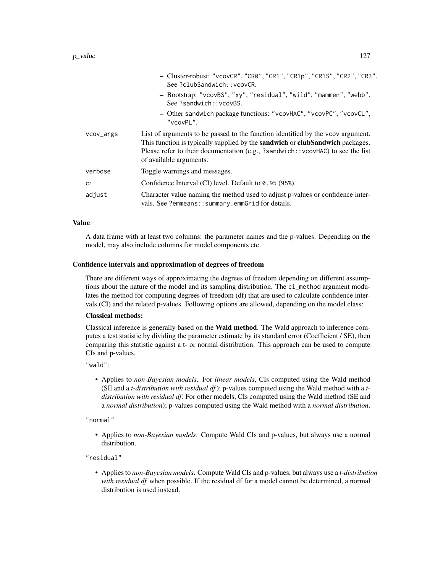### $p$ \_value  $127$

|           | - Cluster-robust: "vcovCR", "CR0", "CR1", "CR1p", "CR1S", "CR2", "CR3".<br>See ?clubSandwich::vcovCR.                                                                                                                                                                                       |
|-----------|---------------------------------------------------------------------------------------------------------------------------------------------------------------------------------------------------------------------------------------------------------------------------------------------|
|           | - Bootstrap: "vcovBS", "xy", "residual", "wild", "mammen", "webb".<br>See ?sandwich:: vcovBS.                                                                                                                                                                                               |
|           | - Other sandwich package functions: "vcovHAC", "vcovPC", "vcovCL",<br>"vcovPL".                                                                                                                                                                                                             |
| vcov_args | List of arguments to be passed to the function identified by the vcov argument.<br>This function is typically supplied by the <b>sandwich</b> or <b>clubSandwich</b> packages.<br>Please refer to their documentation (e.g., ?sandwich::vcovHAC) to see the list<br>of available arguments. |
| verbose   | Toggle warnings and messages.                                                                                                                                                                                                                                                               |
| сi        | Confidence Interval (CI) level. Default to 0.95 (95%).                                                                                                                                                                                                                                      |
| adjust    | Character value naming the method used to adjust p-values or confidence inter-<br>vals. See ?emmeans::summary.emmGrid for details.                                                                                                                                                          |

### Value

A data frame with at least two columns: the parameter names and the p-values. Depending on the model, may also include columns for model components etc.

### Confidence intervals and approximation of degrees of freedom

There are different ways of approximating the degrees of freedom depending on different assumptions about the nature of the model and its sampling distribution. The ci\_method argument modulates the method for computing degrees of freedom (df) that are used to calculate confidence intervals (CI) and the related p-values. Following options are allowed, depending on the model class:

#### Classical methods:

Classical inference is generally based on the Wald method. The Wald approach to inference computes a test statistic by dividing the parameter estimate by its standard error (Coefficient / SE), then comparing this statistic against a t- or normal distribution. This approach can be used to compute CIs and p-values.

"wald":

• Applies to *non-Bayesian models*. For *linear models*, CIs computed using the Wald method (SE and a *t-distribution with residual df*); p-values computed using the Wald method with a *tdistribution with residual df*. For other models, CIs computed using the Wald method (SE and a *normal distribution*); p-values computed using the Wald method with a *normal distribution*.

"normal"

• Applies to *non-Bayesian models*. Compute Wald CIs and p-values, but always use a normal distribution.

"residual"

• Applies to *non-Bayesian models*. Compute Wald CIs and p-values, but always use a *t-distribution with residual df* when possible. If the residual df for a model cannot be determined, a normal distribution is used instead.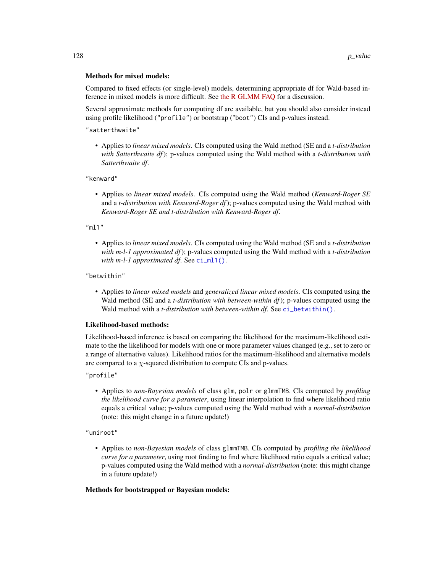### Methods for mixed models:

Compared to fixed effects (or single-level) models, determining appropriate df for Wald-based inference in mixed models is more difficult. See [the R GLMM FAQ](https://bbolker.github.io/mixedmodels-misc/glmmFAQ.html#what-are-the-p-values-listed-by-summaryglmerfit-etc.-are-they-reliable) for a discussion.

Several approximate methods for computing df are available, but you should also consider instead using profile likelihood ("profile") or bootstrap ("boot") CIs and p-values instead.

"satterthwaite"

• Applies to *linear mixed models*. CIs computed using the Wald method (SE and a *t-distribution with Satterthwaite df*); p-values computed using the Wald method with a *t-distribution with Satterthwaite df*.

### "kenward"

• Applies to *linear mixed models*. CIs computed using the Wald method (*Kenward-Roger SE* and a *t-distribution with Kenward-Roger df*); p-values computed using the Wald method with *Kenward-Roger SE and t-distribution with Kenward-Roger df*.

"ml1"

• Applies to *linear mixed models*. CIs computed using the Wald method (SE and a *t-distribution with m-l-1 approximated df*); p-values computed using the Wald method with a *t-distribution with m-l-1 approximated df*. See [ci\\_ml1\(\)](#page-18-0).

### "betwithin"

• Applies to *linear mixed models* and *generalized linear mixed models*. CIs computed using the Wald method (SE and a *t-distribution with between-within df*); p-values computed using the Wald method with a *t-distribution with between-within df*. See [ci\\_betwithin\(\)](#page-15-0).

#### Likelihood-based methods:

Likelihood-based inference is based on comparing the likelihood for the maximum-likelihood estimate to the the likelihood for models with one or more parameter values changed (e.g., set to zero or a range of alternative values). Likelihood ratios for the maximum-likelihood and alternative models are compared to a  $\chi$ -squared distribution to compute CIs and p-values.

"profile"

• Applies to *non-Bayesian models* of class glm, polr or glmmTMB. CIs computed by *profiling the likelihood curve for a parameter*, using linear interpolation to find where likelihood ratio equals a critical value; p-values computed using the Wald method with a *normal-distribution* (note: this might change in a future update!)

"uniroot"

• Applies to *non-Bayesian models* of class glmmTMB. CIs computed by *profiling the likelihood curve for a parameter*, using root finding to find where likelihood ratio equals a critical value; p-values computed using the Wald method with a *normal-distribution* (note: this might change in a future update!)

#### Methods for bootstrapped or Bayesian models: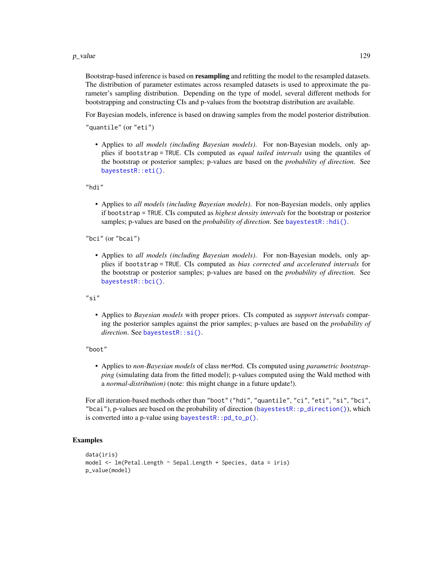#### $p$ \_value 129

Bootstrap-based inference is based on **resampling** and refitting the model to the resampled datasets. The distribution of parameter estimates across resampled datasets is used to approximate the parameter's sampling distribution. Depending on the type of model, several different methods for bootstrapping and constructing CIs and p-values from the bootstrap distribution are available.

For Bayesian models, inference is based on drawing samples from the model posterior distribution.

"quantile" (or "eti")

• Applies to *all models (including Bayesian models)*. For non-Bayesian models, only applies if bootstrap = TRUE. CIs computed as *equal tailed intervals* using the quantiles of the bootstrap or posterior samples; p-values are based on the *probability of direction*. See [bayestestR::eti\(\)](#page-0-0).

"hdi"

• Applies to *all models (including Bayesian models)*. For non-Bayesian models, only applies if bootstrap = TRUE. CIs computed as *highest density intervals* for the bootstrap or posterior samples; p-values are based on the *probability of direction*. See [bayestestR::hdi\(\)](#page-0-0).

"bci" (or "bcai")

• Applies to *all models (including Bayesian models)*. For non-Bayesian models, only applies if bootstrap = TRUE. CIs computed as *bias corrected and accelerated intervals* for the bootstrap or posterior samples; p-values are based on the *probability of direction*. See [bayestestR::bci\(\)](#page-0-0).

"si"

• Applies to *Bayesian models* with proper priors. CIs computed as *support intervals* comparing the posterior samples against the prior samples; p-values are based on the *probability of direction*. See [bayestestR::si\(\)](#page-0-0).

"boot"

• Applies to *non-Bayesian models* of class merMod. CIs computed using *parametric bootstrapping* (simulating data from the fitted model); p-values computed using the Wald method with a *normal-distribution)* (note: this might change in a future update!).

For all iteration-based methods other than "boot" ("hdi", "quantile", "ci", "eti", "si", "bci", "bcai"), p-values are based on the probability of direction ([bayestestR::p\\_direction\(\)](#page-0-0)), which is converted into a p-value using [bayestestR::pd\\_to\\_p\(\)](#page-0-0).

```
data(iris)
model <- lm(Petal.Length ~ Sepal.Length + Species, data = iris)
p_value(model)
```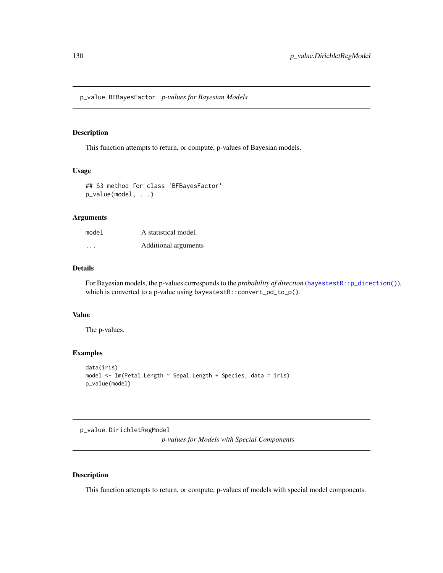<span id="page-129-0"></span>p\_value.BFBayesFactor *p-values for Bayesian Models*

### Description

This function attempts to return, or compute, p-values of Bayesian models.

### Usage

```
## S3 method for class 'BFBayesFactor'
p_value(model, ...)
```
### Arguments

| model                   | A statistical model. |
|-------------------------|----------------------|
| $\cdot$ $\cdot$ $\cdot$ | Additional arguments |

### Details

For Bayesian models, the p-values corresponds to the *probability of direction* ([bayestestR::p\\_direction\(\)](#page-0-0)), which is converted to a p-value using bayestestR::convert\_pd\_to\_p().

### Value

The p-values.

### Examples

```
data(iris)
model <- lm(Petal.Length ~ Sepal.Length + Species, data = iris)
p_value(model)
```
<span id="page-129-1"></span>p\_value.DirichletRegModel

*p-values for Models with Special Components*

### Description

This function attempts to return, or compute, p-values of models with special model components.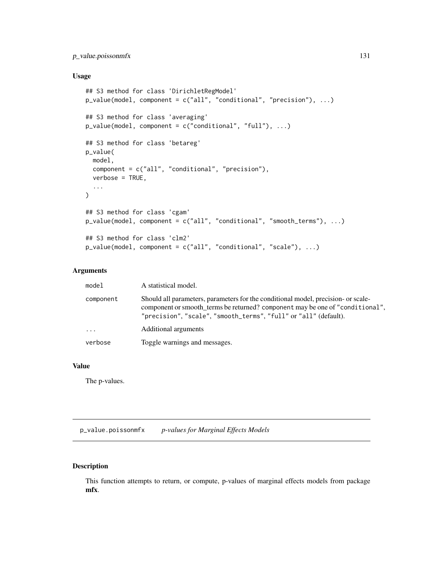# p\_value.poissonmfx 131

# Usage

```
## S3 method for class 'DirichletRegModel'
p_value(model, component = c("all", "conditional", "precision"), ...)
## S3 method for class 'averaging'
p_value(model, component = c("conditional", "full"), ...)
## S3 method for class 'betareg'
p_value(
 model,
  component = c("all", "conditional", "precision"),
  verbose = TRUE,
  ...
\mathcal{L}## S3 method for class 'cgam'
p_value(model, component = c("all", "conditional", "smooth_tterms"), ...)## S3 method for class 'clm2'
p_value(model, component = c("all", "conditional", "scale"), ...)
```
# Arguments

| model     | A statistical model.                                                                                                                                                                                                                   |
|-----------|----------------------------------------------------------------------------------------------------------------------------------------------------------------------------------------------------------------------------------------|
| component | Should all parameters, parameters for the conditional model, precision- or scale-<br>component or smooth_terms be returned? component may be one of "conditional",<br>"precision", "scale", "smooth_terms", "full" or "all" (default). |
| $\ddots$  | Additional arguments                                                                                                                                                                                                                   |
| verbose   | Toggle warnings and messages.                                                                                                                                                                                                          |
|           |                                                                                                                                                                                                                                        |

### Value

The p-values.

<span id="page-130-0"></span>p\_value.poissonmfx *p-values for Marginal Effects Models*

# Description

This function attempts to return, or compute, p-values of marginal effects models from package mfx.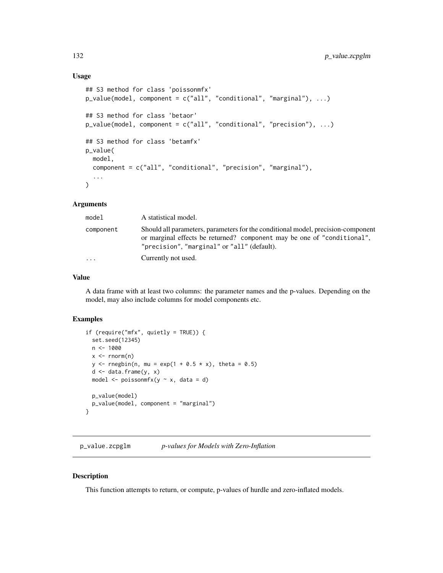# Usage

```
## S3 method for class 'poissonmfx'
p_value(model, component = c("all", "conditional", "marginal"), ...)
## S3 method for class 'betaor'
p_value(model, component = c("all", "conditional", "precision"), ...)
## S3 method for class 'betamfx'
p_value(
 model,
  component = c("all", "conditional", "precision", "marginal"),
  ...
\lambda
```
### Arguments

| model     | A statistical model.                                                                                                                                                                                       |
|-----------|------------------------------------------------------------------------------------------------------------------------------------------------------------------------------------------------------------|
| component | Should all parameters, parameters for the conditional model, precision-component<br>or marginal effects be returned? component may be one of "conditional".<br>"precision", "marginal" or "all" (default). |
| .         | Currently not used.                                                                                                                                                                                        |

# Value

A data frame with at least two columns: the parameter names and the p-values. Depending on the model, may also include columns for model components etc.

#### Examples

```
if (require("mfx", quietly = TRUE)) {
  set.seed(12345)
  n < - 1000x \leftarrow \text{rnorm}(n)y <- rnegbin(n, mu = exp(1 + 0.5 * x), theta = 0.5)
  d \leq - data.frame(y, x)
  model \leq poissonmfx(y \sim x, data = d)
  p_value(model)
  p_value(model, component = "marginal")
}
```
p\_value.zcpglm *p-values for Models with Zero-Inflation*

### <span id="page-131-0"></span>Description

This function attempts to return, or compute, p-values of hurdle and zero-inflated models.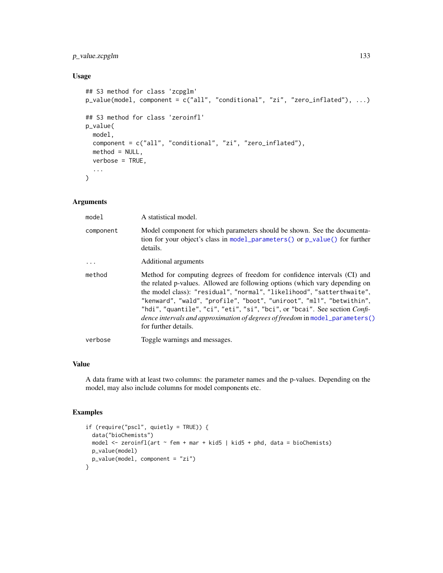# p\_value.zcpglm 133

# Usage

```
## S3 method for class 'zcpglm'
p_value(model, component = c("all", "conditional", "zi", "zero_inflated"), ...)
## S3 method for class 'zeroinfl'
p_value(
 model,
 component = c("all", "conditional", "zi", "zero_inflated"),
 method = NULL,
 verbose = TRUE,
  ...
\mathcal{L}
```
# Arguments

| model     | A statistical model.                                                                                                                                                                                                                                                                                                                                                                                                                                                                                              |
|-----------|-------------------------------------------------------------------------------------------------------------------------------------------------------------------------------------------------------------------------------------------------------------------------------------------------------------------------------------------------------------------------------------------------------------------------------------------------------------------------------------------------------------------|
| component | Model component for which parameters should be shown. See the documenta-<br>tion for your object's class in model_parameters() or p_value() for further<br>details.                                                                                                                                                                                                                                                                                                                                               |
|           | Additional arguments                                                                                                                                                                                                                                                                                                                                                                                                                                                                                              |
| method    | Method for computing degrees of freedom for confidence intervals (CI) and<br>the related p-values. Allowed are following options (which vary depending on<br>the model class): "residual", "normal", "likelihood", "satterthwaite",<br>"kenward", "wald", "profile", "boot", "uniroot", "ml1", "betwithin",<br>"hdi", "quantile", "ci", "eti", "si", "bci", or "bcai". See section <i>Confi</i> -<br><i>dence intervals and approximation of degrees of freedom</i> in model_parameters()<br>for further details. |
| verbose   | Toggle warnings and messages.                                                                                                                                                                                                                                                                                                                                                                                                                                                                                     |

### Value

A data frame with at least two columns: the parameter names and the p-values. Depending on the model, may also include columns for model components etc.

```
if (require("pscl", quietly = TRUE)) {
  data("bioChemists")
  model <- zeroinfl(art ~ fem + mar + kid5 | kid5 + phd, data = bioChemists)
 p_value(model)
  p_value(model, component = "zi")
}
```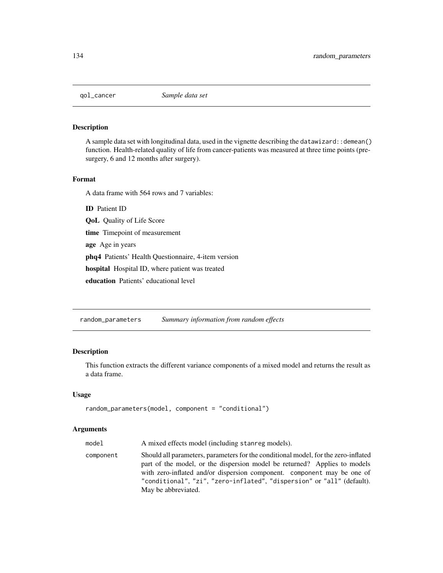# Description

A sample data set with longitudinal data, used in the vignette describing the datawizard: : demean() function. Health-related quality of life from cancer-patients was measured at three time points (presurgery, 6 and 12 months after surgery).

### Format

A data frame with 564 rows and 7 variables:

ID Patient ID

QoL Quality of Life Score

time Timepoint of measurement

age Age in years

phq4 Patients' Health Questionnaire, 4-item version

hospital Hospital ID, where patient was treated

education Patients' educational level

random\_parameters *Summary information from random effects*

## Description

This function extracts the different variance components of a mixed model and returns the result as a data frame.

### Usage

```
random_parameters(model, component = "conditional")
```

| model     | A mixed effects model (including stanreg models).                                                                                                                                                                                                                                                                                           |
|-----------|---------------------------------------------------------------------------------------------------------------------------------------------------------------------------------------------------------------------------------------------------------------------------------------------------------------------------------------------|
| component | Should all parameters, parameters for the conditional model, for the zero-inflated<br>part of the model, or the dispersion model be returned? Applies to models<br>with zero-inflated and/or dispersion component. component may be one of<br>"conditional", "zi", "zero-inflated", "dispersion" or "all" (default).<br>May be abbreviated. |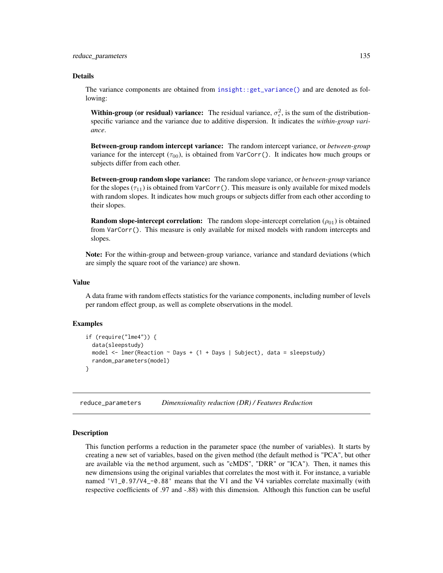#### Details

The variance components are obtained from [insight::get\\_variance\(\)](#page-0-0) and are denoted as following:

**Within-group (or residual) variance:** The residual variance,  $\sigma_{\epsilon}^2$ , is the sum of the distributionspecific variance and the variance due to additive dispersion. It indicates the *within-group variance*.

Between-group random intercept variance: The random intercept variance, or *between-group* variance for the intercept  $(\tau_{00})$ , is obtained from VarCorr(). It indicates how much groups or subjects differ from each other.

Between-group random slope variance: The random slope variance, or *between-group* variance for the slopes ( $\tau_{11}$ ) is obtained from VarCorr(). This measure is only available for mixed models with random slopes. It indicates how much groups or subjects differ from each other according to their slopes.

**Random slope-intercept correlation:** The random slope-intercept correlation ( $\rho_{01}$ ) is obtained from VarCorr(). This measure is only available for mixed models with random intercepts and slopes.

Note: For the within-group and between-group variance, variance and standard deviations (which are simply the square root of the variance) are shown.

#### Value

A data frame with random effects statistics for the variance components, including number of levels per random effect group, as well as complete observations in the model.

### Examples

```
if (require("lme4")) {
 data(sleepstudy)
 model <- lmer(Reaction ~ Days + (1 + Days | Subject), data = sleepstudy)
 random_parameters(model)
}
```
<span id="page-134-0"></span>reduce\_parameters *Dimensionality reduction (DR) / Features Reduction*

### Description

This function performs a reduction in the parameter space (the number of variables). It starts by creating a new set of variables, based on the given method (the default method is "PCA", but other are available via the method argument, such as "cMDS", "DRR" or "ICA"). Then, it names this new dimensions using the original variables that correlates the most with it. For instance, a variable named 'V1\_0.97/V4\_-0.88' means that the V1 and the V4 variables correlate maximally (with respective coefficients of .97 and -.88) with this dimension. Although this function can be useful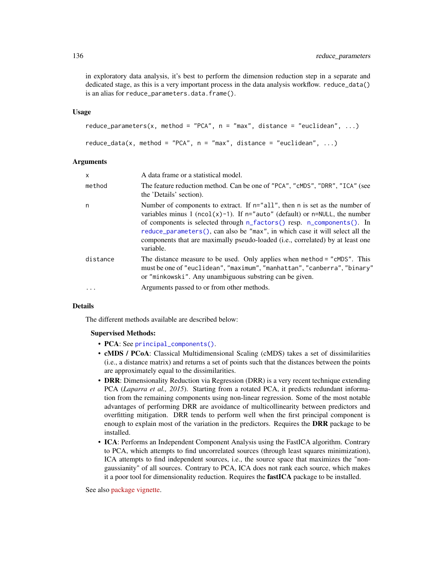in exploratory data analysis, it's best to perform the dimension reduction step in a separate and dedicated stage, as this is a very important process in the data analysis workflow. reduce\_data() is an alias for reduce\_parameters.data.frame().

### Usage

```
reduce_parameters(x, method = "PCA", n = "max", distance = "euclidean", ...)
reduce_data(x, method = "PCA", n = "max", distance = "euclidean", ...)
```
#### Arguments

| X        | A data frame or a statistical model.                                                                                                                                                                                                                                                                                                                                                                                            |
|----------|---------------------------------------------------------------------------------------------------------------------------------------------------------------------------------------------------------------------------------------------------------------------------------------------------------------------------------------------------------------------------------------------------------------------------------|
| method   | The feature reduction method. Can be one of "PCA", "cMDS", "DRR", "ICA" (see<br>the 'Details' section).                                                                                                                                                                                                                                                                                                                         |
| n        | Number of components to extract. If $n = "all",$ then n is set as the number of<br>variables minus 1 (ncol(x)-1). If $n =$ "auto" (default) or $n = NULL$ , the number<br>of components is selected through n_factors() resp. n_components(). In<br>reduce_parameters(), can also be "max", in which case it will select all the<br>components that are maximally pseudo-loaded (i.e., correlated) by at least one<br>variable. |
| distance | The distance measure to be used. Only applies when method = "cMDS". This<br>must be one of "euclidean", "maximum", "manhattan", "canberra", "binary"<br>or "minkowski". Any unambiguous substring can be given.                                                                                                                                                                                                                 |
|          | Arguments passed to or from other methods.                                                                                                                                                                                                                                                                                                                                                                                      |

### Details

The different methods available are described below:

#### Supervised Methods:

- PCA: See [principal\\_components\(\)](#page-41-0).
- cMDS / PCoA: Classical Multidimensional Scaling (cMDS) takes a set of dissimilarities (i.e., a distance matrix) and returns a set of points such that the distances between the points are approximately equal to the dissimilarities.
- DRR: Dimensionality Reduction via Regression (DRR) is a very recent technique extending PCA (*Laparra et al., 2015*). Starting from a rotated PCA, it predicts redundant information from the remaining components using non-linear regression. Some of the most notable advantages of performing DRR are avoidance of multicollinearity between predictors and overfitting mitigation. DRR tends to perform well when the first principal component is enough to explain most of the variation in the predictors. Requires the DRR package to be installed.
- ICA: Performs an Independent Component Analysis using the FastICA algorithm. Contrary to PCA, which attempts to find uncorrelated sources (through least squares minimization), ICA attempts to find independent sources, i.e., the source space that maximizes the "nongaussianity" of all sources. Contrary to PCA, ICA does not rank each source, which makes it a poor tool for dimensionality reduction. Requires the fastICA package to be installed.

See also [package vignette.](https://easystats.github.io/parameters/articles/parameters_reduction.html)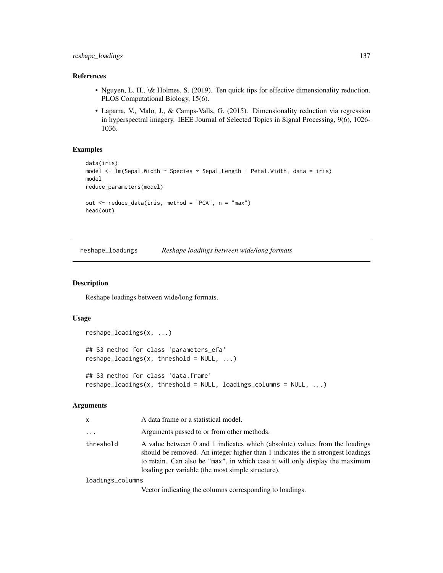### References

- Nguyen, L. H., \& Holmes, S. (2019). Ten quick tips for effective dimensionality reduction. PLOS Computational Biology, 15(6).
- Laparra, V., Malo, J., & Camps-Valls, G. (2015). Dimensionality reduction via regression in hyperspectral imagery. IEEE Journal of Selected Topics in Signal Processing, 9(6), 1026- 1036.

# Examples

```
data(iris)
model <- lm(Sepal.Width ~ Species * Sepal.Length + Petal.Width, data = iris)
model
reduce_parameters(model)
out <- reduce_data(iris, method = "PCA", n = "max")
head(out)
```
reshape\_loadings *Reshape loadings between wide/long formats*

### Description

Reshape loadings between wide/long formats.

#### Usage

```
reshape_loadings(x, ...)
## S3 method for class 'parameters_efa'
reshape\_loadings(x, threshold = NULL, ...)## S3 method for class 'data.frame'
reshape\_loadings(x, threshold = NULL, loadings\_columns = NULL, ...)
```
### Arguments

| x                                      | A data frame or a statistical model.                                                                                                                                                                                                                                                               |
|----------------------------------------|----------------------------------------------------------------------------------------------------------------------------------------------------------------------------------------------------------------------------------------------------------------------------------------------------|
| $\cdots$                               | Arguments passed to or from other methods.                                                                                                                                                                                                                                                         |
| threshold                              | A value between 0 and 1 indicates which (absolute) values from the loadings<br>should be removed. An integer higher than 1 indicates the n strongest loadings<br>to retain. Can also be "max", in which case it will only display the maximum<br>loading per variable (the most simple structure). |
| المستشر الممالي المستمر فالمستمر المنا |                                                                                                                                                                                                                                                                                                    |

loadings\_columns

Vector indicating the columns corresponding to loadings.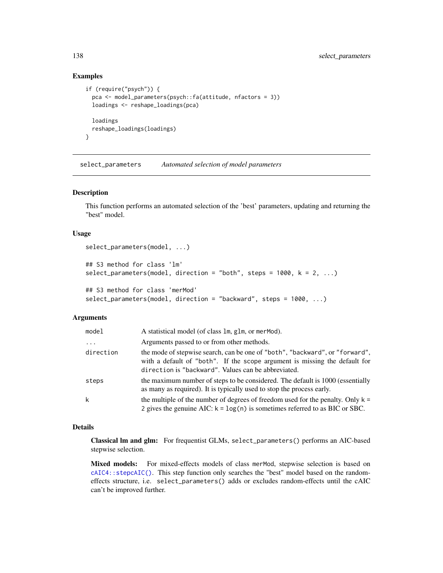### Examples

```
if (require("psych")) {
 pca <- model_parameters(psych::fa(attitude, nfactors = 3))
 loadings <- reshape_loadings(pca)
 loadings
 reshape_loadings(loadings)
}
```
select\_parameters *Automated selection of model parameters*

#### Description

This function performs an automated selection of the 'best' parameters, updating and returning the "best" model.

### Usage

```
select_parameters(model, ...)
## S3 method for class 'lm'
select_parameters(model, direction = "both", steps = 1000, k = 2, ...)
## S3 method for class 'merMod'
select_parameters(model, direction = "backward", steps = 1000, ...)
```
### Arguments

| model     | A statistical model (of class 1m, g1m, or merMod).                                                                                                                                                                |
|-----------|-------------------------------------------------------------------------------------------------------------------------------------------------------------------------------------------------------------------|
| $\ddots$  | Arguments passed to or from other methods.                                                                                                                                                                        |
| direction | the mode of stepwise search, can be one of "both", "backward", or "forward",<br>with a default of "both". If the scope argument is missing the default for<br>direction is "backward". Values can be abbreviated. |
| steps     | the maximum number of steps to be considered. The default is 1000 (essentially<br>as many as required). It is typically used to stop the process early.                                                           |
| k         | the multiple of the number of degrees of freedom used for the penalty. Only $k =$<br>2 gives the genuine AIC: $k = log(n)$ is sometimes referred to as BIC or SBC.                                                |

#### Details

Classical lm and glm: For frequentist GLMs, select\_parameters() performs an AIC-based stepwise selection.

Mixed models: For mixed-effects models of class merMod, stepwise selection is based on [cAIC4::stepcAIC\(\)](#page-0-0). This step function only searches the "best" model based on the randomeffects structure, i.e. select\_parameters() adds or excludes random-effects until the cAIC can't be improved further.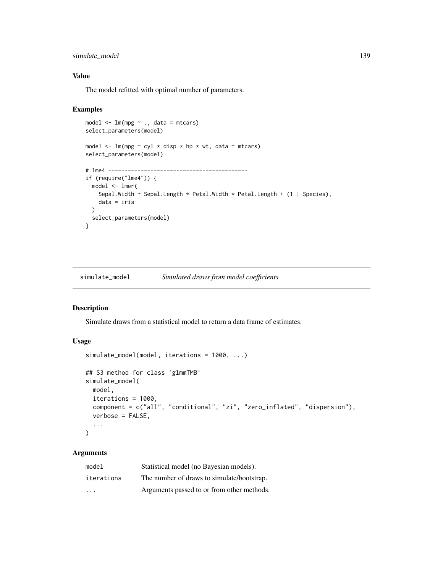# simulate\_model 139

### Value

The model refitted with optimal number of parameters.

### Examples

```
model <- lm(mpg ~ ., data = mtcars)
select_parameters(model)
model \leq lm(mpg \sim cyl \star disp \star hp \star wt, data = mtcars)
select_parameters(model)
# lme4 -------------------------------------------
if (require("lme4")) {
  model <- lmer(
    Sepal.Width ~ Sepal.Length * Petal.Width * Petal.Length + (1 | Species),
    data = iris
  )
  select_parameters(model)
}
```
<span id="page-138-0"></span>simulate\_model *Simulated draws from model coefficients*

### Description

Simulate draws from a statistical model to return a data frame of estimates.

# Usage

```
simulate_model(model, iterations = 1000, ...)
## S3 method for class 'glmmTMB'
simulate_model(
 model,
 iterations = 1000,
 component = c("all", "conditional", "zi", "zero_inflated", "dispersion"),
 verbose = FALSE,
  ...
)
```

| model                   | Statistical model (no Bayesian models).    |
|-------------------------|--------------------------------------------|
| iterations              | The number of draws to simulate/bootstrap. |
| $\cdot$ $\cdot$ $\cdot$ | Arguments passed to or from other methods. |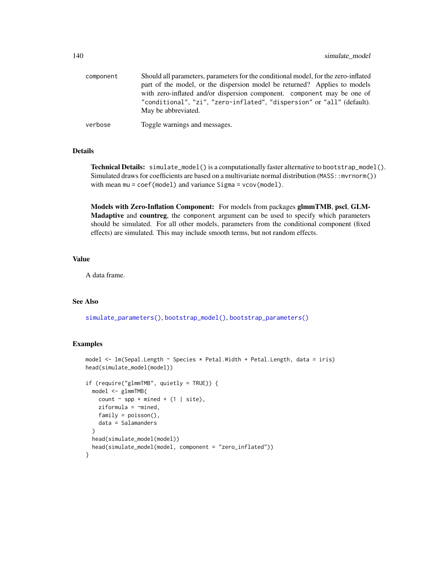| component | Should all parameters, parameters for the conditional model, for the zero-inflated |
|-----------|------------------------------------------------------------------------------------|
|           | part of the model, or the dispersion model be returned? Applies to models          |
|           | with zero-inflated and/or dispersion component. component may be one of            |
|           | "conditional", "zi", "zero-inflated", "dispersion" or "all" (default).             |
|           | May be abbreviated.                                                                |
| verbose   | Toggle warnings and messages.                                                      |

# Details

Technical Details: simulate\_model() is a computationally faster alternative to bootstrap\_model(). Simulated draws for coefficients are based on a multivariate normal distribution (MASS:: mvrnorm()) with mean mu = coef(model) and variance Sigma = vcov(model).

Models with Zero-Inflation Component: For models from packages glmmTMB, pscl, GLM-Madaptive and countreg, the component argument can be used to specify which parameters should be simulated. For all other models, parameters from the conditional component (fixed effects) are simulated. This may include smooth terms, but not random effects.

# Value

A data frame.

### See Also

[simulate\\_parameters\(\)](#page-140-0), [bootstrap\\_model\(\)](#page-3-0), [bootstrap\\_parameters\(\)](#page-5-0)

```
model \leq - lm(Sepal.Length \sim Species \star Petal.Width + Petal.Length, data = iris)
head(simulate_model(model))
if (require("glmmTMB", quietly = TRUE)) {
  model <- glmmTMB(
    count \sim spp + mined + (1 | site),
    ziformula = \gamma^mined,
    family = poisson(),
    data = Salamanders
  \lambdahead(simulate_model(model))
  head(simulate_model(model, component = "zero_inflated"))
}
```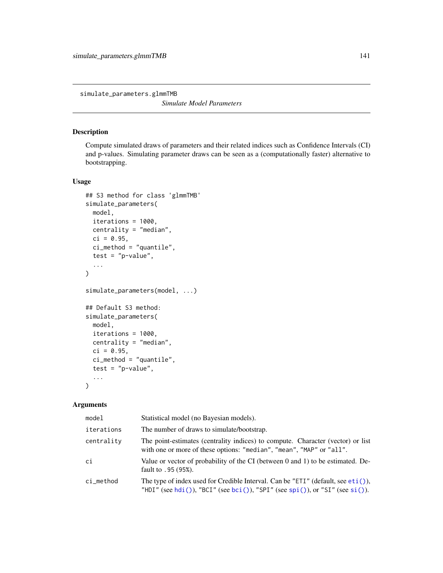simulate\_parameters.glmmTMB

*Simulate Model Parameters*

# <span id="page-140-0"></span>Description

Compute simulated draws of parameters and their related indices such as Confidence Intervals (CI) and p-values. Simulating parameter draws can be seen as a (computationally faster) alternative to bootstrapping.

### Usage

```
## S3 method for class 'glmmTMB'
simulate_parameters(
 model,
 iterations = 1000,
 centrality = "median",
 ci = 0.95,ci_method = "quantile",
  test = "p-value",...
)
simulate_parameters(model, ...)
## Default S3 method:
simulate_parameters(
 model,
 iterations = 1000,
 centrality = "median",
 ci = 0.95,
 ci_method = "quantile",
 test = "p-value",...
\mathcal{L}
```

| model      | Statistical model (no Bayesian models).                                                                                                                           |
|------------|-------------------------------------------------------------------------------------------------------------------------------------------------------------------|
| iterations | The number of draws to simulate/bootstrap.                                                                                                                        |
| centrality | The point-estimates (centrality indices) to compute. Character (vector) or list<br>with one or more of these options: "median", "mean", "MAP" or "all".           |
| ci         | Value or vector of probability of the CI (between 0 and 1) to be estimated. De-<br>fault to .95 (95%).                                                            |
| ci_method  | The type of index used for Credible Interval. Can be "ETI" (default, see $eti$ ),<br>"HDI" (see hdi()), "BCI" (see bci()), "SPI" (see spi()), or "SI" (see si()). |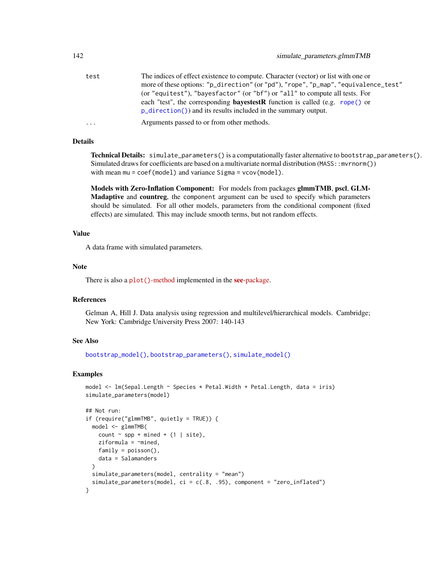| test     | The indices of effect existence to compute. Character (vector) or list with one or  |
|----------|-------------------------------------------------------------------------------------|
|          | more of these options: "p_direction" (or "pd"), "rope", "p_map", "equivalence_test" |
|          | (or "equitest"), "bayesfactor" (or "bf") or "all" to compute all tests. For         |
|          | each "test", the corresponding <b>bayestestR</b> function is called (e.g. rope() or |
|          | $p_{\text{d}}$ direction()) and its results included in the summary output.         |
| $\cdots$ | Arguments passed to or from other methods.                                          |

### Details

Technical Details: simulate\_parameters() is a computationally faster alternative to bootstrap\_parameters(). Simulated draws for coefficients are based on a multivariate normal distribution (MASS:: mvrnorm()) with mean mu = coef(model) and variance Sigma = vcov(model).

Models with Zero-Inflation Component: For models from packages glmmTMB, pscl, GLM-Madaptive and countreg, the component argument can be used to specify which parameters should be simulated. For all other models, parameters from the conditional component (fixed effects) are simulated. This may include smooth terms, but not random effects.

### Value

A data frame with simulated parameters.

### Note

There is also a plot ()[-method](https://easystats.github.io/see/articles/parameters.html) implemented in the **see**[-package.](https://easystats.github.io/see/)

#### References

Gelman A, Hill J. Data analysis using regression and multilevel/hierarchical models. Cambridge; New York: Cambridge University Press 2007: 140-143

### See Also

[bootstrap\\_model\(\)](#page-3-0), [bootstrap\\_parameters\(\)](#page-5-0), [simulate\\_model\(\)](#page-138-0)

```
model <- lm(Sepal.Length ~ Species * Petal.Width + Petal.Length, data = iris)
simulate_parameters(model)
## Not run:
if (require("glmmTMB", quietly = TRUE)) {
 model <- glmmTMB(
   count \sim spp + mined + (1 | site),
    ziformula = \text{~mined},family = poisson(),
    data = Salamanders
 \lambdasimulate_parameters(model, centrality = "mean")
 simulate_parameters(model, ci = c(.8, .95), component = "zero_inflated")
}
```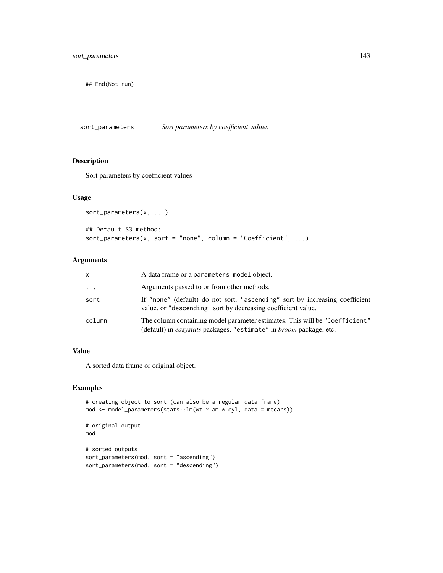## End(Not run)

sort\_parameters *Sort parameters by coefficient values*

# Description

Sort parameters by coefficient values

#### Usage

```
sort_parameters(x, ...)
## Default S3 method:
sort_parameters(x, sort = "none", column = "Coefficient", ...)
```
### Arguments

| x        | A data frame or a parameters_model object.                                                                                                                      |
|----------|-----------------------------------------------------------------------------------------------------------------------------------------------------------------|
| $\cdots$ | Arguments passed to or from other methods.                                                                                                                      |
| sort     | If "none" (default) do not sort, "ascending" sort by increasing coefficient<br>value, or "descending" sort by decreasing coefficient value.                     |
| column   | The column containing model parameter estimates. This will be "Coefficient"<br>(default) in <i>easystats</i> packages, "estimate" in <i>broom</i> package, etc. |

### Value

A sorted data frame or original object.

```
# creating object to sort (can also be a regular data frame)
mod <- model_parameters(stats::lm(wt ~ am * cyl, data = mtcars))
# original output
mod
# sorted outputs
sort_parameters(mod, sort = "ascending")
sort_parameters(mod, sort = "descending")
```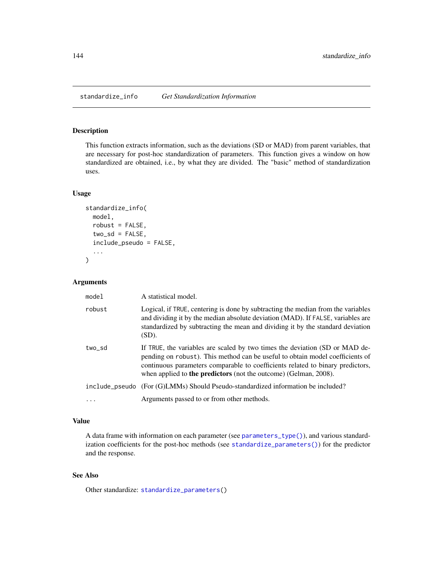standardize\_info *Get Standardization Information*

# Description

This function extracts information, such as the deviations (SD or MAD) from parent variables, that are necessary for post-hoc standardization of parameters. This function gives a window on how standardized are obtained, i.e., by what they are divided. The "basic" method of standardization uses.

### Usage

```
standardize_info(
 model,
  robust = FALSE,two_s d = FALSE,include_pseudo = FALSE,
  ...
)
```
### Arguments

| model  | A statistical model.                                                                                                                                                                                                                                                                                                      |
|--------|---------------------------------------------------------------------------------------------------------------------------------------------------------------------------------------------------------------------------------------------------------------------------------------------------------------------------|
| robust | Logical, if TRUE, centering is done by subtracting the median from the variables<br>and dividing it by the median absolute deviation (MAD). If FALSE, variables are<br>standardized by subtracting the mean and dividing it by the standard deviation<br>(SD).                                                            |
| two_sd | If TRUE, the variables are scaled by two times the deviation (SD or MAD de-<br>pending on robust). This method can be useful to obtain model coefficients of<br>continuous parameters comparable to coefficients related to binary predictors,<br>when applied to <b>the predictors</b> (not the outcome) (Gelman, 2008). |
|        | include_pseudo (For (G)LMMs) Should Pseudo-standardized information be included?                                                                                                                                                                                                                                          |
|        | Arguments passed to or from other methods.                                                                                                                                                                                                                                                                                |

### Value

A data frame with information on each parameter (see [parameters\\_type\(\)](#page-117-0)), and various standardization coefficients for the post-hoc methods (see [standardize\\_parameters\(\)](#page-144-0)) for the predictor and the response.

### See Also

Other standardize: [standardize\\_parameters\(](#page-144-0))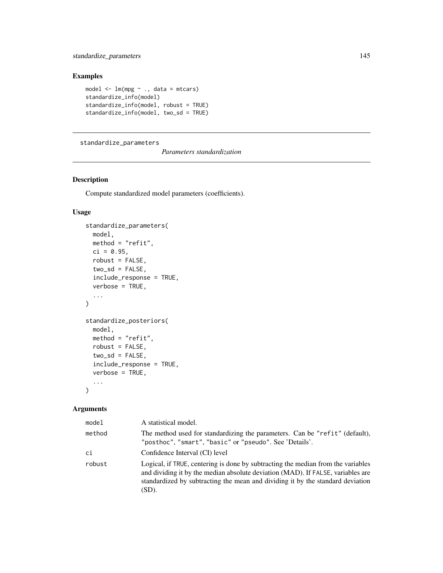## <span id="page-144-0"></span>standardize\_parameters 145

# Examples

```
model \leq - \ln(mpg \sim ., \text{ data = mtears})standardize_info(model)
standardize_info(model, robust = TRUE)
standardize_info(model, two_sd = TRUE)
```
standardize\_parameters

*Parameters standardization*

# Description

Compute standardized model parameters (coefficients).

# Usage

```
standardize_parameters(
 model,
 method = "refit",ci = 0.95,
 robust = FALSE,two_s d = FALSE,include_response = TRUE,
  verbose = TRUE,
  ...
\mathcal{L}standardize_posteriors(
 model,
 method = "refit",robust = FALSE,two_s d = FALSE,
  include_response = TRUE,
  verbose = TRUE,
  ...
)
```
## Arguments

| model  | A statistical model.                                                                                                                                                                                                                                           |
|--------|----------------------------------------------------------------------------------------------------------------------------------------------------------------------------------------------------------------------------------------------------------------|
| method | The method used for standardizing the parameters. Can be "refit" (default),<br>"posthoc", "smart", "basic" or "pseudo". See 'Details'.                                                                                                                         |
| сi     | Confidence Interval (CI) level                                                                                                                                                                                                                                 |
| robust | Logical, if TRUE, centering is done by subtracting the median from the variables<br>and dividing it by the median absolute deviation (MAD). If FALSE, variables are<br>standardized by subtracting the mean and dividing it by the standard deviation<br>(SD). |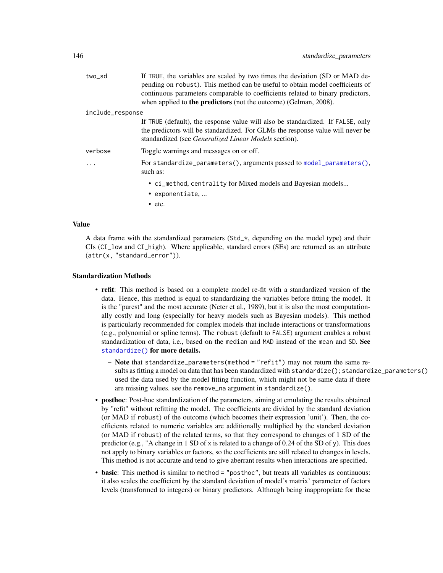<span id="page-145-0"></span>

| two_sd           | If TRUE, the variables are scaled by two times the deviation (SD or MAD de-<br>pending on robust). This method can be useful to obtain model coefficients of<br>continuous parameters comparable to coefficients related to binary predictors,<br>when applied to <b>the predictors</b> (not the outcome) (Gelman, 2008). |
|------------------|---------------------------------------------------------------------------------------------------------------------------------------------------------------------------------------------------------------------------------------------------------------------------------------------------------------------------|
| include_response |                                                                                                                                                                                                                                                                                                                           |
|                  | If TRUE (default), the response value will also be standardized. If FALSE, only<br>the predictors will be standardized. For GLMs the response value will never be<br>standardized (see <i>Generalized Linear Models</i> section).                                                                                         |
| verbose          | Toggle warnings and messages on or off.                                                                                                                                                                                                                                                                                   |
| $\ddots$         | For standardize_parameters(), arguments passed to model_parameters(),<br>such as:                                                                                                                                                                                                                                         |
|                  | • ci_method, centrality for Mixed models and Bayesian models<br>• exponentiate,                                                                                                                                                                                                                                           |
|                  | $\bullet$ etc.                                                                                                                                                                                                                                                                                                            |

#### Value

A data frame with the standardized parameters  $(Std<sub>–</sub>*)$ , depending on the model type) and their CIs (CI\_low and CI\_high). Where applicable, standard errors (SEs) are returned as an attribute (attr(x, "standard\_error")).

## Standardization Methods

- refit: This method is based on a complete model re-fit with a standardized version of the data. Hence, this method is equal to standardizing the variables before fitting the model. It is the "purest" and the most accurate (Neter et al., 1989), but it is also the most computationally costly and long (especially for heavy models such as Bayesian models). This method is particularly recommended for complex models that include interactions or transformations (e.g., polynomial or spline terms). The robust (default to FALSE) argument enables a robust standardization of data, i.e., based on the median and MAD instead of the mean and SD. See [standardize\(\)](#page-0-0) for more details.
	- Note that standardize\_parameters(method = "refit") may not return the same results as fitting a model on data that has been standardized with standardize(); standardize\_parameters() used the data used by the model fitting function, which might not be same data if there are missing values. see the remove\_na argument in standardize().
- posthoc: Post-hoc standardization of the parameters, aiming at emulating the results obtained by "refit" without refitting the model. The coefficients are divided by the standard deviation (or MAD if robust) of the outcome (which becomes their expression 'unit'). Then, the coefficients related to numeric variables are additionally multiplied by the standard deviation (or MAD if robust) of the related terms, so that they correspond to changes of 1 SD of the predictor (e.g., "A change in 1 SD of  $x$  is related to a change of 0.24 of the SD of y). This does not apply to binary variables or factors, so the coefficients are still related to changes in levels. This method is not accurate and tend to give aberrant results when interactions are specified.
- basic: This method is similar to method = "posthoc", but treats all variables as continuous: it also scales the coefficient by the standard deviation of model's matrix' parameter of factors levels (transformed to integers) or binary predictors. Although being inappropriate for these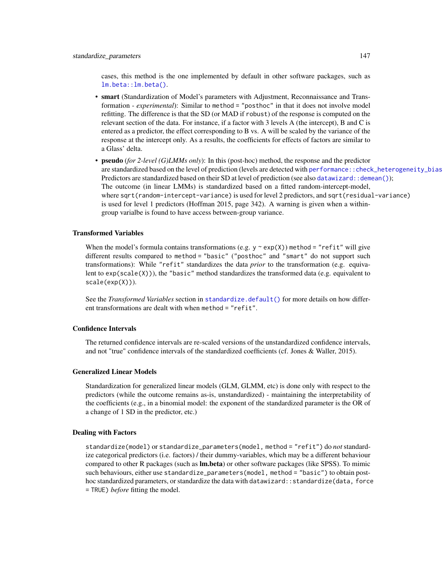<span id="page-146-0"></span>cases, this method is the one implemented by default in other software packages, such as [lm.beta::lm.beta\(\)](#page-0-0).

- smart (Standardization of Model's parameters with Adjustment, Reconnaissance and Transformation - *experimental*): Similar to method = "posthoc" in that it does not involve model refitting. The difference is that the SD (or MAD if robust) of the response is computed on the relevant section of the data. For instance, if a factor with 3 levels A (the intercept), B and C is entered as a predictor, the effect corresponding to B vs. A will be scaled by the variance of the response at the intercept only. As a results, the coefficients for effects of factors are similar to a Glass' delta.
- pseudo (*for 2-level (G)LMMs only*): In this (post-hoc) method, the response and the predictor are standardized based on the level of prediction (levels are detected with performance::check\_heterogeneity\_bias Predictors are standardized based on their SD at level of prediction (see also [datawizard::demean\(\)](#page-0-0)); The outcome (in linear LMMs) is standardized based on a fitted random-intercept-model, where sqrt(random-intercept-variance) is used for level 2 predictors, and sqrt(residual-variance) is used for level 1 predictors (Hoffman 2015, page 342). A warning is given when a withingroup varialbe is found to have access between-group variance.

## Transformed Variables

When the model's formula contains transformations (e.g.  $y \sim \exp(X)$ ) method = "refit" will give different results compared to method = "basic" ("posthoc" and "smart" do not support such transformations): While "refit" standardizes the data *prior* to the transformation (e.g. equivalent to  $exp(scale(X))$ , the "basic" method standardizes the transformed data (e.g. equivalent to scale(exp(X))).

See the *Transformed Variables* section in standardize.default () for more details on how different transformations are dealt with when method = "refit".

#### Confidence Intervals

The returned confidence intervals are re-scaled versions of the unstandardized confidence intervals, and not "true" confidence intervals of the standardized coefficients (cf. Jones & Waller, 2015).

#### Generalized Linear Models

Standardization for generalized linear models (GLM, GLMM, etc) is done only with respect to the predictors (while the outcome remains as-is, unstandardized) - maintaining the interpretability of the coefficients (e.g., in a binomial model: the exponent of the standardized parameter is the OR of a change of 1 SD in the predictor, etc.)

#### Dealing with Factors

standardize(model) or standardize\_parameters(model, method = "refit") do *not* standardize categorical predictors (i.e. factors) / their dummy-variables, which may be a different behaviour compared to other R packages (such as  $lm,beta$ ) or other software packages (like SPSS). To mimic such behaviours, either use standardize\_parameters(model, method = "basic") to obtain posthoc standardized parameters, or standardize the data with datawizard::standardize(data, force = TRUE) *before* fitting the model.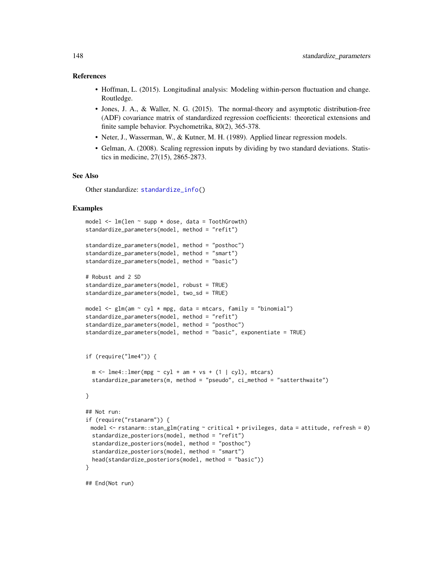#### <span id="page-147-0"></span>References

- Hoffman, L. (2015). Longitudinal analysis: Modeling within-person fluctuation and change. Routledge.
- Jones, J. A., & Waller, N. G. (2015). The normal-theory and asymptotic distribution-free (ADF) covariance matrix of standardized regression coefficients: theoretical extensions and finite sample behavior. Psychometrika, 80(2), 365-378.
- Neter, J., Wasserman, W., & Kutner, M. H. (1989). Applied linear regression models.
- Gelman, A. (2008). Scaling regression inputs by dividing by two standard deviations. Statistics in medicine, 27(15), 2865-2873.

#### See Also

Other standardize: [standardize\\_info\(](#page-143-0))

### Examples

```
model \leq - lm(len \sim supp * dose, data = ToothGrowth)standardize_parameters(model, method = "refit")
standardize_parameters(model, method = "posthoc")
standardize_parameters(model, method = "smart")
standardize_parameters(model, method = "basic")
# Robust and 2 SD
standardize_parameters(model, robust = TRUE)
standardize_parameters(model, two_sd = TRUE)
model \leq glm(am \sim cyl \star mpg, data = mtcars, family = "binomial")
standardize_parameters(model, method = "refit")
standardize_parameters(model, method = "posthoc")
standardize_parameters(model, method = "basic", exponentiate = TRUE)
if (require("lme4")) {
 m \le -1me4::lmer(mpg ~ cyl + am + vs + (1 | cyl), mtcars)
 standardize_parameters(m, method = "pseudo", ci_method = "satterthwaite")
}
## Not run:
if (require("rstanarm")) {
 model \leq rstanarm::stan_glm(rating \sim critical + privileges, data = attitude, refresh = 0)
 standardize_posteriors(model, method = "refit")
 standardize_posteriors(model, method = "posthoc")
 standardize_posteriors(model, method = "smart")
 head(standardize_posteriors(model, method = "basic"))
}
```
## End(Not run)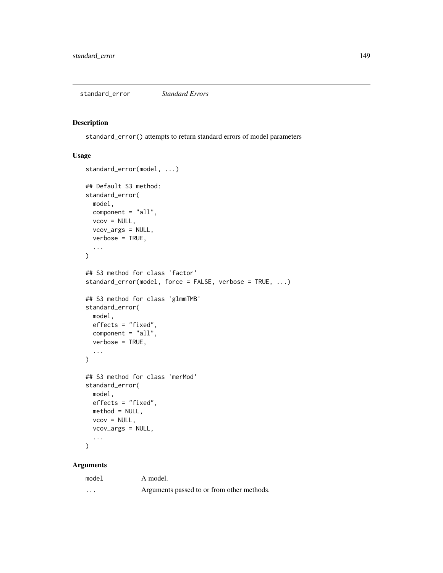<span id="page-148-0"></span>standard\_error *Standard Errors*

## Description

standard\_error() attempts to return standard errors of model parameters

# Usage

```
standard_error(model, ...)
## Default S3 method:
standard_error(
 model,
 component = "all",
 vcov = NULL,vcov_args = NULL,
 verbose = TRUE,
  ...
\overline{)}## S3 method for class 'factor'
standard_error(model, force = FALSE, verbose = TRUE, ...)
## S3 method for class 'glmmTMB'
standard_error(
 model,
 effects = "fixed",
 component = "all",
 verbose = TRUE,
  ...
)
## S3 method for class 'merMod'
standard_error(
 model,
 effects = "fixed",
 method = NULL,
 vcov = NULL,vcov_args = NULL,
  ...
\mathcal{L}
```
## Arguments

| model                   | A model.                                   |
|-------------------------|--------------------------------------------|
| $\cdot$ $\cdot$ $\cdot$ | Arguments passed to or from other methods. |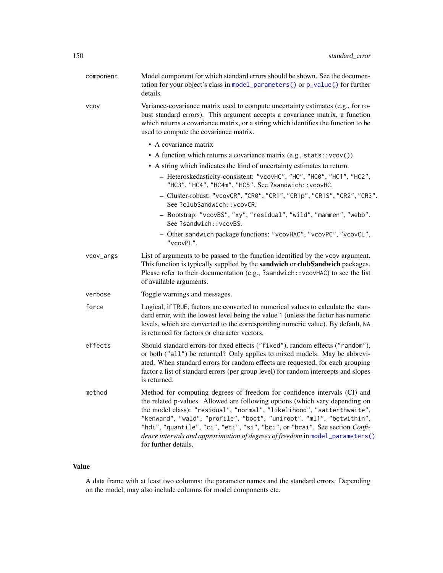<span id="page-149-0"></span>

| component   | Model component for which standard errors should be shown. See the documen-<br>tation for your object's class in model_parameters() or p_value() for further<br>details.                                                                                                                                                                                                                                                                                                                           |
|-------------|----------------------------------------------------------------------------------------------------------------------------------------------------------------------------------------------------------------------------------------------------------------------------------------------------------------------------------------------------------------------------------------------------------------------------------------------------------------------------------------------------|
| <b>VCOV</b> | Variance-covariance matrix used to compute uncertainty estimates (e.g., for ro-<br>bust standard errors). This argument accepts a covariance matrix, a function<br>which returns a covariance matrix, or a string which identifies the function to be<br>used to compute the covariance matrix.                                                                                                                                                                                                    |
|             | • A covariance matrix                                                                                                                                                                                                                                                                                                                                                                                                                                                                              |
|             | • A function which returns a covariance matrix (e.g., stats:: vcov())                                                                                                                                                                                                                                                                                                                                                                                                                              |
|             | • A string which indicates the kind of uncertainty estimates to return.                                                                                                                                                                                                                                                                                                                                                                                                                            |
|             | - Heteroskedasticity-consistent: "vcovHC", "HC", "HC0", "HC1", "HC2",<br>"HC3", "HC4", "HC4m", "HC5". See ?sandwich:: vcovHC.                                                                                                                                                                                                                                                                                                                                                                      |
|             | - Cluster-robust: "vcovCR", "CR0", "CR1", "CR1p", "CR1S", "CR2", "CR3".<br>See ?clubSandwich:: vcovCR.                                                                                                                                                                                                                                                                                                                                                                                             |
|             | - Bootstrap: "vcovBS", "xy", "residual", "wild", "mammen", "webb".<br>See ?sandwich:: vcovBS.                                                                                                                                                                                                                                                                                                                                                                                                      |
|             | - Other sandwich package functions: "vcovHAC", "vcovPC", "vcovCL",<br>"vcovPL".                                                                                                                                                                                                                                                                                                                                                                                                                    |
| vcov_args   | List of arguments to be passed to the function identified by the vcov argument.<br>This function is typically supplied by the sandwich or clubSandwich packages.<br>Please refer to their documentation (e.g., ?sandwich:: vcovHAC) to see the list<br>of available arguments.                                                                                                                                                                                                                     |
| verbose     | Toggle warnings and messages.                                                                                                                                                                                                                                                                                                                                                                                                                                                                      |
| force       | Logical, if TRUE, factors are converted to numerical values to calculate the stan-<br>dard error, with the lowest level being the value 1 (unless the factor has numeric<br>levels, which are converted to the corresponding numeric value). By default, NA<br>is returned for factors or character vectors.                                                                                                                                                                                       |
| effects     | Should standard errors for fixed effects ("fixed"), random effects ("random"),<br>or both ("all") be returned? Only applies to mixed models. May be abbrevi-<br>ated. When standard errors for random effects are requested, for each grouping<br>factor a list of standard errors (per group level) for random intercepts and slopes<br>is returned.                                                                                                                                              |
| method      | Method for computing degrees of freedom for confidence intervals (CI) and<br>the related p-values. Allowed are following options (which vary depending on<br>the model class): "residual", "normal", "likelihood", "satterthwaite",<br>"kenward", "wald", "profile", "boot", "uniroot", "ml1", "betwithin",<br>"hdi", "quantile", "ci", "eti", "si", "bci", or "bcai". See section Confi-<br>dence intervals and approximation of degrees of freedom in model_parameters()<br>for further details. |

# Value

A data frame with at least two columns: the parameter names and the standard errors. Depending on the model, may also include columns for model components etc.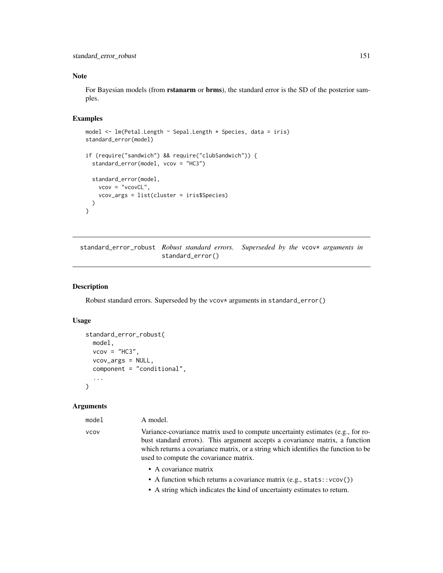#### <span id="page-150-0"></span>Note

For Bayesian models (from **rstanarm** or **brms**), the standard error is the SD of the posterior samples.

## Examples

```
model <- lm(Petal.Length ~ Sepal.Length * Species, data = iris)
standard_error(model)
if (require("sandwich") && require("clubSandwich")) {
 standard_error(model, vcov = "HC3")
 standard_error(model,
   vcov = "vcovCL",vcov_args = list(cluster = iris$Species)
 )
}
```
standard\_error\_robust *Robust standard errors.* Superseded by the vcov\* arguments in standard\_error()

## Description

Robust standard errors. Superseded by the vcov\* arguments in standard\_error()

## Usage

```
standard_error_robust(
 model,
 vcov = "HC3",vcov_args = NULL,
  component = "conditional",
  ...
)
```
## Arguments

#### model A model.

vcov Variance-covariance matrix used to compute uncertainty estimates (e.g., for robust standard errors). This argument accepts a covariance matrix, a function which returns a covariance matrix, or a string which identifies the function to be used to compute the covariance matrix.

- A covariance matrix
- A function which returns a covariance matrix (e.g., stats::vcov())
- A string which indicates the kind of uncertainty estimates to return.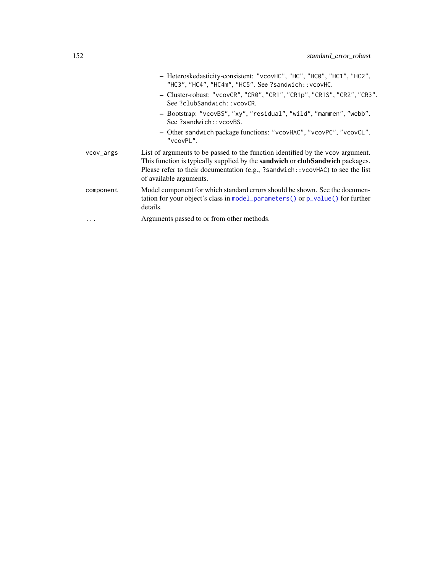<span id="page-151-0"></span>

|           | - Heteroskedasticity-consistent: "vcovHC", "HC", "HC0", "HC1", "HC2",<br>"HC3", "HC4", "HC4m", "HC5". See ?sandwich:: vcovHC.                                                                                                                                                               |
|-----------|---------------------------------------------------------------------------------------------------------------------------------------------------------------------------------------------------------------------------------------------------------------------------------------------|
|           | - Cluster-robust: "vcovCR", "CR0", "CR1", "CR1p", "CR1S", "CR2", "CR3".<br>See ?clubSandwich::vcovCR.                                                                                                                                                                                       |
|           | - Bootstrap: "vcovBS", "xy", "residual", "wild", "mammen", "webb".<br>See ?sandwich:: vcovBS.                                                                                                                                                                                               |
|           | - Other sandwich package functions: "vcovHAC", "vcovPC", "vcovCL",<br>"vcovPL".                                                                                                                                                                                                             |
| vcov_args | List of arguments to be passed to the function identified by the vcov argument.<br>This function is typically supplied by the <b>sandwich</b> or <b>clubSandwich</b> packages.<br>Please refer to their documentation (e.g., ?sandwich::vcovHAC) to see the list<br>of available arguments. |
| component | Model component for which standard errors should be shown. See the documen-<br>tation for your object's class in model_parameters() or $p_value()$ for further<br>details.                                                                                                                  |
| .         | Arguments passed to or from other methods.                                                                                                                                                                                                                                                  |
|           |                                                                                                                                                                                                                                                                                             |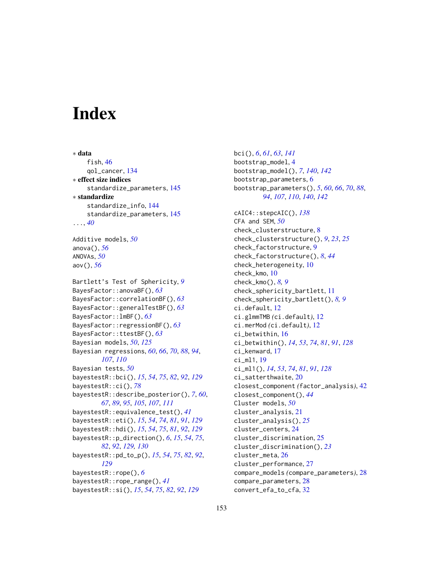# **Index**

∗ data fish, [46](#page-45-0) qol\_cancer, [134](#page-133-0) ∗ effect size indices standardize\_parameters, [145](#page-144-0) ∗ standardize standardize\_info, [144](#page-143-1) standardize\_parameters, [145](#page-144-0) ..., *[40](#page-39-0)* Additive models, *[50](#page-49-1)* anova(), *[56](#page-55-0)* ANOVAs, *[50](#page-49-1)* aov(), *[56](#page-55-0)* Bartlett's Test of Sphericity, *[9](#page-8-0)* BayesFactor::anovaBF(), *[63](#page-62-0)* BayesFactor::correlationBF(), *[63](#page-62-0)* BayesFactor::generalTestBF(), *[63](#page-62-0)* BayesFactor::lmBF(), *[63](#page-62-0)* BayesFactor::regressionBF(), *[63](#page-62-0)* BayesFactor::ttestBF(), *[63](#page-62-0)* Bayesian models, *[50](#page-49-1)*, *[125](#page-124-1)* Bayesian regressions, *[60](#page-59-0)*, *[66](#page-65-0)*, *[70](#page-69-0)*, *[88](#page-87-0)*, *[94](#page-93-0)*, *[107](#page-106-0)*, *[110](#page-109-0)* Bayesian tests, *[50](#page-49-1)* bayestestR::bci(), *[15](#page-14-0)*, *[54](#page-53-0)*, *[75](#page-74-0)*, *[82](#page-81-0)*, *[92](#page-91-0)*, *[129](#page-128-0)* bayestestR::ci(), *[78](#page-77-0)* bayestestR::describe\_posterior(), *[7](#page-6-0)*, *[60](#page-59-0)*, *[67](#page-66-0)*, *[89](#page-88-0)*, *[95](#page-94-0)*, *[105](#page-104-0)*, *[107](#page-106-0)*, *[111](#page-110-0)* bayestestR::equivalence\_test(), *[41](#page-40-0)* bayestestR::eti(), *[15](#page-14-0)*, *[54](#page-53-0)*, *[74](#page-73-0)*, *[81](#page-80-0)*, *[91](#page-90-0)*, *[129](#page-128-0)* bayestestR::hdi(), *[15](#page-14-0)*, *[54](#page-53-0)*, *[75](#page-74-0)*, *[81](#page-80-0)*, *[92](#page-91-0)*, *[129](#page-128-0)* bayestestR::p\_direction(), *[6](#page-5-0)*, *[15](#page-14-0)*, *[54](#page-53-0)*, *[75](#page-74-0)*, *[82](#page-81-0)*, *[92](#page-91-0)*, *[129,](#page-128-0) [130](#page-129-0)* bayestestR::pd\_to\_p(), *[15](#page-14-0)*, *[54](#page-53-0)*, *[75](#page-74-0)*, *[82](#page-81-0)*, *[92](#page-91-0)*, *[129](#page-128-0)* bayestestR::rope(), *[6](#page-5-0)* bayestestR::rope\_range(), *[41](#page-40-0)* bayestestR::si(), *[15](#page-14-0)*, *[54](#page-53-0)*, *[75](#page-74-0)*, *[82](#page-81-0)*, *[92](#page-91-0)*, *[129](#page-128-0)*

bci(), *[6](#page-5-0)*, *[61](#page-60-0)*, *[63](#page-62-0)*, *[141](#page-140-0)* bootstrap\_model, [4](#page-3-0) bootstrap\_model(), *[7](#page-6-0)*, *[140](#page-139-0)*, *[142](#page-141-0)* bootstrap\_parameters, [6](#page-5-0) bootstrap\_parameters(), *[5](#page-4-0)*, *[60](#page-59-0)*, *[66](#page-65-0)*, *[70](#page-69-0)*, *[88](#page-87-0)*, *[94](#page-93-0)*, *[107](#page-106-0)*, *[110](#page-109-0)*, *[140](#page-139-0)*, *[142](#page-141-0)* cAIC4::stepcAIC(), *[138](#page-137-0)* CFA and SEM, *[50](#page-49-1)* check\_clusterstructure, [8](#page-7-0) check\_clusterstructure(), *[9](#page-8-0)*, *[23](#page-22-0)*, *[25](#page-24-0)* check\_factorstructure, [9](#page-8-0) check\_factorstructure(), *[8](#page-7-0)*, *[44](#page-43-0)* check\_heterogeneity, [10](#page-9-0) check\_kmo, [10](#page-9-0) check\_kmo(), *[8,](#page-7-0) [9](#page-8-0)* check\_sphericity\_bartlett, [11](#page-10-0) check\_sphericity\_bartlett(), *[8,](#page-7-0) [9](#page-8-0)* ci.default, [12](#page-11-0) ci.glmmTMB *(*ci.default*)*, [12](#page-11-0) ci.merMod *(*ci.default*)*, [12](#page-11-0) ci\_betwithin, [16](#page-15-0) ci\_betwithin(), *[14](#page-13-0)*, *[53](#page-52-0)*, *[74](#page-73-0)*, *[81](#page-80-0)*, *[91](#page-90-0)*, *[128](#page-127-0)* ci\_kenward, [17](#page-16-0) ci\_ml1, [19](#page-18-0) ci\_ml1(), *[14](#page-13-0)*, *[53](#page-52-0)*, *[74](#page-73-0)*, *[81](#page-80-0)*, *[91](#page-90-0)*, *[128](#page-127-0)* ci\_satterthwaite, [20](#page-19-0) closest\_component *(*factor\_analysis*)*, [42](#page-41-0) closest\_component(), *[44](#page-43-0)* Cluster models, *[50](#page-49-1)* cluster\_analysis, [21](#page-20-0) cluster\_analysis(), *[25](#page-24-0)* cluster\_centers, [24](#page-23-0) cluster\_discrimination, [25](#page-24-0) cluster\_discrimination(), *[23](#page-22-0)* cluster\_meta, [26](#page-25-0) cluster\_performance, [27](#page-26-0) compare\_models *(*compare\_parameters*)*, [28](#page-27-0) compare\_parameters, [28](#page-27-0) convert\_efa\_to\_cfa, [32](#page-31-0)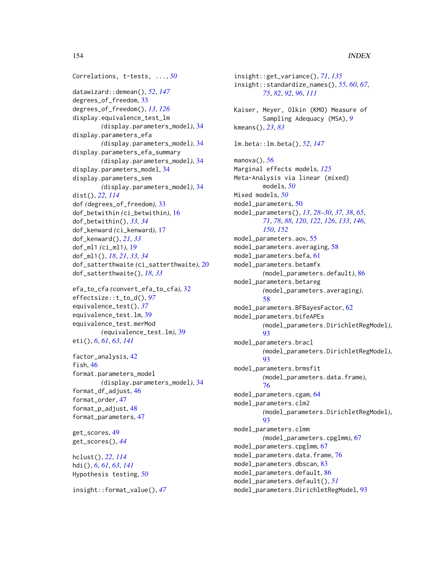```
Correlations, t-tests, ..., 50
datawizard::demean(), 52, 147
degrees_of_freedom, 33
degrees_of_freedom(), 13, 126
display.equivalence_test_lm
        (display.parameters_model), 34
display.parameters_efa
        (display.parameters_model), 34
display.parameters_efa_summary
        (display.parameters_model), 34
display.parameters_model, 34
display.parameters_sem
        (display.parameters_model), 34
dist(), 22, 114
dof (degrees_of_freedom), 33
dof_betwithin (ci_betwithin), 16
dof_betwithin(), 33, 34
dof_kenward (ci_kenward), 17
dof_kenward(), 21, 33
dof_ml1 (ci_ml1), 19
dof_ml1(), 18, 21, 33, 34
dof_satterthwaite (ci_satterthwaite), 20
dof_satterthwaite(), 18, 33
```

```
efa_to_cfa (convert_efa_to_cfa), 32
effectsize::t_to_d(), 97
equivalence_test(), 37
equivalence_test.lm, 39
equivalence_test.merMod
        (equivalence_test.lm), 39
eti(), 6, 61, 63, 141
```
factor\_analysis, [42](#page-41-0) fish, [46](#page-45-0) format.parameters\_model *(*display.parameters\_model*)*, [34](#page-33-0) format\_df\_adjust, [46](#page-45-0) format\_order, [47](#page-46-0) format\_p\_adjust, [48](#page-47-0) format\_parameters, [47](#page-46-0)

get\_scores, [49](#page-48-0) get\_scores(), *[44](#page-43-0)*

hclust(), *[22](#page-21-0)*, *[114](#page-113-0)* hdi(), *[6](#page-5-0)*, *[61](#page-60-0)*, *[63](#page-62-0)*, *[141](#page-140-0)* Hypothesis testing, *[50](#page-49-1)*

```
insight::format_value(), 47
```
insight::get\_variance(), *[71](#page-70-0)*, *[135](#page-134-0)* insight::standardize\_names(), *[55](#page-54-0)*, *[60](#page-59-0)*, *[67](#page-66-0)*, *[75](#page-74-0)*, *[82](#page-81-0)*, *[92](#page-91-0)*, *[96](#page-95-0)*, *[111](#page-110-0)* Kaiser, Meyer, Olkin (KMO) Measure of Sampling Adequacy (MSA), *[9](#page-8-0)* kmeans(), *[23](#page-22-0)*, *[83](#page-82-0)* lm.beta::lm.beta(), *[52](#page-51-0)*, *[147](#page-146-0)* manova(), *[56](#page-55-0)* Marginal effects models, *[125](#page-124-1)* Meta-Analysis via linear (mixed) models, *[50](#page-49-1)* Mixed models, *[50](#page-49-1)* model\_parameters, [50](#page-49-1) model\_parameters(), *[13](#page-12-0)*, *[28](#page-27-0)[–30](#page-29-0)*, *[37,](#page-36-0) [38](#page-37-0)*, *[65](#page-64-0)*, *[71](#page-70-0)*, *[78](#page-77-0)*, *[88](#page-87-0)*, *[120](#page-119-0)*, *[122](#page-121-0)*, *[126](#page-125-0)*, *[133](#page-132-0)*, *[146](#page-145-0)*, *[150](#page-149-0)*, *[152](#page-151-0)* model\_parameters.aov, [55](#page-54-0) model\_parameters.averaging, [58](#page-57-0) model\_parameters.befa, [61](#page-60-0) model\_parameters.betamfx *(*model\_parameters.default*)*, [86](#page-85-0) model\_parameters.betareg *(*model\_parameters.averaging*)*, [58](#page-57-0) model\_parameters.BFBayesFactor, [62](#page-61-0) model\_parameters.bifeAPEs *(*model\_parameters.DirichletRegModel*)*, [93](#page-92-0) model\_parameters.bracl *(*model\_parameters.DirichletRegModel*)*, [93](#page-92-0) model\_parameters.brmsfit *(*model\_parameters.data.frame*)*, [76](#page-75-0) model\_parameters.cgam, [64](#page-63-0) model\_parameters.clm2 *(*model\_parameters.DirichletRegModel*)*, [93](#page-92-0) model\_parameters.clmm *(*model\_parameters.cpglmm*)*, [67](#page-66-0) model\_parameters.cpglmm, [67](#page-66-0) model\_parameters.data.frame, [76](#page-75-0) model\_parameters.dbscan, [83](#page-82-0) model\_parameters.default, [86](#page-85-0) model\_parameters.default(), *[51](#page-50-0)* model\_parameters.DirichletRegModel, [93](#page-92-0)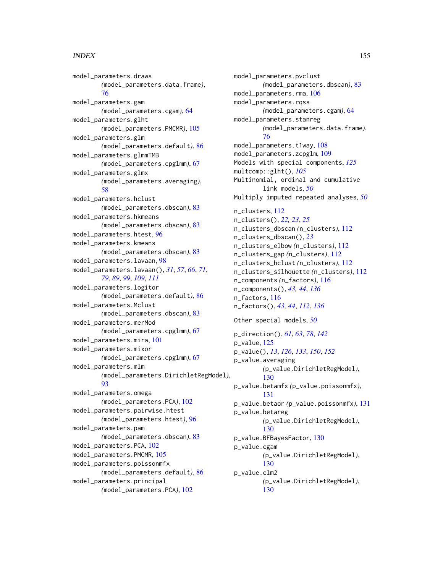#### INDEX 155

model\_parameters.draws *(*model\_parameters.data.frame*)*, [76](#page-75-0) model\_parameters.gam *(*model\_parameters.cgam*)*, [64](#page-63-0) model\_parameters.glht *(*model\_parameters.PMCMR*)*, [105](#page-104-0) model\_parameters.glm *(*model\_parameters.default*)*, [86](#page-85-0) model\_parameters.glmmTMB *(*model\_parameters.cpglmm*)*, [67](#page-66-0) model\_parameters.glmx *(*model\_parameters.averaging*)*, [58](#page-57-0) model\_parameters.hclust *(*model\_parameters.dbscan*)*, [83](#page-82-0) model\_parameters.hkmeans *(*model\_parameters.dbscan*)*, [83](#page-82-0) model\_parameters.htest, [96](#page-95-0) model\_parameters.kmeans *(*model\_parameters.dbscan*)*, [83](#page-82-0) model\_parameters.lavaan, [98](#page-97-0) model\_parameters.lavaan(), *[31](#page-30-0)*, *[57](#page-56-0)*, *[66](#page-65-0)*, *[71](#page-70-0)*, *[79](#page-78-0)*, *[89](#page-88-0)*, *[99](#page-98-0)*, *[109](#page-108-0)*, *[111](#page-110-0)* model\_parameters.logitor *(*model\_parameters.default*)*, [86](#page-85-0) model\_parameters.Mclust *(*model\_parameters.dbscan*)*, [83](#page-82-0) model\_parameters.merMod *(*model\_parameters.cpglmm*)*, [67](#page-66-0) model\_parameters.mira, [101](#page-100-0) model\_parameters.mixor *(*model\_parameters.cpglmm*)*, [67](#page-66-0) model\_parameters.mlm *(*model\_parameters.DirichletRegModel*)*, [93](#page-92-0) model\_parameters.omega *(*model\_parameters.PCA*)*, [102](#page-101-0) model\_parameters.pairwise.htest *(*model\_parameters.htest*)*, [96](#page-95-0) model\_parameters.pam *(*model\_parameters.dbscan*)*, [83](#page-82-0) model\_parameters.PCA, [102](#page-101-0) model\_parameters.PMCMR, [105](#page-104-0) model\_parameters.poissonmfx *(*model\_parameters.default*)*, [86](#page-85-0) model\_parameters.principal *(*model\_parameters.PCA*)*, [102](#page-101-0)

model\_parameters.pvclust *(*model\_parameters.dbscan*)*, [83](#page-82-0) model\_parameters.rma, [106](#page-105-0) model\_parameters.rqss *(*model\_parameters.cgam*)*, [64](#page-63-0) model\_parameters.stanreg *(*model\_parameters.data.frame*)*, [76](#page-75-0) model\_parameters.t1way, [108](#page-107-0) model\_parameters.zcpglm, [109](#page-108-0) Models with special components, *[125](#page-124-1)* multcomp::glht(), *[105](#page-104-0)* Multinomial, ordinal and cumulative link models, *[50](#page-49-1)* Multiply imputed repeated analyses, *[50](#page-49-1)* n\_clusters, [112](#page-111-0) n\_clusters(), *[22,](#page-21-0) [23](#page-22-0)*, *[25](#page-24-0)* n\_clusters\_dbscan *(*n\_clusters*)*, [112](#page-111-0) n\_clusters\_dbscan(), *[23](#page-22-0)* n\_clusters\_elbow *(*n\_clusters*)*, [112](#page-111-0) n\_clusters\_gap *(*n\_clusters*)*, [112](#page-111-0) n\_clusters\_hclust *(*n\_clusters*)*, [112](#page-111-0) n\_clusters\_silhouette *(*n\_clusters*)*, [112](#page-111-0) n\_components *(*n\_factors*)*, [116](#page-115-0) n\_components(), *[43,](#page-42-0) [44](#page-43-0)*, *[136](#page-135-0)* n\_factors, [116](#page-115-0) n\_factors(), *[43,](#page-42-0) [44](#page-43-0)*, *[112](#page-111-0)*, *[136](#page-135-0)* Other special models, *[50](#page-49-1)* p\_direction(), *[61](#page-60-0)*, *[63](#page-62-0)*, *[78](#page-77-0)*, *[142](#page-141-0)* p\_value, [125](#page-124-1) p\_value(), *[13](#page-12-0)*, *[126](#page-125-0)*, *[133](#page-132-0)*, *[150](#page-149-0)*, *[152](#page-151-0)* p\_value.averaging *(*p\_value.DirichletRegModel*)*, [130](#page-129-0) p\_value.betamfx *(*p\_value.poissonmfx*)*, [131](#page-130-0) p\_value.betaor *(*p\_value.poissonmfx*)*, [131](#page-130-0) p\_value.betareg *(*p\_value.DirichletRegModel*)*, [130](#page-129-0) p\_value.BFBayesFactor, [130](#page-129-0) p\_value.cgam *(*p\_value.DirichletRegModel*)*, [130](#page-129-0) p\_value.clm2 *(*p\_value.DirichletRegModel*)*, [130](#page-129-0)